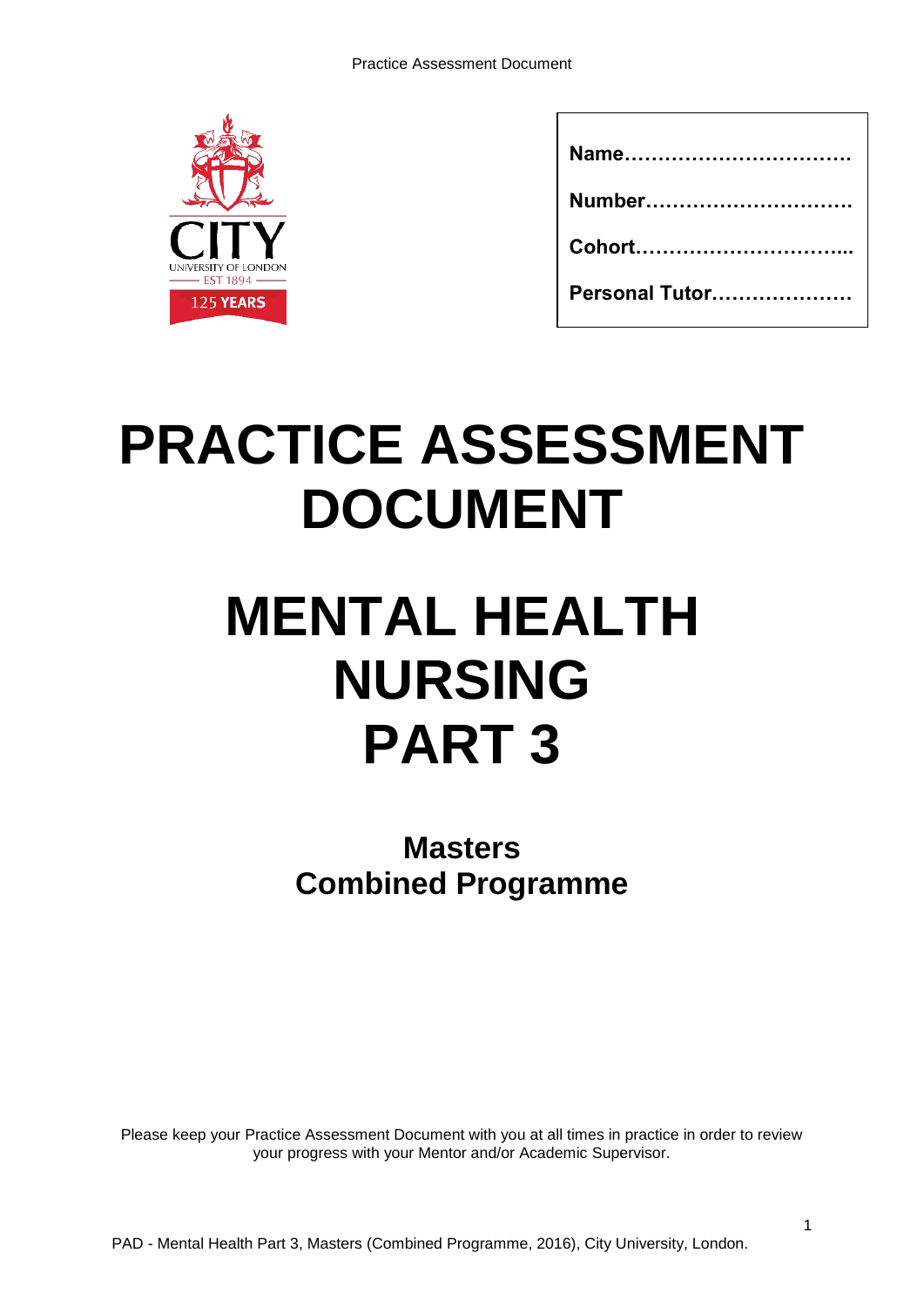

| Name           |
|----------------|
| Number         |
|                |
| Personal Tutor |

# **PRACTICE ASSESSMENT DOCUMENT**

# **MENTAL HEALTH NURSING PART 3**

**Masters Combined Programme** 

Please keep your Practice Assessment Document with you at all times in practice in order to review your progress with your Mentor and/or Academic Supervisor.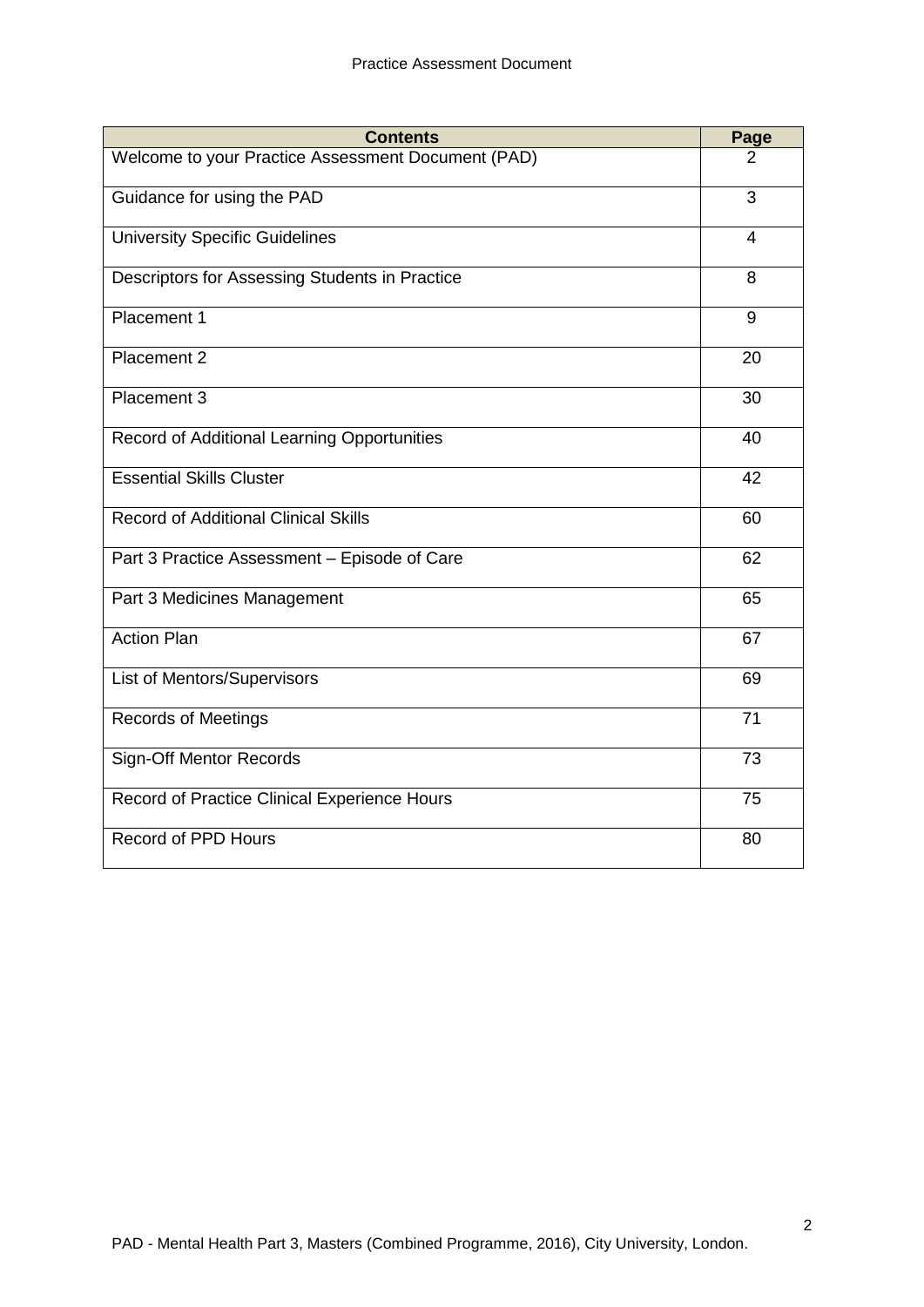| <b>Contents</b>                                    | Page           |
|----------------------------------------------------|----------------|
| Welcome to your Practice Assessment Document (PAD) | 2              |
| Guidance for using the PAD                         | 3              |
| <b>University Specific Guidelines</b>              | $\overline{4}$ |
| Descriptors for Assessing Students in Practice     | 8              |
| Placement 1                                        | 9              |
| Placement 2                                        | 20             |
| Placement 3                                        | 30             |
| Record of Additional Learning Opportunities        | 40             |
| <b>Essential Skills Cluster</b>                    | 42             |
| <b>Record of Additional Clinical Skills</b>        | 60             |
| Part 3 Practice Assessment - Episode of Care       | 62             |
| Part 3 Medicines Management                        | 65             |
| <b>Action Plan</b>                                 | 67             |
| <b>List of Mentors/Supervisors</b>                 | 69             |
| <b>Records of Meetings</b>                         | 71             |
| <b>Sign-Off Mentor Records</b>                     | 73             |
| Record of Practice Clinical Experience Hours       | 75             |
| Record of PPD Hours                                | 80             |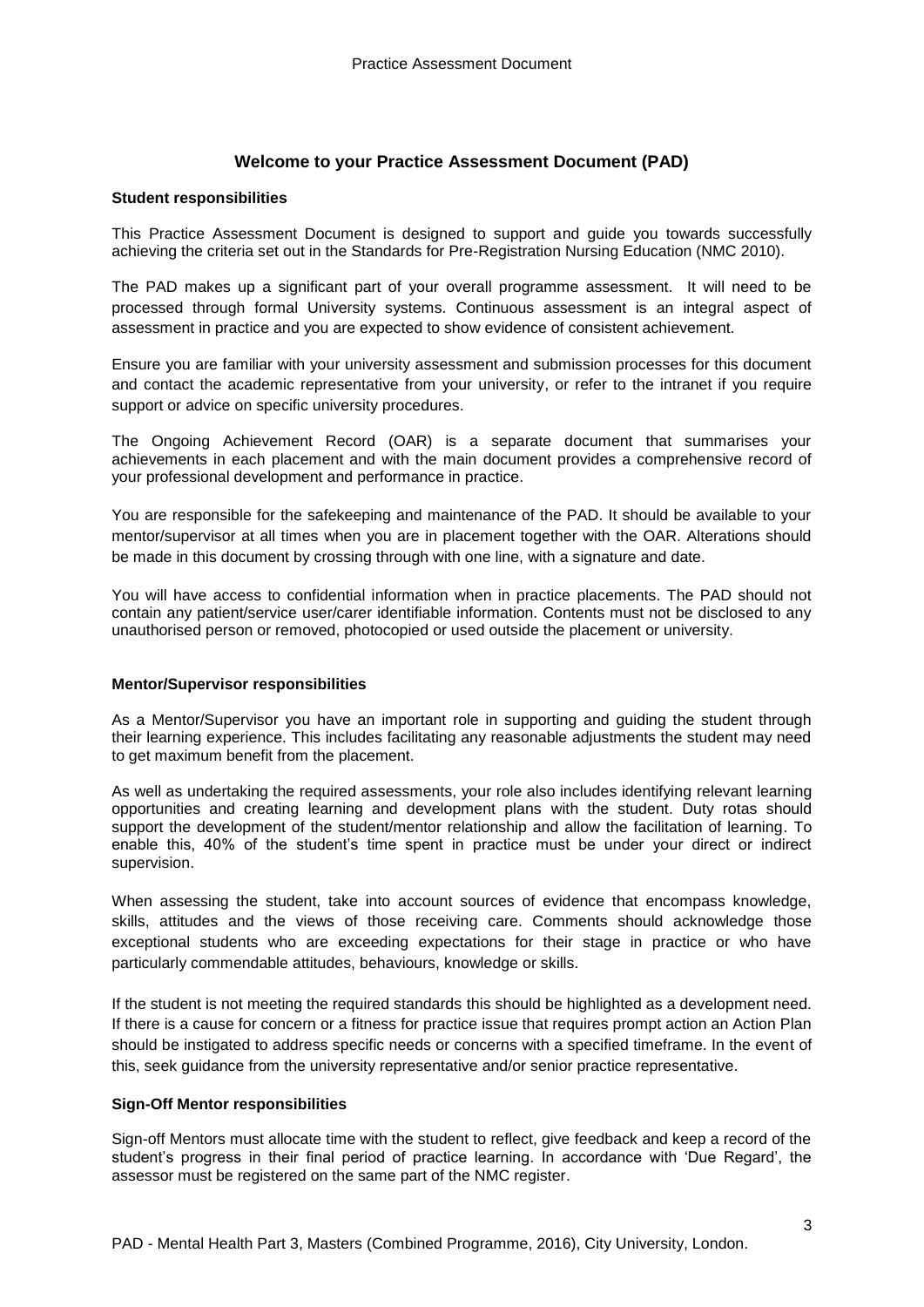## **Welcome to your Practice Assessment Document (PAD)**

#### **Student responsibilities**

This Practice Assessment Document is designed to support and guide you towards successfully achieving the criteria set out in the Standards for Pre-Registration Nursing Education (NMC 2010).

The PAD makes up a significant part of your overall programme assessment. It will need to be processed through formal University systems. Continuous assessment is an integral aspect of assessment in practice and you are expected to show evidence of consistent achievement.

Ensure you are familiar with your university assessment and submission processes for this document and contact the academic representative from your university, or refer to the intranet if you require support or advice on specific university procedures.

The Ongoing Achievement Record (OAR) is a separate document that summarises your achievements in each placement and with the main document provides a comprehensive record of your professional development and performance in practice.

You are responsible for the safekeeping and maintenance of the PAD. It should be available to your mentor/supervisor at all times when you are in placement together with the OAR. Alterations should be made in this document by crossing through with one line, with a signature and date.

You will have access to confidential information when in practice placements. The PAD should not contain any patient/service user/carer identifiable information. Contents must not be disclosed to any unauthorised person or removed, photocopied or used outside the placement or university.

#### **Mentor/Supervisor responsibilities**

As a Mentor/Supervisor you have an important role in supporting and guiding the student through their learning experience. This includes facilitating any reasonable adjustments the student may need to get maximum benefit from the placement.

As well as undertaking the required assessments, your role also includes identifying relevant learning opportunities and creating learning and development plans with the student. Duty rotas should support the development of the student/mentor relationship and allow the facilitation of learning. To enable this, 40% of the student's time spent in practice must be under your direct or indirect supervision.

When assessing the student, take into account sources of evidence that encompass knowledge, skills, attitudes and the views of those receiving care. Comments should acknowledge those exceptional students who are exceeding expectations for their stage in practice or who have particularly commendable attitudes, behaviours, knowledge or skills.

If the student is not meeting the required standards this should be highlighted as a development need. If there is a cause for concern or a fitness for practice issue that requires prompt action an Action Plan should be instigated to address specific needs or concerns with a specified timeframe. In the event of this, seek guidance from the university representative and/or senior practice representative.

#### **Sign-Off Mentor responsibilities**

Sign-off Mentors must allocate time with the student to reflect, give feedback and keep a record of the student's progress in their final period of practice learning. In accordance with 'Due Regard', the assessor must be registered on the same part of the NMC register.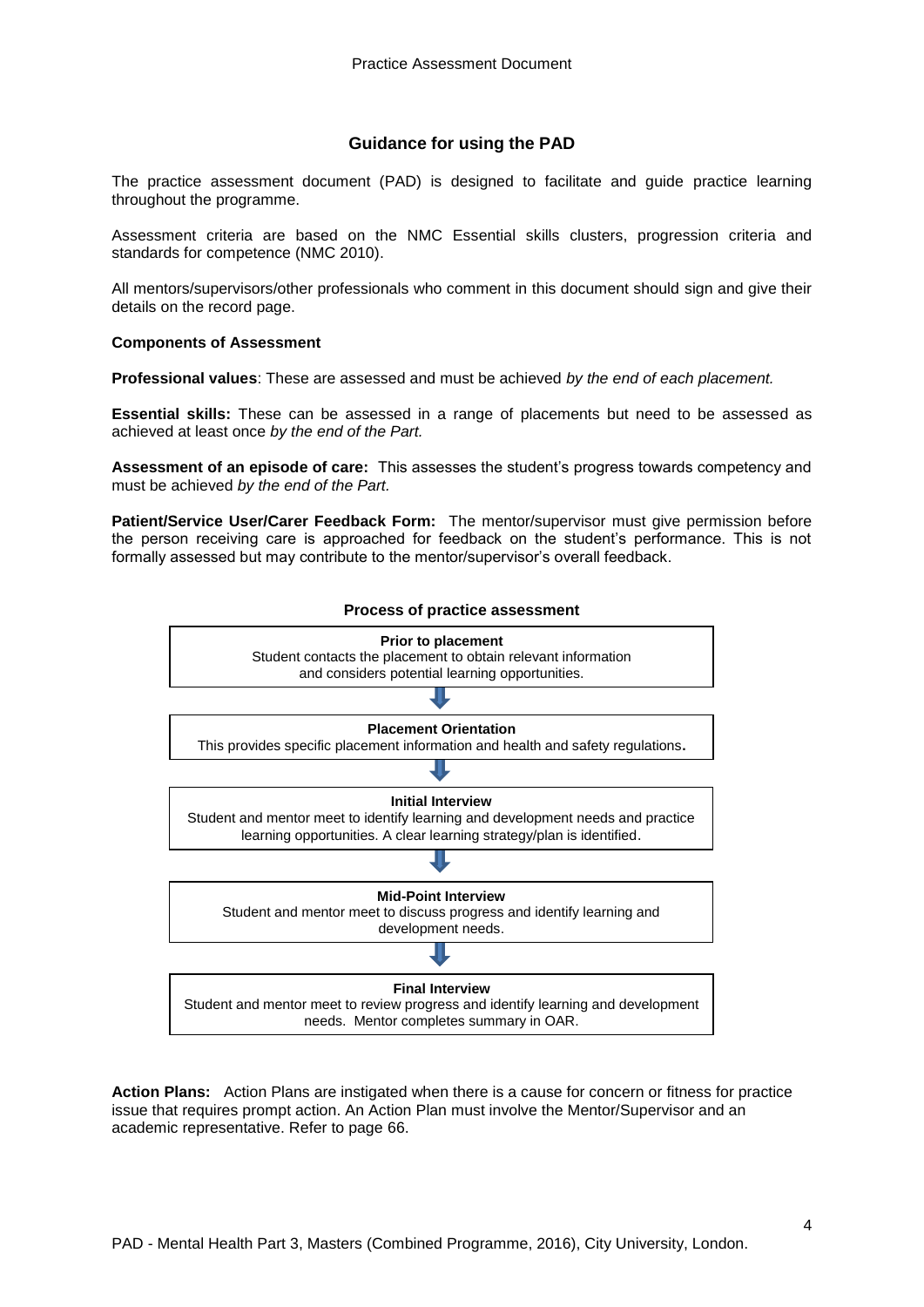#### **Guidance for using the PAD**

The practice assessment document (PAD) is designed to facilitate and guide practice learning throughout the programme.

Assessment criteria are based on the NMC Essential skills clusters, progression criteria and standards for competence (NMC 2010).

All mentors/supervisors/other professionals who comment in this document should sign and give their details on the record page.

#### **Components of Assessment**

**Professional values**: These are assessed and must be achieved *by the end of each placement.*

**Essential skills:** These can be assessed in a range of placements but need to be assessed as achieved at least once *by the end of the Part.*

**Assessment of an episode of care:** This assesses the student's progress towards competency and must be achieved *by the end of the Part.*

**Patient/Service User/Carer Feedback Form:** The mentor/supervisor must give permission before the person receiving care is approached for feedback on the student's performance. This is not formally assessed but may contribute to the mentor/supervisor's overall feedback.



**Action Plans:** Action Plans are instigated when there is a cause for concern or fitness for practice issue that requires prompt action. An Action Plan must involve the Mentor/Supervisor and an academic representative. Refer to page 66.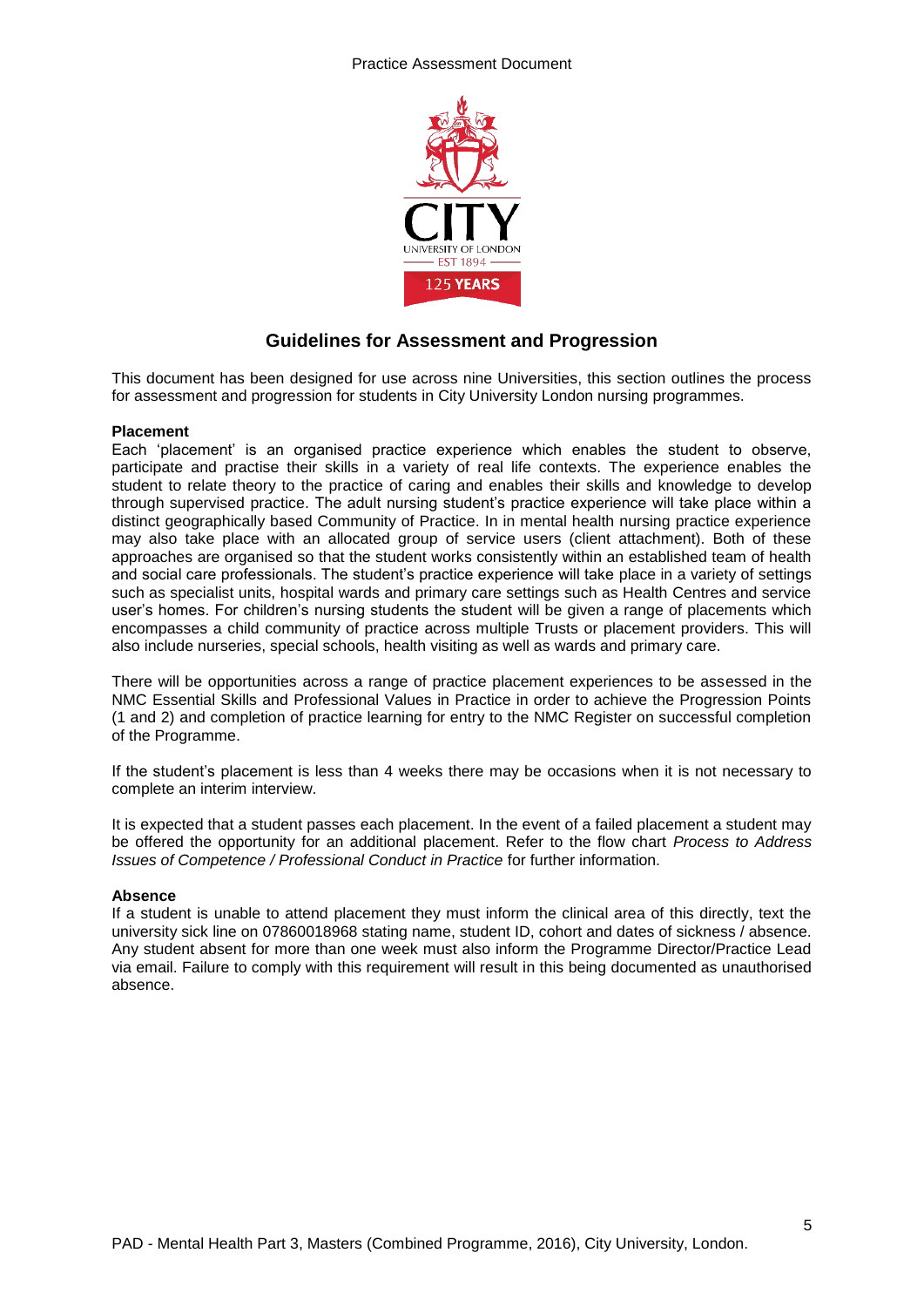

# **Guidelines for Assessment and Progression**

This document has been designed for use across nine Universities, this section outlines the process for assessment and progression for students in City University London nursing programmes.

#### **Placement**

Each 'placement' is an organised practice experience which enables the student to observe, participate and practise their skills in a variety of real life contexts. The experience enables the student to relate theory to the practice of caring and enables their skills and knowledge to develop through supervised practice. The adult nursing student's practice experience will take place within a distinct geographically based Community of Practice. In in mental health nursing practice experience may also take place with an allocated group of service users (client attachment). Both of these approaches are organised so that the student works consistently within an established team of health and social care professionals. The student's practice experience will take place in a variety of settings such as specialist units, hospital wards and primary care settings such as Health Centres and service user's homes. For children's nursing students the student will be given a range of placements which encompasses a child community of practice across multiple Trusts or placement providers. This will also include nurseries, special schools, health visiting as well as wards and primary care.

There will be opportunities across a range of practice placement experiences to be assessed in the NMC Essential Skills and Professional Values in Practice in order to achieve the Progression Points (1 and 2) and completion of practice learning for entry to the NMC Register on successful completion of the Programme.

If the student's placement is less than 4 weeks there may be occasions when it is not necessary to complete an interim interview.

It is expected that a student passes each placement. In the event of a failed placement a student may be offered the opportunity for an additional placement. Refer to the flow chart *Process to Address Issues of Competence / Professional Conduct in Practice* for further information.

#### **Absence**

If a student is unable to attend placement they must inform the clinical area of this directly, text the university sick line on 07860018968 stating name, student ID, cohort and dates of sickness / absence. Any student absent for more than one week must also inform the Programme Director/Practice Lead via email. Failure to comply with this requirement will result in this being documented as unauthorised absence.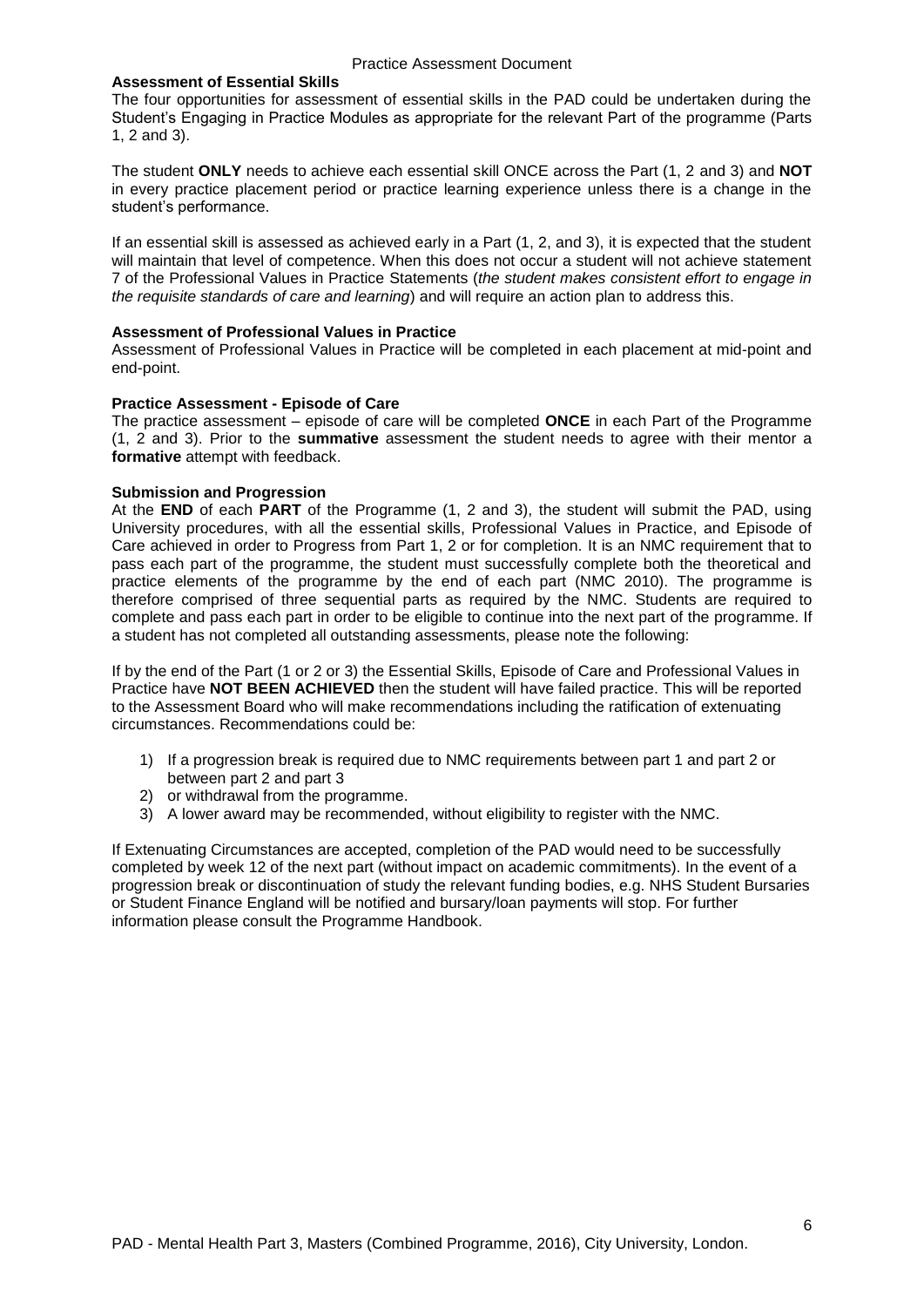#### **Assessment of Essential Skills**

The four opportunities for assessment of essential skills in the PAD could be undertaken during the Student's Engaging in Practice Modules as appropriate for the relevant Part of the programme (Parts 1, 2 and 3).

The student **ONLY** needs to achieve each essential skill ONCE across the Part (1, 2 and 3) and **NOT** in every practice placement period or practice learning experience unless there is a change in the student's performance.

If an essential skill is assessed as achieved early in a Part (1, 2, and 3), it is expected that the student will maintain that level of competence. When this does not occur a student will not achieve statement 7 of the Professional Values in Practice Statements (*the student makes consistent effort to engage in the requisite standards of care and learning*) and will require an action plan to address this.

#### **Assessment of Professional Values in Practice**

Assessment of Professional Values in Practice will be completed in each placement at mid-point and end-point.

#### **Practice Assessment - Episode of Care**

The practice assessment – episode of care will be completed **ONCE** in each Part of the Programme (1, 2 and 3). Prior to the **summative** assessment the student needs to agree with their mentor a **formative** attempt with feedback.

#### **Submission and Progression**

At the **END** of each **PART** of the Programme (1, 2 and 3), the student will submit the PAD, using University procedures, with all the essential skills, Professional Values in Practice, and Episode of Care achieved in order to Progress from Part 1, 2 or for completion. It is an NMC requirement that to pass each part of the programme, the student must successfully complete both the theoretical and practice elements of the programme by the end of each part (NMC 2010). The programme is therefore comprised of three sequential parts as required by the NMC. Students are required to complete and pass each part in order to be eligible to continue into the next part of the programme. If a student has not completed all outstanding assessments, please note the following:

If by the end of the Part (1 or 2 or 3) the Essential Skills, Episode of Care and Professional Values in Practice have **NOT BEEN ACHIEVED** then the student will have failed practice. This will be reported to the Assessment Board who will make recommendations including the ratification of extenuating circumstances. Recommendations could be:

- 1) If a progression break is required due to NMC requirements between part 1 and part 2 or between part 2 and part 3
- 2) or withdrawal from the programme.
- 3) A lower award may be recommended, without eligibility to register with the NMC.

If Extenuating Circumstances are accepted, completion of the PAD would need to be successfully completed by week 12 of the next part (without impact on academic commitments). In the event of a progression break or discontinuation of study the relevant funding bodies, e.g. NHS Student Bursaries or Student Finance England will be notified and bursary/loan payments will stop. For further information please consult the Programme Handbook.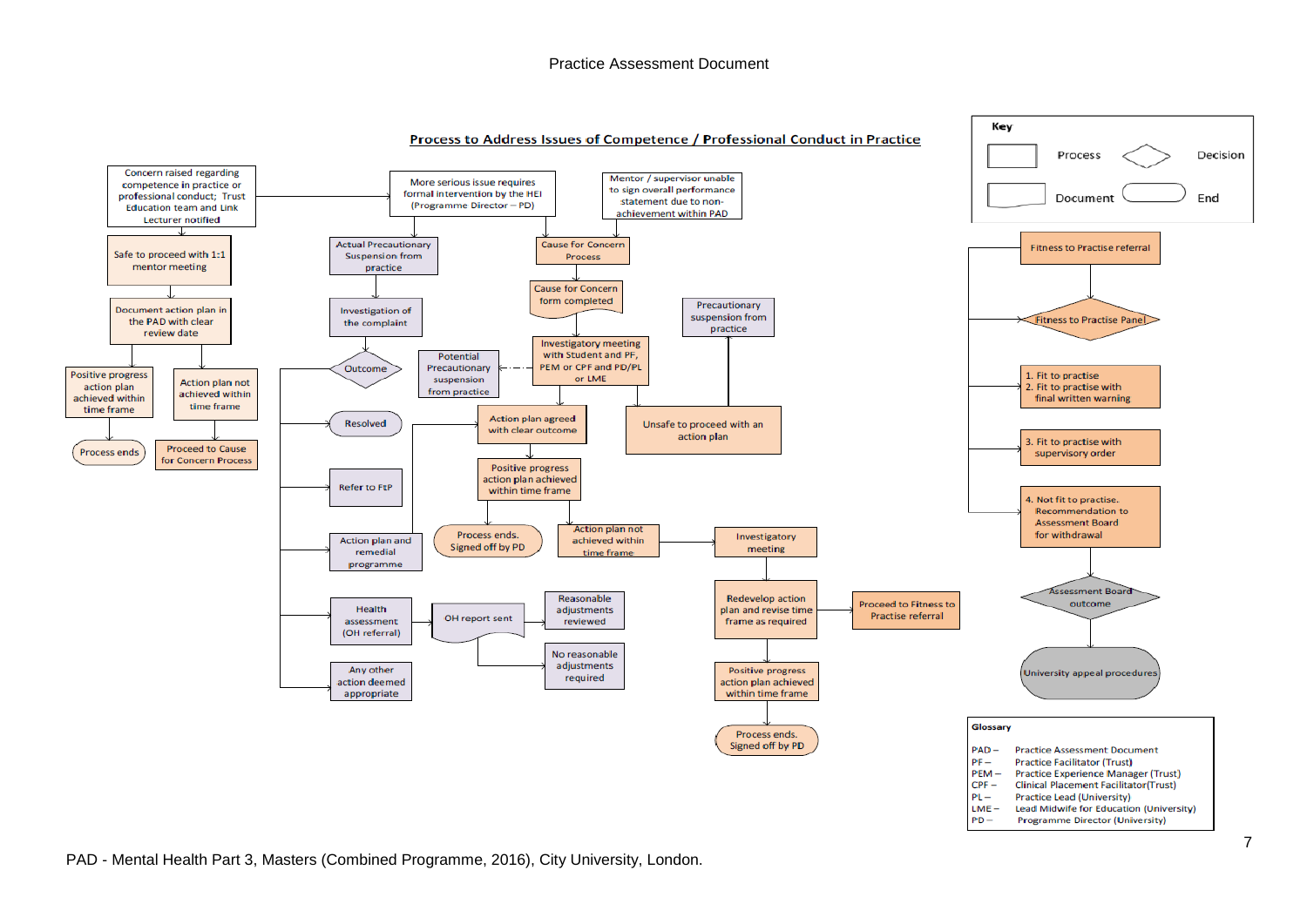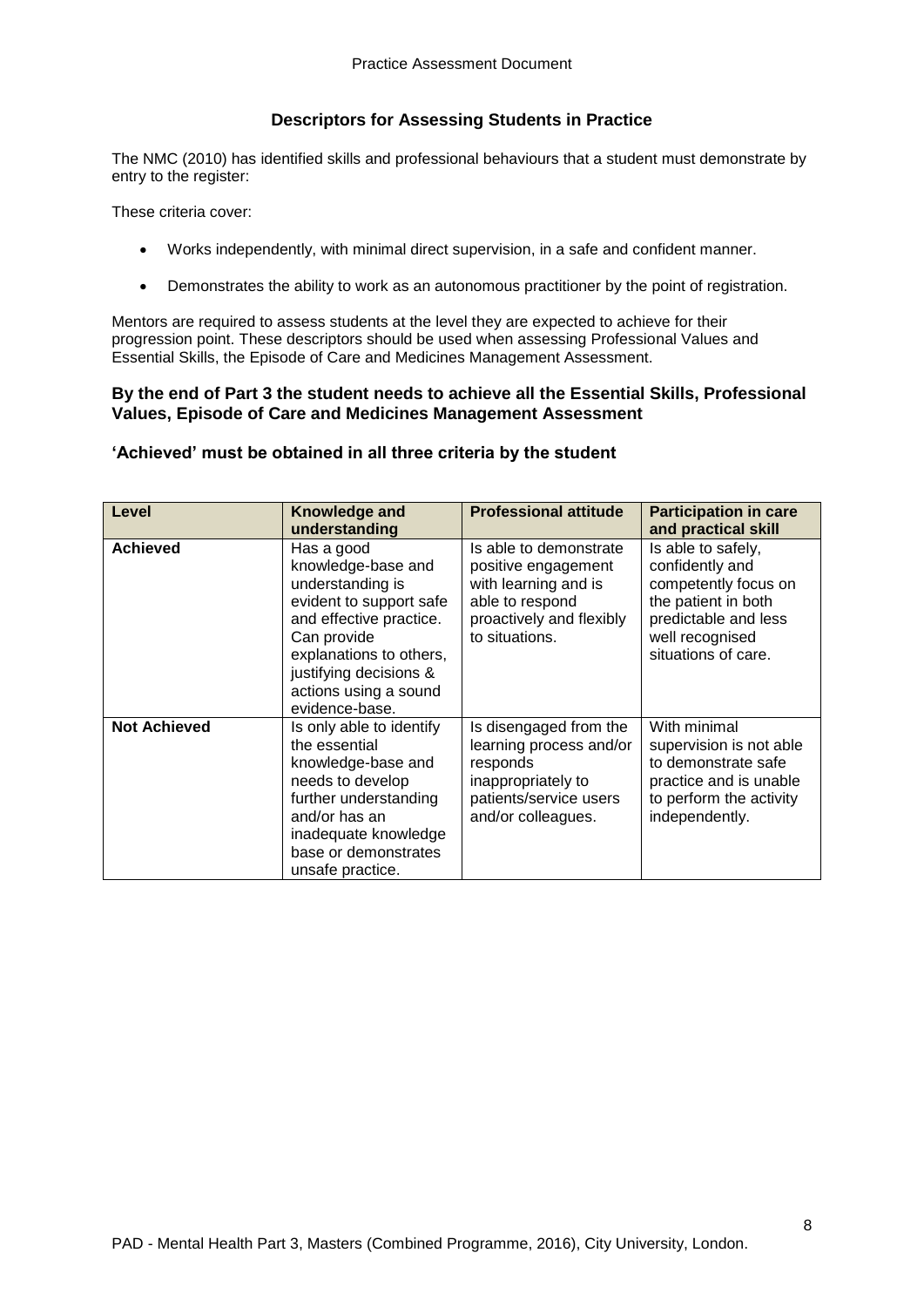## **Descriptors for Assessing Students in Practice**

The NMC (2010) has identified skills and professional behaviours that a student must demonstrate by entry to the register:

These criteria cover:

- Works independently, with minimal direct supervision, in a safe and confident manner.
- Demonstrates the ability to work as an autonomous practitioner by the point of registration.

Mentors are required to assess students at the level they are expected to achieve for their progression point. These descriptors should be used when assessing Professional Values and Essential Skills, the Episode of Care and Medicines Management Assessment.

## **By the end of Part 3 the student needs to achieve all the Essential Skills, Professional Values, Episode of Care and Medicines Management Assessment**

## **'Achieved' must be obtained in all three criteria by the student**

| Level               | Knowledge and<br>understanding                                                                                                                                                                                            | <b>Professional attitude</b>                                                                                                           | <b>Participation in care</b><br>and practical skill                                                                                                    |
|---------------------|---------------------------------------------------------------------------------------------------------------------------------------------------------------------------------------------------------------------------|----------------------------------------------------------------------------------------------------------------------------------------|--------------------------------------------------------------------------------------------------------------------------------------------------------|
| <b>Achieved</b>     | Has a good<br>knowledge-base and<br>understanding is<br>evident to support safe<br>and effective practice.<br>Can provide<br>explanations to others,<br>justifying decisions &<br>actions using a sound<br>evidence-base. | Is able to demonstrate<br>positive engagement<br>with learning and is<br>able to respond<br>proactively and flexibly<br>to situations. | Is able to safely,<br>confidently and<br>competently focus on<br>the patient in both<br>predictable and less<br>well recognised<br>situations of care. |
| <b>Not Achieved</b> | Is only able to identify<br>the essential<br>knowledge-base and<br>needs to develop<br>further understanding<br>and/or has an<br>inadequate knowledge<br>base or demonstrates<br>unsafe practice.                         | Is disengaged from the<br>learning process and/or<br>responds<br>inappropriately to<br>patients/service users<br>and/or colleagues.    | With minimal<br>supervision is not able<br>to demonstrate safe<br>practice and is unable<br>to perform the activity<br>independently.                  |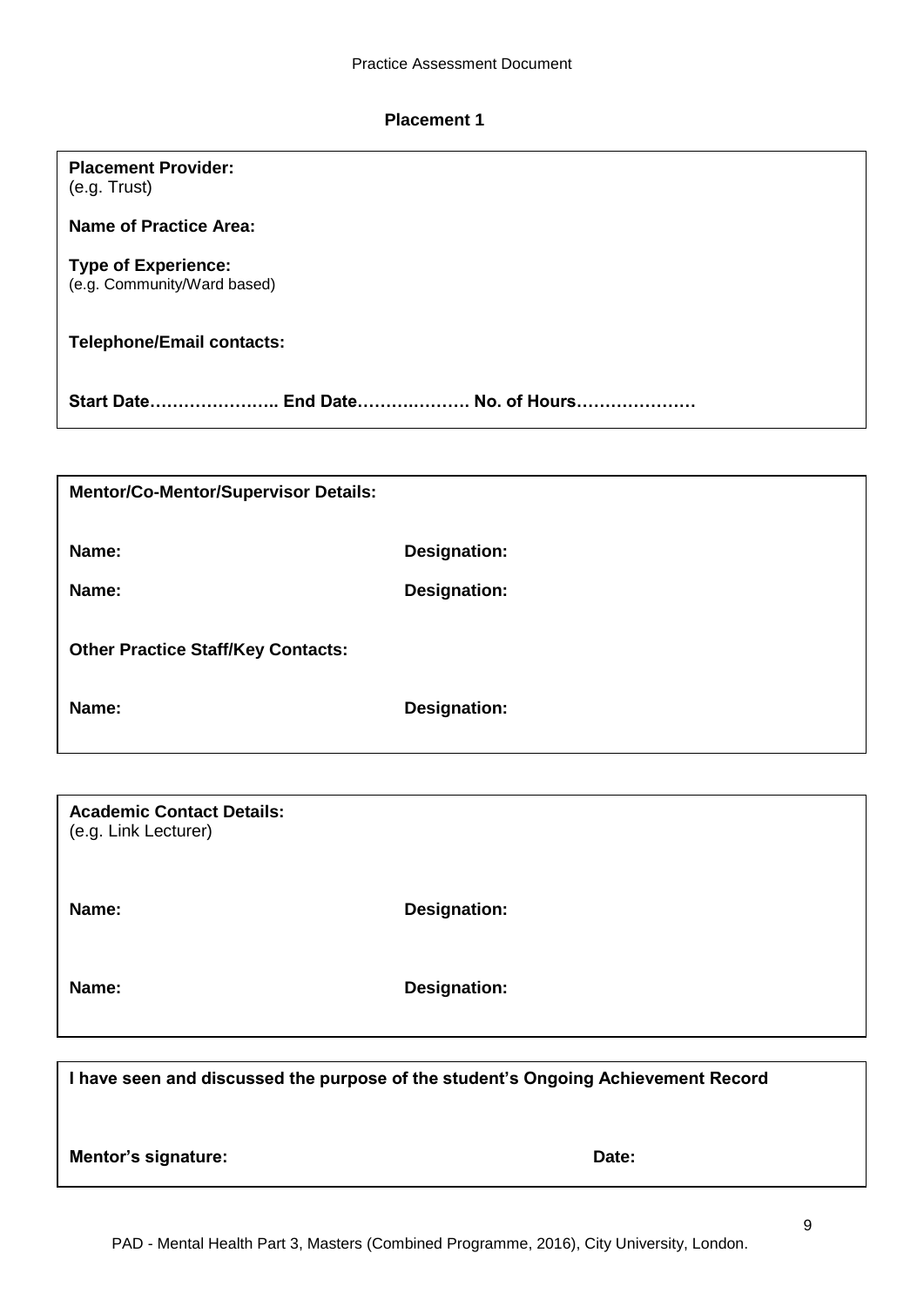# **Placement 1**

**Placement Provider:**

(e.g. Trust)

| <b>Name of Practice Area:</b>                             |                                                                                   |
|-----------------------------------------------------------|-----------------------------------------------------------------------------------|
| <b>Type of Experience:</b><br>(e.g. Community/Ward based) |                                                                                   |
| <b>Telephone/Email contacts:</b>                          |                                                                                   |
| Start Date End Date No. of Hours                          |                                                                                   |
|                                                           |                                                                                   |
| <b>Mentor/Co-Mentor/Supervisor Details:</b>               |                                                                                   |
| Name:                                                     | <b>Designation:</b>                                                               |
| Name:                                                     | <b>Designation:</b>                                                               |
| <b>Other Practice Staff/Key Contacts:</b>                 |                                                                                   |
| Name:                                                     | <b>Designation:</b>                                                               |
|                                                           |                                                                                   |
| <b>Academic Contact Details:</b><br>(e.g. Link Lecturer)  |                                                                                   |
| Name:                                                     | <b>Designation:</b>                                                               |
| Name:                                                     | <b>Designation:</b>                                                               |
|                                                           |                                                                                   |
|                                                           | I have seen and discussed the purpose of the student's Ongoing Achievement Record |
| <b>Mentor's signature:</b>                                | Date:                                                                             |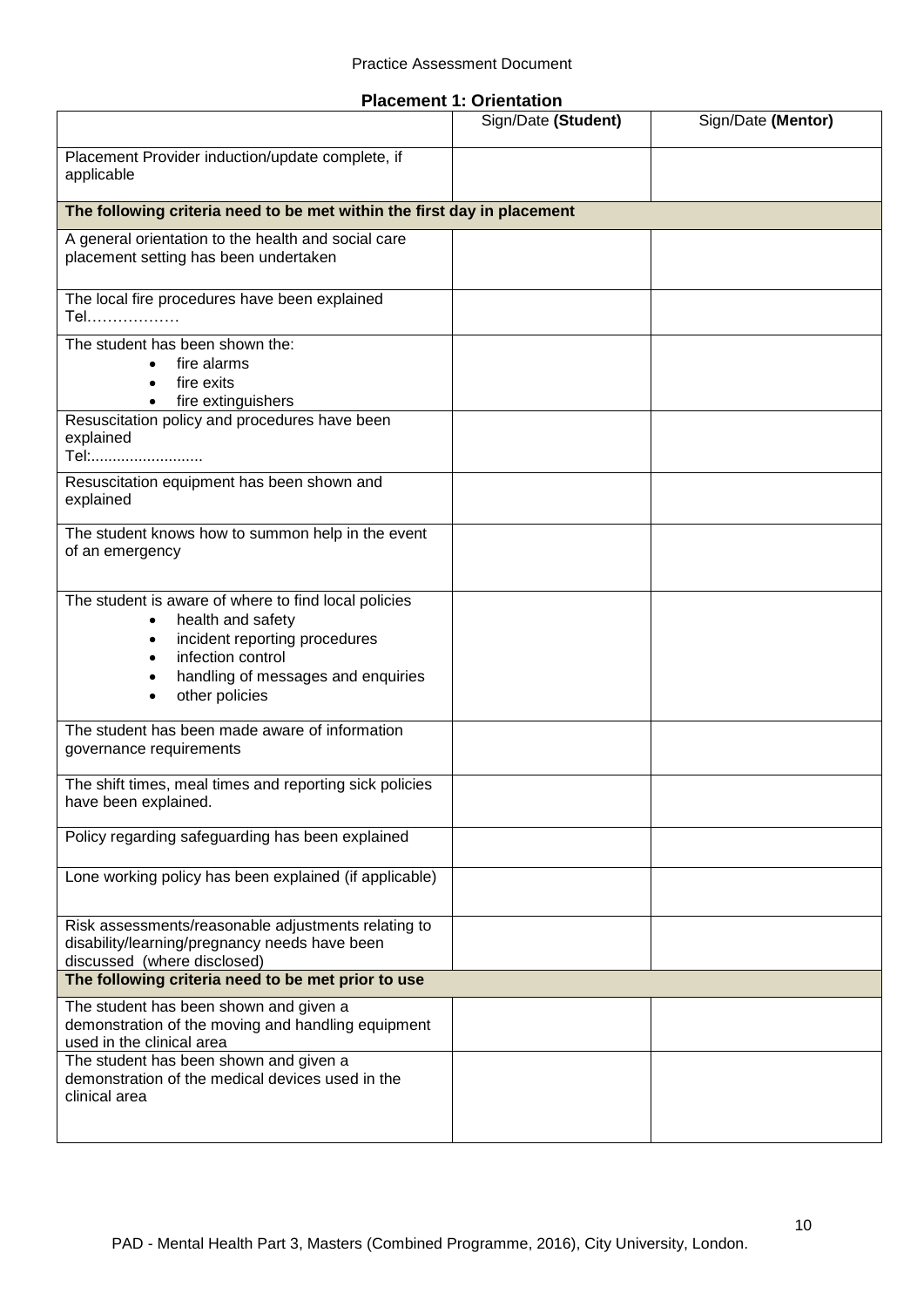| <b>Placement 1: Orientation</b> |  |
|---------------------------------|--|
|---------------------------------|--|

|                                                                                                                                                                                         | Sign/Date (Student) | Sign/Date (Mentor) |
|-----------------------------------------------------------------------------------------------------------------------------------------------------------------------------------------|---------------------|--------------------|
| Placement Provider induction/update complete, if<br>applicable                                                                                                                          |                     |                    |
| The following criteria need to be met within the first day in placement                                                                                                                 |                     |                    |
| A general orientation to the health and social care<br>placement setting has been undertaken                                                                                            |                     |                    |
| The local fire procedures have been explained<br>Tel………………                                                                                                                              |                     |                    |
| The student has been shown the:<br>fire alarms<br>$\bullet$<br>fire exits<br>fire extinguishers<br>$\bullet$                                                                            |                     |                    |
| Resuscitation policy and procedures have been<br>explained<br>Tel:                                                                                                                      |                     |                    |
| Resuscitation equipment has been shown and<br>explained                                                                                                                                 |                     |                    |
| The student knows how to summon help in the event<br>of an emergency                                                                                                                    |                     |                    |
| The student is aware of where to find local policies<br>health and safety<br>incident reporting procedures<br>infection control<br>handling of messages and enquiries<br>other policies |                     |                    |
| The student has been made aware of information<br>governance requirements                                                                                                               |                     |                    |
| The shift times, meal times and reporting sick policies<br>have been explained.                                                                                                         |                     |                    |
| Policy regarding safeguarding has been explained                                                                                                                                        |                     |                    |
| Lone working policy has been explained (if applicable)                                                                                                                                  |                     |                    |
| Risk assessments/reasonable adjustments relating to<br>disability/learning/pregnancy needs have been<br>discussed (where disclosed)                                                     |                     |                    |
| The following criteria need to be met prior to use                                                                                                                                      |                     |                    |
| The student has been shown and given a<br>demonstration of the moving and handling equipment<br>used in the clinical area                                                               |                     |                    |
| The student has been shown and given a<br>demonstration of the medical devices used in the<br>clinical area                                                                             |                     |                    |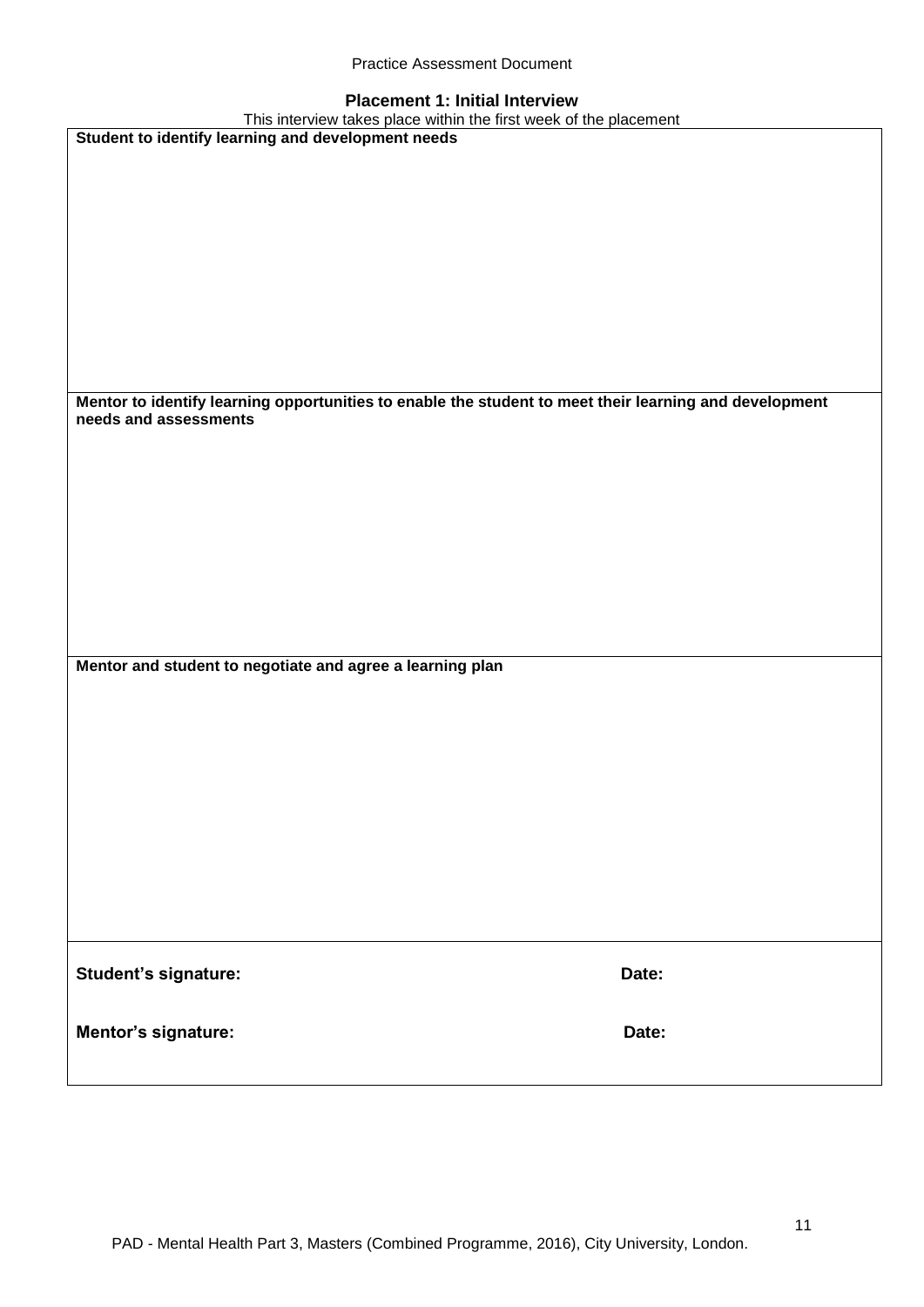|  | <b>Practice Assessment Document</b> |  |
|--|-------------------------------------|--|
|--|-------------------------------------|--|

## **Placement 1: Initial Interview**

| This interview takes place within the first week of the placement                                                               |       |
|---------------------------------------------------------------------------------------------------------------------------------|-------|
| Student to identify learning and development needs                                                                              |       |
|                                                                                                                                 |       |
|                                                                                                                                 |       |
|                                                                                                                                 |       |
|                                                                                                                                 |       |
|                                                                                                                                 |       |
|                                                                                                                                 |       |
|                                                                                                                                 |       |
|                                                                                                                                 |       |
|                                                                                                                                 |       |
|                                                                                                                                 |       |
|                                                                                                                                 |       |
|                                                                                                                                 |       |
|                                                                                                                                 |       |
| Mentor to identify learning opportunities to enable the student to meet their learning and development<br>needs and assessments |       |
|                                                                                                                                 |       |
|                                                                                                                                 |       |
|                                                                                                                                 |       |
|                                                                                                                                 |       |
|                                                                                                                                 |       |
|                                                                                                                                 |       |
|                                                                                                                                 |       |
|                                                                                                                                 |       |
|                                                                                                                                 |       |
|                                                                                                                                 |       |
|                                                                                                                                 |       |
|                                                                                                                                 |       |
| Mentor and student to negotiate and agree a learning plan                                                                       |       |
|                                                                                                                                 |       |
|                                                                                                                                 |       |
|                                                                                                                                 |       |
|                                                                                                                                 |       |
|                                                                                                                                 |       |
|                                                                                                                                 |       |
|                                                                                                                                 |       |
|                                                                                                                                 |       |
|                                                                                                                                 |       |
|                                                                                                                                 |       |
|                                                                                                                                 |       |
|                                                                                                                                 |       |
|                                                                                                                                 |       |
|                                                                                                                                 |       |
|                                                                                                                                 |       |
| Student's signature:                                                                                                            | Date: |
|                                                                                                                                 |       |
|                                                                                                                                 |       |
| Mentor's signature:                                                                                                             | Date: |
|                                                                                                                                 |       |
|                                                                                                                                 |       |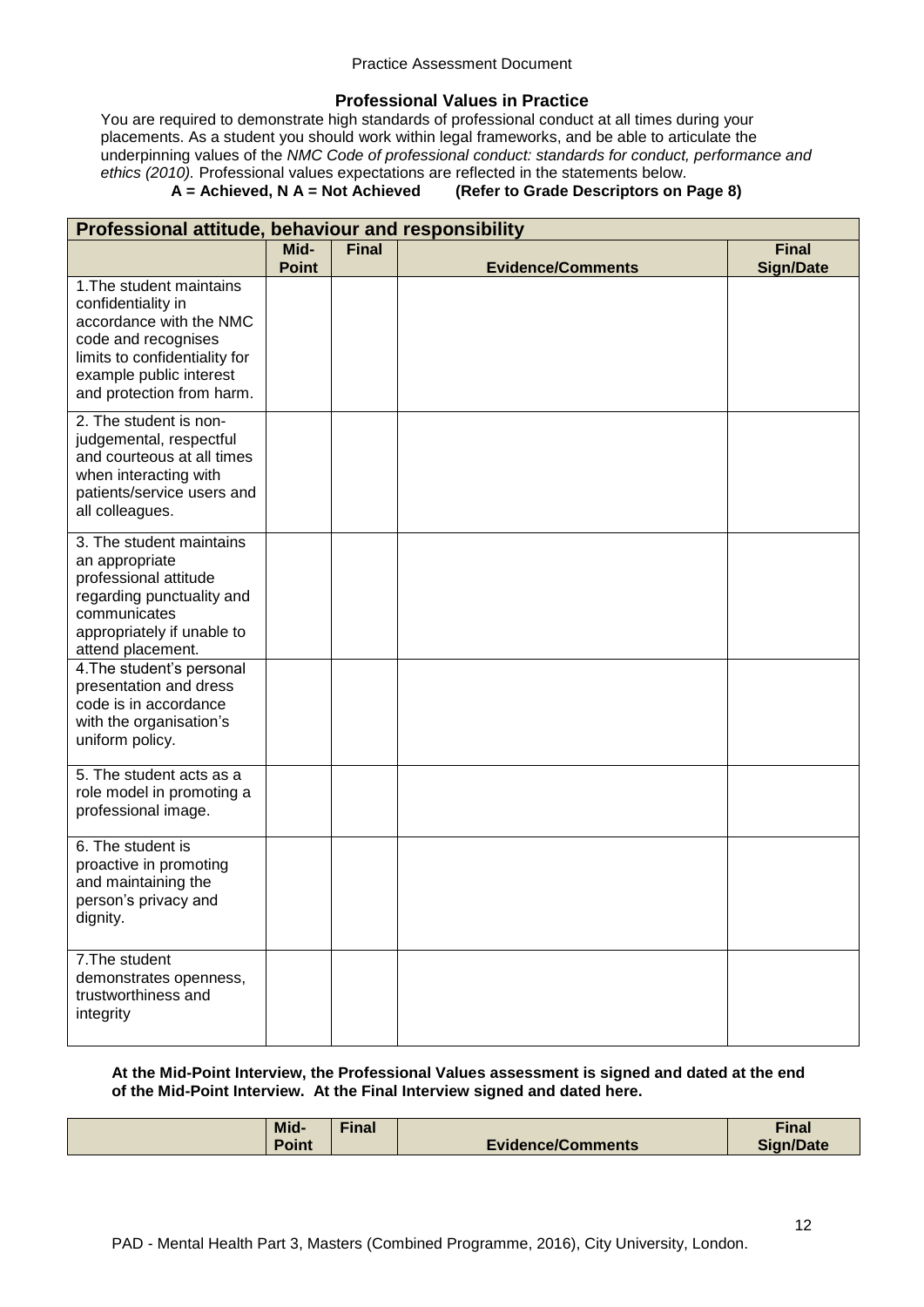## **Professional Values in Practice**

You are required to demonstrate high standards of professional conduct at all times during your placements. As a student you should work within legal frameworks, and be able to articulate the underpinning values of the *NMC Code of professional conduct: standards for conduct, performance and ethics (2010).* Professional values expectations are reflected in the statements below.

## **A = Achieved, N A = Not Achieved (Refer to Grade Descriptors on Page 8)**

| Professional attitude, behaviour and responsibility                                                                                                                                       |              |              |                          |                  |
|-------------------------------------------------------------------------------------------------------------------------------------------------------------------------------------------|--------------|--------------|--------------------------|------------------|
|                                                                                                                                                                                           | Mid-         | <b>Final</b> |                          | <b>Final</b>     |
|                                                                                                                                                                                           | <b>Point</b> |              | <b>Evidence/Comments</b> | <b>Sign/Date</b> |
| 1. The student maintains<br>confidentiality in<br>accordance with the NMC<br>code and recognises<br>limits to confidentiality for<br>example public interest<br>and protection from harm. |              |              |                          |                  |
| 2. The student is non-<br>judgemental, respectful<br>and courteous at all times<br>when interacting with<br>patients/service users and<br>all colleagues.                                 |              |              |                          |                  |
| 3. The student maintains<br>an appropriate<br>professional attitude<br>regarding punctuality and<br>communicates<br>appropriately if unable to<br>attend placement.                       |              |              |                          |                  |
| 4. The student's personal<br>presentation and dress<br>code is in accordance<br>with the organisation's<br>uniform policy.                                                                |              |              |                          |                  |
| 5. The student acts as a<br>role model in promoting a<br>professional image.                                                                                                              |              |              |                          |                  |
| 6. The student is<br>proactive in promoting<br>and maintaining the<br>person's privacy and<br>dignity.                                                                                    |              |              |                          |                  |
| 7. The student<br>demonstrates openness,<br>trustworthiness and<br>integrity                                                                                                              |              |              |                          |                  |

## **At the Mid-Point Interview, the Professional Values assessment is signed and dated at the end of the Mid-Point Interview. At the Final Interview signed and dated here.**

| Mid-  | Final |                   | <b>Final</b>     |
|-------|-------|-------------------|------------------|
| Point |       | Evidence/Comments | <b>Sign/Date</b> |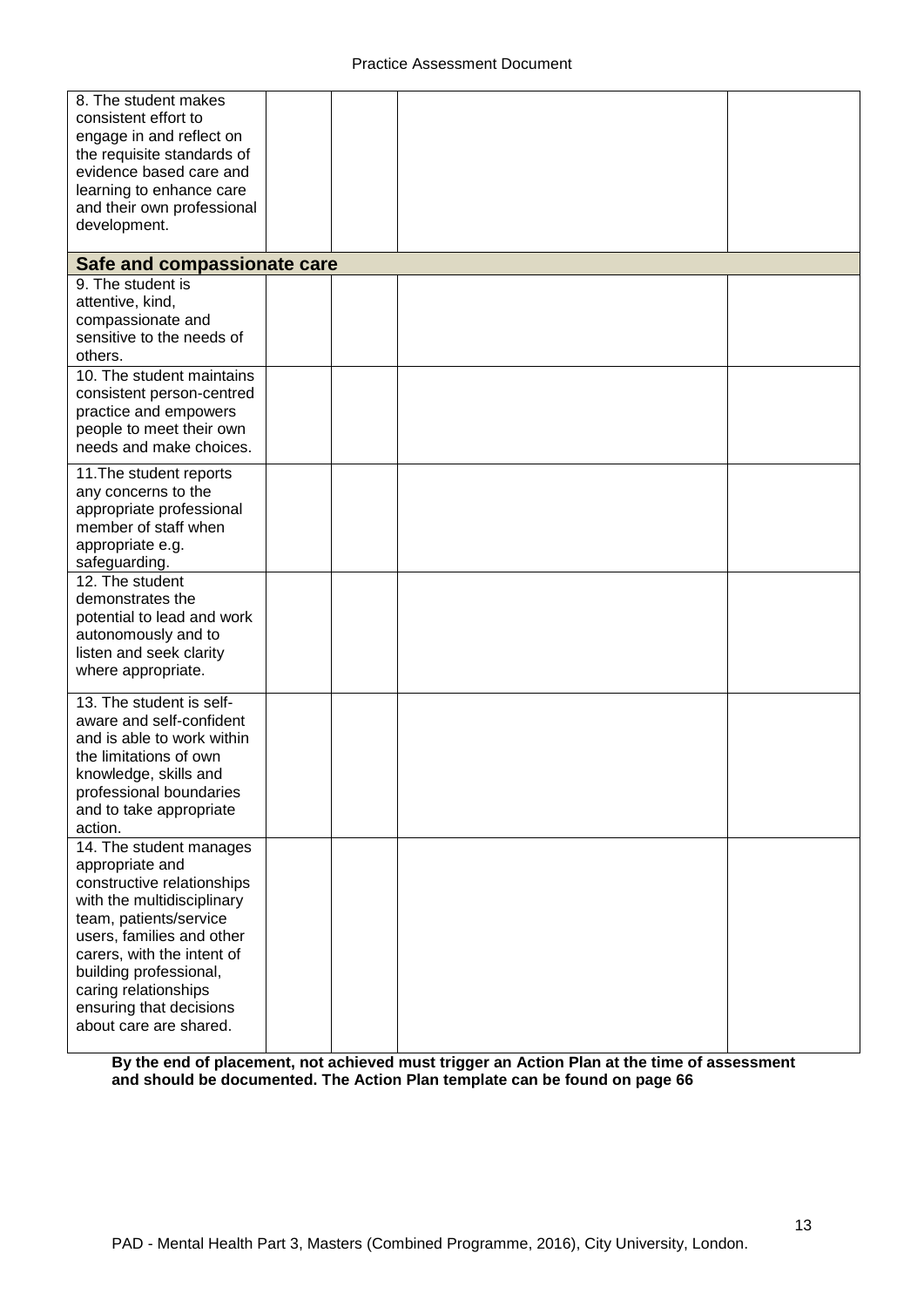| 8. The student makes<br>consistent effort to<br>engage in and reflect on<br>the requisite standards of<br>evidence based care and<br>learning to enhance care<br>and their own professional                                                                                                        |  |  |
|----------------------------------------------------------------------------------------------------------------------------------------------------------------------------------------------------------------------------------------------------------------------------------------------------|--|--|
| development.                                                                                                                                                                                                                                                                                       |  |  |
| Safe and compassionate care                                                                                                                                                                                                                                                                        |  |  |
| 9. The student is<br>attentive, kind,<br>compassionate and<br>sensitive to the needs of<br>others.                                                                                                                                                                                                 |  |  |
| 10. The student maintains<br>consistent person-centred<br>practice and empowers<br>people to meet their own<br>needs and make choices.                                                                                                                                                             |  |  |
| 11. The student reports<br>any concerns to the<br>appropriate professional<br>member of staff when<br>appropriate e.g.<br>safeguarding.                                                                                                                                                            |  |  |
| 12. The student<br>demonstrates the<br>potential to lead and work<br>autonomously and to<br>listen and seek clarity<br>where appropriate.                                                                                                                                                          |  |  |
| 13. The student is self-<br>aware and self-confident<br>and is able to work within<br>the limitations of own<br>knowledge, skills and<br>professional boundaries<br>and to take appropriate<br>action.                                                                                             |  |  |
| 14. The student manages<br>appropriate and<br>constructive relationships<br>with the multidisciplinary<br>team, patients/service<br>users, families and other<br>carers, with the intent of<br>building professional,<br>caring relationships<br>ensuring that decisions<br>about care are shared. |  |  |

**By the end of placement, not achieved must trigger an Action Plan at the time of assessment and should be documented. The Action Plan template can be found on page 66**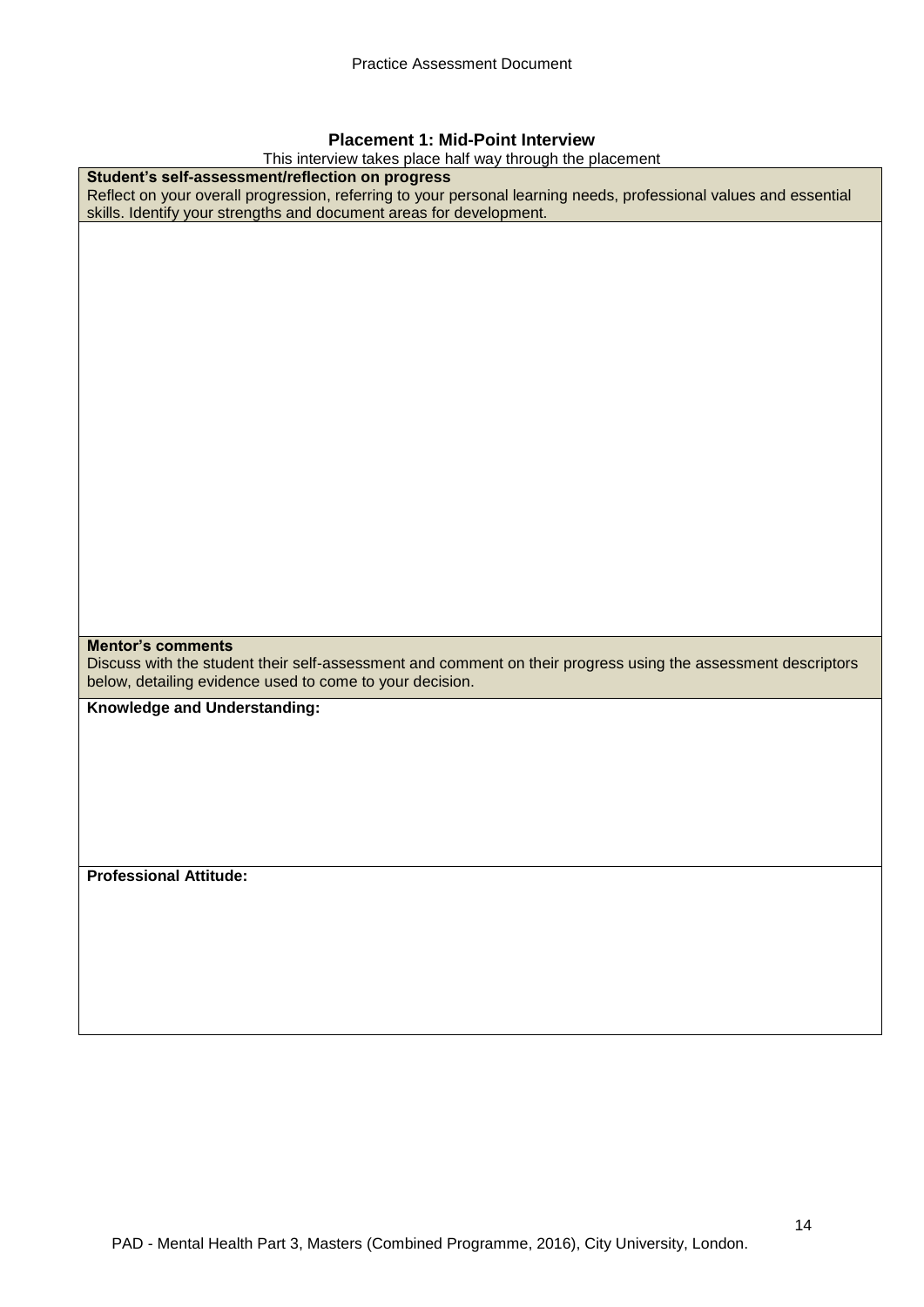## **Placement 1: Mid-Point Interview**

This interview takes place half way through the placement **Student's self-assessment/reflection on progress**  Reflect on your overall progression, referring to your personal learning needs, professional values and essential skills. Identify your strengths and document areas for development. **Mentor's comments** Discuss with the student their self-assessment and comment on their progress using the assessment descriptors below, detailing evidence used to come to your decision. **Knowledge and Understanding:**

**Professional Attitude:**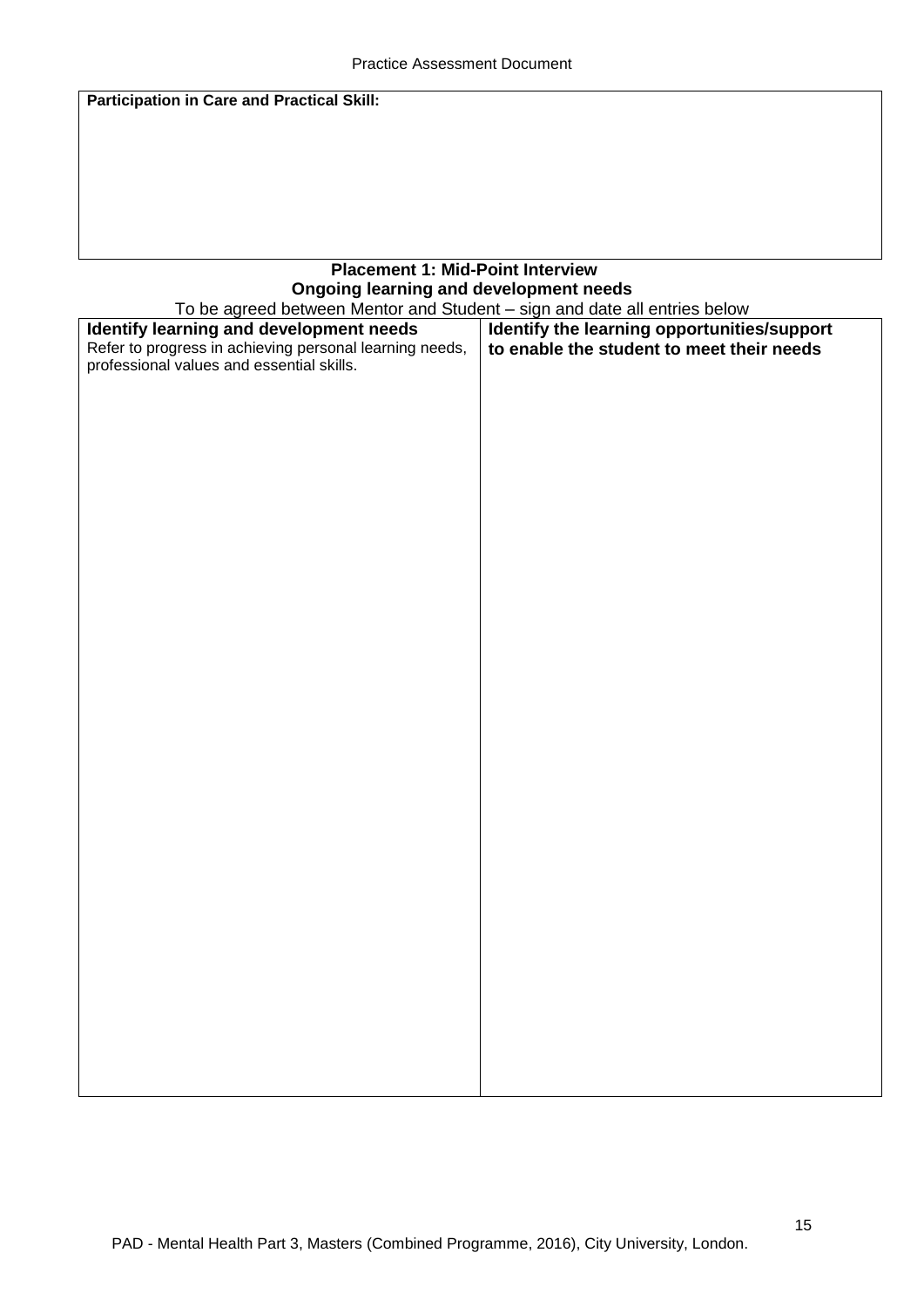**Participation in Care and Practical Skill:**

# **Placement 1: Mid-Point Interview Ongoing learning and development needs**

| Identify the learning opportunities/support<br>Refer to progress in achieving personal learning needs,<br>to enable the student to meet their needs<br>professional values and essential skills. | To be agreed between Mentor and Student - sign and date all entries below |  |  |  |  |
|--------------------------------------------------------------------------------------------------------------------------------------------------------------------------------------------------|---------------------------------------------------------------------------|--|--|--|--|
|                                                                                                                                                                                                  | Identify learning and development needs                                   |  |  |  |  |
|                                                                                                                                                                                                  |                                                                           |  |  |  |  |
|                                                                                                                                                                                                  |                                                                           |  |  |  |  |
|                                                                                                                                                                                                  |                                                                           |  |  |  |  |
|                                                                                                                                                                                                  |                                                                           |  |  |  |  |
|                                                                                                                                                                                                  |                                                                           |  |  |  |  |
|                                                                                                                                                                                                  |                                                                           |  |  |  |  |
|                                                                                                                                                                                                  |                                                                           |  |  |  |  |
|                                                                                                                                                                                                  |                                                                           |  |  |  |  |
|                                                                                                                                                                                                  |                                                                           |  |  |  |  |
|                                                                                                                                                                                                  |                                                                           |  |  |  |  |
|                                                                                                                                                                                                  |                                                                           |  |  |  |  |
|                                                                                                                                                                                                  |                                                                           |  |  |  |  |
|                                                                                                                                                                                                  |                                                                           |  |  |  |  |
|                                                                                                                                                                                                  |                                                                           |  |  |  |  |
|                                                                                                                                                                                                  |                                                                           |  |  |  |  |
|                                                                                                                                                                                                  |                                                                           |  |  |  |  |
|                                                                                                                                                                                                  |                                                                           |  |  |  |  |
|                                                                                                                                                                                                  |                                                                           |  |  |  |  |
|                                                                                                                                                                                                  |                                                                           |  |  |  |  |
|                                                                                                                                                                                                  |                                                                           |  |  |  |  |
|                                                                                                                                                                                                  |                                                                           |  |  |  |  |
|                                                                                                                                                                                                  |                                                                           |  |  |  |  |
|                                                                                                                                                                                                  |                                                                           |  |  |  |  |
|                                                                                                                                                                                                  |                                                                           |  |  |  |  |
|                                                                                                                                                                                                  |                                                                           |  |  |  |  |
|                                                                                                                                                                                                  |                                                                           |  |  |  |  |
|                                                                                                                                                                                                  |                                                                           |  |  |  |  |
|                                                                                                                                                                                                  |                                                                           |  |  |  |  |
|                                                                                                                                                                                                  |                                                                           |  |  |  |  |
|                                                                                                                                                                                                  |                                                                           |  |  |  |  |
|                                                                                                                                                                                                  |                                                                           |  |  |  |  |
|                                                                                                                                                                                                  |                                                                           |  |  |  |  |
|                                                                                                                                                                                                  |                                                                           |  |  |  |  |
|                                                                                                                                                                                                  |                                                                           |  |  |  |  |
|                                                                                                                                                                                                  |                                                                           |  |  |  |  |
|                                                                                                                                                                                                  |                                                                           |  |  |  |  |
|                                                                                                                                                                                                  |                                                                           |  |  |  |  |
|                                                                                                                                                                                                  |                                                                           |  |  |  |  |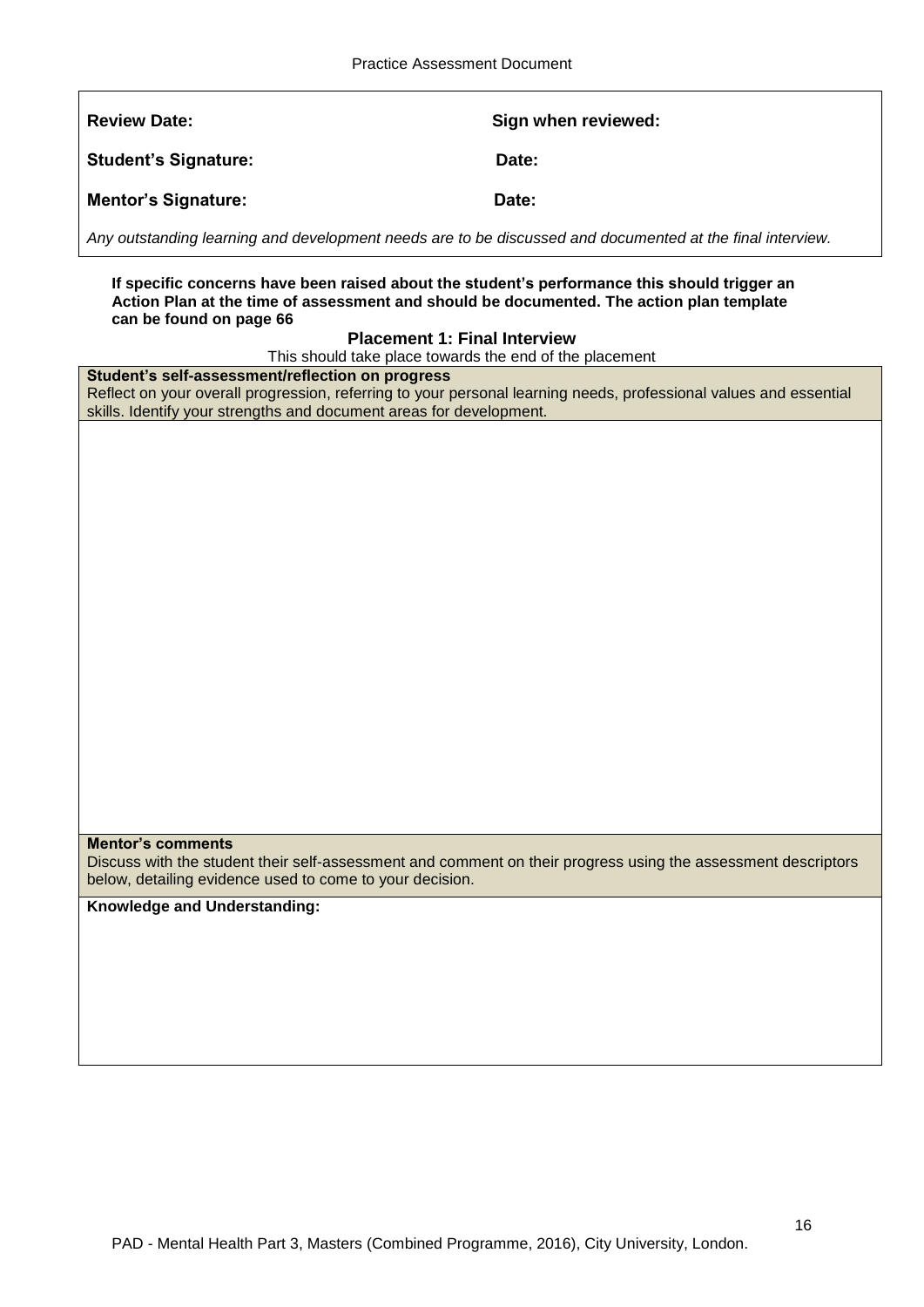**Review Date:** Sign when reviewed:

Student's Signature: Date:

**Mentor's Signature:** Date:

*Any outstanding learning and development needs are to be discussed and documented at the final interview.*

**If specific concerns have been raised about the student's performance this should trigger an Action Plan at the time of assessment and should be documented. The action plan template can be found on page 66**

## **Placement 1: Final Interview**

This should take place towards the end of the placement

#### **Student's self-assessment/reflection on progress**

Reflect on your overall progression, referring to your personal learning needs, professional values and essential skills. Identify your strengths and document areas for development.

## **Mentor's comments**

Discuss with the student their self-assessment and comment on their progress using the assessment descriptors below, detailing evidence used to come to your decision.

**Knowledge and Understanding:**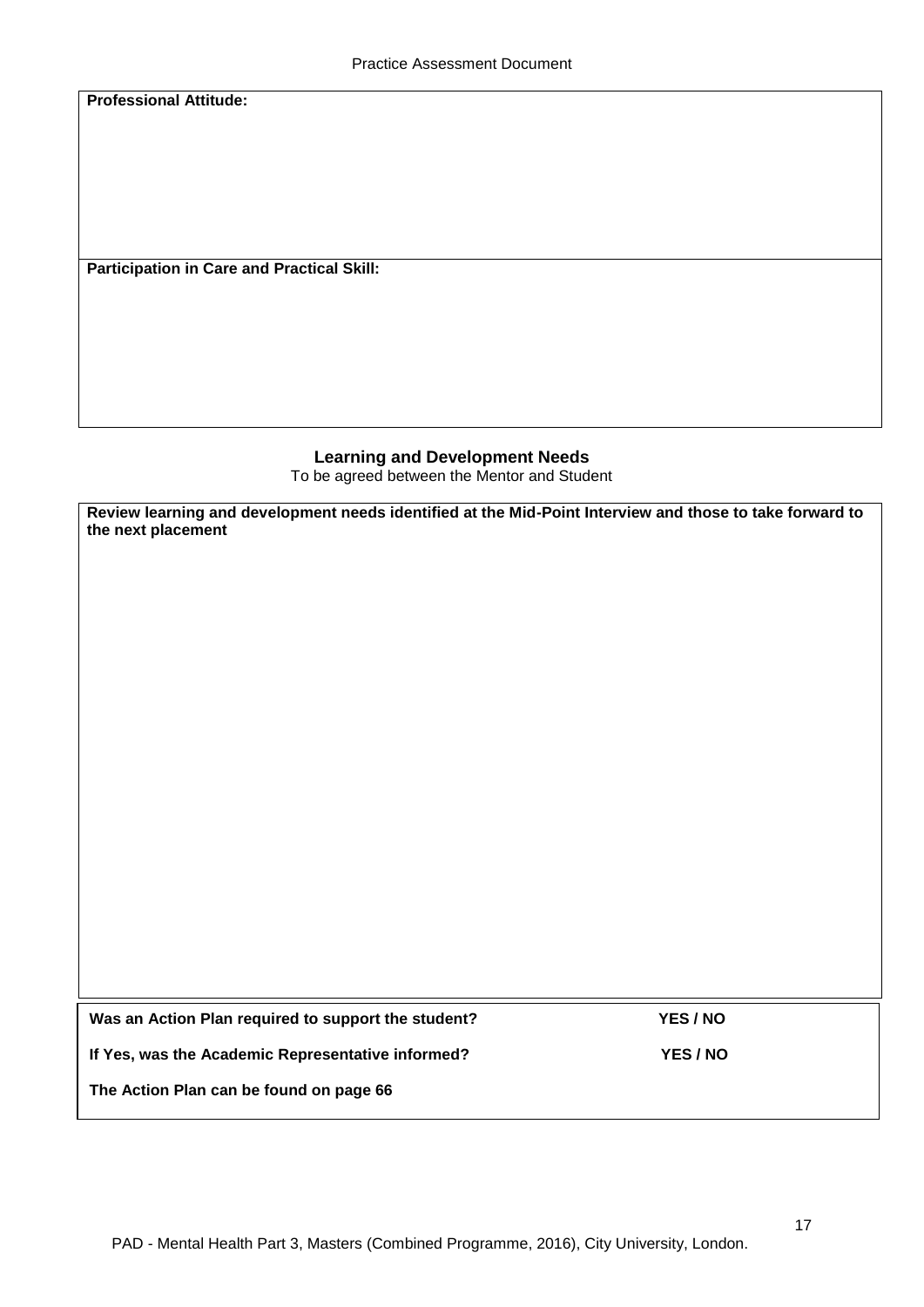**Professional Attitude:**

**Participation in Care and Practical Skill:**

## **Learning and Development Needs** To be agreed between the Mentor and Student

**Review learning and development needs identified at the Mid-Point Interview and those to take forward to the next placement** 

| Was an Action Plan required to support the student? | YES / NO |
|-----------------------------------------------------|----------|
| If Yes, was the Academic Representative informed?   | YES / NO |
| The Action Plan can be found on page 66             |          |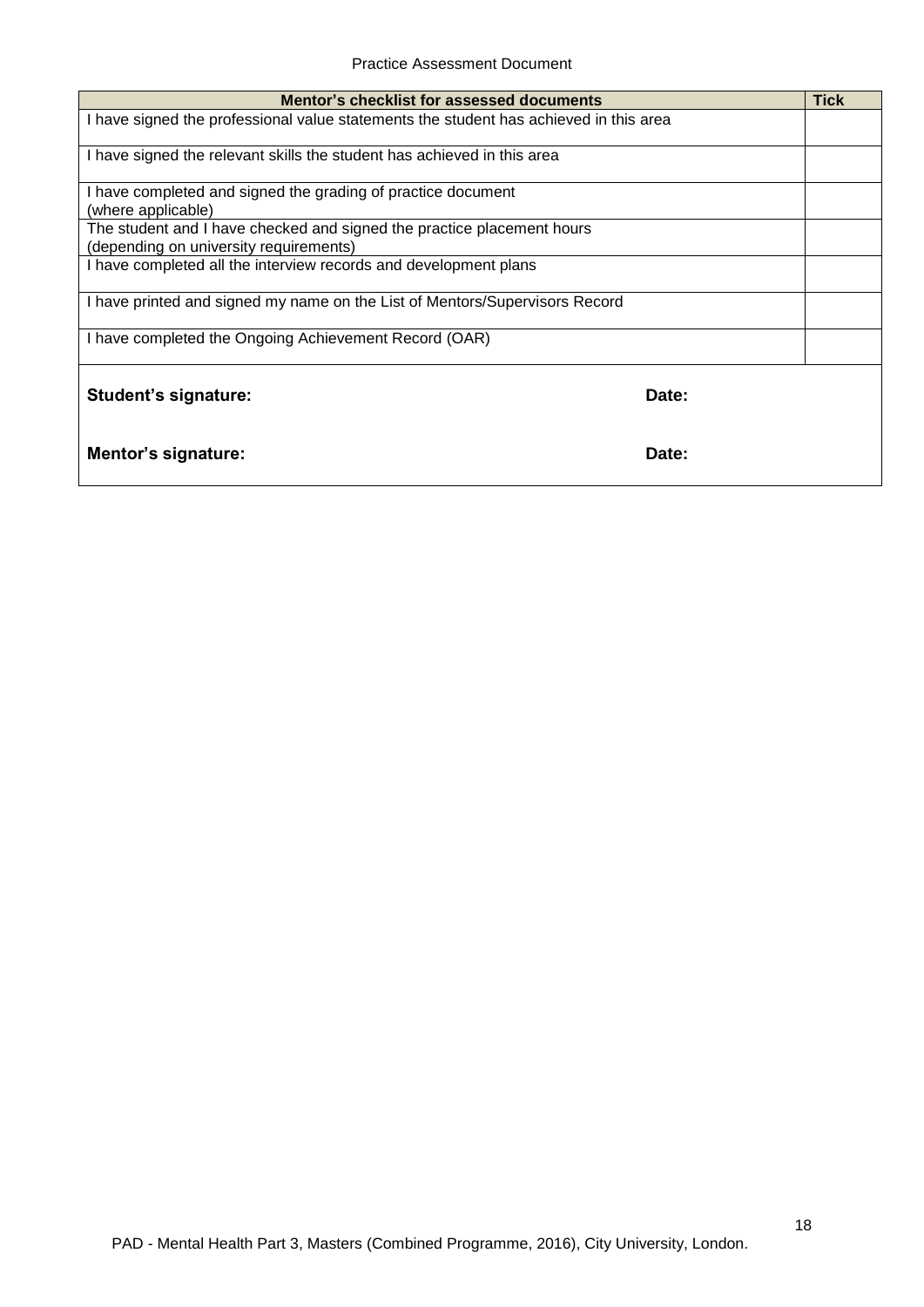| Mentor's checklist for assessed documents                                                                        |       | <b>Tick</b> |
|------------------------------------------------------------------------------------------------------------------|-------|-------------|
| I have signed the professional value statements the student has achieved in this area                            |       |             |
| I have signed the relevant skills the student has achieved in this area                                          |       |             |
| I have completed and signed the grading of practice document<br>(where applicable)                               |       |             |
| The student and I have checked and signed the practice placement hours<br>(depending on university requirements) |       |             |
| I have completed all the interview records and development plans                                                 |       |             |
| I have printed and signed my name on the List of Mentors/Supervisors Record                                      |       |             |
| I have completed the Ongoing Achievement Record (OAR)                                                            |       |             |
| Student's signature:                                                                                             | Date: |             |
| Mentor's signature:                                                                                              | Date: |             |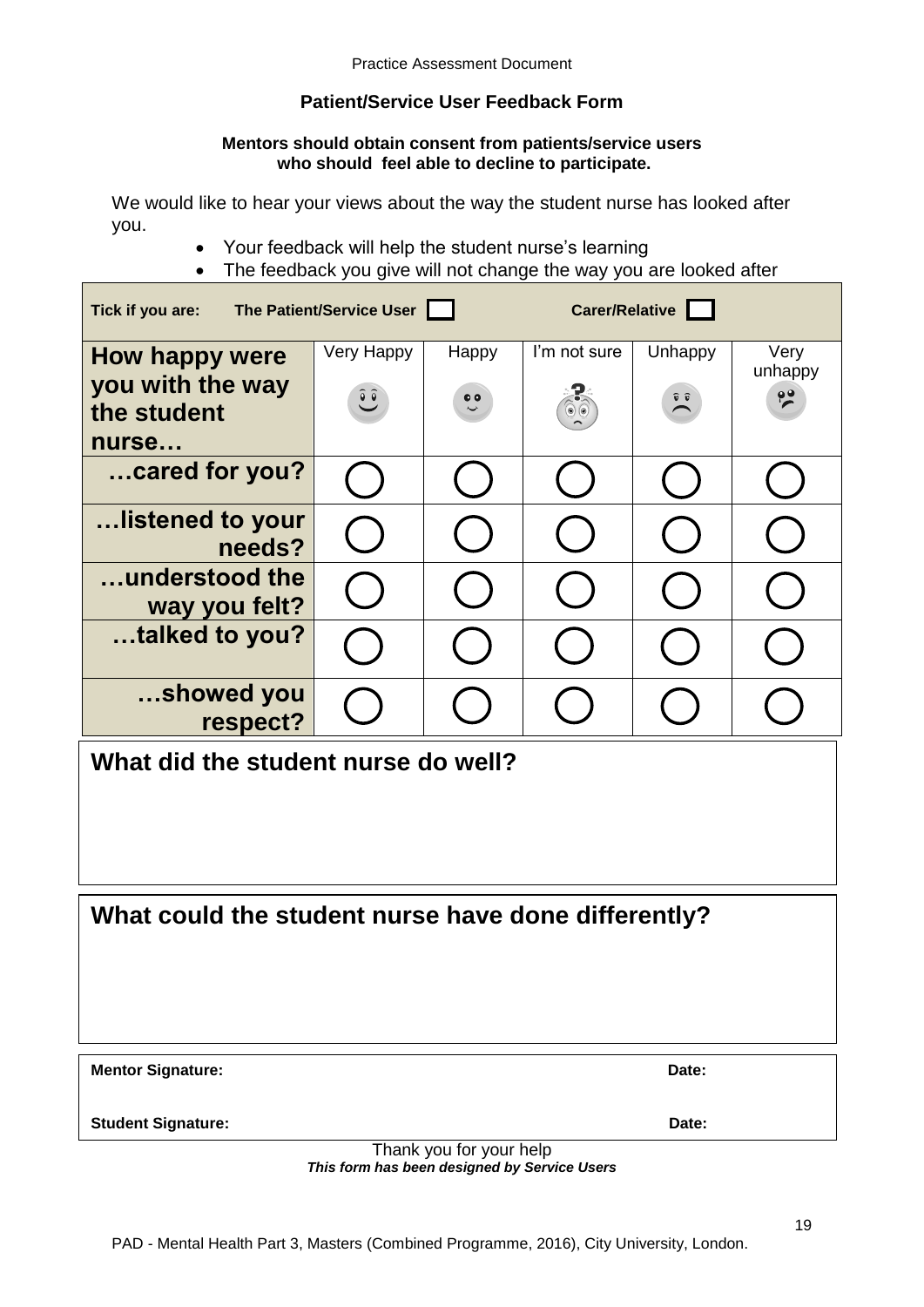# **Patient/Service User Feedback Form**

## **Mentors should obtain consent from patients/service users who should feel able to decline to participate.**

We would like to hear your views about the way the student nurse has looked after you.

- Your feedback will help the student nurse's learning
- The feedback you give will not change the way you are looked after

| Carer/Relative<br>The Patient/Service User<br>Tick if you are: |                                       |                           |                             |                             |                                  |
|----------------------------------------------------------------|---------------------------------------|---------------------------|-----------------------------|-----------------------------|----------------------------------|
| How happy were<br>you with the way<br>the student              | Very Happy<br>$\overline{\mathbf{C}}$ | Happy<br>$\ddot{\bullet}$ | I'm not sure<br>$\circ$ (e) | Unhappy<br>$\sum_{i=1}^{n}$ | Very<br>unhappy<br>$\frac{1}{2}$ |
| nurse                                                          |                                       |                           |                             |                             |                                  |
| cared for you?                                                 |                                       |                           |                             |                             |                                  |
| listened to your<br>needs?                                     |                                       |                           |                             |                             |                                  |
| understood the<br>way you felt?                                |                                       |                           |                             |                             |                                  |
| talked to you?                                                 |                                       |                           |                             |                             |                                  |
| showed you<br>respect?                                         |                                       |                           |                             |                             |                                  |
| What did the student nurse do well?                            |                                       |                           |                             |                             |                                  |

**What could the student nurse have done differently?**

**Mentor Signature:** Date:

**Student Signature:** Date:

Thank you for your help *This form has been designed by Service Users*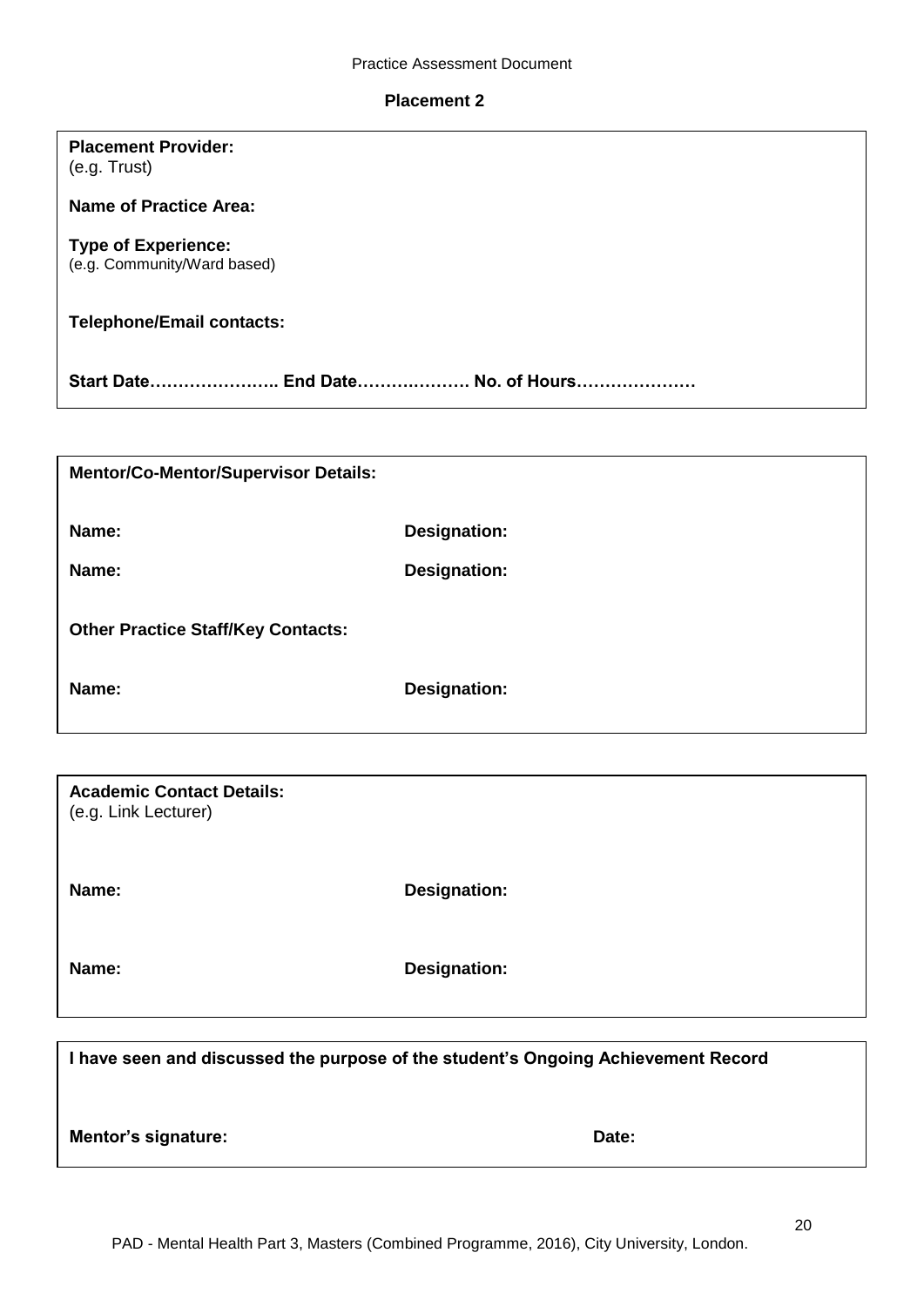#### **Placement 2**

| <b>Placement Provider:</b> |  |
|----------------------------|--|
| (e.g. Trust)               |  |

**Name of Practice Area:**

## **Type of Experience:**

(e.g. Community/Ward based)

# **Telephone/Email contacts:**

**Start Date………………….. End Date……….………. No. of Hours…………………**

| <b>Mentor/Co-Mentor/Supervisor Details:</b> |                     |
|---------------------------------------------|---------------------|
| Name:                                       | <b>Designation:</b> |
| Name:                                       | <b>Designation:</b> |
| <b>Other Practice Staff/Key Contacts:</b>   |                     |
| Name:                                       | Designation:        |

| <b>Academic Contact Details:</b><br>(e.g. Link Lecturer) |                     |
|----------------------------------------------------------|---------------------|
| Name:                                                    | <b>Designation:</b> |
| Name:                                                    | <b>Designation:</b> |

**I have seen and discussed the purpose of the student's Ongoing Achievement Record Mentor's signature:** Date: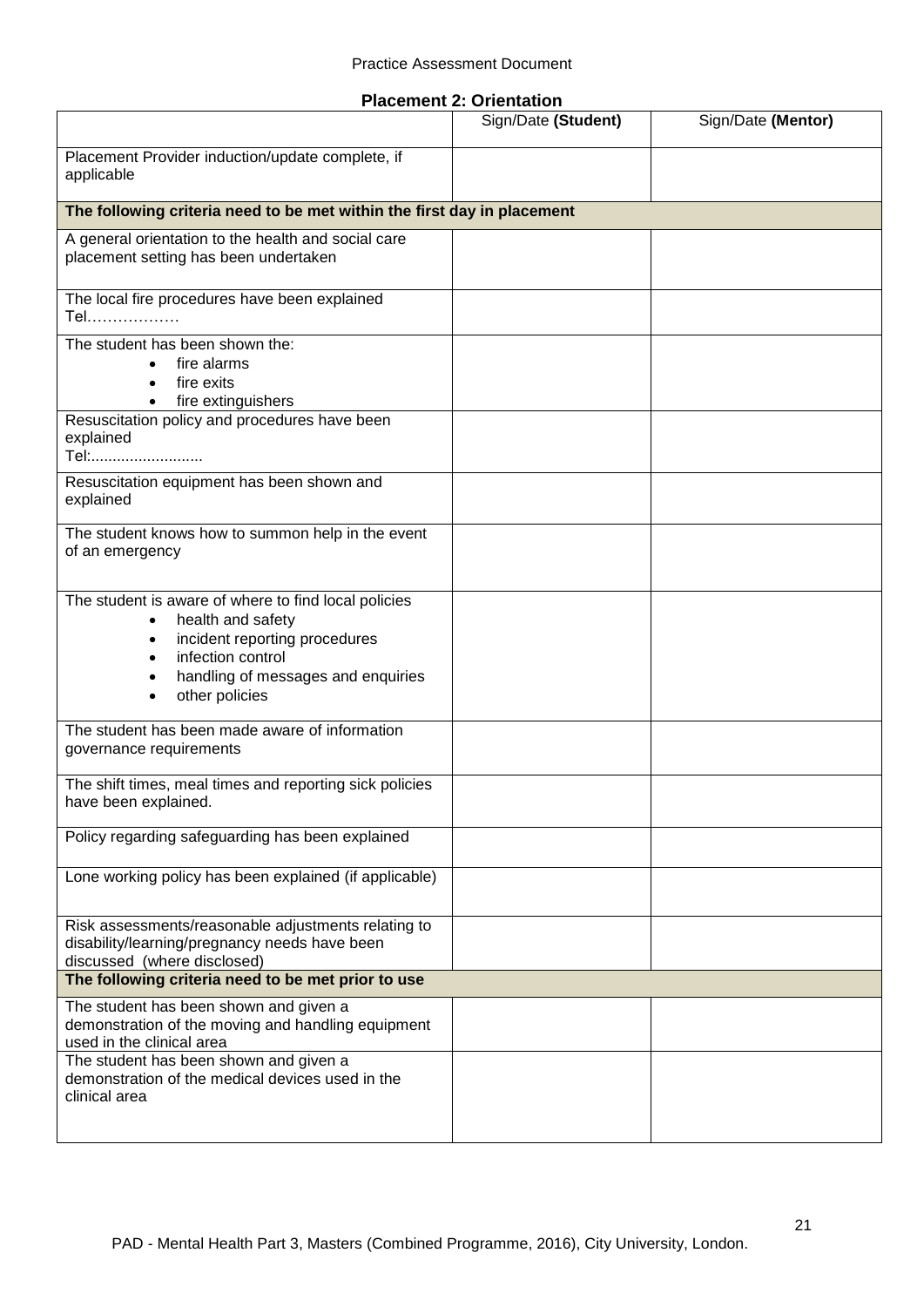|  |  | <b>Placement 2: Orientation</b> |
|--|--|---------------------------------|
|--|--|---------------------------------|

|                                                                                                                                                                                         | Sign/Date (Student) | Sign/Date (Mentor) |
|-----------------------------------------------------------------------------------------------------------------------------------------------------------------------------------------|---------------------|--------------------|
| Placement Provider induction/update complete, if<br>applicable                                                                                                                          |                     |                    |
| The following criteria need to be met within the first day in placement                                                                                                                 |                     |                    |
| A general orientation to the health and social care<br>placement setting has been undertaken                                                                                            |                     |                    |
| The local fire procedures have been explained<br>Tel                                                                                                                                    |                     |                    |
| The student has been shown the:<br>fire alarms<br>fire exits<br>fire extinguishers                                                                                                      |                     |                    |
| Resuscitation policy and procedures have been<br>explained<br>Tel:                                                                                                                      |                     |                    |
| Resuscitation equipment has been shown and<br>explained                                                                                                                                 |                     |                    |
| The student knows how to summon help in the event<br>of an emergency                                                                                                                    |                     |                    |
| The student is aware of where to find local policies<br>health and safety<br>incident reporting procedures<br>infection control<br>handling of messages and enquiries<br>other policies |                     |                    |
| The student has been made aware of information<br>governance requirements                                                                                                               |                     |                    |
| The shift times, meal times and reporting sick policies<br>have been explained.                                                                                                         |                     |                    |
| Policy regarding safeguarding has been explained                                                                                                                                        |                     |                    |
| Lone working policy has been explained (if applicable)                                                                                                                                  |                     |                    |
| Risk assessments/reasonable adjustments relating to<br>disability/learning/pregnancy needs have been<br>discussed (where disclosed)                                                     |                     |                    |
| The following criteria need to be met prior to use                                                                                                                                      |                     |                    |
| The student has been shown and given a<br>demonstration of the moving and handling equipment<br>used in the clinical area                                                               |                     |                    |
| The student has been shown and given a<br>demonstration of the medical devices used in the<br>clinical area                                                                             |                     |                    |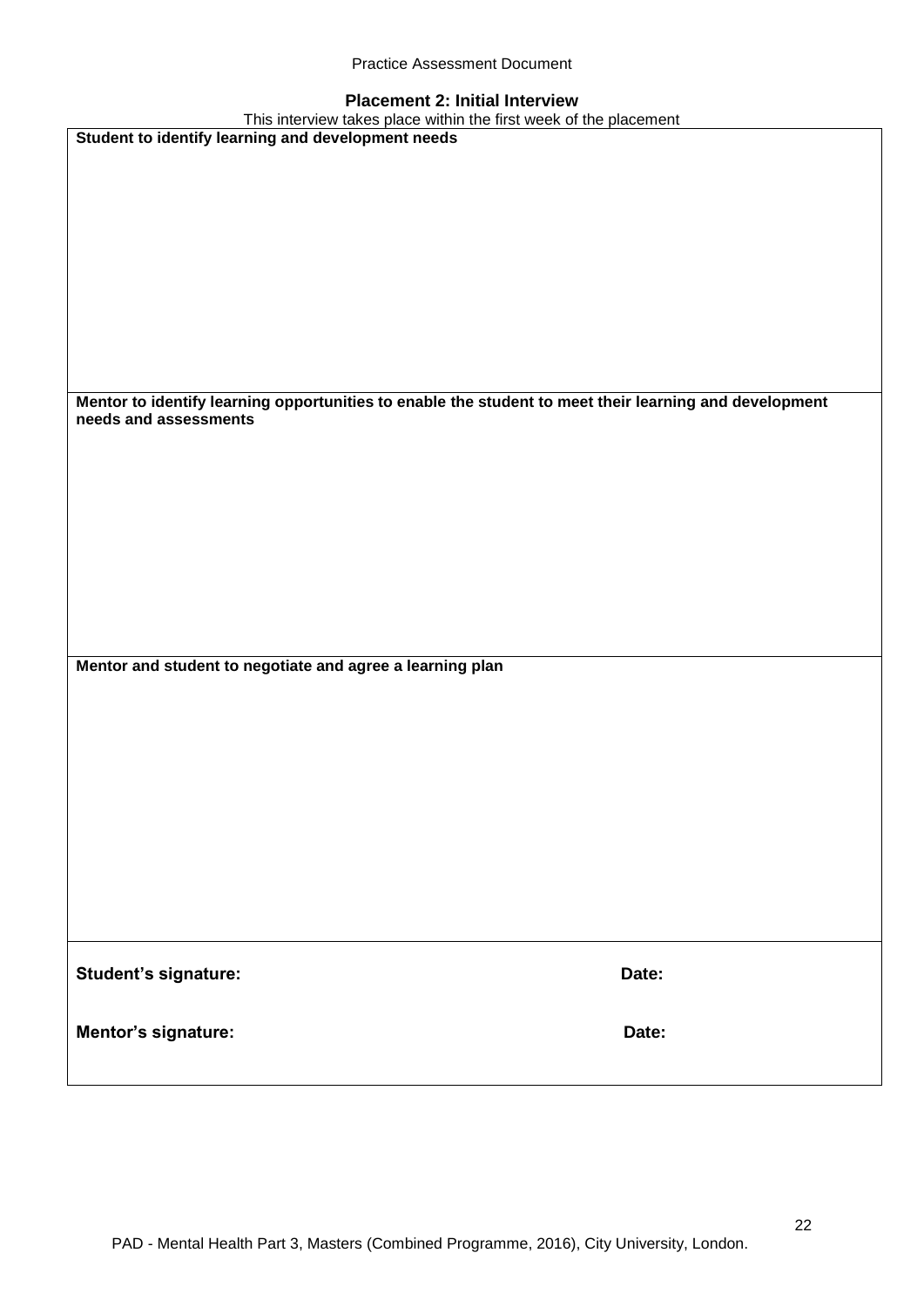|  | <b>Practice Assessment Document</b> |  |
|--|-------------------------------------|--|
|--|-------------------------------------|--|

## **Placement 2: Initial Interview**

| This interview takes place within the first week of the placement                                      |       |
|--------------------------------------------------------------------------------------------------------|-------|
| Student to identify learning and development needs                                                     |       |
|                                                                                                        |       |
|                                                                                                        |       |
|                                                                                                        |       |
|                                                                                                        |       |
|                                                                                                        |       |
|                                                                                                        |       |
|                                                                                                        |       |
|                                                                                                        |       |
|                                                                                                        |       |
|                                                                                                        |       |
|                                                                                                        |       |
|                                                                                                        |       |
| Mentor to identify learning opportunities to enable the student to meet their learning and development |       |
| needs and assessments                                                                                  |       |
|                                                                                                        |       |
|                                                                                                        |       |
|                                                                                                        |       |
|                                                                                                        |       |
|                                                                                                        |       |
|                                                                                                        |       |
|                                                                                                        |       |
|                                                                                                        |       |
|                                                                                                        |       |
|                                                                                                        |       |
|                                                                                                        |       |
|                                                                                                        |       |
| Mentor and student to negotiate and agree a learning plan                                              |       |
|                                                                                                        |       |
|                                                                                                        |       |
|                                                                                                        |       |
|                                                                                                        |       |
|                                                                                                        |       |
|                                                                                                        |       |
|                                                                                                        |       |
|                                                                                                        |       |
|                                                                                                        |       |
|                                                                                                        |       |
|                                                                                                        |       |
|                                                                                                        |       |
|                                                                                                        |       |
|                                                                                                        |       |
| Student's signature:                                                                                   | Date: |
|                                                                                                        |       |
|                                                                                                        |       |
| Mentor's signature:                                                                                    | Date: |
|                                                                                                        |       |
|                                                                                                        |       |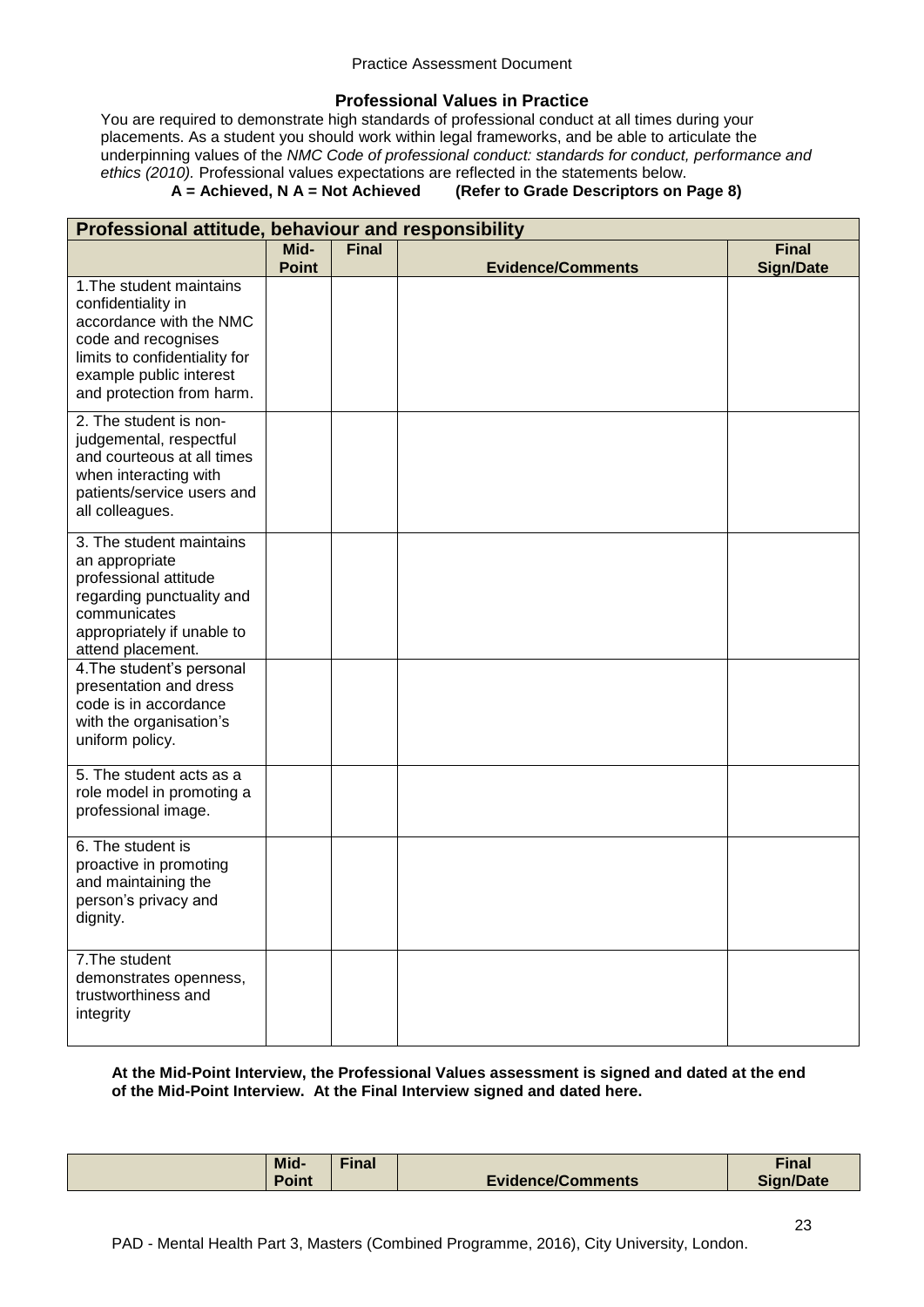## **Professional Values in Practice**

You are required to demonstrate high standards of professional conduct at all times during your placements. As a student you should work within legal frameworks, and be able to articulate the underpinning values of the *NMC Code of professional conduct: standards for conduct, performance and ethics (2010).* Professional values expectations are reflected in the statements below.

## **A = Achieved, N A = Not Achieved (Refer to Grade Descriptors on Page 8)**

| Professional attitude, behaviour and responsibility                                                                                                                                       |              |              |                          |                  |
|-------------------------------------------------------------------------------------------------------------------------------------------------------------------------------------------|--------------|--------------|--------------------------|------------------|
|                                                                                                                                                                                           | Mid-         | <b>Final</b> |                          | <b>Final</b>     |
|                                                                                                                                                                                           | <b>Point</b> |              | <b>Evidence/Comments</b> | <b>Sign/Date</b> |
| 1. The student maintains<br>confidentiality in<br>accordance with the NMC<br>code and recognises<br>limits to confidentiality for<br>example public interest<br>and protection from harm. |              |              |                          |                  |
| 2. The student is non-<br>judgemental, respectful<br>and courteous at all times<br>when interacting with<br>patients/service users and<br>all colleagues.                                 |              |              |                          |                  |
| 3. The student maintains<br>an appropriate<br>professional attitude<br>regarding punctuality and<br>communicates<br>appropriately if unable to<br>attend placement.                       |              |              |                          |                  |
| 4. The student's personal<br>presentation and dress<br>code is in accordance<br>with the organisation's<br>uniform policy.                                                                |              |              |                          |                  |
| 5. The student acts as a<br>role model in promoting a<br>professional image.                                                                                                              |              |              |                          |                  |
| 6. The student is<br>proactive in promoting<br>and maintaining the<br>person's privacy and<br>dignity.                                                                                    |              |              |                          |                  |
| 7. The student<br>demonstrates openness,<br>trustworthiness and<br>integrity                                                                                                              |              |              |                          |                  |

## **At the Mid-Point Interview, the Professional Values assessment is signed and dated at the end of the Mid-Point Interview. At the Final Interview signed and dated here.**

| Mid-  | $\n  final\n$ |                          | <b>Final</b>     |
|-------|---------------|--------------------------|------------------|
| Point |               | <b>Evidence/Comments</b> | <b>Sign/Date</b> |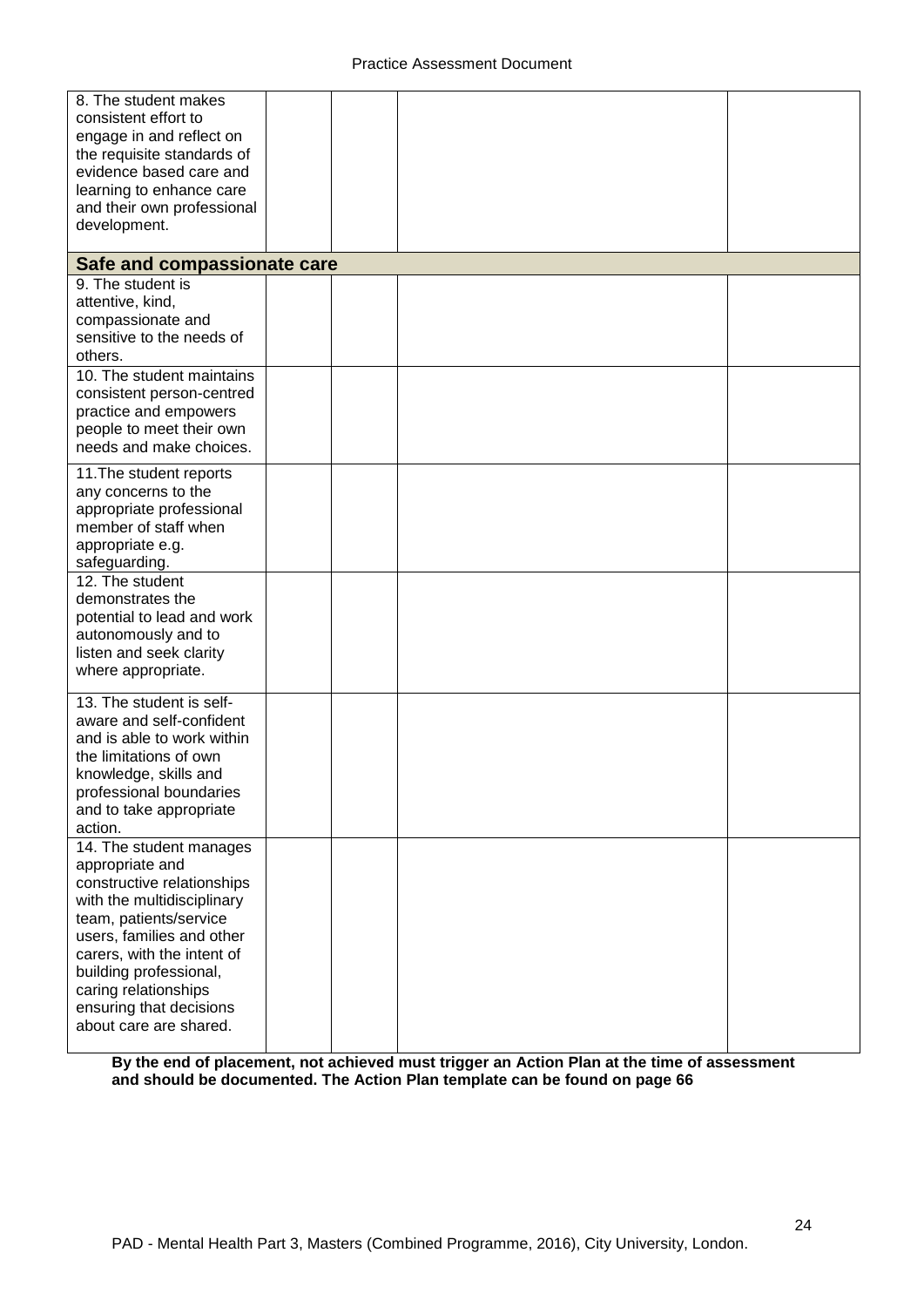| 8. The student makes<br>consistent effort to<br>engage in and reflect on<br>the requisite standards of<br>evidence based care and<br>learning to enhance care                                                                                                                                      |  |  |
|----------------------------------------------------------------------------------------------------------------------------------------------------------------------------------------------------------------------------------------------------------------------------------------------------|--|--|
| and their own professional<br>development.                                                                                                                                                                                                                                                         |  |  |
| Safe and compassionate care                                                                                                                                                                                                                                                                        |  |  |
| 9. The student is<br>attentive, kind,<br>compassionate and<br>sensitive to the needs of<br>others.                                                                                                                                                                                                 |  |  |
| 10. The student maintains<br>consistent person-centred<br>practice and empowers<br>people to meet their own<br>needs and make choices.                                                                                                                                                             |  |  |
| 11. The student reports<br>any concerns to the<br>appropriate professional<br>member of staff when<br>appropriate e.g.<br>safeguarding.                                                                                                                                                            |  |  |
| 12. The student<br>demonstrates the<br>potential to lead and work<br>autonomously and to<br>listen and seek clarity<br>where appropriate.                                                                                                                                                          |  |  |
| 13. The student is self-<br>aware and self-confident<br>and is able to work within<br>the limitations of own<br>knowledge, skills and<br>professional boundaries<br>and to take appropriate<br>action.                                                                                             |  |  |
| 14. The student manages<br>appropriate and<br>constructive relationships<br>with the multidisciplinary<br>team, patients/service<br>users, families and other<br>carers, with the intent of<br>building professional,<br>caring relationships<br>ensuring that decisions<br>about care are shared. |  |  |

**By the end of placement, not achieved must trigger an Action Plan at the time of assessment and should be documented. The Action Plan template can be found on page 66**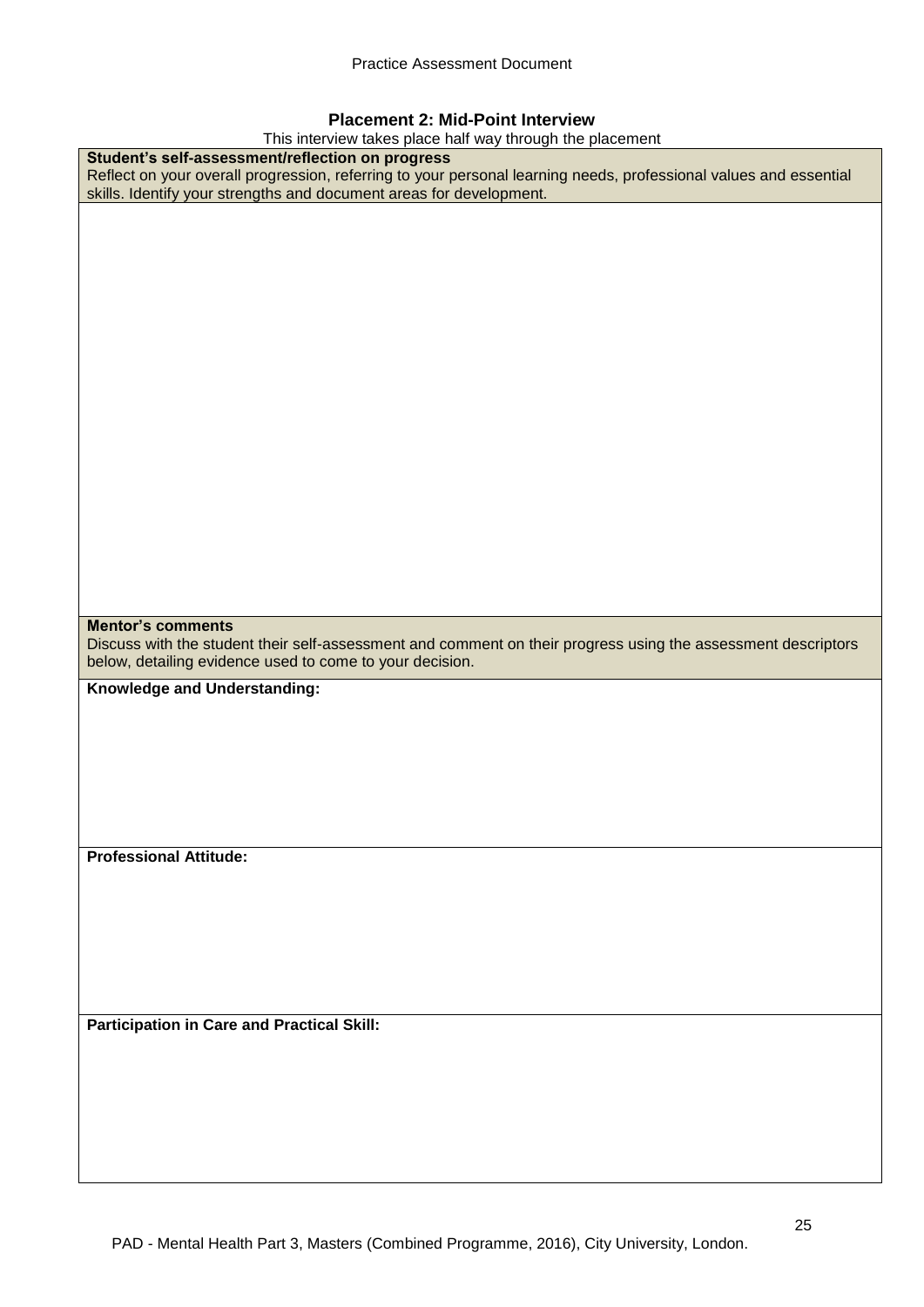## **Placement 2: Mid-Point Interview**

This interview takes place half way through the placement

| Student's self-assessment/reflection on progress<br>Reflect on your overall progression, referring to your personal learning needs, professional values and essential<br>skills. Identify your strengths and document areas for development. |
|----------------------------------------------------------------------------------------------------------------------------------------------------------------------------------------------------------------------------------------------|
|                                                                                                                                                                                                                                              |
|                                                                                                                                                                                                                                              |
|                                                                                                                                                                                                                                              |
|                                                                                                                                                                                                                                              |
|                                                                                                                                                                                                                                              |
|                                                                                                                                                                                                                                              |
|                                                                                                                                                                                                                                              |
|                                                                                                                                                                                                                                              |
|                                                                                                                                                                                                                                              |
|                                                                                                                                                                                                                                              |
|                                                                                                                                                                                                                                              |
|                                                                                                                                                                                                                                              |
|                                                                                                                                                                                                                                              |
|                                                                                                                                                                                                                                              |
|                                                                                                                                                                                                                                              |
|                                                                                                                                                                                                                                              |
|                                                                                                                                                                                                                                              |
|                                                                                                                                                                                                                                              |
|                                                                                                                                                                                                                                              |
|                                                                                                                                                                                                                                              |
|                                                                                                                                                                                                                                              |
|                                                                                                                                                                                                                                              |
| <b>Mentor's comments</b>                                                                                                                                                                                                                     |
| Discuss with the student their self-assessment and comment on their progress using the assessment descriptors                                                                                                                                |
| below, detailing evidence used to come to your decision.                                                                                                                                                                                     |
|                                                                                                                                                                                                                                              |
| Knowledge and Understanding:                                                                                                                                                                                                                 |
|                                                                                                                                                                                                                                              |
|                                                                                                                                                                                                                                              |
|                                                                                                                                                                                                                                              |
|                                                                                                                                                                                                                                              |
|                                                                                                                                                                                                                                              |
|                                                                                                                                                                                                                                              |
|                                                                                                                                                                                                                                              |
|                                                                                                                                                                                                                                              |
| <b>Professional Attitude:</b>                                                                                                                                                                                                                |
|                                                                                                                                                                                                                                              |
|                                                                                                                                                                                                                                              |
|                                                                                                                                                                                                                                              |
|                                                                                                                                                                                                                                              |
|                                                                                                                                                                                                                                              |
|                                                                                                                                                                                                                                              |
|                                                                                                                                                                                                                                              |
|                                                                                                                                                                                                                                              |
| <b>Participation in Care and Practical Skill:</b>                                                                                                                                                                                            |
|                                                                                                                                                                                                                                              |
|                                                                                                                                                                                                                                              |
|                                                                                                                                                                                                                                              |
|                                                                                                                                                                                                                                              |
|                                                                                                                                                                                                                                              |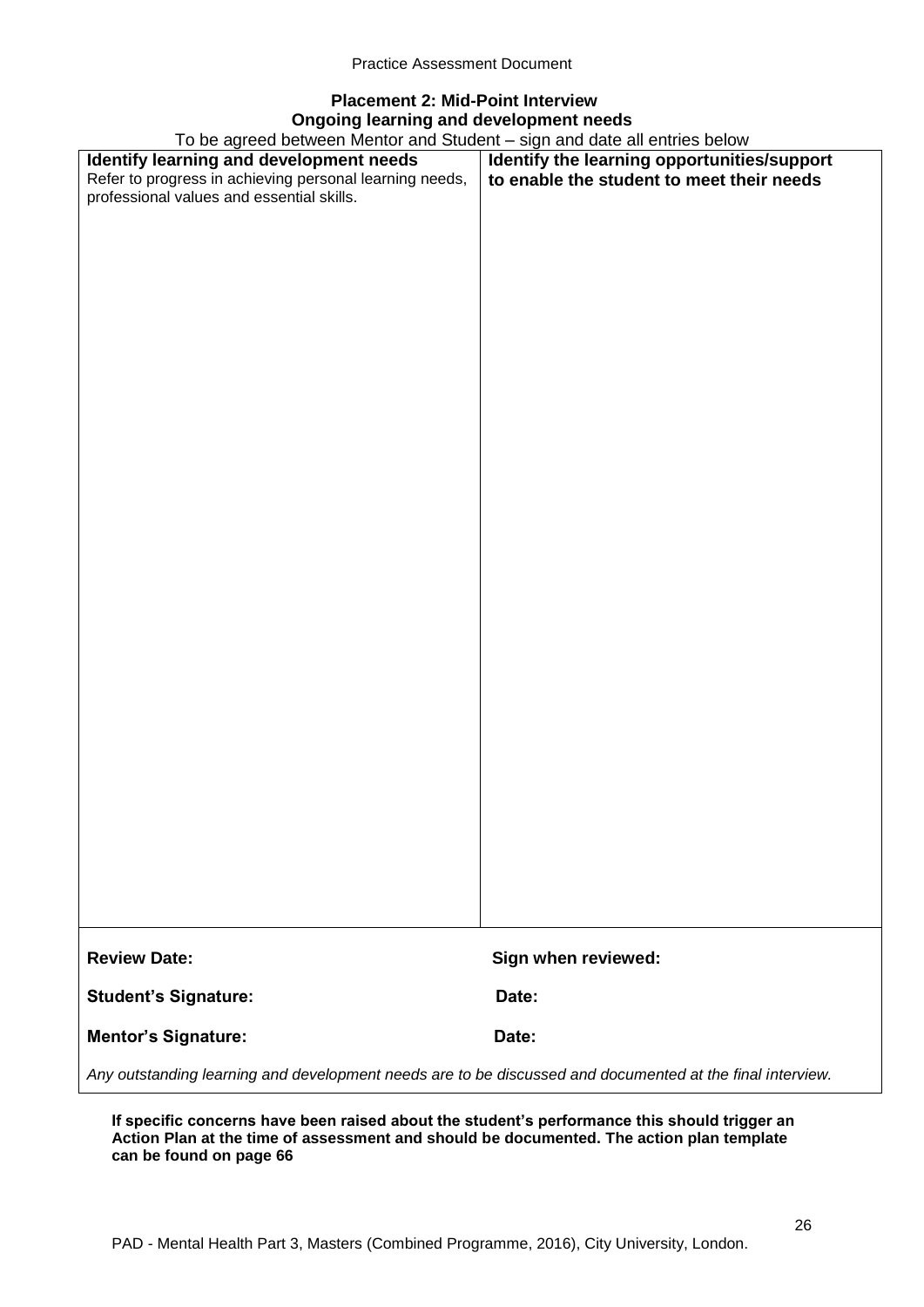# **Placement 2: Mid-Point Interview Ongoing learning and development needs**

To be agreed between Mentor and Student – sign and date all entries below

| To be agreed between Mentor and Student – sign and date all entries below                                 |                                             |  |
|-----------------------------------------------------------------------------------------------------------|---------------------------------------------|--|
| Identify learning and development needs                                                                   | Identify the learning opportunities/support |  |
| Refer to progress in achieving personal learning needs,                                                   | to enable the student to meet their needs   |  |
| professional values and essential skills.                                                                 |                                             |  |
|                                                                                                           |                                             |  |
|                                                                                                           |                                             |  |
|                                                                                                           |                                             |  |
|                                                                                                           |                                             |  |
|                                                                                                           |                                             |  |
|                                                                                                           |                                             |  |
|                                                                                                           |                                             |  |
|                                                                                                           |                                             |  |
|                                                                                                           |                                             |  |
|                                                                                                           |                                             |  |
|                                                                                                           |                                             |  |
|                                                                                                           |                                             |  |
|                                                                                                           |                                             |  |
|                                                                                                           |                                             |  |
|                                                                                                           |                                             |  |
|                                                                                                           |                                             |  |
|                                                                                                           |                                             |  |
|                                                                                                           |                                             |  |
|                                                                                                           |                                             |  |
|                                                                                                           |                                             |  |
|                                                                                                           |                                             |  |
|                                                                                                           |                                             |  |
|                                                                                                           |                                             |  |
|                                                                                                           |                                             |  |
|                                                                                                           |                                             |  |
|                                                                                                           |                                             |  |
|                                                                                                           |                                             |  |
|                                                                                                           |                                             |  |
|                                                                                                           |                                             |  |
|                                                                                                           |                                             |  |
|                                                                                                           |                                             |  |
|                                                                                                           |                                             |  |
|                                                                                                           |                                             |  |
|                                                                                                           |                                             |  |
|                                                                                                           |                                             |  |
|                                                                                                           |                                             |  |
|                                                                                                           |                                             |  |
|                                                                                                           |                                             |  |
|                                                                                                           |                                             |  |
| <b>Review Date:</b>                                                                                       | Sign when reviewed:                         |  |
| <b>Student's Signature:</b>                                                                               | Date:                                       |  |
| <b>Mentor's Signature:</b>                                                                                | Date:                                       |  |
| Any outstanding learning and development needs are to be discussed and documented at the final interview. |                                             |  |

**If specific concerns have been raised about the student's performance this should trigger an Action Plan at the time of assessment and should be documented. The action plan template can be found on page 66**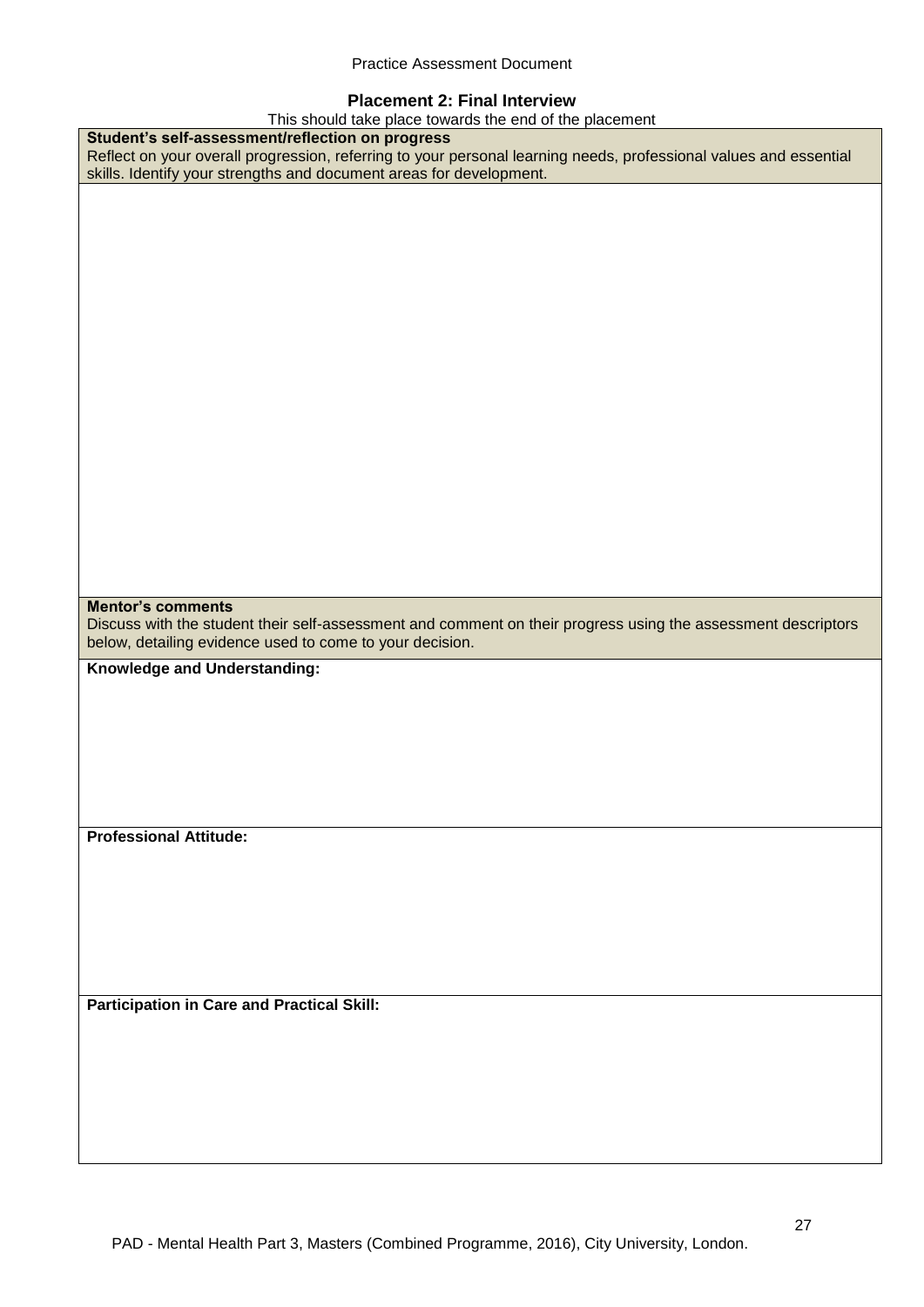## **Placement 2: Final Interview**

This should take place towards the end of the placement

| This should take place towards the end of the placement                                                           |
|-------------------------------------------------------------------------------------------------------------------|
| Student's self-assessment/reflection on progress                                                                  |
| Reflect on your overall progression, referring to your personal learning needs, professional values and essential |
| skills. Identify your strengths and document areas for development.                                               |
|                                                                                                                   |
|                                                                                                                   |
|                                                                                                                   |
|                                                                                                                   |
|                                                                                                                   |
|                                                                                                                   |
|                                                                                                                   |
|                                                                                                                   |
|                                                                                                                   |
|                                                                                                                   |
|                                                                                                                   |
|                                                                                                                   |
|                                                                                                                   |
|                                                                                                                   |
|                                                                                                                   |
|                                                                                                                   |
|                                                                                                                   |
|                                                                                                                   |
|                                                                                                                   |
|                                                                                                                   |
|                                                                                                                   |
|                                                                                                                   |
|                                                                                                                   |
|                                                                                                                   |
| <b>Mentor's comments</b>                                                                                          |
| Discuss with the student their self-assessment and comment on their progress using the assessment descriptors     |
|                                                                                                                   |
|                                                                                                                   |
| below, detailing evidence used to come to your decision.                                                          |
|                                                                                                                   |
| Knowledge and Understanding:                                                                                      |
|                                                                                                                   |
|                                                                                                                   |
|                                                                                                                   |
|                                                                                                                   |
|                                                                                                                   |
|                                                                                                                   |
|                                                                                                                   |
|                                                                                                                   |
| <b>Professional Attitude:</b>                                                                                     |
|                                                                                                                   |
|                                                                                                                   |
|                                                                                                                   |
|                                                                                                                   |
|                                                                                                                   |
|                                                                                                                   |
|                                                                                                                   |
|                                                                                                                   |
|                                                                                                                   |
| <b>Participation in Care and Practical Skill:</b>                                                                 |
|                                                                                                                   |
|                                                                                                                   |
|                                                                                                                   |
|                                                                                                                   |
|                                                                                                                   |
|                                                                                                                   |
|                                                                                                                   |
|                                                                                                                   |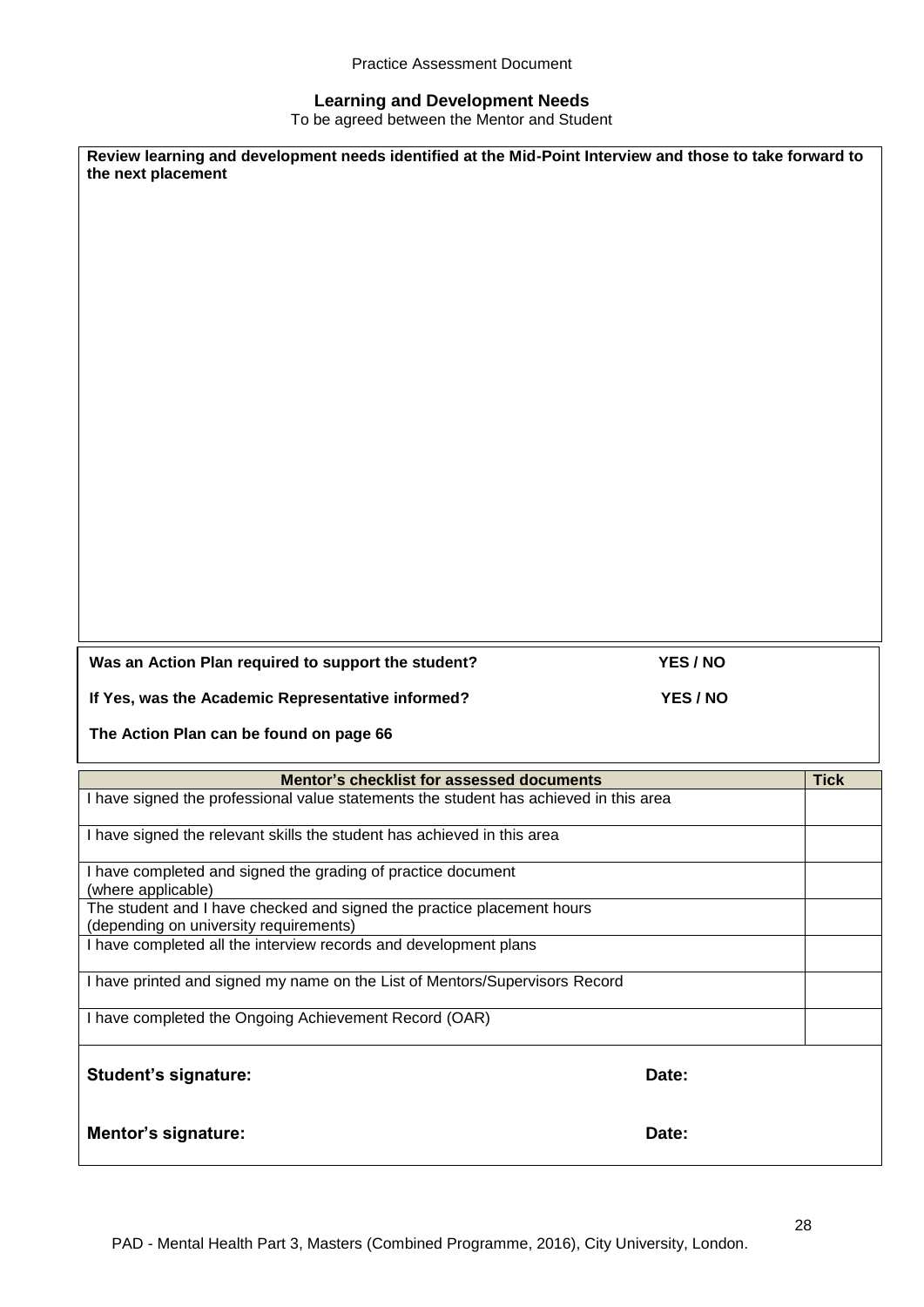## **Learning and Development Needs**

To be agreed between the Mentor and Student

| Review learning and development needs identified at the Mid-Point Interview and those to take forward to<br>the next placement |          |             |
|--------------------------------------------------------------------------------------------------------------------------------|----------|-------------|
|                                                                                                                                |          |             |
|                                                                                                                                |          |             |
|                                                                                                                                |          |             |
|                                                                                                                                |          |             |
|                                                                                                                                |          |             |
|                                                                                                                                |          |             |
|                                                                                                                                |          |             |
|                                                                                                                                |          |             |
|                                                                                                                                |          |             |
|                                                                                                                                |          |             |
|                                                                                                                                |          |             |
|                                                                                                                                |          |             |
| Was an Action Plan required to support the student?                                                                            | YES / NO |             |
| If Yes, was the Academic Representative informed?                                                                              | YES / NO |             |
| The Action Plan can be found on page 66                                                                                        |          |             |
| Mentor's checklist for assessed documents                                                                                      |          | <b>Tick</b> |
| I have signed the professional value statements the student has achieved in this area                                          |          |             |
| I have signed the relevant skills the student has achieved in this area                                                        |          |             |
| I have completed and signed the grading of practice document<br>(where applicable)                                             |          |             |
| The student and I have checked and signed the practice placement hours<br>(depending on university requirements)               |          |             |
| I have completed all the interview records and development plans                                                               |          |             |
| I have printed and signed my name on the List of Mentors/Supervisors Record                                                    |          |             |
| I have completed the Ongoing Achievement Record (OAR)                                                                          |          |             |
| <b>Student's signature:</b>                                                                                                    | Date:    |             |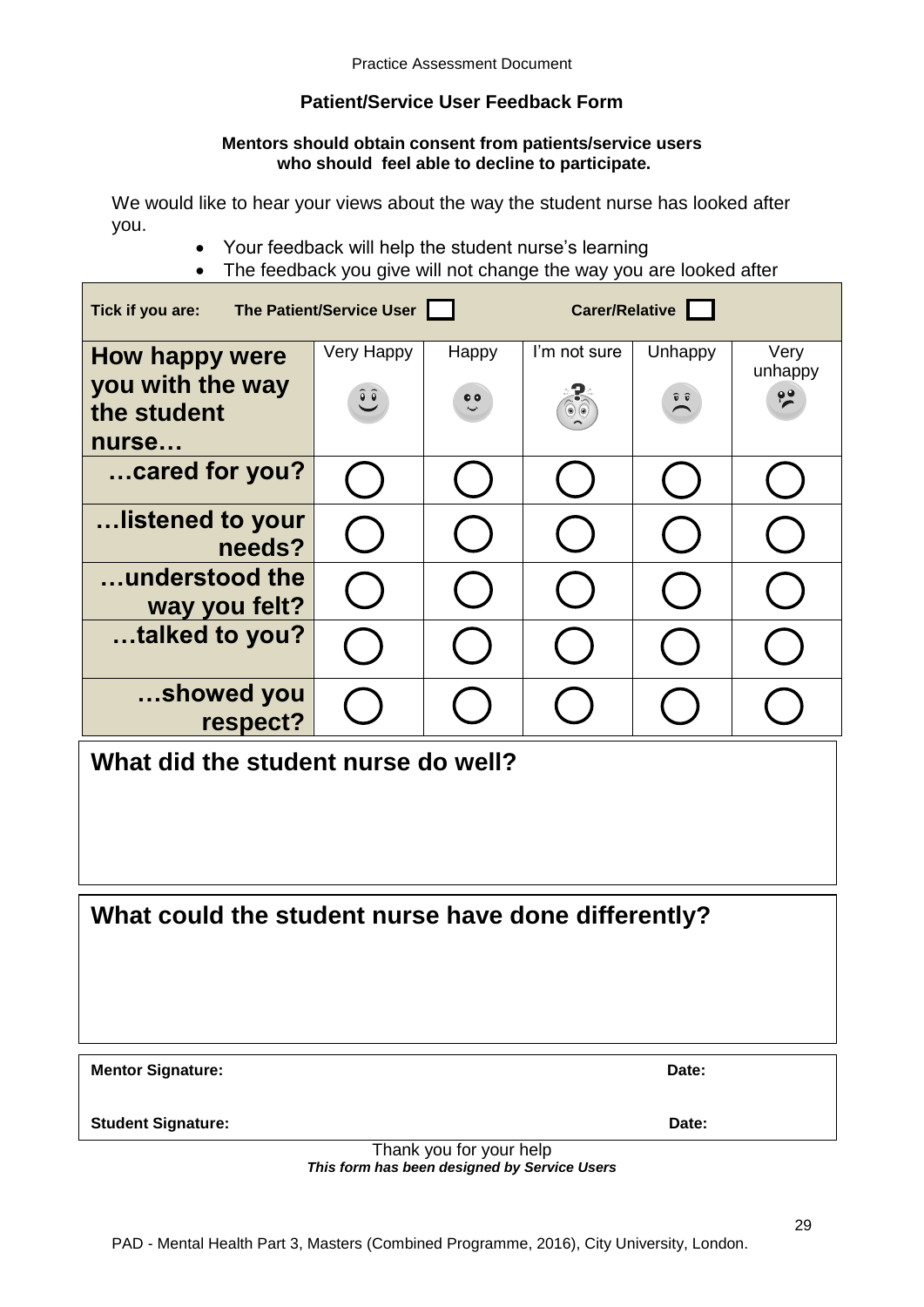# **Patient/Service User Feedback Form**

## **Mentors should obtain consent from patients/service users who should feel able to decline to participate.**

We would like to hear your views about the way the student nurse has looked after you.

- Your feedback will help the student nurse's learning
- The feedback you give will not change the way you are looked after

| The Patient/Service User<br>Tick if you are: |                          |                  | Carer/Relative           |                  |                 |
|----------------------------------------------|--------------------------|------------------|--------------------------|------------------|-----------------|
| How happy were<br>you with the way           | Very Happy               | Happy            | I'm not sure             | Unhappy          | Very<br>unhappy |
| the student<br>nurse                         | $\widetilde{\mathbf{C}}$ | $\ddot{\bullet}$ | $\circledcirc$ ( $\circ$ | $\sum_{i=1}^{n}$ | $\frac{1}{2}$   |
| cared for you?                               |                          |                  |                          |                  |                 |
| listened to your<br>needs?                   |                          |                  |                          |                  |                 |
| understood the<br>way you felt?              |                          |                  |                          |                  |                 |
| talked to you?                               |                          |                  |                          |                  |                 |
| showed you<br>respect?                       |                          |                  |                          |                  |                 |
| What did the student nurse do well?          |                          |                  |                          |                  |                 |
|                                              |                          |                  |                          |                  |                 |
|                                              |                          |                  |                          |                  |                 |

**What could the student nurse have done differently?**

**Mentor Signature:** Date:

**Student Signature:** Date:

Thank you for your help *This form has been designed by Service Users*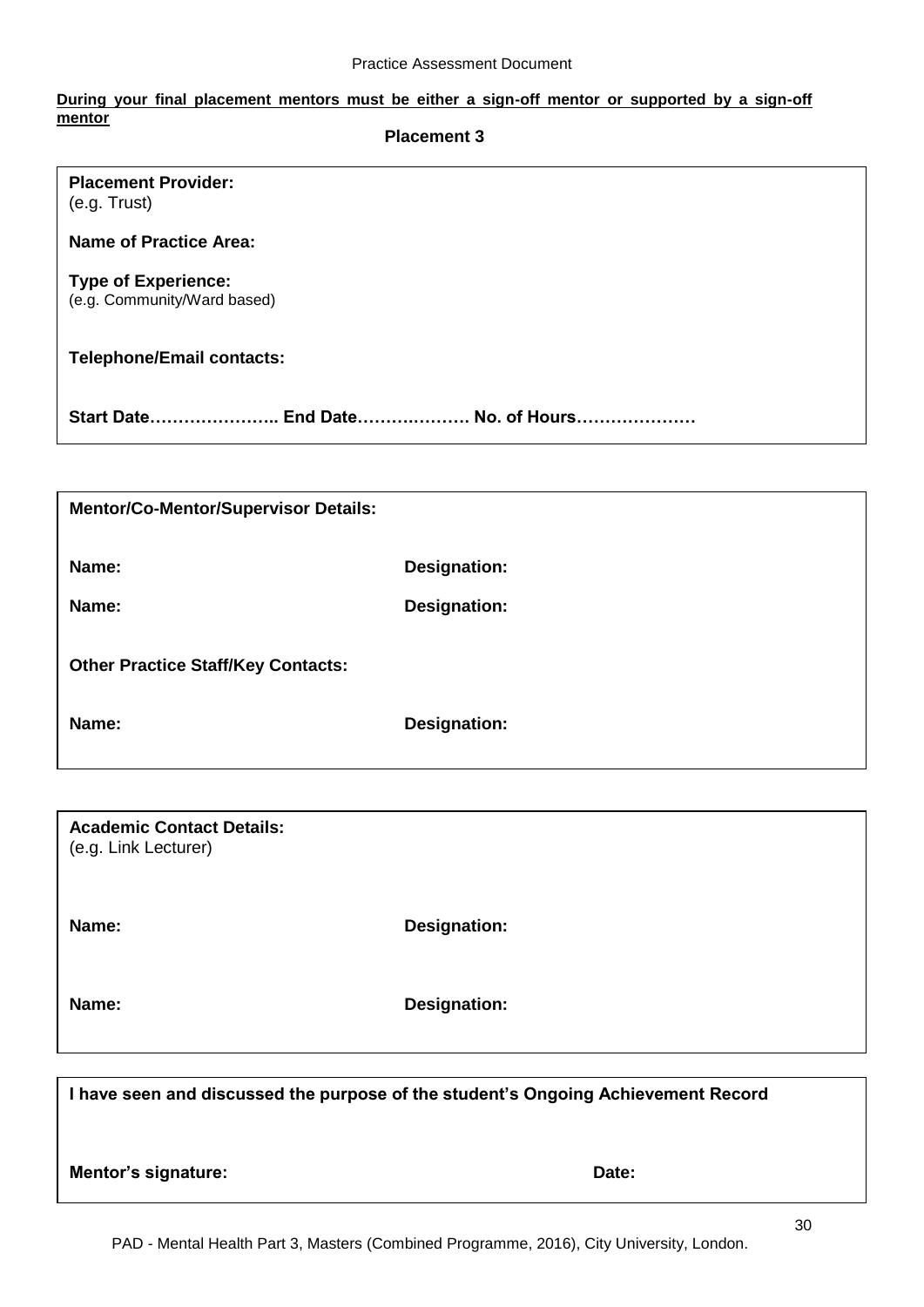#### **During your final placement mentors must be either a sign-off mentor or supported by a sign-off mentor Placement 3**

| <b>Placement Provider:</b><br>(e.g. Trust)                |
|-----------------------------------------------------------|
| <b>Name of Practice Area:</b>                             |
| <b>Type of Experience:</b><br>(e.g. Community/Ward based) |
| <b>Telephone/Email contacts:</b>                          |
| Start Date End Date No. of Hours                          |
|                                                           |

| <b>Mentor/Co-Mentor/Supervisor Details:</b> |              |
|---------------------------------------------|--------------|
| Name:                                       | Designation: |
| Name:                                       | Designation: |
| <b>Other Practice Staff/Key Contacts:</b>   |              |
| Name:                                       | Designation: |

| <b>Academic Contact Details:</b><br>(e.g. Link Lecturer) |                     |
|----------------------------------------------------------|---------------------|
| Name:                                                    | <b>Designation:</b> |
| Name:                                                    | <b>Designation:</b> |

**I have seen and discussed the purpose of the student's Ongoing Achievement Record**

**Mentor's signature:** Date: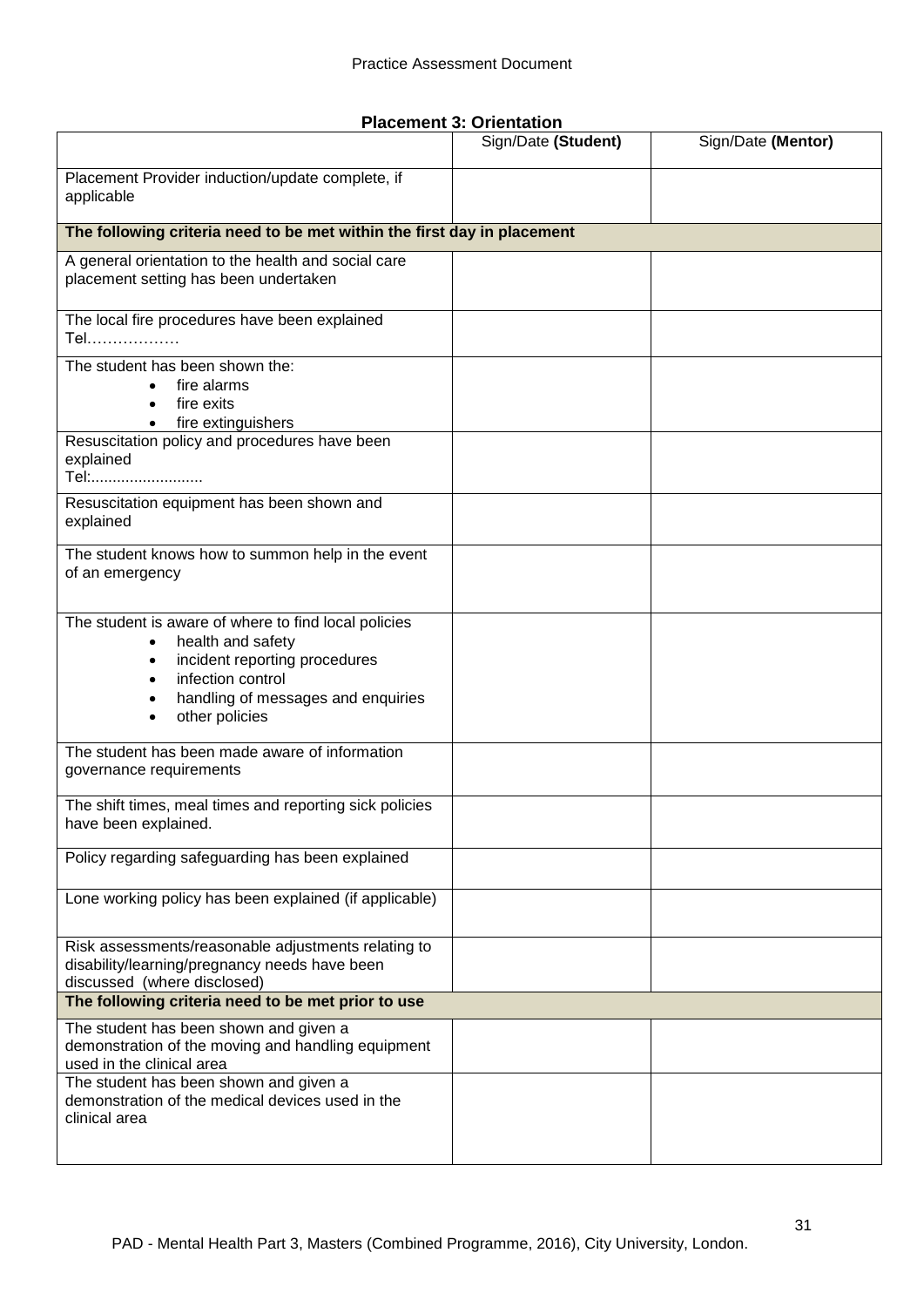**Placement 3: Orientation**

|                                                                                                                                                                                         | Sign/Date (Student) | Sign/Date (Mentor) |
|-----------------------------------------------------------------------------------------------------------------------------------------------------------------------------------------|---------------------|--------------------|
| Placement Provider induction/update complete, if<br>applicable                                                                                                                          |                     |                    |
| The following criteria need to be met within the first day in placement                                                                                                                 |                     |                    |
| A general orientation to the health and social care<br>placement setting has been undertaken                                                                                            |                     |                    |
| The local fire procedures have been explained<br>Tel                                                                                                                                    |                     |                    |
| The student has been shown the:<br>fire alarms<br>$\bullet$<br>fire exits<br>fire extinguishers<br>$\bullet$                                                                            |                     |                    |
| Resuscitation policy and procedures have been<br>explained<br>Tel:                                                                                                                      |                     |                    |
| Resuscitation equipment has been shown and<br>explained                                                                                                                                 |                     |                    |
| The student knows how to summon help in the event<br>of an emergency                                                                                                                    |                     |                    |
| The student is aware of where to find local policies<br>health and safety<br>incident reporting procedures<br>infection control<br>handling of messages and enquiries<br>other policies |                     |                    |
| The student has been made aware of information<br>governance requirements                                                                                                               |                     |                    |
| The shift times, meal times and reporting sick policies<br>have been explained.                                                                                                         |                     |                    |
| Policy regarding safeguarding has been explained                                                                                                                                        |                     |                    |
| Lone working policy has been explained (if applicable)                                                                                                                                  |                     |                    |
| Risk assessments/reasonable adjustments relating to<br>disability/learning/pregnancy needs have been<br>discussed (where disclosed)                                                     |                     |                    |
| The following criteria need to be met prior to use                                                                                                                                      |                     |                    |
| The student has been shown and given a<br>demonstration of the moving and handling equipment<br>used in the clinical area                                                               |                     |                    |
| The student has been shown and given a<br>demonstration of the medical devices used in the<br>clinical area                                                                             |                     |                    |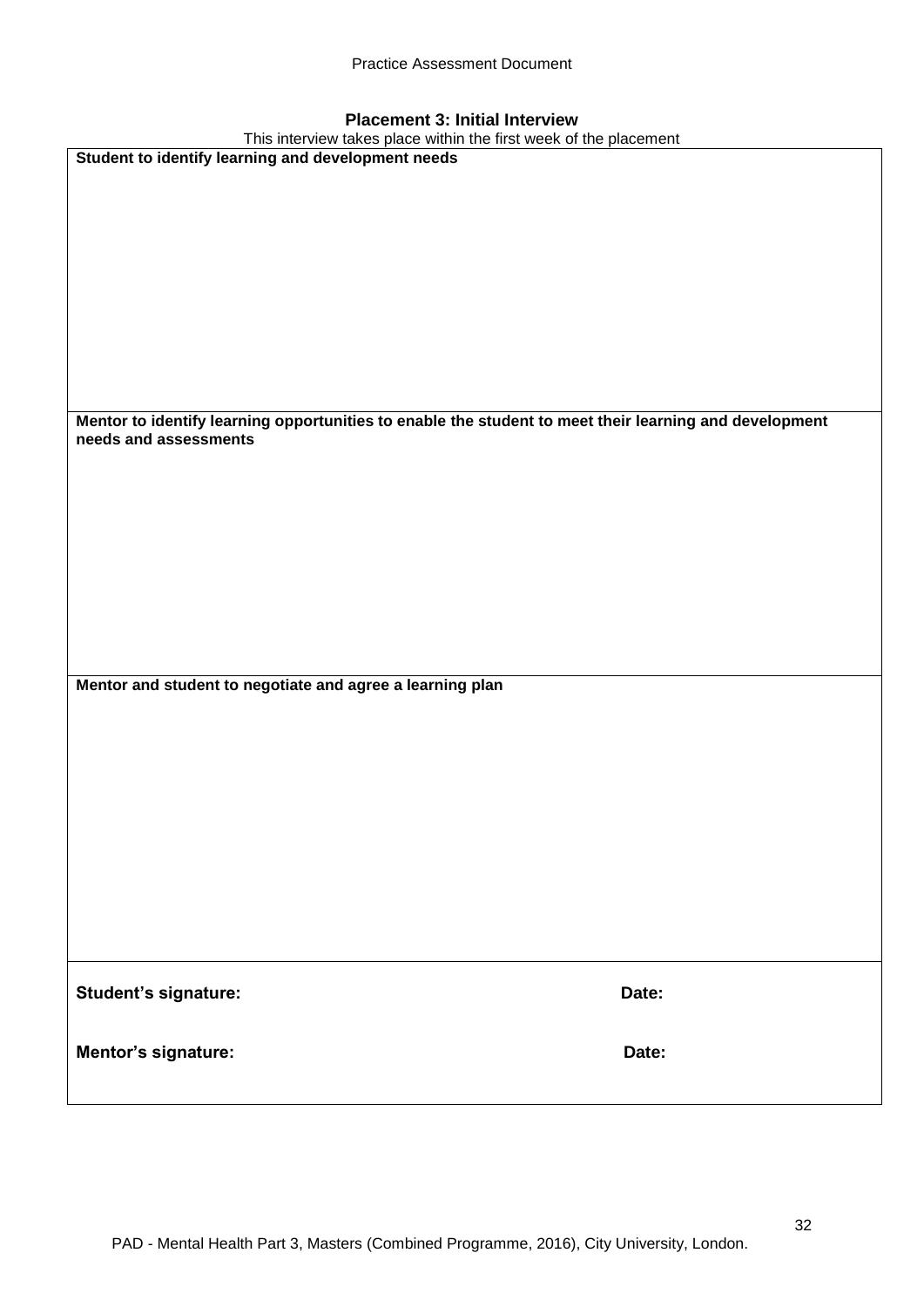| <b>Placement 3: Initial Interview</b> |  |  |
|---------------------------------------|--|--|
|                                       |  |  |

| <b>Placement 5: Initial interview</b>                                                                  |       |  |  |  |
|--------------------------------------------------------------------------------------------------------|-------|--|--|--|
| This interview takes place within the first week of the placement                                      |       |  |  |  |
| Student to identify learning and development needs                                                     |       |  |  |  |
|                                                                                                        |       |  |  |  |
|                                                                                                        |       |  |  |  |
|                                                                                                        |       |  |  |  |
|                                                                                                        |       |  |  |  |
|                                                                                                        |       |  |  |  |
|                                                                                                        |       |  |  |  |
|                                                                                                        |       |  |  |  |
|                                                                                                        |       |  |  |  |
|                                                                                                        |       |  |  |  |
|                                                                                                        |       |  |  |  |
|                                                                                                        |       |  |  |  |
|                                                                                                        |       |  |  |  |
|                                                                                                        |       |  |  |  |
|                                                                                                        |       |  |  |  |
|                                                                                                        |       |  |  |  |
| Mentor to identify learning opportunities to enable the student to meet their learning and development |       |  |  |  |
| needs and assessments                                                                                  |       |  |  |  |
|                                                                                                        |       |  |  |  |
|                                                                                                        |       |  |  |  |
|                                                                                                        |       |  |  |  |
|                                                                                                        |       |  |  |  |
|                                                                                                        |       |  |  |  |
|                                                                                                        |       |  |  |  |
|                                                                                                        |       |  |  |  |
|                                                                                                        |       |  |  |  |
|                                                                                                        |       |  |  |  |
|                                                                                                        |       |  |  |  |
|                                                                                                        |       |  |  |  |
|                                                                                                        |       |  |  |  |
|                                                                                                        |       |  |  |  |
|                                                                                                        |       |  |  |  |
|                                                                                                        |       |  |  |  |
| Mentor and student to negotiate and agree a learning plan                                              |       |  |  |  |
|                                                                                                        |       |  |  |  |
|                                                                                                        |       |  |  |  |
|                                                                                                        |       |  |  |  |
|                                                                                                        |       |  |  |  |
|                                                                                                        |       |  |  |  |
|                                                                                                        |       |  |  |  |
|                                                                                                        |       |  |  |  |
|                                                                                                        |       |  |  |  |
|                                                                                                        |       |  |  |  |
|                                                                                                        |       |  |  |  |
|                                                                                                        |       |  |  |  |
|                                                                                                        |       |  |  |  |
|                                                                                                        |       |  |  |  |
|                                                                                                        |       |  |  |  |
|                                                                                                        |       |  |  |  |
|                                                                                                        |       |  |  |  |
|                                                                                                        |       |  |  |  |
|                                                                                                        |       |  |  |  |
|                                                                                                        |       |  |  |  |
| Student's signature:                                                                                   | Date: |  |  |  |
|                                                                                                        |       |  |  |  |
|                                                                                                        |       |  |  |  |
|                                                                                                        |       |  |  |  |
| Mentor's signature:                                                                                    | Date: |  |  |  |
|                                                                                                        |       |  |  |  |
|                                                                                                        |       |  |  |  |
|                                                                                                        |       |  |  |  |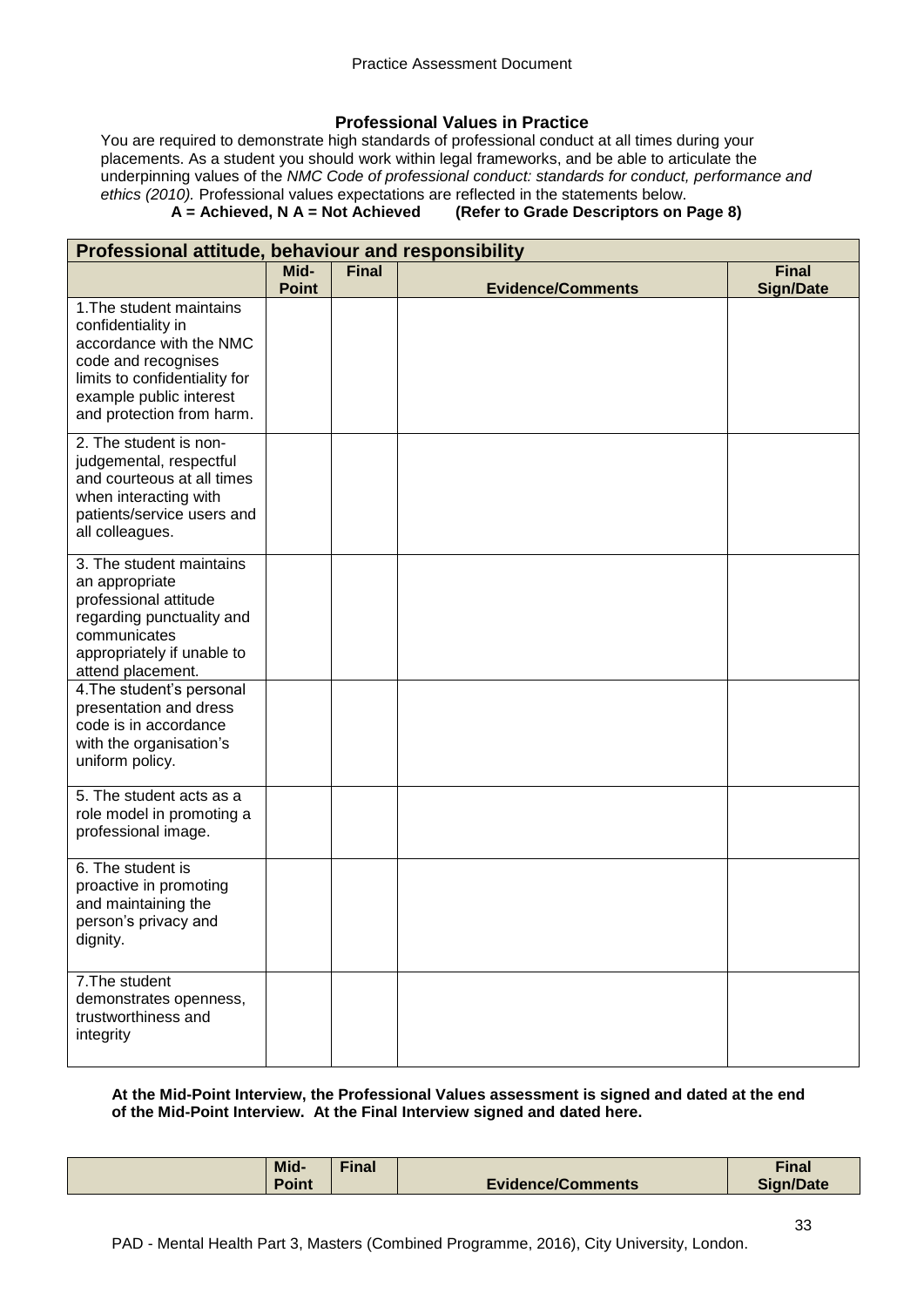## **Professional Values in Practice**

You are required to demonstrate high standards of professional conduct at all times during your placements. As a student you should work within legal frameworks, and be able to articulate the underpinning values of the *NMC Code of professional conduct: standards for conduct, performance and ethics (2010).* Professional values expectations are reflected in the statements below.<br>**A** = **Achieved, N** A = Not Achieved (Refer to Grade Descriptors on I

## **(Refer to Grade Descriptors on Page 8)**

| Professional attitude, behaviour and responsibility |              |              |                          |                  |
|-----------------------------------------------------|--------------|--------------|--------------------------|------------------|
|                                                     | Mid-         | <b>Final</b> |                          | <b>Final</b>     |
|                                                     | <b>Point</b> |              | <b>Evidence/Comments</b> | <b>Sign/Date</b> |
| 1. The student maintains<br>confidentiality in      |              |              |                          |                  |
| accordance with the NMC                             |              |              |                          |                  |
| code and recognises                                 |              |              |                          |                  |
| limits to confidentiality for                       |              |              |                          |                  |
| example public interest                             |              |              |                          |                  |
| and protection from harm.                           |              |              |                          |                  |
| 2. The student is non-                              |              |              |                          |                  |
| judgemental, respectful                             |              |              |                          |                  |
| and courteous at all times                          |              |              |                          |                  |
| when interacting with<br>patients/service users and |              |              |                          |                  |
| all colleagues.                                     |              |              |                          |                  |
| 3. The student maintains                            |              |              |                          |                  |
| an appropriate                                      |              |              |                          |                  |
| professional attitude                               |              |              |                          |                  |
| regarding punctuality and                           |              |              |                          |                  |
| communicates                                        |              |              |                          |                  |
| appropriately if unable to<br>attend placement.     |              |              |                          |                  |
| 4. The student's personal                           |              |              |                          |                  |
| presentation and dress                              |              |              |                          |                  |
| code is in accordance                               |              |              |                          |                  |
| with the organisation's                             |              |              |                          |                  |
| uniform policy.                                     |              |              |                          |                  |
| 5. The student acts as a                            |              |              |                          |                  |
| role model in promoting a                           |              |              |                          |                  |
| professional image.                                 |              |              |                          |                  |
| 6. The student is                                   |              |              |                          |                  |
| proactive in promoting                              |              |              |                          |                  |
| and maintaining the<br>person's privacy and         |              |              |                          |                  |
| dignity.                                            |              |              |                          |                  |
|                                                     |              |              |                          |                  |
| 7. The student                                      |              |              |                          |                  |
| demonstrates openness,<br>trustworthiness and       |              |              |                          |                  |
| integrity                                           |              |              |                          |                  |
|                                                     |              |              |                          |                  |

## **At the Mid-Point Interview, the Professional Values assessment is signed and dated at the end of the Mid-Point Interview. At the Final Interview signed and dated here.**

| Mid-  | $final$ |                          | <b>Final</b>     |
|-------|---------|--------------------------|------------------|
| Point |         | <b>Evidence/Comments</b> | <b>Sign/Date</b> |
|       |         |                          |                  |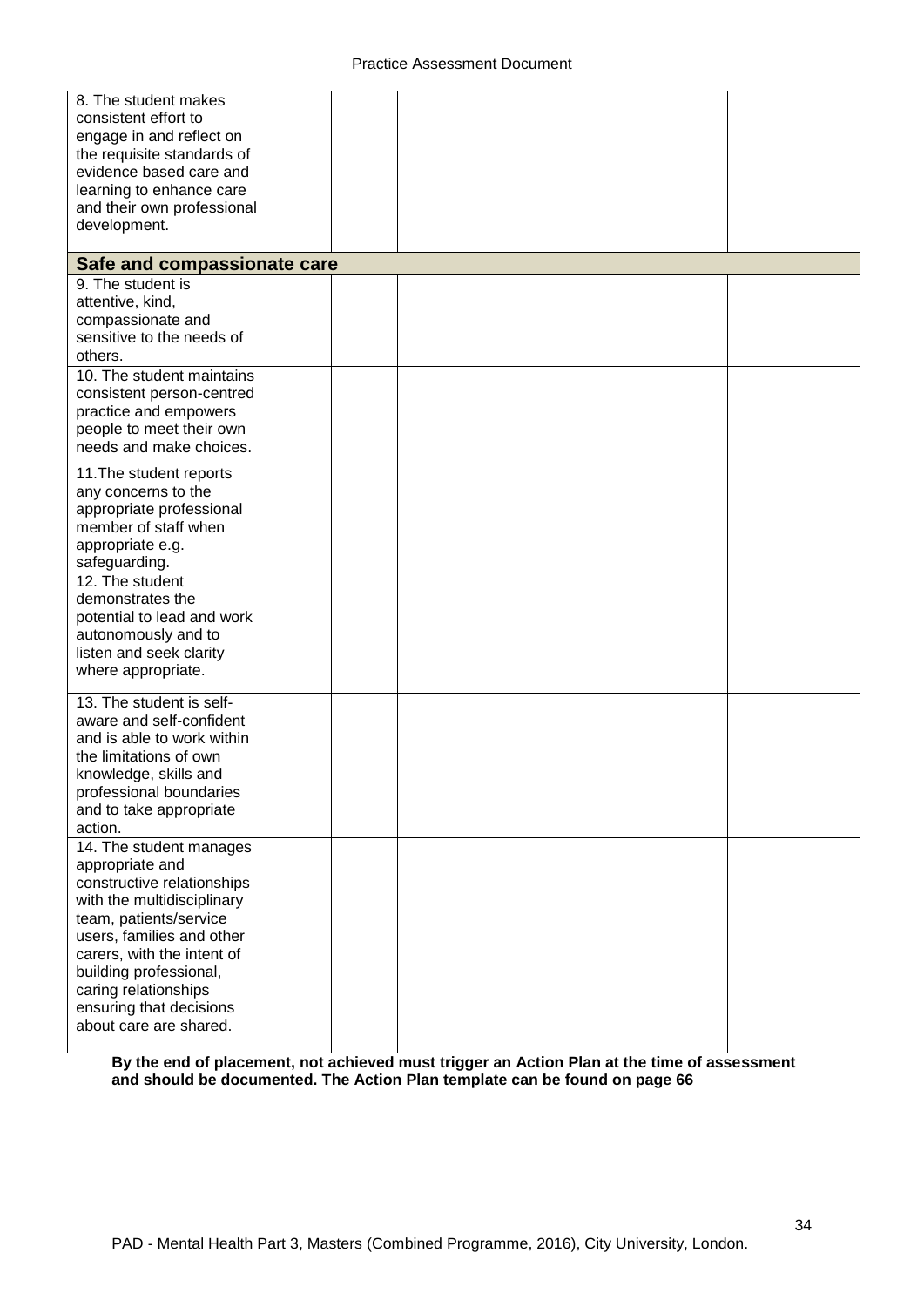| 8. The student makes<br>consistent effort to<br>engage in and reflect on<br>the requisite standards of<br>evidence based care and<br>learning to enhance care<br>and their own professional                                                                                                        |  |  |
|----------------------------------------------------------------------------------------------------------------------------------------------------------------------------------------------------------------------------------------------------------------------------------------------------|--|--|
| development.                                                                                                                                                                                                                                                                                       |  |  |
| Safe and compassionate care                                                                                                                                                                                                                                                                        |  |  |
| 9. The student is<br>attentive, kind,<br>compassionate and<br>sensitive to the needs of<br>others.                                                                                                                                                                                                 |  |  |
| 10. The student maintains<br>consistent person-centred<br>practice and empowers<br>people to meet their own<br>needs and make choices.                                                                                                                                                             |  |  |
| 11. The student reports<br>any concerns to the<br>appropriate professional<br>member of staff when<br>appropriate e.g.<br>safeguarding.                                                                                                                                                            |  |  |
| 12. The student<br>demonstrates the<br>potential to lead and work<br>autonomously and to<br>listen and seek clarity<br>where appropriate.                                                                                                                                                          |  |  |
| 13. The student is self-<br>aware and self-confident<br>and is able to work within<br>the limitations of own<br>knowledge, skills and<br>professional boundaries<br>and to take appropriate<br>action.                                                                                             |  |  |
| 14. The student manages<br>appropriate and<br>constructive relationships<br>with the multidisciplinary<br>team, patients/service<br>users, families and other<br>carers, with the intent of<br>building professional,<br>caring relationships<br>ensuring that decisions<br>about care are shared. |  |  |

**By the end of placement, not achieved must trigger an Action Plan at the time of assessment and should be documented. The Action Plan template can be found on page 66**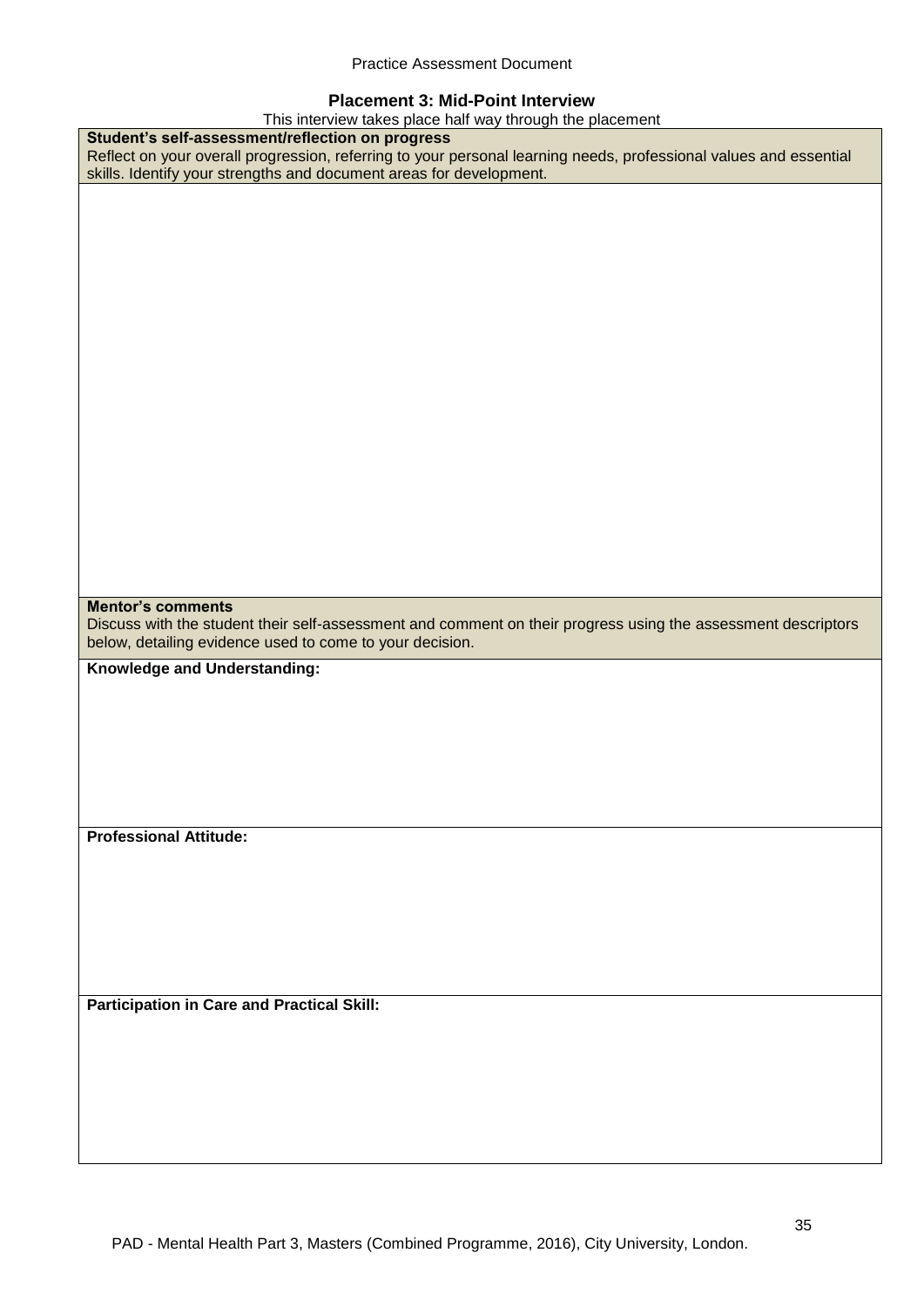## **Placement 3: Mid-Point Interview**

| This interview takes place half way through the placement                                                         |
|-------------------------------------------------------------------------------------------------------------------|
| Student's self-assessment/reflection on progress                                                                  |
| Reflect on your overall progression, referring to your personal learning needs, professional values and essential |
| skills. Identify your strengths and document areas for development.                                               |
|                                                                                                                   |
|                                                                                                                   |
|                                                                                                                   |
|                                                                                                                   |
|                                                                                                                   |
|                                                                                                                   |
|                                                                                                                   |
|                                                                                                                   |
|                                                                                                                   |
|                                                                                                                   |
|                                                                                                                   |
|                                                                                                                   |
|                                                                                                                   |
|                                                                                                                   |
|                                                                                                                   |
|                                                                                                                   |
|                                                                                                                   |
|                                                                                                                   |
|                                                                                                                   |
|                                                                                                                   |
|                                                                                                                   |
|                                                                                                                   |
|                                                                                                                   |
| <b>Mentor's comments</b>                                                                                          |
| Discuss with the student their self-assessment and comment on their progress using the assessment descriptors     |
|                                                                                                                   |
|                                                                                                                   |
| below, detailing evidence used to come to your decision.                                                          |
| Knowledge and Understanding:                                                                                      |
|                                                                                                                   |
|                                                                                                                   |
|                                                                                                                   |
|                                                                                                                   |
|                                                                                                                   |
|                                                                                                                   |
|                                                                                                                   |
|                                                                                                                   |
| <b>Professional Attitude:</b>                                                                                     |
|                                                                                                                   |
|                                                                                                                   |
|                                                                                                                   |
|                                                                                                                   |
|                                                                                                                   |
|                                                                                                                   |
|                                                                                                                   |
|                                                                                                                   |
|                                                                                                                   |
| <b>Participation in Care and Practical Skill:</b>                                                                 |
|                                                                                                                   |
|                                                                                                                   |
|                                                                                                                   |
|                                                                                                                   |
|                                                                                                                   |
|                                                                                                                   |
|                                                                                                                   |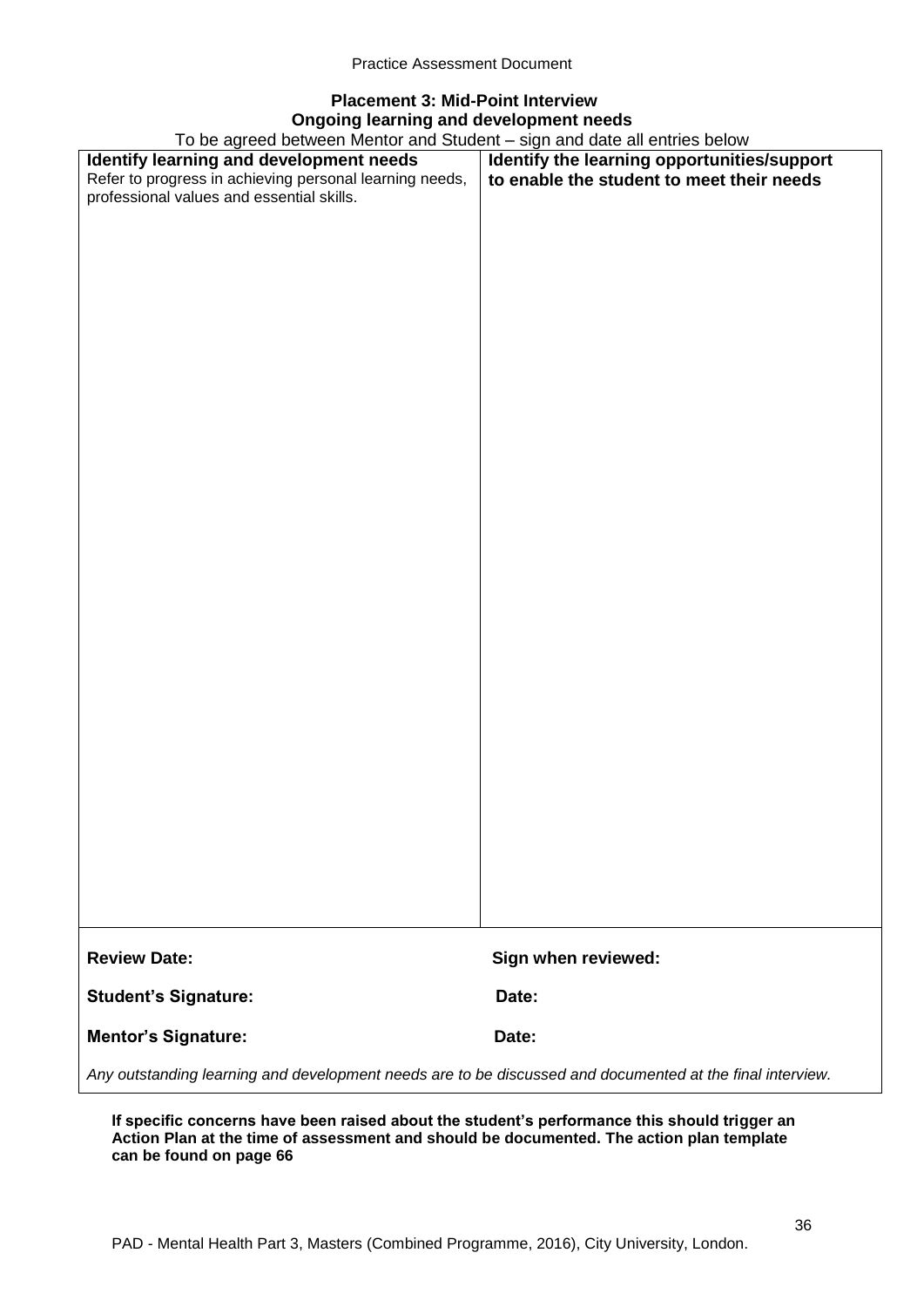# **Placement 3: Mid-Point Interview Ongoing learning and development needs**

To be agreed between Mentor and Student – sign and date all entries below

| To be agreed between Mentor and Student – sign and date all entries below                                 |                                             |  |  |
|-----------------------------------------------------------------------------------------------------------|---------------------------------------------|--|--|
| Identify learning and development needs                                                                   | Identify the learning opportunities/support |  |  |
| Refer to progress in achieving personal learning needs,                                                   | to enable the student to meet their needs   |  |  |
| professional values and essential skills.                                                                 |                                             |  |  |
|                                                                                                           |                                             |  |  |
|                                                                                                           |                                             |  |  |
|                                                                                                           |                                             |  |  |
|                                                                                                           |                                             |  |  |
|                                                                                                           |                                             |  |  |
|                                                                                                           |                                             |  |  |
|                                                                                                           |                                             |  |  |
|                                                                                                           |                                             |  |  |
|                                                                                                           |                                             |  |  |
|                                                                                                           |                                             |  |  |
|                                                                                                           |                                             |  |  |
|                                                                                                           |                                             |  |  |
|                                                                                                           |                                             |  |  |
|                                                                                                           |                                             |  |  |
|                                                                                                           |                                             |  |  |
|                                                                                                           |                                             |  |  |
|                                                                                                           |                                             |  |  |
|                                                                                                           |                                             |  |  |
|                                                                                                           |                                             |  |  |
|                                                                                                           |                                             |  |  |
|                                                                                                           |                                             |  |  |
|                                                                                                           |                                             |  |  |
|                                                                                                           |                                             |  |  |
|                                                                                                           |                                             |  |  |
|                                                                                                           |                                             |  |  |
|                                                                                                           |                                             |  |  |
|                                                                                                           |                                             |  |  |
|                                                                                                           |                                             |  |  |
|                                                                                                           |                                             |  |  |
|                                                                                                           |                                             |  |  |
|                                                                                                           |                                             |  |  |
|                                                                                                           |                                             |  |  |
|                                                                                                           |                                             |  |  |
|                                                                                                           |                                             |  |  |
|                                                                                                           |                                             |  |  |
|                                                                                                           |                                             |  |  |
|                                                                                                           |                                             |  |  |
|                                                                                                           |                                             |  |  |
|                                                                                                           |                                             |  |  |
|                                                                                                           |                                             |  |  |
|                                                                                                           |                                             |  |  |
|                                                                                                           |                                             |  |  |
|                                                                                                           |                                             |  |  |
|                                                                                                           |                                             |  |  |
| <b>Review Date:</b>                                                                                       | Sign when reviewed:                         |  |  |
|                                                                                                           |                                             |  |  |
| <b>Student's Signature:</b>                                                                               | Date:                                       |  |  |
|                                                                                                           |                                             |  |  |
| <b>Mentor's Signature:</b>                                                                                | Date:                                       |  |  |
|                                                                                                           |                                             |  |  |
| Any outstanding learning and development needs are to be discussed and documented at the final interview. |                                             |  |  |

**If specific concerns have been raised about the student's performance this should trigger an Action Plan at the time of assessment and should be documented. The action plan template can be found on page 66**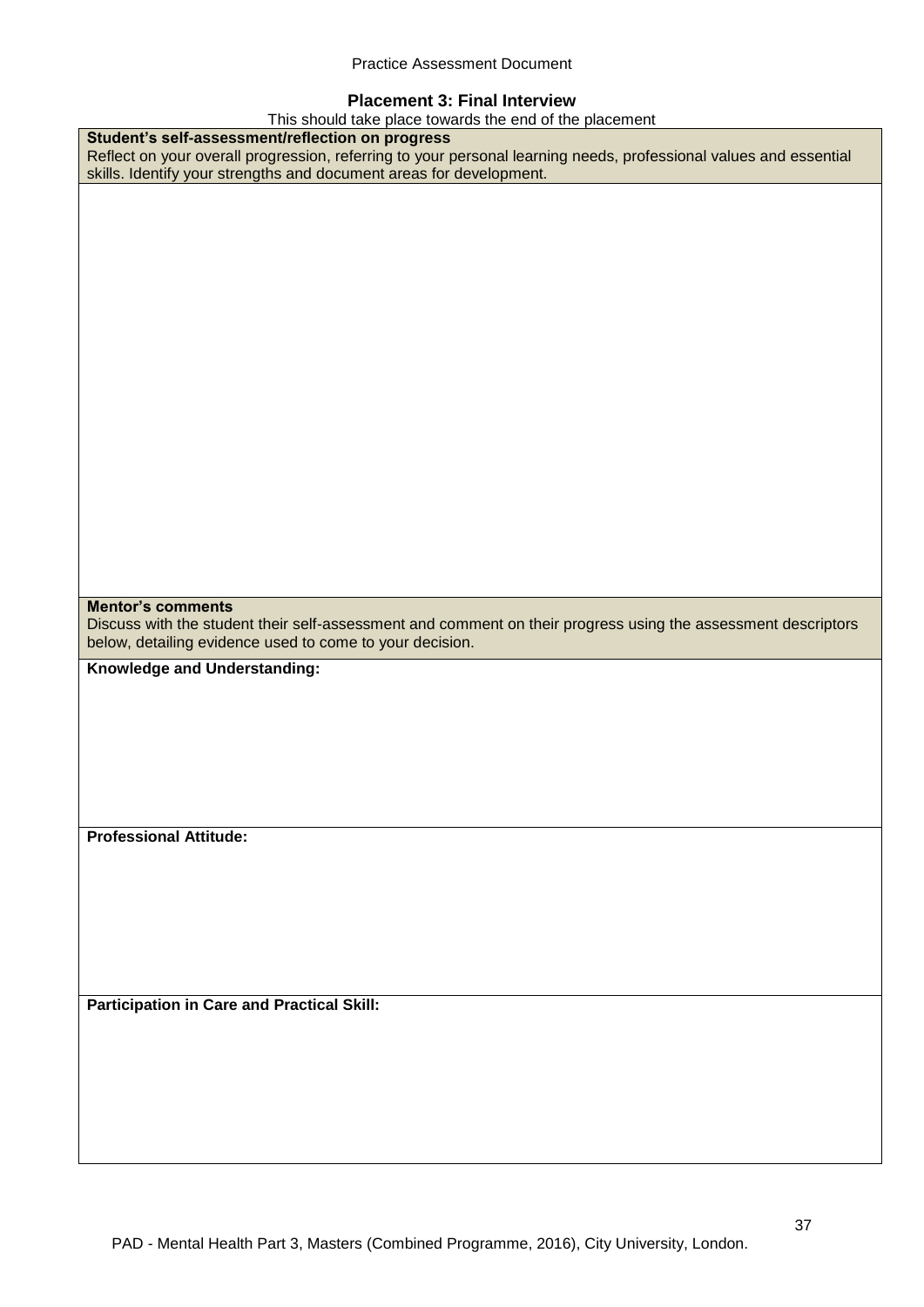## **Placement 3: Final Interview**

This should take place towards the end of the placement

| This should take place towards the end of the placement                                                           |
|-------------------------------------------------------------------------------------------------------------------|
| Student's self-assessment/reflection on progress                                                                  |
| Reflect on your overall progression, referring to your personal learning needs, professional values and essential |
| skills. Identify your strengths and document areas for development.                                               |
|                                                                                                                   |
|                                                                                                                   |
|                                                                                                                   |
|                                                                                                                   |
|                                                                                                                   |
|                                                                                                                   |
|                                                                                                                   |
|                                                                                                                   |
|                                                                                                                   |
|                                                                                                                   |
|                                                                                                                   |
|                                                                                                                   |
|                                                                                                                   |
|                                                                                                                   |
|                                                                                                                   |
|                                                                                                                   |
|                                                                                                                   |
|                                                                                                                   |
|                                                                                                                   |
|                                                                                                                   |
|                                                                                                                   |
|                                                                                                                   |
|                                                                                                                   |
|                                                                                                                   |
| <b>Mentor's comments</b>                                                                                          |
| Discuss with the student their self-assessment and comment on their progress using the assessment descriptors     |
|                                                                                                                   |
|                                                                                                                   |
| below, detailing evidence used to come to your decision.                                                          |
| Knowledge and Understanding:                                                                                      |
|                                                                                                                   |
|                                                                                                                   |
|                                                                                                                   |
|                                                                                                                   |
|                                                                                                                   |
|                                                                                                                   |
|                                                                                                                   |
|                                                                                                                   |
|                                                                                                                   |
| <b>Professional Attitude:</b>                                                                                     |
|                                                                                                                   |
|                                                                                                                   |
|                                                                                                                   |
|                                                                                                                   |
|                                                                                                                   |
|                                                                                                                   |
|                                                                                                                   |
|                                                                                                                   |
|                                                                                                                   |
| <b>Participation in Care and Practical Skill:</b>                                                                 |
|                                                                                                                   |
|                                                                                                                   |
|                                                                                                                   |
|                                                                                                                   |
|                                                                                                                   |
|                                                                                                                   |
|                                                                                                                   |
|                                                                                                                   |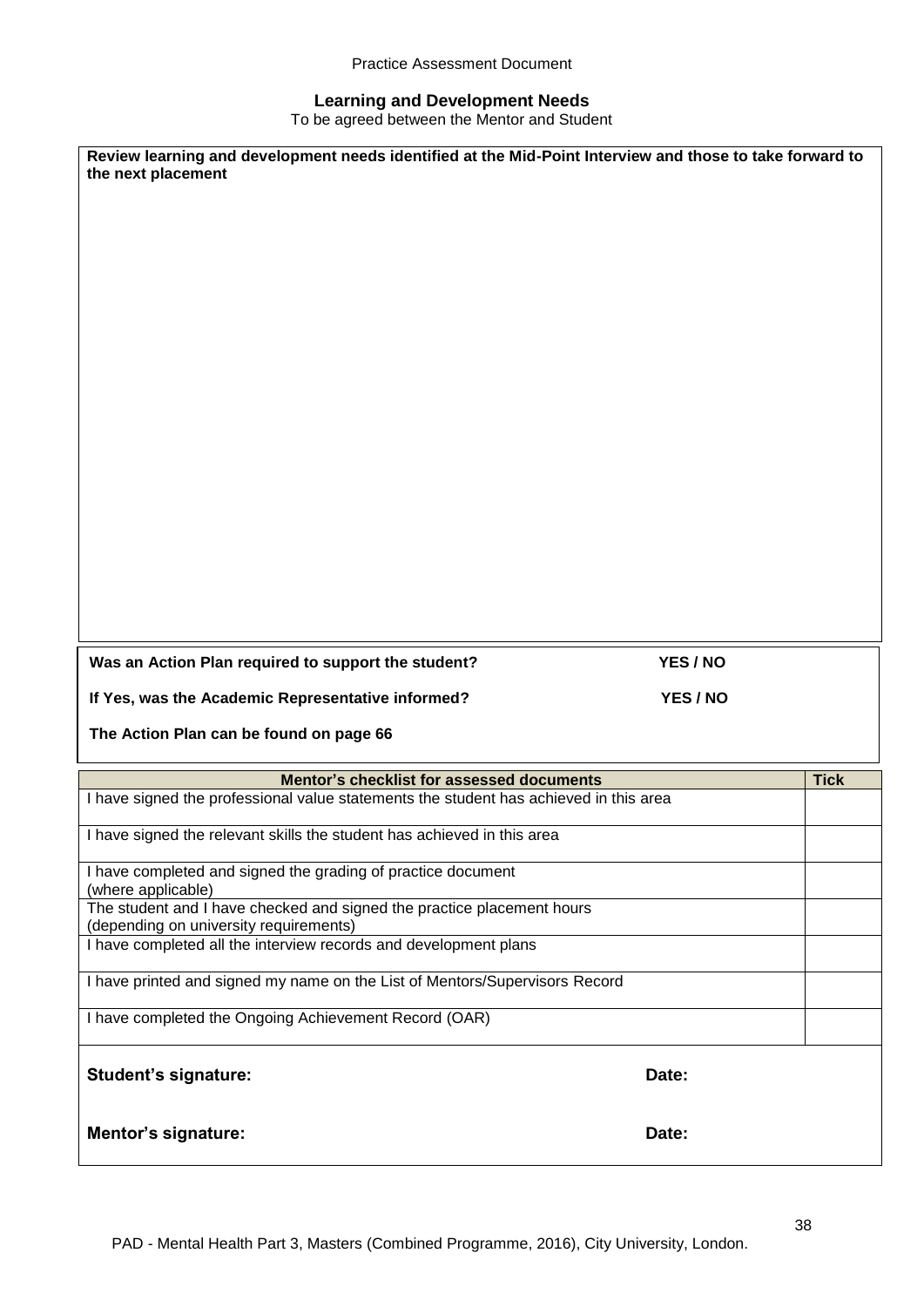## **Learning and Development Needs**

To be agreed between the Mentor and Student

| the next placement                                                                                         | Review learning and development needs identified at the Mid-Point Interview and those to take forward to |             |
|------------------------------------------------------------------------------------------------------------|----------------------------------------------------------------------------------------------------------|-------------|
|                                                                                                            |                                                                                                          |             |
|                                                                                                            |                                                                                                          |             |
|                                                                                                            |                                                                                                          |             |
|                                                                                                            |                                                                                                          |             |
|                                                                                                            |                                                                                                          |             |
|                                                                                                            |                                                                                                          |             |
|                                                                                                            |                                                                                                          |             |
|                                                                                                            |                                                                                                          |             |
|                                                                                                            |                                                                                                          |             |
|                                                                                                            |                                                                                                          |             |
|                                                                                                            |                                                                                                          |             |
|                                                                                                            |                                                                                                          |             |
|                                                                                                            |                                                                                                          |             |
| Was an Action Plan required to support the student?                                                        | YES / NO                                                                                                 |             |
|                                                                                                            |                                                                                                          |             |
|                                                                                                            |                                                                                                          |             |
| If Yes, was the Academic Representative informed?                                                          | YES / NO                                                                                                 |             |
| The Action Plan can be found on page 66                                                                    |                                                                                                          |             |
| Mentor's checklist for assessed documents                                                                  |                                                                                                          | <b>Tick</b> |
| I have signed the professional value statements the student has achieved in this area                      |                                                                                                          |             |
| I have signed the relevant skills the student has achieved in this area                                    |                                                                                                          |             |
| I have completed and signed the grading of practice document                                               |                                                                                                          |             |
| (where applicable)<br>The student and I have checked and signed the practice placement hours               |                                                                                                          |             |
| (depending on university requirements)<br>I have completed all the interview records and development plans |                                                                                                          |             |
| I have printed and signed my name on the List of Mentors/Supervisors Record                                |                                                                                                          |             |
| I have completed the Ongoing Achievement Record (OAR)                                                      |                                                                                                          |             |
|                                                                                                            |                                                                                                          |             |
| <b>Student's signature:</b>                                                                                | Date:                                                                                                    |             |
| <b>Mentor's signature:</b>                                                                                 | Date:                                                                                                    |             |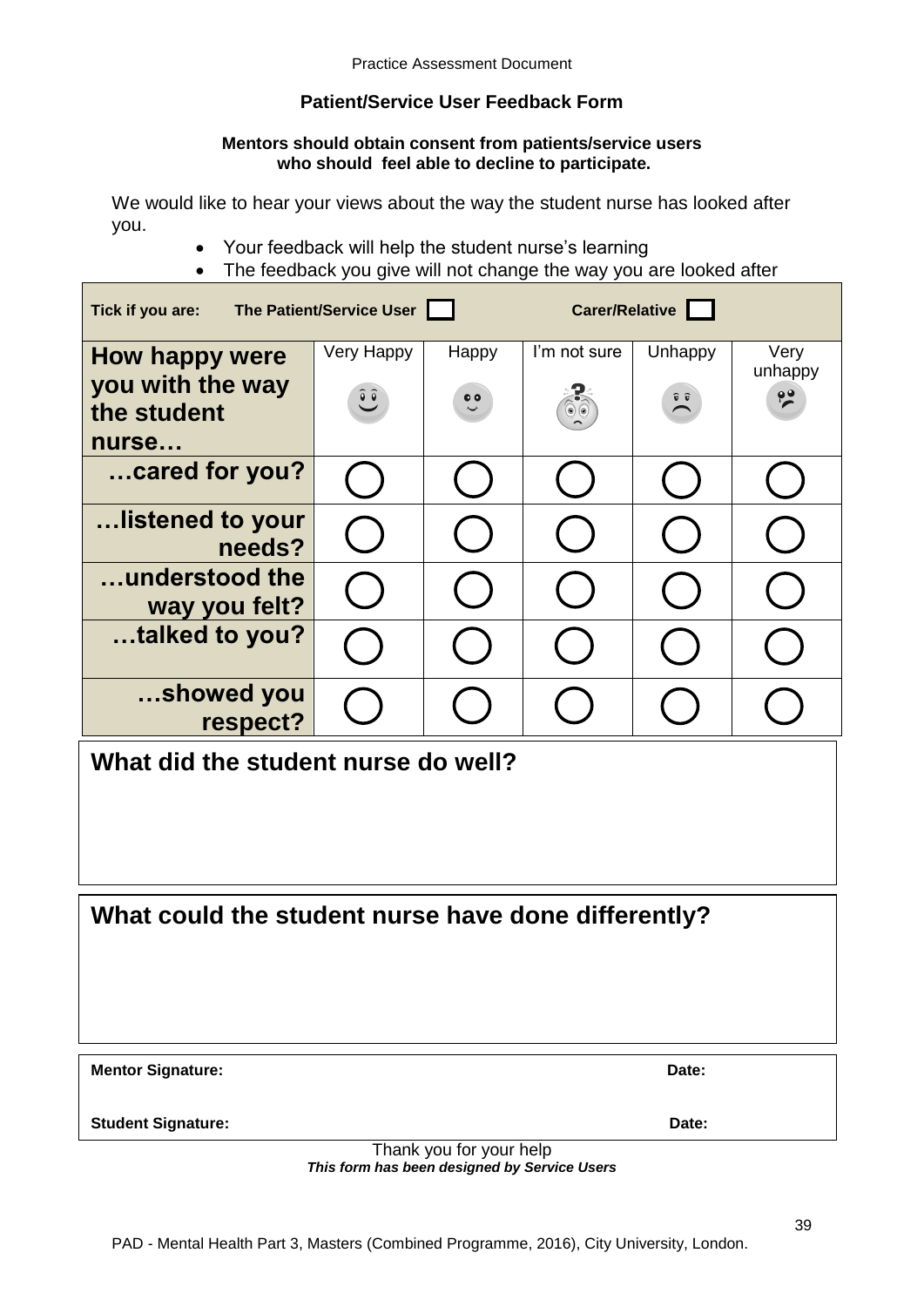## **Patient/Service User Feedback Form**

## **Mentors should obtain consent from patients/service users who should feel able to decline to participate.**

We would like to hear your views about the way the student nurse has looked after you.

- Your feedback will help the student nurse's learning
- The feedback you give will not change the way you are looked after

| Carer/Relative<br>The Patient/Service User<br>Tick if you are: |                                        |                           |                          |                             |                                  |  |  |  |  |  |
|----------------------------------------------------------------|----------------------------------------|---------------------------|--------------------------|-----------------------------|----------------------------------|--|--|--|--|--|
| How happy were<br>you with the way                             | Very Happy<br>$\widetilde{\mathbf{C}}$ | Happy<br>$\ddot{\bullet}$ | I'm not sure             | Unhappy<br>$\sum_{i=1}^{n}$ | Very<br>unhappy<br>$\frac{1}{2}$ |  |  |  |  |  |
| the student<br>nurse                                           |                                        |                           | $\circledcirc$ ( $\circ$ |                             |                                  |  |  |  |  |  |
| cared for you?                                                 |                                        |                           |                          |                             |                                  |  |  |  |  |  |
| listened to your<br>needs?                                     |                                        |                           |                          |                             |                                  |  |  |  |  |  |
| understood the<br>way you felt?                                |                                        |                           |                          |                             |                                  |  |  |  |  |  |
| talked to you?                                                 |                                        |                           |                          |                             |                                  |  |  |  |  |  |
| showed you<br>respect?                                         |                                        |                           |                          |                             |                                  |  |  |  |  |  |
| What did the student nurse do well?                            |                                        |                           |                          |                             |                                  |  |  |  |  |  |
|                                                                |                                        |                           |                          |                             |                                  |  |  |  |  |  |
|                                                                |                                        |                           |                          |                             |                                  |  |  |  |  |  |

**What could the student nurse have done differently?**

| Date: |
|-------|
|       |

**Student Signature:** Date:

Thank you for your help *This form has been designed by Service Users*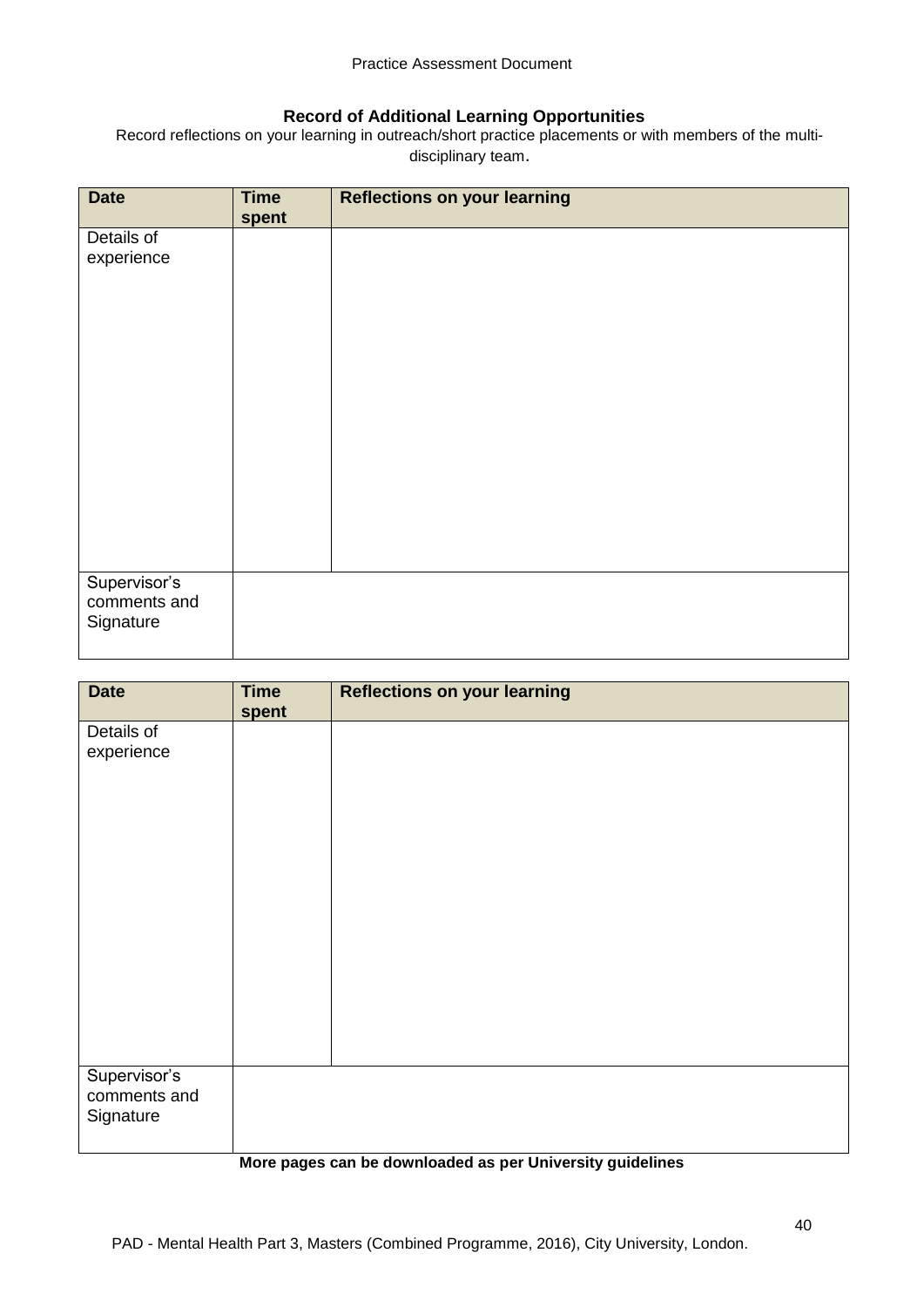## **Record of Additional Learning Opportunities**

Record reflections on your learning in outreach/short practice placements or with members of the multidisciplinary team.

| <b>Date</b>                  | <b>Time</b><br>spent | <b>Reflections on your learning</b> |
|------------------------------|----------------------|-------------------------------------|
| Details of                   |                      |                                     |
| experience                   |                      |                                     |
|                              |                      |                                     |
|                              |                      |                                     |
|                              |                      |                                     |
|                              |                      |                                     |
|                              |                      |                                     |
|                              |                      |                                     |
|                              |                      |                                     |
|                              |                      |                                     |
|                              |                      |                                     |
|                              |                      |                                     |
| Supervisor's<br>comments and |                      |                                     |
| Signature                    |                      |                                     |
|                              |                      |                                     |

| <b>Date</b>                               | <b>Time</b><br>spent | <b>Reflections on your learning</b> |
|-------------------------------------------|----------------------|-------------------------------------|
| Details of                                |                      |                                     |
| experience                                |                      |                                     |
|                                           |                      |                                     |
|                                           |                      |                                     |
|                                           |                      |                                     |
|                                           |                      |                                     |
|                                           |                      |                                     |
|                                           |                      |                                     |
|                                           |                      |                                     |
|                                           |                      |                                     |
|                                           |                      |                                     |
| Supervisor's<br>comments and<br>Signature |                      |                                     |

#### **More pages can be downloaded as per University guidelines**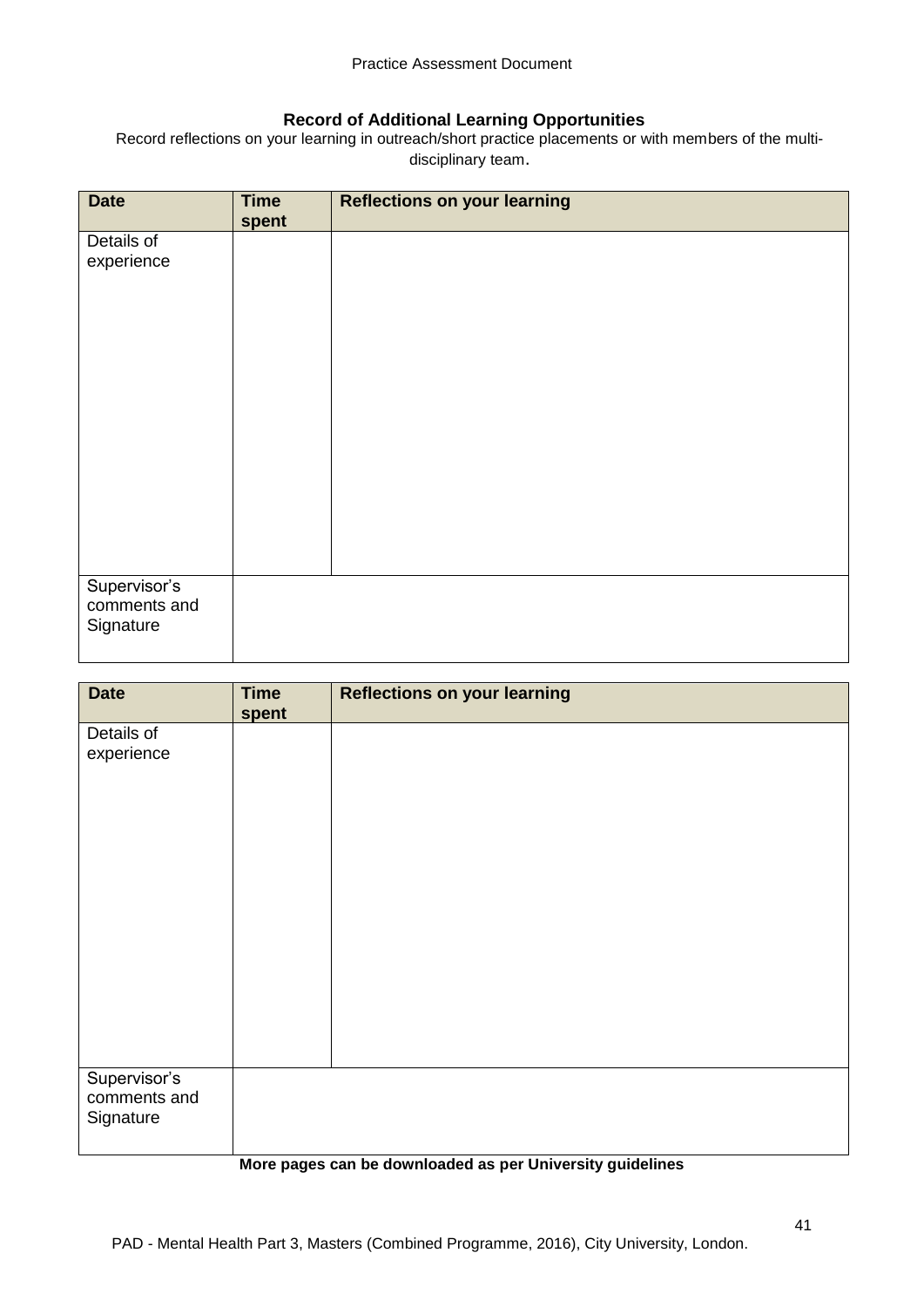## **Record of Additional Learning Opportunities**

Record reflections on your learning in outreach/short practice placements or with members of the multidisciplinary team.

| <b>Date</b>  | <b>Time</b><br>spent | <b>Reflections on your learning</b> |
|--------------|----------------------|-------------------------------------|
| Details of   |                      |                                     |
| experience   |                      |                                     |
|              |                      |                                     |
|              |                      |                                     |
|              |                      |                                     |
|              |                      |                                     |
|              |                      |                                     |
|              |                      |                                     |
|              |                      |                                     |
|              |                      |                                     |
|              |                      |                                     |
|              |                      |                                     |
|              |                      |                                     |
|              |                      |                                     |
|              |                      |                                     |
| Supervisor's |                      |                                     |
| comments and |                      |                                     |
| Signature    |                      |                                     |
|              |                      |                                     |

| <b>Reflections on your learning</b> |
|-------------------------------------|
|                                     |
|                                     |
|                                     |
|                                     |
|                                     |
|                                     |
|                                     |
|                                     |
|                                     |
|                                     |
|                                     |
|                                     |
|                                     |
|                                     |
|                                     |
|                                     |
|                                     |
|                                     |
|                                     |
|                                     |
|                                     |
|                                     |

## **More pages can be downloaded as per University guidelines**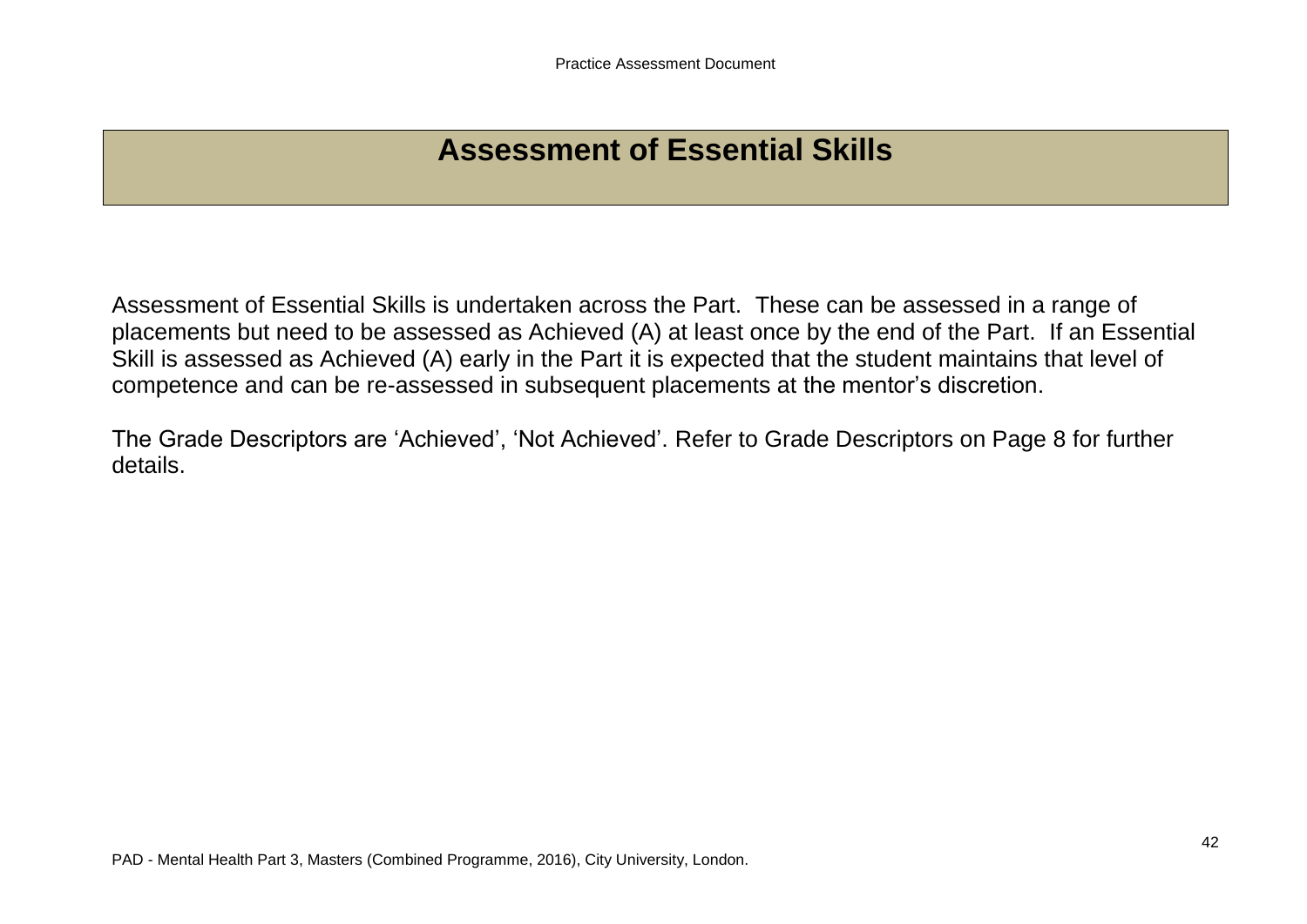# **Assessment of Essential Skills**

Assessment of Essential Skills is undertaken across the Part. These can be assessed in a range of placements but need to be assessed as Achieved (A) at least once by the end of the Part. If an Essential Skill is assessed as Achieved (A) early in the Part it is expected that the student maintains that level of competence and can be re-assessed in subsequent placements at the mentor's discretion.

The Grade Descriptors are 'Achieved', 'Not Achieved'. Refer to Grade Descriptors on Page 8 for further details.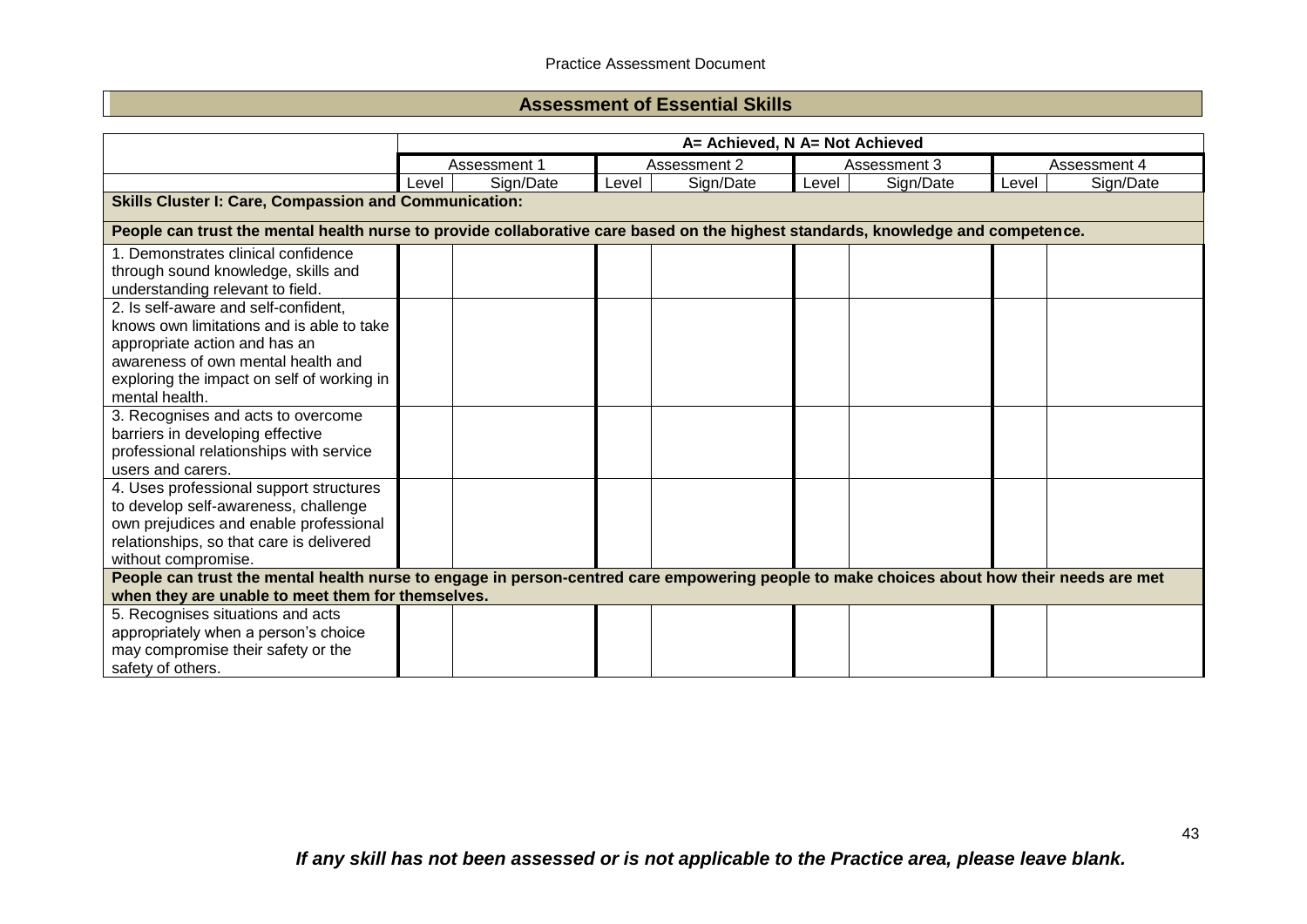## **Assessment of Essential Skills**

|                                                                                                                                           |       | A= Achieved, N A= Not Achieved |       |              |       |              |       |              |  |
|-------------------------------------------------------------------------------------------------------------------------------------------|-------|--------------------------------|-------|--------------|-------|--------------|-------|--------------|--|
|                                                                                                                                           |       | Assessment 1                   |       | Assessment 2 |       | Assessment 3 |       | Assessment 4 |  |
|                                                                                                                                           | Level | Sign/Date                      | Level | Sign/Date    | Level | Sign/Date    | Level | Sign/Date    |  |
| <b>Skills Cluster I: Care, Compassion and Communication:</b>                                                                              |       |                                |       |              |       |              |       |              |  |
| People can trust the mental health nurse to provide collaborative care based on the highest standards, knowledge and competence.          |       |                                |       |              |       |              |       |              |  |
| 1. Demonstrates clinical confidence                                                                                                       |       |                                |       |              |       |              |       |              |  |
| through sound knowledge, skills and                                                                                                       |       |                                |       |              |       |              |       |              |  |
| understanding relevant to field.                                                                                                          |       |                                |       |              |       |              |       |              |  |
| 2. Is self-aware and self-confident,                                                                                                      |       |                                |       |              |       |              |       |              |  |
| knows own limitations and is able to take                                                                                                 |       |                                |       |              |       |              |       |              |  |
| appropriate action and has an                                                                                                             |       |                                |       |              |       |              |       |              |  |
| awareness of own mental health and                                                                                                        |       |                                |       |              |       |              |       |              |  |
| exploring the impact on self of working in                                                                                                |       |                                |       |              |       |              |       |              |  |
| mental health.                                                                                                                            |       |                                |       |              |       |              |       |              |  |
| 3. Recognises and acts to overcome                                                                                                        |       |                                |       |              |       |              |       |              |  |
| barriers in developing effective                                                                                                          |       |                                |       |              |       |              |       |              |  |
| professional relationships with service                                                                                                   |       |                                |       |              |       |              |       |              |  |
| users and carers.                                                                                                                         |       |                                |       |              |       |              |       |              |  |
| 4. Uses professional support structures                                                                                                   |       |                                |       |              |       |              |       |              |  |
| to develop self-awareness, challenge                                                                                                      |       |                                |       |              |       |              |       |              |  |
| own prejudices and enable professional                                                                                                    |       |                                |       |              |       |              |       |              |  |
| relationships, so that care is delivered                                                                                                  |       |                                |       |              |       |              |       |              |  |
| without compromise.                                                                                                                       |       |                                |       |              |       |              |       |              |  |
| People can trust the mental health nurse to engage in person-centred care empowering people to make choices about how their needs are met |       |                                |       |              |       |              |       |              |  |
| when they are unable to meet them for themselves.                                                                                         |       |                                |       |              |       |              |       |              |  |
| 5. Recognises situations and acts                                                                                                         |       |                                |       |              |       |              |       |              |  |
| appropriately when a person's choice                                                                                                      |       |                                |       |              |       |              |       |              |  |
| may compromise their safety or the                                                                                                        |       |                                |       |              |       |              |       |              |  |
| safety of others.                                                                                                                         |       |                                |       |              |       |              |       |              |  |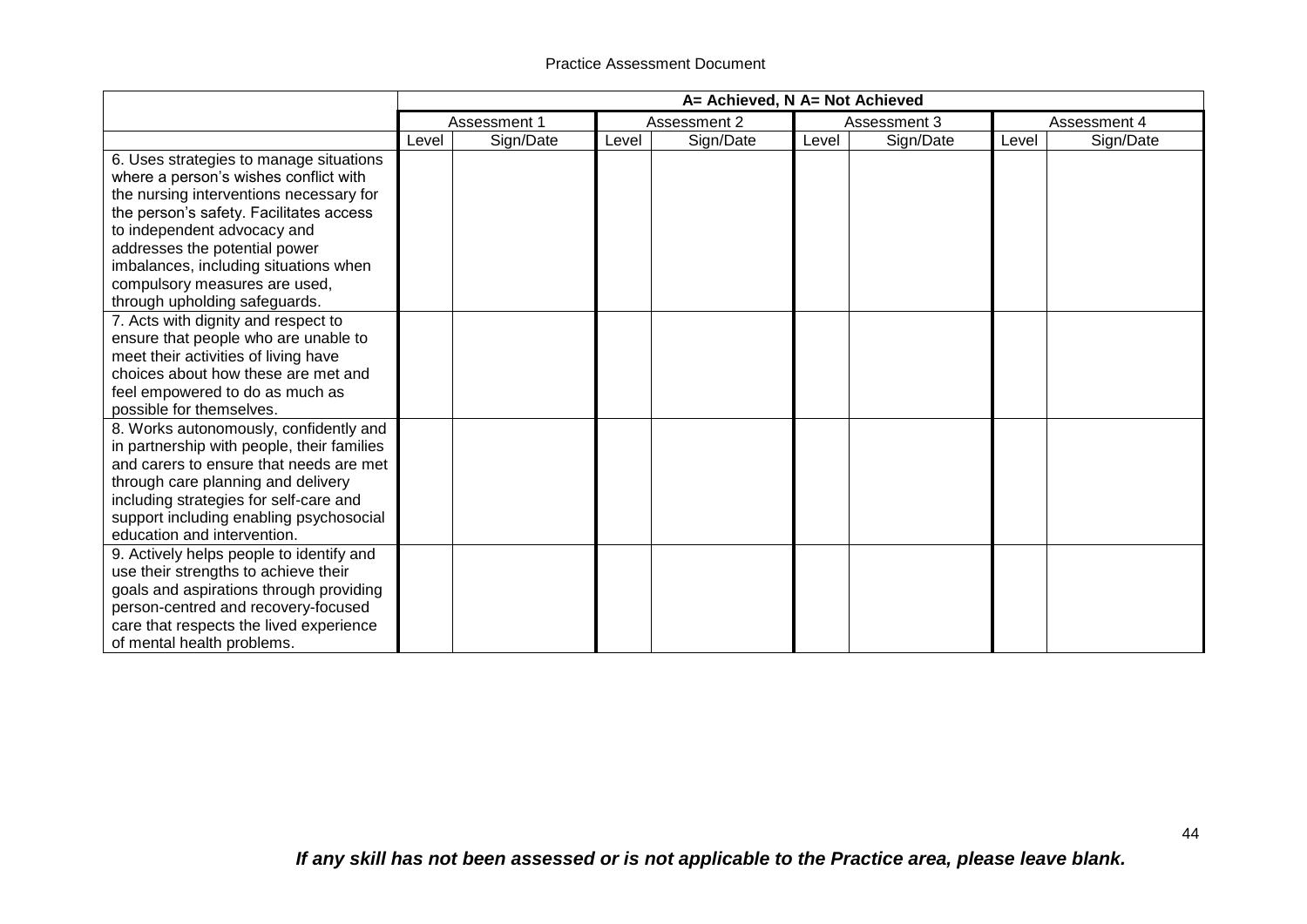|                                            | A= Achieved, N A= Not Achieved |           |       |           |              |              |       |           |
|--------------------------------------------|--------------------------------|-----------|-------|-----------|--------------|--------------|-------|-----------|
|                                            | Assessment 2<br>Assessment 1   |           |       |           | Assessment 3 | Assessment 4 |       |           |
|                                            | Level                          | Sign/Date | Level | Sign/Date | Level        | Sign/Date    | Level | Sign/Date |
| 6. Uses strategies to manage situations    |                                |           |       |           |              |              |       |           |
| where a person's wishes conflict with      |                                |           |       |           |              |              |       |           |
| the nursing interventions necessary for    |                                |           |       |           |              |              |       |           |
| the person's safety. Facilitates access    |                                |           |       |           |              |              |       |           |
| to independent advocacy and                |                                |           |       |           |              |              |       |           |
| addresses the potential power              |                                |           |       |           |              |              |       |           |
| imbalances, including situations when      |                                |           |       |           |              |              |       |           |
| compulsory measures are used,              |                                |           |       |           |              |              |       |           |
| through upholding safeguards.              |                                |           |       |           |              |              |       |           |
| 7. Acts with dignity and respect to        |                                |           |       |           |              |              |       |           |
| ensure that people who are unable to       |                                |           |       |           |              |              |       |           |
| meet their activities of living have       |                                |           |       |           |              |              |       |           |
| choices about how these are met and        |                                |           |       |           |              |              |       |           |
| feel empowered to do as much as            |                                |           |       |           |              |              |       |           |
| possible for themselves.                   |                                |           |       |           |              |              |       |           |
| 8. Works autonomously, confidently and     |                                |           |       |           |              |              |       |           |
| in partnership with people, their families |                                |           |       |           |              |              |       |           |
| and carers to ensure that needs are met    |                                |           |       |           |              |              |       |           |
| through care planning and delivery         |                                |           |       |           |              |              |       |           |
| including strategies for self-care and     |                                |           |       |           |              |              |       |           |
| support including enabling psychosocial    |                                |           |       |           |              |              |       |           |
| education and intervention.                |                                |           |       |           |              |              |       |           |
| 9. Actively helps people to identify and   |                                |           |       |           |              |              |       |           |
| use their strengths to achieve their       |                                |           |       |           |              |              |       |           |
| goals and aspirations through providing    |                                |           |       |           |              |              |       |           |
| person-centred and recovery-focused        |                                |           |       |           |              |              |       |           |
| care that respects the lived experience    |                                |           |       |           |              |              |       |           |
| of mental health problems.                 |                                |           |       |           |              |              |       |           |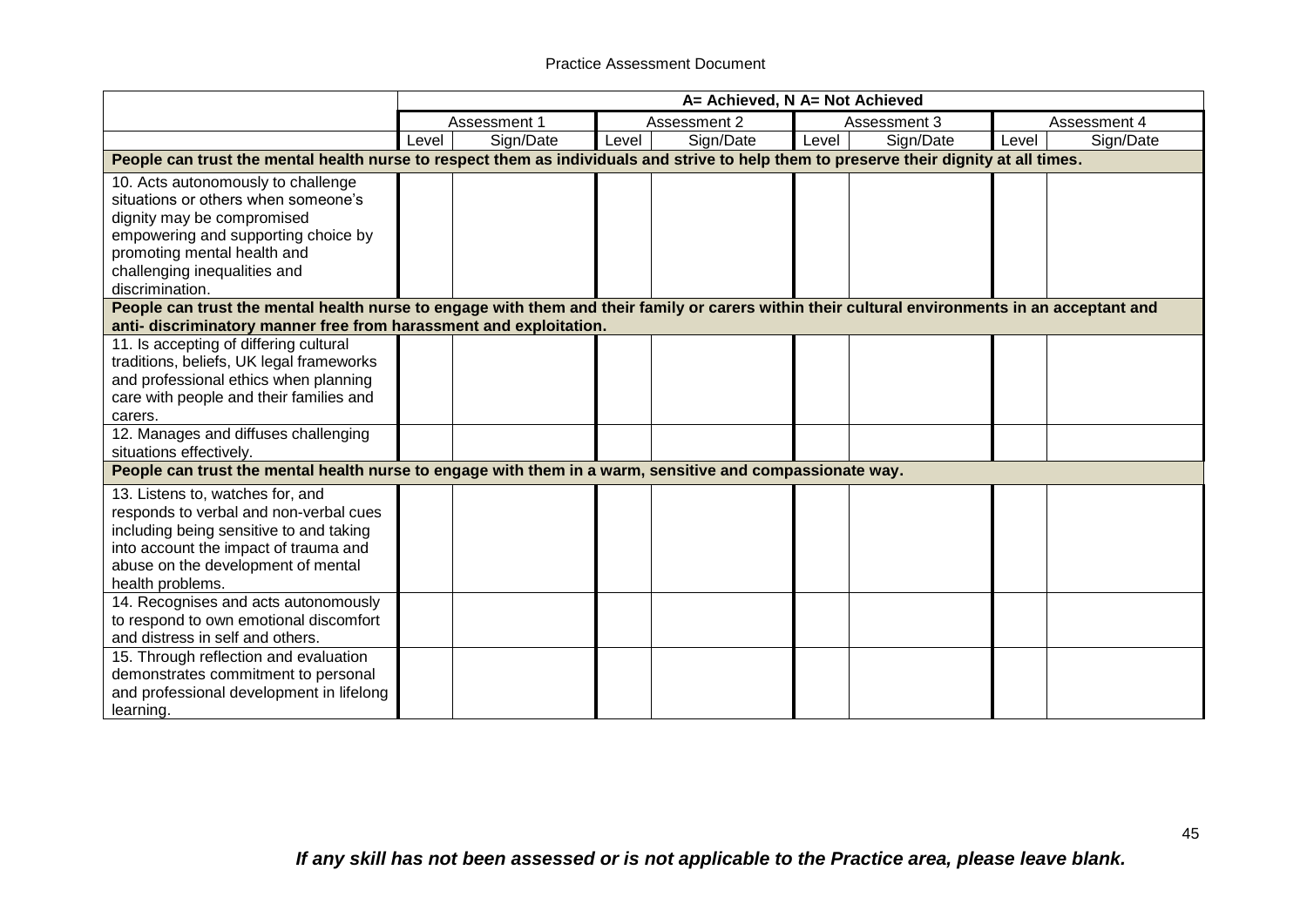|                                                                                                                                                                                                                                  |       |              |       | A= Achieved, N A= Not Achieved |       |              |       |              |
|----------------------------------------------------------------------------------------------------------------------------------------------------------------------------------------------------------------------------------|-------|--------------|-------|--------------------------------|-------|--------------|-------|--------------|
|                                                                                                                                                                                                                                  |       | Assessment 1 |       | Assessment 2                   |       | Assessment 3 |       | Assessment 4 |
|                                                                                                                                                                                                                                  | Level | Sign/Date    | Level | Sign/Date                      | Level | Sign/Date    | Level | Sign/Date    |
| People can trust the mental health nurse to respect them as individuals and strive to help them to preserve their dignity at all times.                                                                                          |       |              |       |                                |       |              |       |              |
| 10. Acts autonomously to challenge<br>situations or others when someone's<br>dignity may be compromised<br>empowering and supporting choice by<br>promoting mental health and<br>challenging inequalities and<br>discrimination. |       |              |       |                                |       |              |       |              |
| People can trust the mental health nurse to engage with them and their family or carers within their cultural environments in an acceptant and<br>anti- discriminatory manner free from harassment and exploitation.             |       |              |       |                                |       |              |       |              |
| 11. Is accepting of differing cultural<br>traditions, beliefs, UK legal frameworks<br>and professional ethics when planning<br>care with people and their families and<br>carers.                                                |       |              |       |                                |       |              |       |              |
| 12. Manages and diffuses challenging<br>situations effectively.                                                                                                                                                                  |       |              |       |                                |       |              |       |              |
| People can trust the mental health nurse to engage with them in a warm, sensitive and compassionate way.                                                                                                                         |       |              |       |                                |       |              |       |              |
| 13. Listens to, watches for, and<br>responds to verbal and non-verbal cues<br>including being sensitive to and taking<br>into account the impact of trauma and<br>abuse on the development of mental<br>health problems.         |       |              |       |                                |       |              |       |              |
| 14. Recognises and acts autonomously<br>to respond to own emotional discomfort<br>and distress in self and others.                                                                                                               |       |              |       |                                |       |              |       |              |
| 15. Through reflection and evaluation<br>demonstrates commitment to personal<br>and professional development in lifelong<br>learning.                                                                                            |       |              |       |                                |       |              |       |              |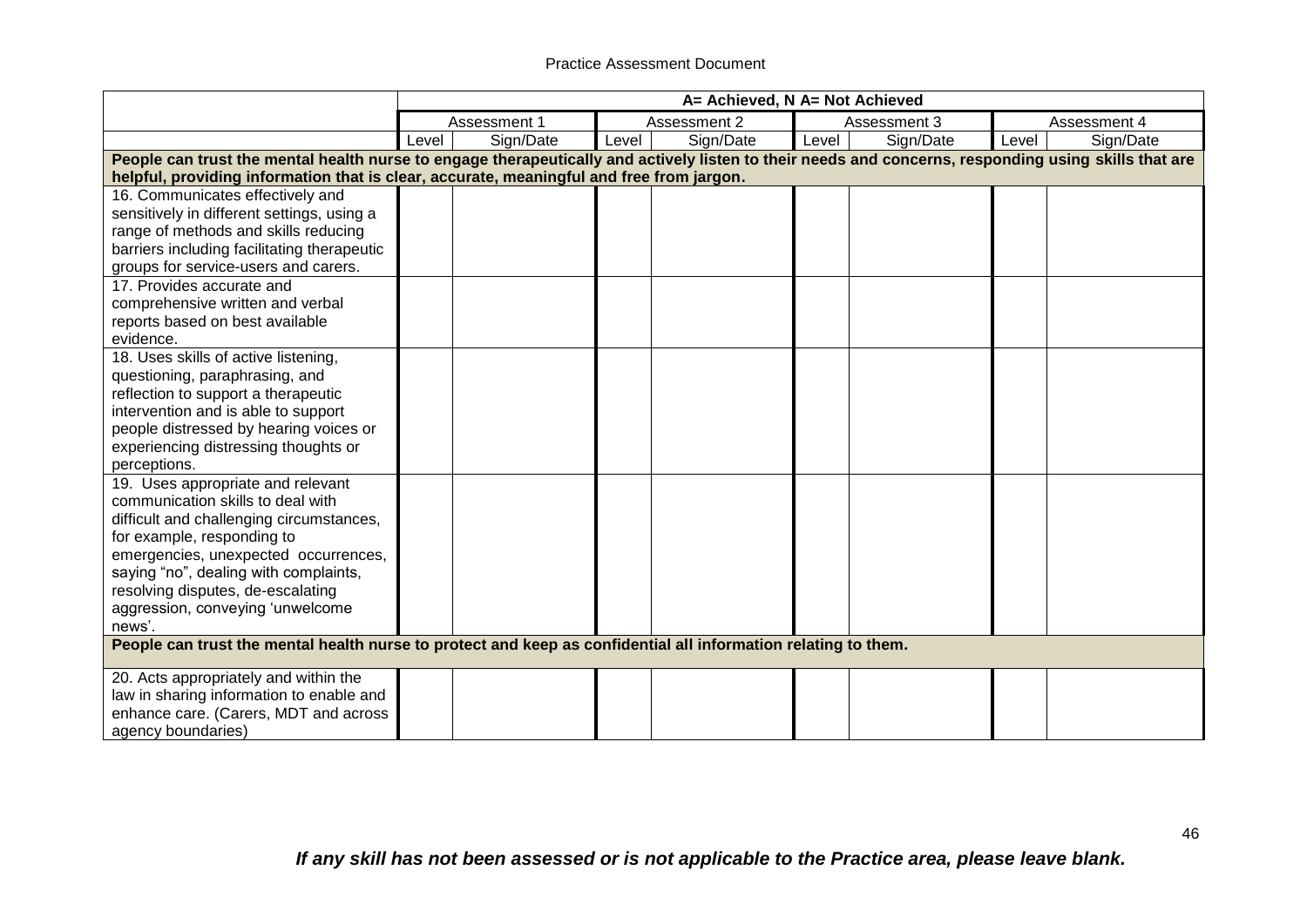|                                                                                                                                                                                                                                                                                                                      |       |              |              | A= Achieved, N A= Not Achieved |       |              |       |              |
|----------------------------------------------------------------------------------------------------------------------------------------------------------------------------------------------------------------------------------------------------------------------------------------------------------------------|-------|--------------|--------------|--------------------------------|-------|--------------|-------|--------------|
|                                                                                                                                                                                                                                                                                                                      |       | Assessment 1 | Assessment 2 |                                |       | Assessment 3 |       | Assessment 4 |
|                                                                                                                                                                                                                                                                                                                      | Level | Sign/Date    | Level        | Sign/Date                      | Level | Sign/Date    | Level | Sign/Date    |
| People can trust the mental health nurse to engage therapeutically and actively listen to their needs and concerns, responding using skills that are<br>helpful, providing information that is clear, accurate, meaningful and free from jargon.                                                                     |       |              |              |                                |       |              |       |              |
| 16. Communicates effectively and<br>sensitively in different settings, using a<br>range of methods and skills reducing<br>barriers including facilitating therapeutic<br>groups for service-users and carers.<br>17. Provides accurate and<br>comprehensive written and verbal                                       |       |              |              |                                |       |              |       |              |
| reports based on best available<br>evidence.                                                                                                                                                                                                                                                                         |       |              |              |                                |       |              |       |              |
| 18. Uses skills of active listening,<br>questioning, paraphrasing, and<br>reflection to support a therapeutic<br>intervention and is able to support<br>people distressed by hearing voices or<br>experiencing distressing thoughts or<br>perceptions.                                                               |       |              |              |                                |       |              |       |              |
| 19. Uses appropriate and relevant<br>communication skills to deal with<br>difficult and challenging circumstances,<br>for example, responding to<br>emergencies, unexpected occurrences,<br>saying "no", dealing with complaints,<br>resolving disputes, de-escalating<br>aggression, conveying 'unwelcome<br>news'. |       |              |              |                                |       |              |       |              |
| People can trust the mental health nurse to protect and keep as confidential all information relating to them.                                                                                                                                                                                                       |       |              |              |                                |       |              |       |              |
| 20. Acts appropriately and within the<br>law in sharing information to enable and<br>enhance care. (Carers, MDT and across<br>agency boundaries)                                                                                                                                                                     |       |              |              |                                |       |              |       |              |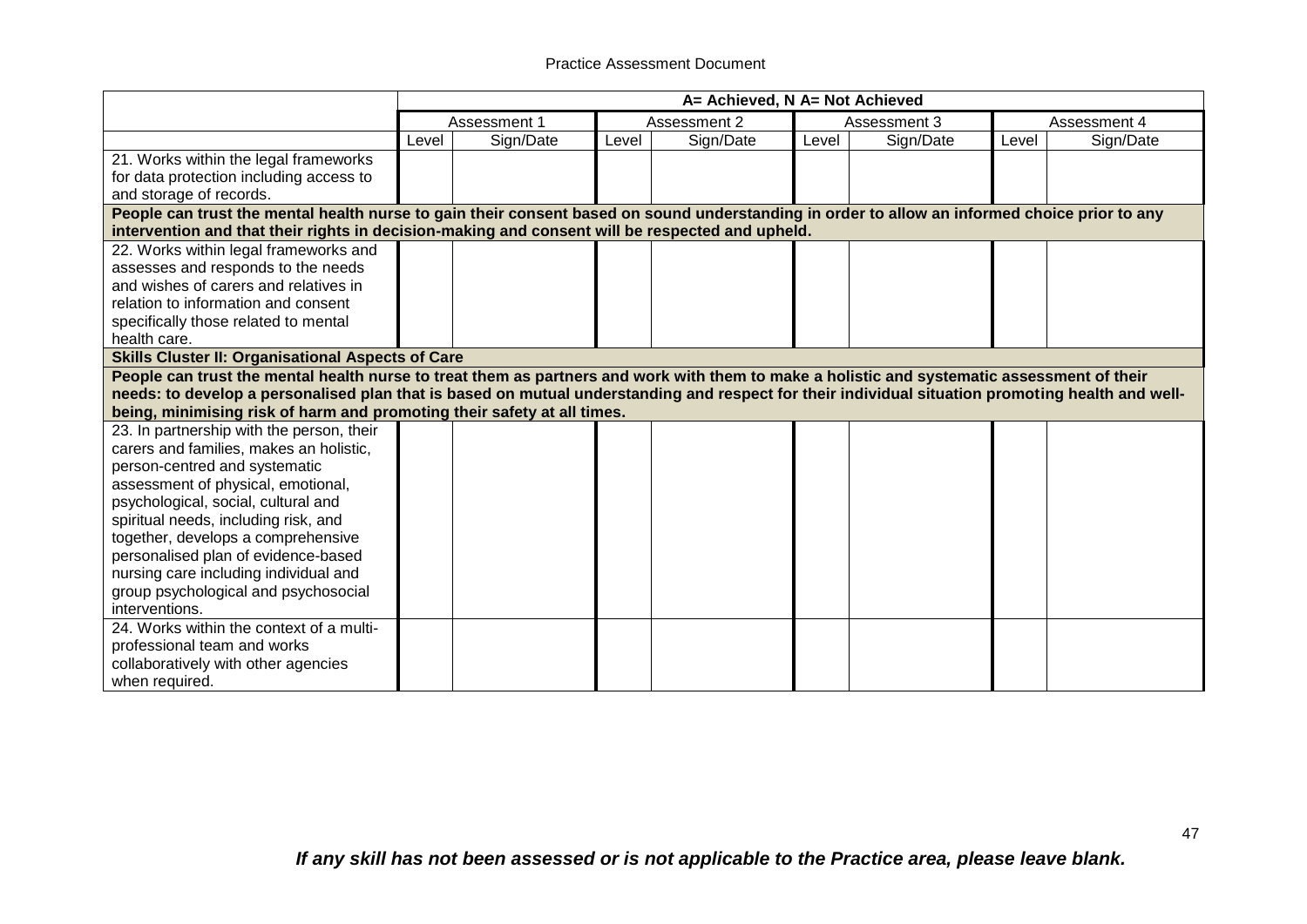|                                                                                                                                                   | A= Achieved, N A= Not Achieved |              |       |              |       |              |       |              |
|---------------------------------------------------------------------------------------------------------------------------------------------------|--------------------------------|--------------|-------|--------------|-------|--------------|-------|--------------|
|                                                                                                                                                   |                                | Assessment 1 |       | Assessment 2 |       | Assessment 3 |       | Assessment 4 |
|                                                                                                                                                   | Level                          | Sign/Date    | Level | Sign/Date    | Level | Sign/Date    | Level | Sign/Date    |
| 21. Works within the legal frameworks                                                                                                             |                                |              |       |              |       |              |       |              |
| for data protection including access to                                                                                                           |                                |              |       |              |       |              |       |              |
| and storage of records.                                                                                                                           |                                |              |       |              |       |              |       |              |
| People can trust the mental health nurse to gain their consent based on sound understanding in order to allow an informed choice prior to any     |                                |              |       |              |       |              |       |              |
| intervention and that their rights in decision-making and consent will be respected and upheld.                                                   |                                |              |       |              |       |              |       |              |
| 22. Works within legal frameworks and                                                                                                             |                                |              |       |              |       |              |       |              |
| assesses and responds to the needs                                                                                                                |                                |              |       |              |       |              |       |              |
| and wishes of carers and relatives in                                                                                                             |                                |              |       |              |       |              |       |              |
| relation to information and consent                                                                                                               |                                |              |       |              |       |              |       |              |
| specifically those related to mental                                                                                                              |                                |              |       |              |       |              |       |              |
| health care.                                                                                                                                      |                                |              |       |              |       |              |       |              |
| Skills Cluster II: Organisational Aspects of Care                                                                                                 |                                |              |       |              |       |              |       |              |
| People can trust the mental health nurse to treat them as partners and work with them to make a holistic and systematic assessment of their       |                                |              |       |              |       |              |       |              |
| needs: to develop a personalised plan that is based on mutual understanding and respect for their individual situation promoting health and well- |                                |              |       |              |       |              |       |              |
| being, minimising risk of harm and promoting their safety at all times.                                                                           |                                |              |       |              |       |              |       |              |
| 23. In partnership with the person, their                                                                                                         |                                |              |       |              |       |              |       |              |
| carers and families, makes an holistic,                                                                                                           |                                |              |       |              |       |              |       |              |
| person-centred and systematic                                                                                                                     |                                |              |       |              |       |              |       |              |
| assessment of physical, emotional,                                                                                                                |                                |              |       |              |       |              |       |              |
| psychological, social, cultural and                                                                                                               |                                |              |       |              |       |              |       |              |
| spiritual needs, including risk, and                                                                                                              |                                |              |       |              |       |              |       |              |
| together, develops a comprehensive                                                                                                                |                                |              |       |              |       |              |       |              |
| personalised plan of evidence-based                                                                                                               |                                |              |       |              |       |              |       |              |
| nursing care including individual and                                                                                                             |                                |              |       |              |       |              |       |              |
| group psychological and psychosocial                                                                                                              |                                |              |       |              |       |              |       |              |
| interventions.                                                                                                                                    |                                |              |       |              |       |              |       |              |
| 24. Works within the context of a multi-                                                                                                          |                                |              |       |              |       |              |       |              |
| professional team and works                                                                                                                       |                                |              |       |              |       |              |       |              |
| collaboratively with other agencies                                                                                                               |                                |              |       |              |       |              |       |              |
| when required.                                                                                                                                    |                                |              |       |              |       |              |       |              |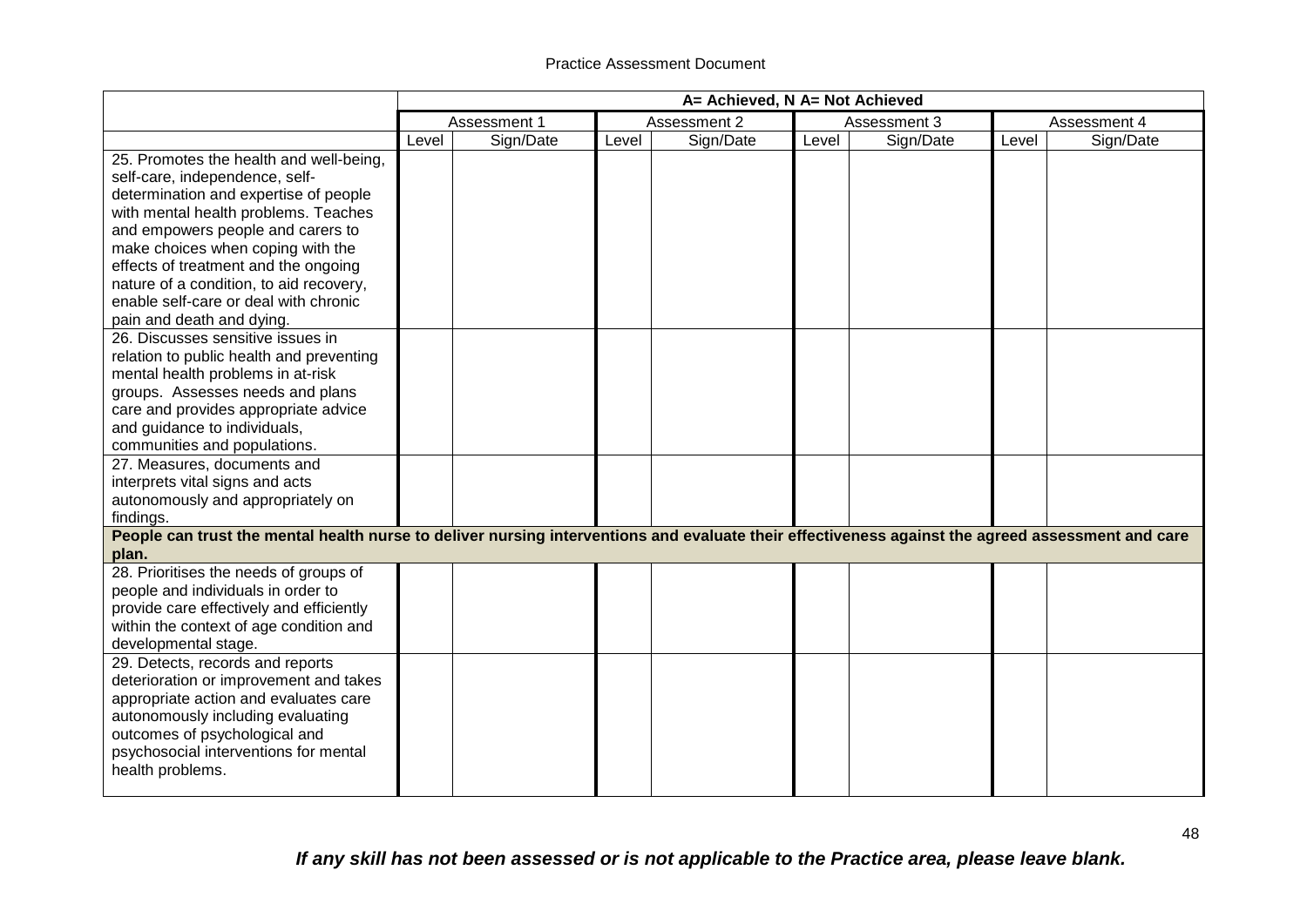|                                                                                                                                                                                                                                                                                                                                                                                               | A= Achieved, N A= Not Achieved |              |       |              |       |              |       |              |
|-----------------------------------------------------------------------------------------------------------------------------------------------------------------------------------------------------------------------------------------------------------------------------------------------------------------------------------------------------------------------------------------------|--------------------------------|--------------|-------|--------------|-------|--------------|-------|--------------|
|                                                                                                                                                                                                                                                                                                                                                                                               |                                | Assessment 1 |       | Assessment 2 |       | Assessment 3 |       | Assessment 4 |
|                                                                                                                                                                                                                                                                                                                                                                                               | Level                          | Sign/Date    | Level | Sign/Date    | Level | Sign/Date    | Level | Sign/Date    |
| 25. Promotes the health and well-being,<br>self-care, independence, self-<br>determination and expertise of people<br>with mental health problems. Teaches<br>and empowers people and carers to<br>make choices when coping with the<br>effects of treatment and the ongoing<br>nature of a condition, to aid recovery,<br>enable self-care or deal with chronic<br>pain and death and dying. |                                |              |       |              |       |              |       |              |
| 26. Discusses sensitive issues in<br>relation to public health and preventing<br>mental health problems in at-risk<br>groups. Assesses needs and plans<br>care and provides appropriate advice<br>and guidance to individuals,<br>communities and populations.                                                                                                                                |                                |              |       |              |       |              |       |              |
| 27. Measures, documents and<br>interprets vital signs and acts<br>autonomously and appropriately on<br>findings.                                                                                                                                                                                                                                                                              |                                |              |       |              |       |              |       |              |
| People can trust the mental health nurse to deliver nursing interventions and evaluate their effectiveness against the agreed assessment and care<br>plan.                                                                                                                                                                                                                                    |                                |              |       |              |       |              |       |              |
| 28. Prioritises the needs of groups of<br>people and individuals in order to<br>provide care effectively and efficiently<br>within the context of age condition and<br>developmental stage.                                                                                                                                                                                                   |                                |              |       |              |       |              |       |              |
| 29. Detects, records and reports<br>deterioration or improvement and takes<br>appropriate action and evaluates care<br>autonomously including evaluating<br>outcomes of psychological and<br>psychosocial interventions for mental<br>health problems.                                                                                                                                        |                                |              |       |              |       |              |       |              |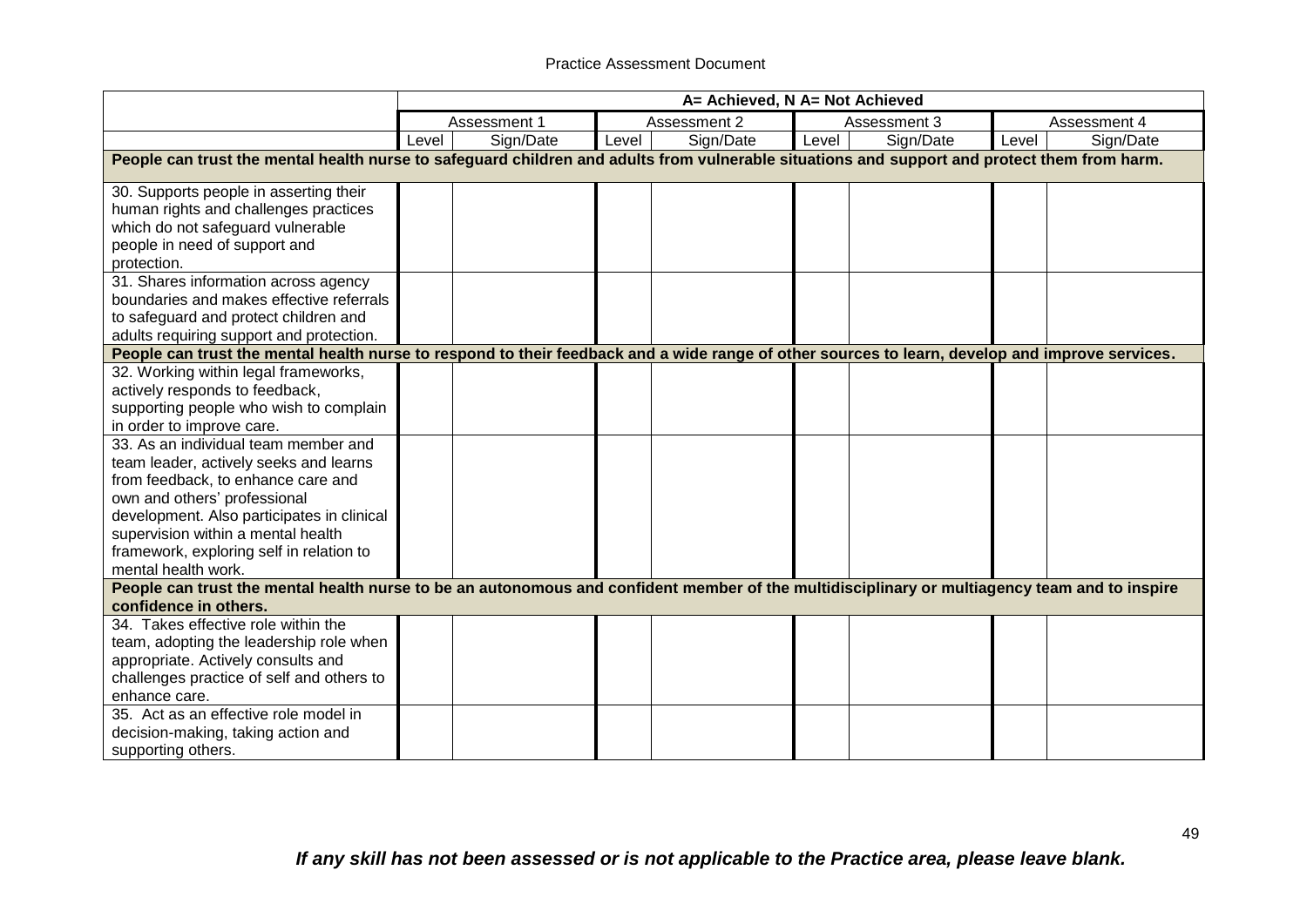|                                                                                                                                                 |       | A= Achieved, N A= Not Achieved |       |              |       |              |       |              |  |  |
|-------------------------------------------------------------------------------------------------------------------------------------------------|-------|--------------------------------|-------|--------------|-------|--------------|-------|--------------|--|--|
|                                                                                                                                                 |       | Assessment 1                   |       | Assessment 2 |       | Assessment 3 |       | Assessment 4 |  |  |
|                                                                                                                                                 | Level | Sign/Date                      | Level | Sign/Date    | Level | Sign/Date    | Level | Sign/Date    |  |  |
| People can trust the mental health nurse to safeguard children and adults from vulnerable situations and support and protect them from harm.    |       |                                |       |              |       |              |       |              |  |  |
| 30. Supports people in asserting their                                                                                                          |       |                                |       |              |       |              |       |              |  |  |
| human rights and challenges practices                                                                                                           |       |                                |       |              |       |              |       |              |  |  |
| which do not safeguard vulnerable                                                                                                               |       |                                |       |              |       |              |       |              |  |  |
| people in need of support and                                                                                                                   |       |                                |       |              |       |              |       |              |  |  |
| protection.                                                                                                                                     |       |                                |       |              |       |              |       |              |  |  |
| 31. Shares information across agency                                                                                                            |       |                                |       |              |       |              |       |              |  |  |
| boundaries and makes effective referrals                                                                                                        |       |                                |       |              |       |              |       |              |  |  |
| to safeguard and protect children and                                                                                                           |       |                                |       |              |       |              |       |              |  |  |
| adults requiring support and protection.                                                                                                        |       |                                |       |              |       |              |       |              |  |  |
| People can trust the mental health nurse to respond to their feedback and a wide range of other sources to learn, develop and improve services. |       |                                |       |              |       |              |       |              |  |  |
| 32. Working within legal frameworks,                                                                                                            |       |                                |       |              |       |              |       |              |  |  |
| actively responds to feedback,                                                                                                                  |       |                                |       |              |       |              |       |              |  |  |
| supporting people who wish to complain                                                                                                          |       |                                |       |              |       |              |       |              |  |  |
| in order to improve care.                                                                                                                       |       |                                |       |              |       |              |       |              |  |  |
| 33. As an individual team member and                                                                                                            |       |                                |       |              |       |              |       |              |  |  |
| team leader, actively seeks and learns                                                                                                          |       |                                |       |              |       |              |       |              |  |  |
| from feedback, to enhance care and                                                                                                              |       |                                |       |              |       |              |       |              |  |  |
| own and others' professional                                                                                                                    |       |                                |       |              |       |              |       |              |  |  |
| development. Also participates in clinical                                                                                                      |       |                                |       |              |       |              |       |              |  |  |
| supervision within a mental health                                                                                                              |       |                                |       |              |       |              |       |              |  |  |
| framework, exploring self in relation to<br>mental health work.                                                                                 |       |                                |       |              |       |              |       |              |  |  |
| People can trust the mental health nurse to be an autonomous and confident member of the multidisciplinary or multiagency team and to inspire   |       |                                |       |              |       |              |       |              |  |  |
| confidence in others.                                                                                                                           |       |                                |       |              |       |              |       |              |  |  |
| 34. Takes effective role within the                                                                                                             |       |                                |       |              |       |              |       |              |  |  |
| team, adopting the leadership role when                                                                                                         |       |                                |       |              |       |              |       |              |  |  |
| appropriate. Actively consults and                                                                                                              |       |                                |       |              |       |              |       |              |  |  |
| challenges practice of self and others to                                                                                                       |       |                                |       |              |       |              |       |              |  |  |
| enhance care.                                                                                                                                   |       |                                |       |              |       |              |       |              |  |  |
| 35. Act as an effective role model in                                                                                                           |       |                                |       |              |       |              |       |              |  |  |
| decision-making, taking action and                                                                                                              |       |                                |       |              |       |              |       |              |  |  |
| supporting others.                                                                                                                              |       |                                |       |              |       |              |       |              |  |  |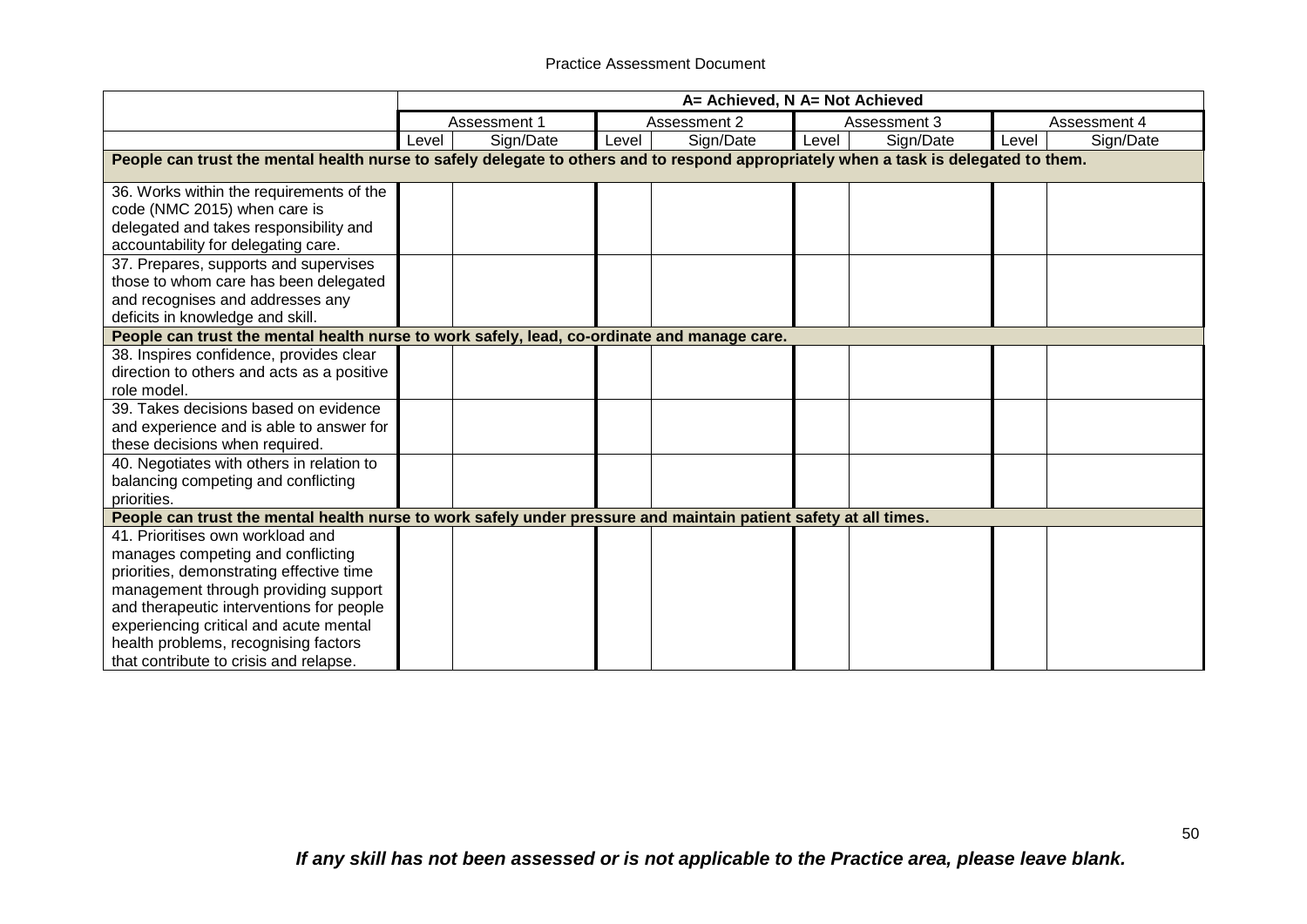|                                                                                                                                                                                                                                                                                                                                   |       | A= Achieved, N A= Not Achieved |       |              |       |              |       |              |  |  |
|-----------------------------------------------------------------------------------------------------------------------------------------------------------------------------------------------------------------------------------------------------------------------------------------------------------------------------------|-------|--------------------------------|-------|--------------|-------|--------------|-------|--------------|--|--|
|                                                                                                                                                                                                                                                                                                                                   |       | Assessment 1                   |       | Assessment 2 |       | Assessment 3 |       | Assessment 4 |  |  |
|                                                                                                                                                                                                                                                                                                                                   | Level | Sign/Date                      | Level | Sign/Date    | Level | Sign/Date    | Level | Sign/Date    |  |  |
| People can trust the mental health nurse to safely delegate to others and to respond appropriately when a task is delegated to them.                                                                                                                                                                                              |       |                                |       |              |       |              |       |              |  |  |
| 36. Works within the requirements of the<br>code (NMC 2015) when care is<br>delegated and takes responsibility and<br>accountability for delegating care.                                                                                                                                                                         |       |                                |       |              |       |              |       |              |  |  |
| 37. Prepares, supports and supervises<br>those to whom care has been delegated<br>and recognises and addresses any<br>deficits in knowledge and skill.                                                                                                                                                                            |       |                                |       |              |       |              |       |              |  |  |
| People can trust the mental health nurse to work safely, lead, co-ordinate and manage care.                                                                                                                                                                                                                                       |       |                                |       |              |       |              |       |              |  |  |
| 38. Inspires confidence, provides clear<br>direction to others and acts as a positive<br>role model.                                                                                                                                                                                                                              |       |                                |       |              |       |              |       |              |  |  |
| 39. Takes decisions based on evidence<br>and experience and is able to answer for<br>these decisions when required.                                                                                                                                                                                                               |       |                                |       |              |       |              |       |              |  |  |
| 40. Negotiates with others in relation to<br>balancing competing and conflicting<br>priorities.                                                                                                                                                                                                                                   |       |                                |       |              |       |              |       |              |  |  |
| People can trust the mental health nurse to work safely under pressure and maintain patient safety at all times.                                                                                                                                                                                                                  |       |                                |       |              |       |              |       |              |  |  |
| 41. Prioritises own workload and<br>manages competing and conflicting<br>priorities, demonstrating effective time<br>management through providing support<br>and therapeutic interventions for people<br>experiencing critical and acute mental<br>health problems, recognising factors<br>that contribute to crisis and relapse. |       |                                |       |              |       |              |       |              |  |  |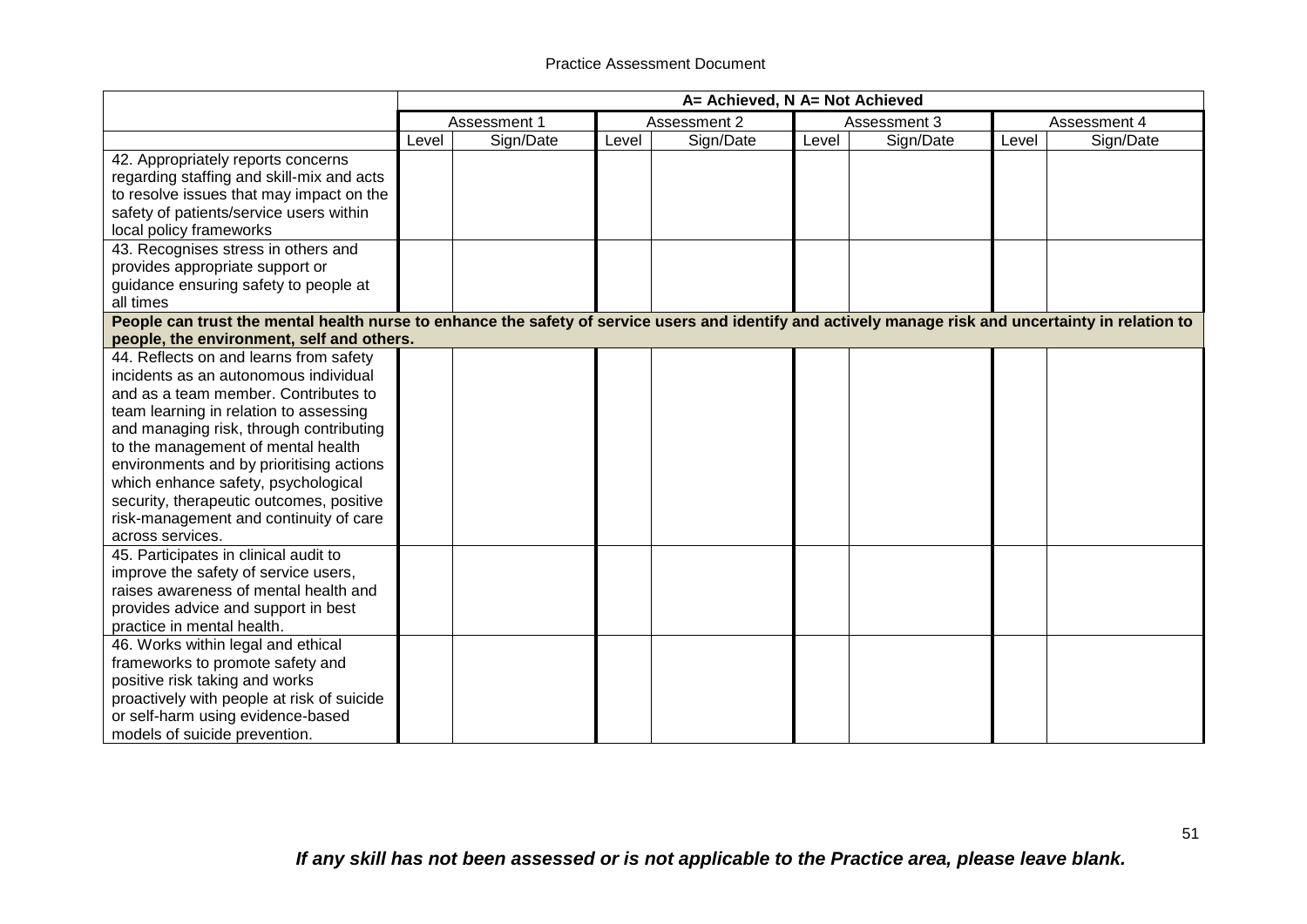|                                                                                                                                                                                                                                                                                                                                                                                                                                                 | A= Achieved, N A= Not Achieved |              |       |              |       |              |       |              |
|-------------------------------------------------------------------------------------------------------------------------------------------------------------------------------------------------------------------------------------------------------------------------------------------------------------------------------------------------------------------------------------------------------------------------------------------------|--------------------------------|--------------|-------|--------------|-------|--------------|-------|--------------|
|                                                                                                                                                                                                                                                                                                                                                                                                                                                 |                                | Assessment 1 |       | Assessment 2 |       | Assessment 3 |       | Assessment 4 |
|                                                                                                                                                                                                                                                                                                                                                                                                                                                 | Level                          | Sign/Date    | Level | Sign/Date    | Level | Sign/Date    | Level | Sign/Date    |
| 42. Appropriately reports concerns<br>regarding staffing and skill-mix and acts<br>to resolve issues that may impact on the<br>safety of patients/service users within                                                                                                                                                                                                                                                                          |                                |              |       |              |       |              |       |              |
| local policy frameworks<br>43. Recognises stress in others and<br>provides appropriate support or<br>guidance ensuring safety to people at<br>all times                                                                                                                                                                                                                                                                                         |                                |              |       |              |       |              |       |              |
| People can trust the mental health nurse to enhance the safety of service users and identify and actively manage risk and uncertainty in relation to<br>people, the environment, self and others.                                                                                                                                                                                                                                               |                                |              |       |              |       |              |       |              |
| 44. Reflects on and learns from safety<br>incidents as an autonomous individual<br>and as a team member. Contributes to<br>team learning in relation to assessing<br>and managing risk, through contributing<br>to the management of mental health<br>environments and by prioritising actions<br>which enhance safety, psychological<br>security, therapeutic outcomes, positive<br>risk-management and continuity of care<br>across services. |                                |              |       |              |       |              |       |              |
| 45. Participates in clinical audit to<br>improve the safety of service users,<br>raises awareness of mental health and<br>provides advice and support in best<br>practice in mental health.                                                                                                                                                                                                                                                     |                                |              |       |              |       |              |       |              |
| 46. Works within legal and ethical<br>frameworks to promote safety and<br>positive risk taking and works<br>proactively with people at risk of suicide<br>or self-harm using evidence-based<br>models of suicide prevention.                                                                                                                                                                                                                    |                                |              |       |              |       |              |       |              |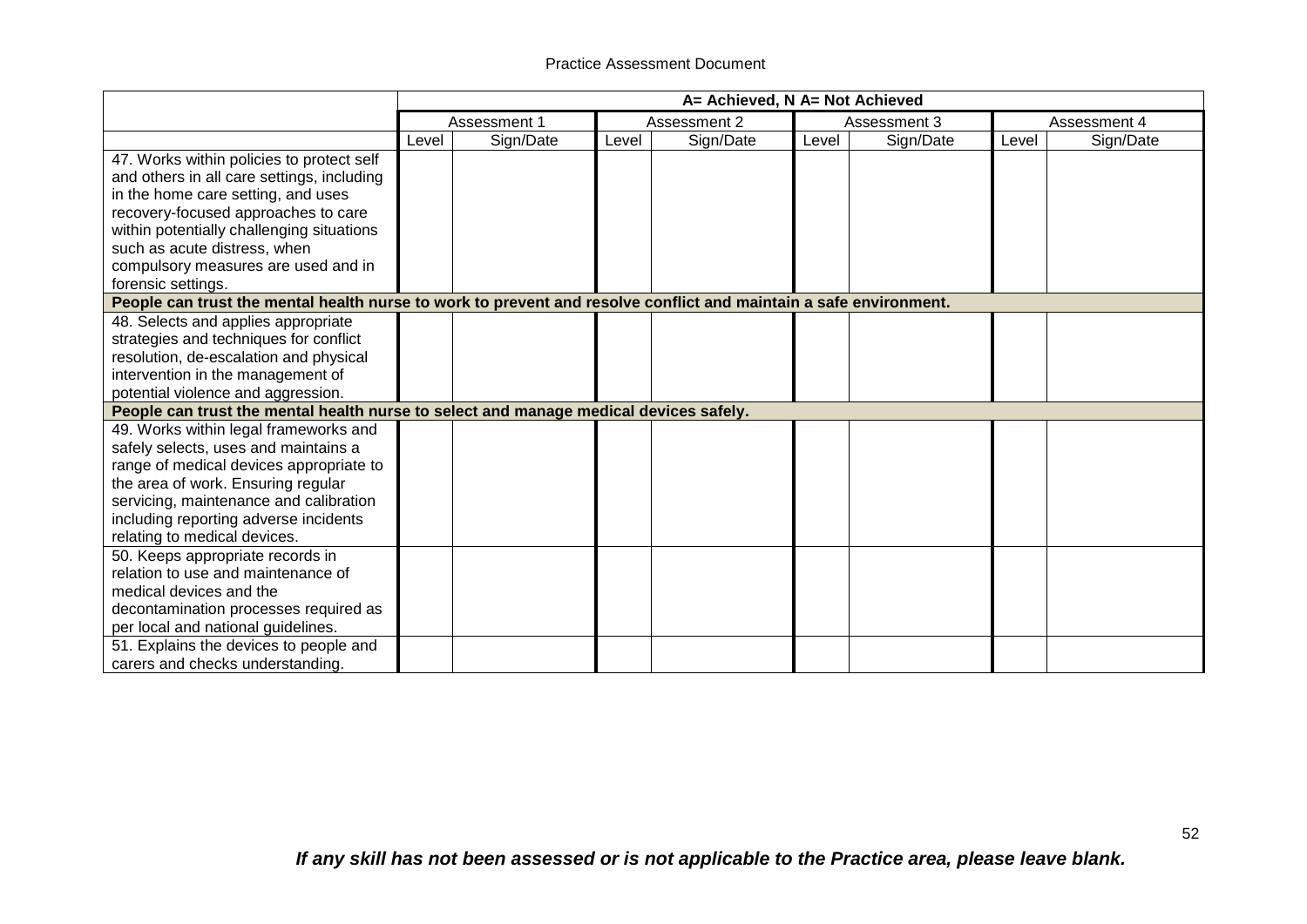|                                                                                                                   | A= Achieved, N A= Not Achieved |              |       |              |       |              |       |              |
|-------------------------------------------------------------------------------------------------------------------|--------------------------------|--------------|-------|--------------|-------|--------------|-------|--------------|
|                                                                                                                   |                                | Assessment 1 |       | Assessment 2 |       | Assessment 3 |       | Assessment 4 |
|                                                                                                                   | Level                          | Sign/Date    | Level | Sign/Date    | Level | Sign/Date    | Level | Sign/Date    |
| 47. Works within policies to protect self                                                                         |                                |              |       |              |       |              |       |              |
| and others in all care settings, including                                                                        |                                |              |       |              |       |              |       |              |
| in the home care setting, and uses                                                                                |                                |              |       |              |       |              |       |              |
| recovery-focused approaches to care                                                                               |                                |              |       |              |       |              |       |              |
| within potentially challenging situations                                                                         |                                |              |       |              |       |              |       |              |
| such as acute distress, when                                                                                      |                                |              |       |              |       |              |       |              |
| compulsory measures are used and in                                                                               |                                |              |       |              |       |              |       |              |
| forensic settings.                                                                                                |                                |              |       |              |       |              |       |              |
| People can trust the mental health nurse to work to prevent and resolve conflict and maintain a safe environment. |                                |              |       |              |       |              |       |              |
| 48. Selects and applies appropriate                                                                               |                                |              |       |              |       |              |       |              |
| strategies and techniques for conflict                                                                            |                                |              |       |              |       |              |       |              |
| resolution, de-escalation and physical                                                                            |                                |              |       |              |       |              |       |              |
| intervention in the management of                                                                                 |                                |              |       |              |       |              |       |              |
| potential violence and aggression.                                                                                |                                |              |       |              |       |              |       |              |
| People can trust the mental health nurse to select and manage medical devices safely.                             |                                |              |       |              |       |              |       |              |
| 49. Works within legal frameworks and                                                                             |                                |              |       |              |       |              |       |              |
| safely selects, uses and maintains a                                                                              |                                |              |       |              |       |              |       |              |
| range of medical devices appropriate to                                                                           |                                |              |       |              |       |              |       |              |
| the area of work. Ensuring regular                                                                                |                                |              |       |              |       |              |       |              |
| servicing, maintenance and calibration                                                                            |                                |              |       |              |       |              |       |              |
| including reporting adverse incidents                                                                             |                                |              |       |              |       |              |       |              |
| relating to medical devices.                                                                                      |                                |              |       |              |       |              |       |              |
| 50. Keeps appropriate records in                                                                                  |                                |              |       |              |       |              |       |              |
| relation to use and maintenance of                                                                                |                                |              |       |              |       |              |       |              |
| medical devices and the                                                                                           |                                |              |       |              |       |              |       |              |
| decontamination processes required as                                                                             |                                |              |       |              |       |              |       |              |
| per local and national guidelines.                                                                                |                                |              |       |              |       |              |       |              |
| 51. Explains the devices to people and                                                                            |                                |              |       |              |       |              |       |              |
| carers and checks understanding.                                                                                  |                                |              |       |              |       |              |       |              |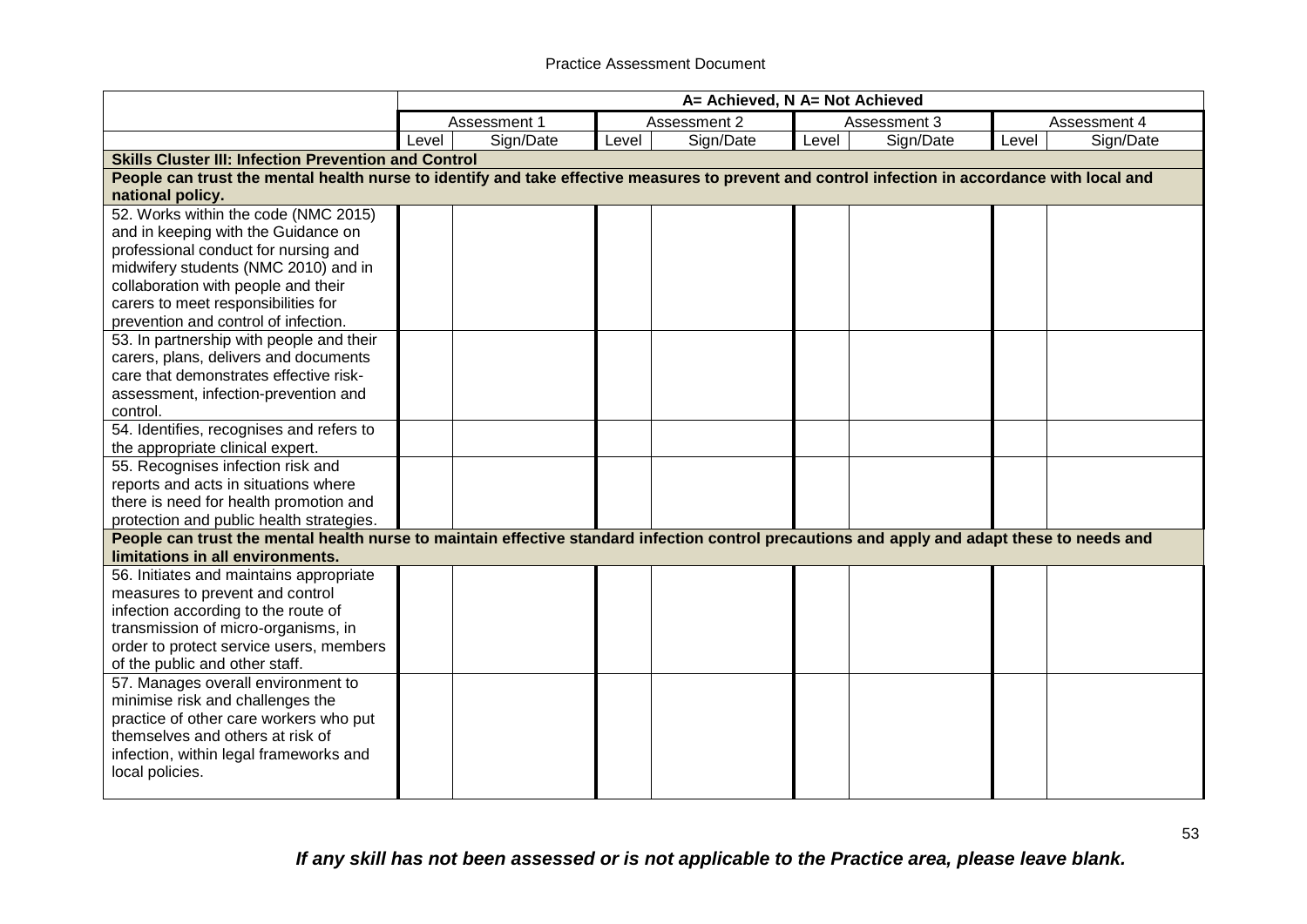|                                                                                                                                                | A= Achieved, N A= Not Achieved |              |       |              |       |              |       |              |  |
|------------------------------------------------------------------------------------------------------------------------------------------------|--------------------------------|--------------|-------|--------------|-------|--------------|-------|--------------|--|
|                                                                                                                                                |                                | Assessment 1 |       | Assessment 2 |       | Assessment 3 |       | Assessment 4 |  |
|                                                                                                                                                | Level                          | Sign/Date    | Level | Sign/Date    | Level | Sign/Date    | Level | Sign/Date    |  |
| <b>Skills Cluster III: Infection Prevention and Control</b>                                                                                    |                                |              |       |              |       |              |       |              |  |
| People can trust the mental health nurse to identify and take effective measures to prevent and control infection in accordance with local and |                                |              |       |              |       |              |       |              |  |
| national policy.                                                                                                                               |                                |              |       |              |       |              |       |              |  |
| 52. Works within the code (NMC 2015)                                                                                                           |                                |              |       |              |       |              |       |              |  |
| and in keeping with the Guidance on                                                                                                            |                                |              |       |              |       |              |       |              |  |
| professional conduct for nursing and                                                                                                           |                                |              |       |              |       |              |       |              |  |
| midwifery students (NMC 2010) and in                                                                                                           |                                |              |       |              |       |              |       |              |  |
| collaboration with people and their                                                                                                            |                                |              |       |              |       |              |       |              |  |
| carers to meet responsibilities for                                                                                                            |                                |              |       |              |       |              |       |              |  |
| prevention and control of infection.                                                                                                           |                                |              |       |              |       |              |       |              |  |
| 53. In partnership with people and their                                                                                                       |                                |              |       |              |       |              |       |              |  |
| carers, plans, delivers and documents                                                                                                          |                                |              |       |              |       |              |       |              |  |
| care that demonstrates effective risk-                                                                                                         |                                |              |       |              |       |              |       |              |  |
| assessment, infection-prevention and                                                                                                           |                                |              |       |              |       |              |       |              |  |
| control.                                                                                                                                       |                                |              |       |              |       |              |       |              |  |
| 54. Identifies, recognises and refers to                                                                                                       |                                |              |       |              |       |              |       |              |  |
| the appropriate clinical expert.                                                                                                               |                                |              |       |              |       |              |       |              |  |
| 55. Recognises infection risk and                                                                                                              |                                |              |       |              |       |              |       |              |  |
| reports and acts in situations where                                                                                                           |                                |              |       |              |       |              |       |              |  |
| there is need for health promotion and                                                                                                         |                                |              |       |              |       |              |       |              |  |
| protection and public health strategies.                                                                                                       |                                |              |       |              |       |              |       |              |  |
| People can trust the mental health nurse to maintain effective standard infection control precautions and apply and adapt these to needs and   |                                |              |       |              |       |              |       |              |  |
| limitations in all environments.                                                                                                               |                                |              |       |              |       |              |       |              |  |
| 56. Initiates and maintains appropriate                                                                                                        |                                |              |       |              |       |              |       |              |  |
| measures to prevent and control                                                                                                                |                                |              |       |              |       |              |       |              |  |
| infection according to the route of                                                                                                            |                                |              |       |              |       |              |       |              |  |
| transmission of micro-organisms, in                                                                                                            |                                |              |       |              |       |              |       |              |  |
| order to protect service users, members                                                                                                        |                                |              |       |              |       |              |       |              |  |
| of the public and other staff.                                                                                                                 |                                |              |       |              |       |              |       |              |  |
| 57. Manages overall environment to                                                                                                             |                                |              |       |              |       |              |       |              |  |
| minimise risk and challenges the                                                                                                               |                                |              |       |              |       |              |       |              |  |
| practice of other care workers who put                                                                                                         |                                |              |       |              |       |              |       |              |  |
| themselves and others at risk of                                                                                                               |                                |              |       |              |       |              |       |              |  |
| infection, within legal frameworks and                                                                                                         |                                |              |       |              |       |              |       |              |  |
| local policies.                                                                                                                                |                                |              |       |              |       |              |       |              |  |
|                                                                                                                                                |                                |              |       |              |       |              |       |              |  |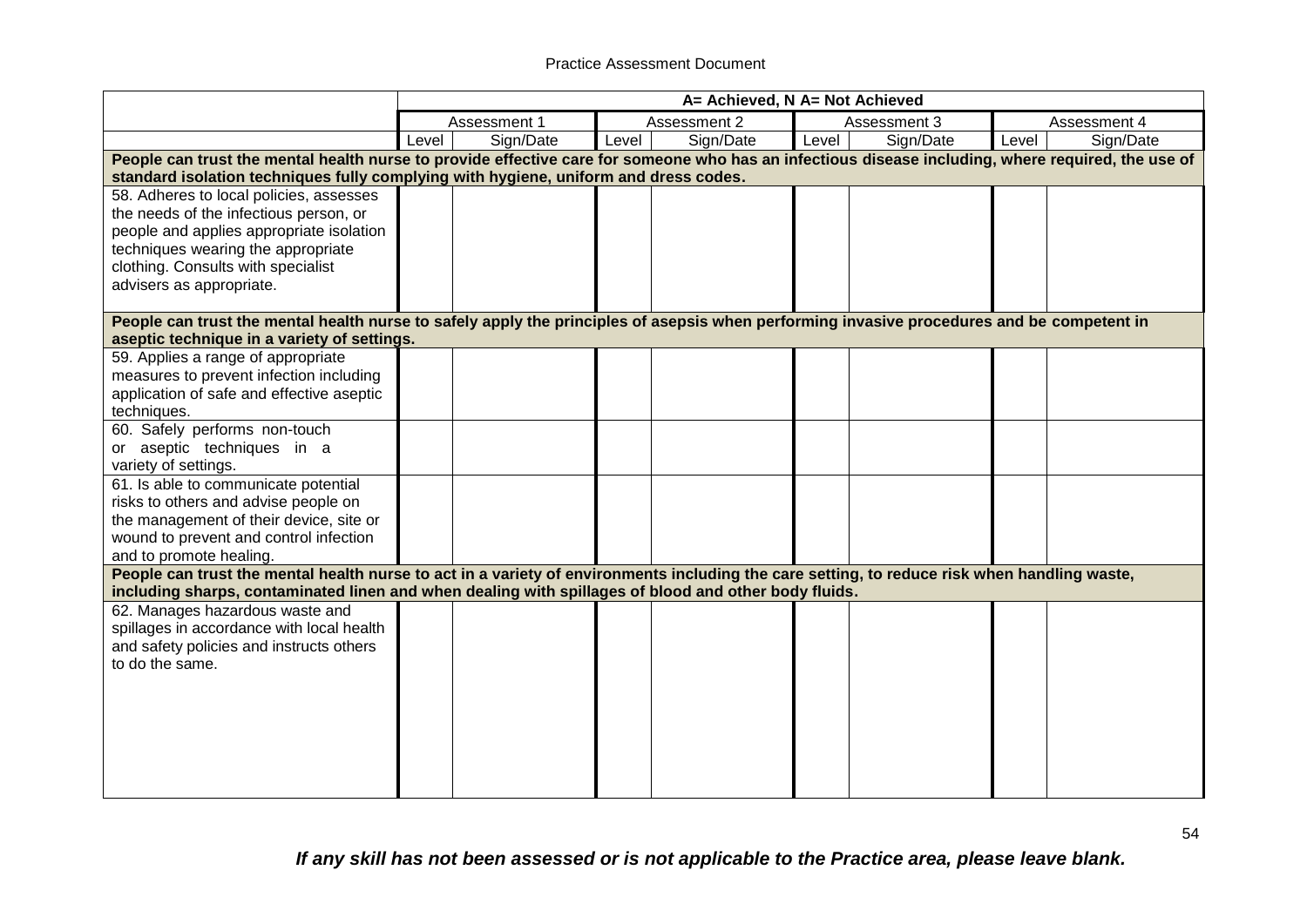|                                                                                                                                                                                                                                                      |       | A= Achieved, N A= Not Achieved |       |              |       |              |       |              |  |
|------------------------------------------------------------------------------------------------------------------------------------------------------------------------------------------------------------------------------------------------------|-------|--------------------------------|-------|--------------|-------|--------------|-------|--------------|--|
|                                                                                                                                                                                                                                                      |       | Assessment 1                   |       | Assessment 2 |       | Assessment 3 |       | Assessment 4 |  |
|                                                                                                                                                                                                                                                      | Level | Sign/Date                      | Level | Sign/Date    | Level | Sign/Date    | Level | Sign/Date    |  |
| People can trust the mental health nurse to provide effective care for someone who has an infectious disease including, where required, the use of                                                                                                   |       |                                |       |              |       |              |       |              |  |
| standard isolation techniques fully complying with hygiene, uniform and dress codes.                                                                                                                                                                 |       |                                |       |              |       |              |       |              |  |
| 58. Adheres to local policies, assesses                                                                                                                                                                                                              |       |                                |       |              |       |              |       |              |  |
| the needs of the infectious person, or                                                                                                                                                                                                               |       |                                |       |              |       |              |       |              |  |
| people and applies appropriate isolation                                                                                                                                                                                                             |       |                                |       |              |       |              |       |              |  |
| techniques wearing the appropriate                                                                                                                                                                                                                   |       |                                |       |              |       |              |       |              |  |
| clothing. Consults with specialist                                                                                                                                                                                                                   |       |                                |       |              |       |              |       |              |  |
| advisers as appropriate.                                                                                                                                                                                                                             |       |                                |       |              |       |              |       |              |  |
|                                                                                                                                                                                                                                                      |       |                                |       |              |       |              |       |              |  |
| People can trust the mental health nurse to safely apply the principles of asepsis when performing invasive procedures and be competent in<br>aseptic technique in a variety of settings.                                                            |       |                                |       |              |       |              |       |              |  |
| 59. Applies a range of appropriate                                                                                                                                                                                                                   |       |                                |       |              |       |              |       |              |  |
| measures to prevent infection including                                                                                                                                                                                                              |       |                                |       |              |       |              |       |              |  |
| application of safe and effective aseptic                                                                                                                                                                                                            |       |                                |       |              |       |              |       |              |  |
| techniques.                                                                                                                                                                                                                                          |       |                                |       |              |       |              |       |              |  |
| 60. Safely performs non-touch                                                                                                                                                                                                                        |       |                                |       |              |       |              |       |              |  |
| or aseptic techniques in a                                                                                                                                                                                                                           |       |                                |       |              |       |              |       |              |  |
| variety of settings.                                                                                                                                                                                                                                 |       |                                |       |              |       |              |       |              |  |
| 61. Is able to communicate potential                                                                                                                                                                                                                 |       |                                |       |              |       |              |       |              |  |
| risks to others and advise people on                                                                                                                                                                                                                 |       |                                |       |              |       |              |       |              |  |
| the management of their device, site or                                                                                                                                                                                                              |       |                                |       |              |       |              |       |              |  |
| wound to prevent and control infection                                                                                                                                                                                                               |       |                                |       |              |       |              |       |              |  |
| and to promote healing.                                                                                                                                                                                                                              |       |                                |       |              |       |              |       |              |  |
| People can trust the mental health nurse to act in a variety of environments including the care setting, to reduce risk when handling waste,<br>including sharps, contaminated linen and when dealing with spillages of blood and other body fluids. |       |                                |       |              |       |              |       |              |  |
| 62. Manages hazardous waste and                                                                                                                                                                                                                      |       |                                |       |              |       |              |       |              |  |
| spillages in accordance with local health                                                                                                                                                                                                            |       |                                |       |              |       |              |       |              |  |
| and safety policies and instructs others                                                                                                                                                                                                             |       |                                |       |              |       |              |       |              |  |
| to do the same.                                                                                                                                                                                                                                      |       |                                |       |              |       |              |       |              |  |
|                                                                                                                                                                                                                                                      |       |                                |       |              |       |              |       |              |  |
|                                                                                                                                                                                                                                                      |       |                                |       |              |       |              |       |              |  |
|                                                                                                                                                                                                                                                      |       |                                |       |              |       |              |       |              |  |
|                                                                                                                                                                                                                                                      |       |                                |       |              |       |              |       |              |  |
|                                                                                                                                                                                                                                                      |       |                                |       |              |       |              |       |              |  |
|                                                                                                                                                                                                                                                      |       |                                |       |              |       |              |       |              |  |
|                                                                                                                                                                                                                                                      |       |                                |       |              |       |              |       |              |  |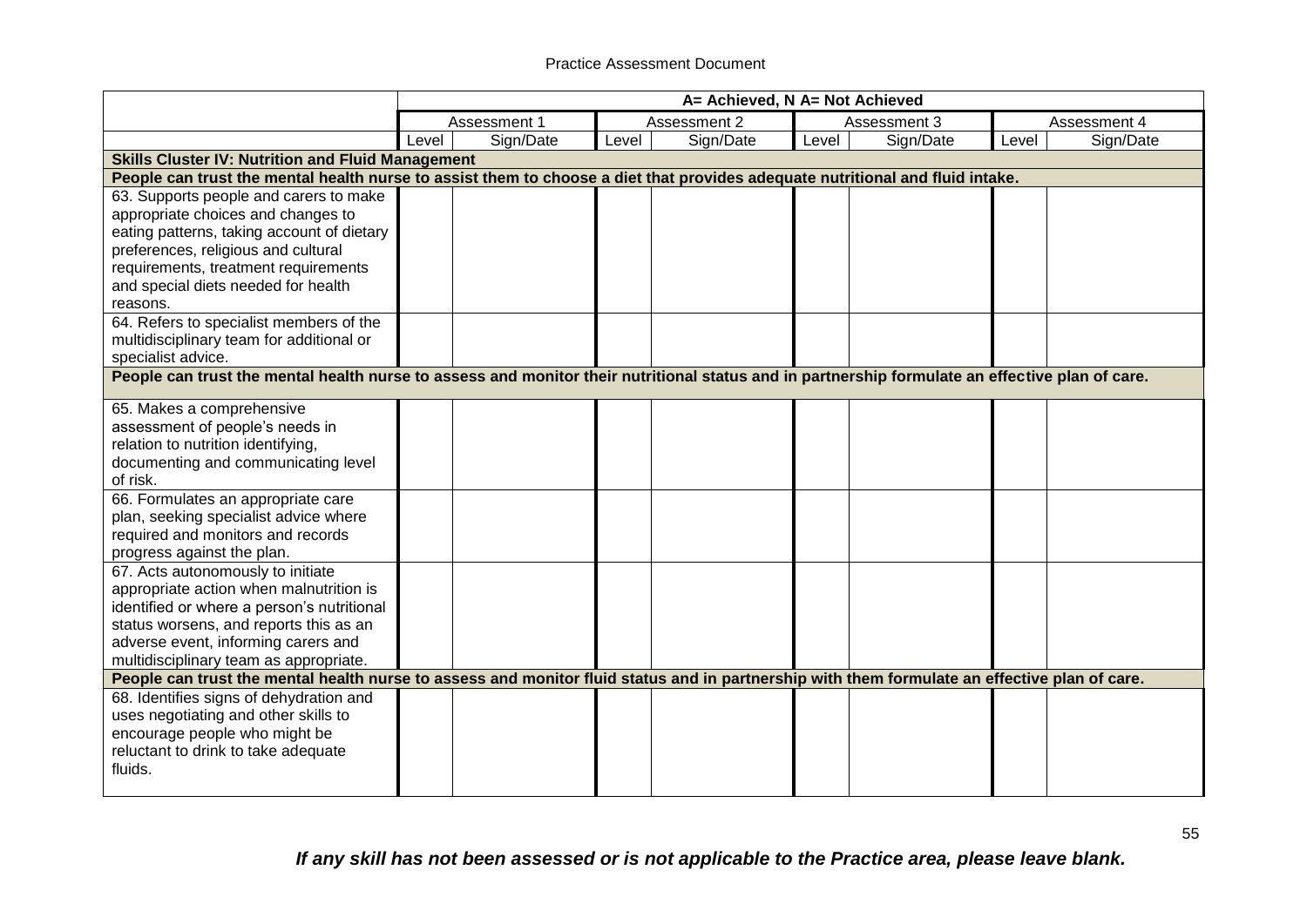|                                                                                                                                               |                                                                                                                                                 | A= Achieved, N A= Not Achieved |       |              |       |              |       |              |  |  |
|-----------------------------------------------------------------------------------------------------------------------------------------------|-------------------------------------------------------------------------------------------------------------------------------------------------|--------------------------------|-------|--------------|-------|--------------|-------|--------------|--|--|
|                                                                                                                                               |                                                                                                                                                 | Assessment 1                   |       | Assessment 2 |       | Assessment 3 |       | Assessment 4 |  |  |
|                                                                                                                                               | Level                                                                                                                                           | Sign/Date                      | Level | Sign/Date    | Level | Sign/Date    | Level | Sign/Date    |  |  |
| <b>Skills Cluster IV: Nutrition and Fluid Management</b>                                                                                      |                                                                                                                                                 |                                |       |              |       |              |       |              |  |  |
| People can trust the mental health nurse to assist them to choose a diet that provides adequate nutritional and fluid intake.                 |                                                                                                                                                 |                                |       |              |       |              |       |              |  |  |
| 63. Supports people and carers to make                                                                                                        |                                                                                                                                                 |                                |       |              |       |              |       |              |  |  |
| appropriate choices and changes to                                                                                                            |                                                                                                                                                 |                                |       |              |       |              |       |              |  |  |
| eating patterns, taking account of dietary                                                                                                    |                                                                                                                                                 |                                |       |              |       |              |       |              |  |  |
| preferences, religious and cultural                                                                                                           |                                                                                                                                                 |                                |       |              |       |              |       |              |  |  |
| requirements, treatment requirements                                                                                                          |                                                                                                                                                 |                                |       |              |       |              |       |              |  |  |
| and special diets needed for health                                                                                                           |                                                                                                                                                 |                                |       |              |       |              |       |              |  |  |
| reasons.                                                                                                                                      |                                                                                                                                                 |                                |       |              |       |              |       |              |  |  |
| 64. Refers to specialist members of the                                                                                                       |                                                                                                                                                 |                                |       |              |       |              |       |              |  |  |
| multidisciplinary team for additional or                                                                                                      |                                                                                                                                                 |                                |       |              |       |              |       |              |  |  |
| specialist advice.                                                                                                                            |                                                                                                                                                 |                                |       |              |       |              |       |              |  |  |
|                                                                                                                                               | People can trust the mental health nurse to assess and monitor their nutritional status and in partnership formulate an effective plan of care. |                                |       |              |       |              |       |              |  |  |
| 65. Makes a comprehensive                                                                                                                     |                                                                                                                                                 |                                |       |              |       |              |       |              |  |  |
| assessment of people's needs in                                                                                                               |                                                                                                                                                 |                                |       |              |       |              |       |              |  |  |
| relation to nutrition identifying,                                                                                                            |                                                                                                                                                 |                                |       |              |       |              |       |              |  |  |
| documenting and communicating level                                                                                                           |                                                                                                                                                 |                                |       |              |       |              |       |              |  |  |
| of risk.                                                                                                                                      |                                                                                                                                                 |                                |       |              |       |              |       |              |  |  |
| 66. Formulates an appropriate care                                                                                                            |                                                                                                                                                 |                                |       |              |       |              |       |              |  |  |
| plan, seeking specialist advice where                                                                                                         |                                                                                                                                                 |                                |       |              |       |              |       |              |  |  |
| required and monitors and records                                                                                                             |                                                                                                                                                 |                                |       |              |       |              |       |              |  |  |
| progress against the plan.                                                                                                                    |                                                                                                                                                 |                                |       |              |       |              |       |              |  |  |
| 67. Acts autonomously to initiate                                                                                                             |                                                                                                                                                 |                                |       |              |       |              |       |              |  |  |
| appropriate action when malnutrition is                                                                                                       |                                                                                                                                                 |                                |       |              |       |              |       |              |  |  |
| identified or where a person's nutritional                                                                                                    |                                                                                                                                                 |                                |       |              |       |              |       |              |  |  |
| status worsens, and reports this as an                                                                                                        |                                                                                                                                                 |                                |       |              |       |              |       |              |  |  |
| adverse event, informing carers and                                                                                                           |                                                                                                                                                 |                                |       |              |       |              |       |              |  |  |
| multidisciplinary team as appropriate.                                                                                                        |                                                                                                                                                 |                                |       |              |       |              |       |              |  |  |
| People can trust the mental health nurse to assess and monitor fluid status and in partnership with them formulate an effective plan of care. |                                                                                                                                                 |                                |       |              |       |              |       |              |  |  |
| 68. Identifies signs of dehydration and                                                                                                       |                                                                                                                                                 |                                |       |              |       |              |       |              |  |  |
| uses negotiating and other skills to                                                                                                          |                                                                                                                                                 |                                |       |              |       |              |       |              |  |  |
| encourage people who might be                                                                                                                 |                                                                                                                                                 |                                |       |              |       |              |       |              |  |  |
| reluctant to drink to take adequate                                                                                                           |                                                                                                                                                 |                                |       |              |       |              |       |              |  |  |
| fluids.                                                                                                                                       |                                                                                                                                                 |                                |       |              |       |              |       |              |  |  |
|                                                                                                                                               |                                                                                                                                                 |                                |       |              |       |              |       |              |  |  |

*If any skill has not been assessed or is not applicable to the Practice area, please leave blank.*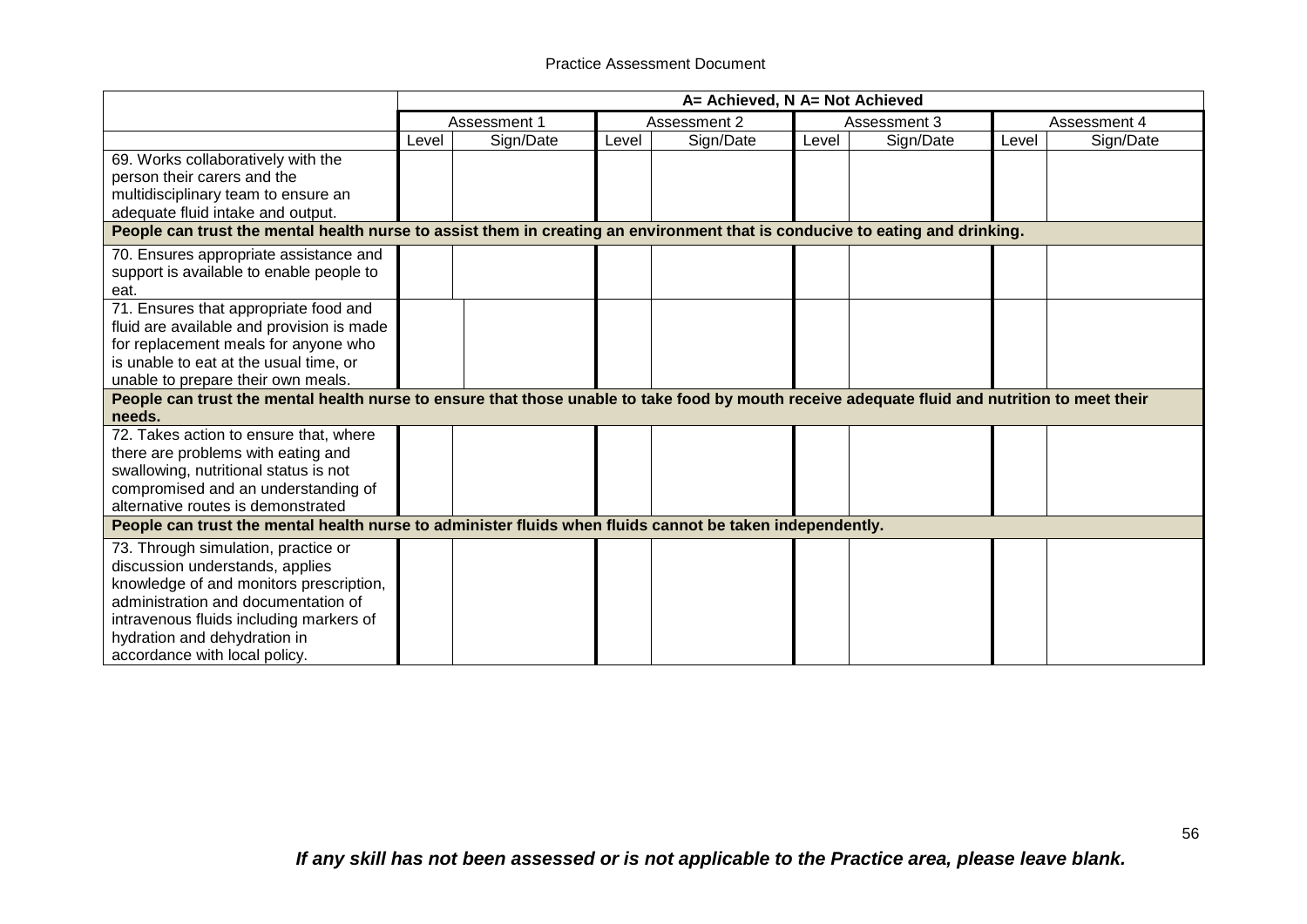|                                                                                                                                                                                                                                                                               | A= Achieved, N A= Not Achieved |              |       |              |       |              |       |              |
|-------------------------------------------------------------------------------------------------------------------------------------------------------------------------------------------------------------------------------------------------------------------------------|--------------------------------|--------------|-------|--------------|-------|--------------|-------|--------------|
|                                                                                                                                                                                                                                                                               |                                | Assessment 1 |       | Assessment 2 |       | Assessment 3 |       | Assessment 4 |
|                                                                                                                                                                                                                                                                               | Level                          | Sign/Date    | Level | Sign/Date    | Level | Sign/Date    | Level | Sign/Date    |
| 69. Works collaboratively with the<br>person their carers and the<br>multidisciplinary team to ensure an<br>adequate fluid intake and output.<br>People can trust the mental health nurse to assist them in creating an environment that is conducive to eating and drinking. |                                |              |       |              |       |              |       |              |
|                                                                                                                                                                                                                                                                               |                                |              |       |              |       |              |       |              |
| 70. Ensures appropriate assistance and<br>support is available to enable people to<br>eat.                                                                                                                                                                                    |                                |              |       |              |       |              |       |              |
| 71. Ensures that appropriate food and<br>fluid are available and provision is made<br>for replacement meals for anyone who<br>is unable to eat at the usual time, or<br>unable to prepare their own meals.                                                                    |                                |              |       |              |       |              |       |              |
| People can trust the mental health nurse to ensure that those unable to take food by mouth receive adequate fluid and nutrition to meet their<br>needs.                                                                                                                       |                                |              |       |              |       |              |       |              |
| 72. Takes action to ensure that, where<br>there are problems with eating and<br>swallowing, nutritional status is not<br>compromised and an understanding of<br>alternative routes is demonstrated                                                                            |                                |              |       |              |       |              |       |              |
| People can trust the mental health nurse to administer fluids when fluids cannot be taken independently.                                                                                                                                                                      |                                |              |       |              |       |              |       |              |
| 73. Through simulation, practice or<br>discussion understands, applies<br>knowledge of and monitors prescription,<br>administration and documentation of<br>intravenous fluids including markers of<br>hydration and dehydration in<br>accordance with local policy.          |                                |              |       |              |       |              |       |              |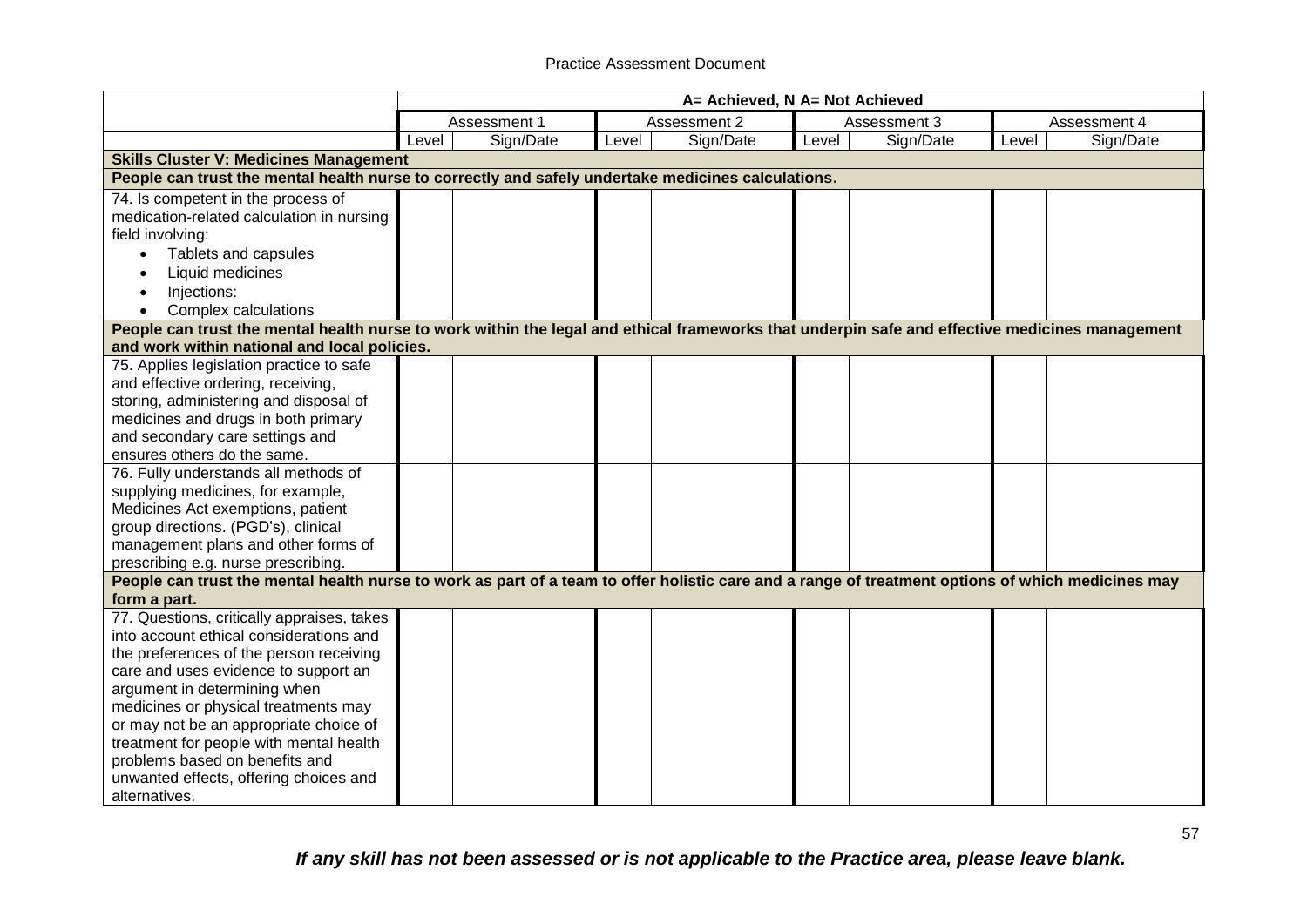|                                                                                                                                                   |       | A= Achieved, N A= Not Achieved |       |              |       |              |       |              |  |
|---------------------------------------------------------------------------------------------------------------------------------------------------|-------|--------------------------------|-------|--------------|-------|--------------|-------|--------------|--|
|                                                                                                                                                   |       | Assessment 1                   |       | Assessment 2 |       | Assessment 3 |       | Assessment 4 |  |
|                                                                                                                                                   | Level | Sign/Date                      | Level | Sign/Date    | Level | Sign/Date    | Level | Sign/Date    |  |
| <b>Skills Cluster V: Medicines Management</b>                                                                                                     |       |                                |       |              |       |              |       |              |  |
| People can trust the mental health nurse to correctly and safely undertake medicines calculations.                                                |       |                                |       |              |       |              |       |              |  |
| 74. Is competent in the process of                                                                                                                |       |                                |       |              |       |              |       |              |  |
| medication-related calculation in nursing                                                                                                         |       |                                |       |              |       |              |       |              |  |
| field involving:                                                                                                                                  |       |                                |       |              |       |              |       |              |  |
| Tablets and capsules                                                                                                                              |       |                                |       |              |       |              |       |              |  |
| Liquid medicines                                                                                                                                  |       |                                |       |              |       |              |       |              |  |
| Injections:                                                                                                                                       |       |                                |       |              |       |              |       |              |  |
| Complex calculations                                                                                                                              |       |                                |       |              |       |              |       |              |  |
| People can trust the mental health nurse to work within the legal and ethical frameworks that underpin safe and effective medicines management    |       |                                |       |              |       |              |       |              |  |
| and work within national and local policies.                                                                                                      |       |                                |       |              |       |              |       |              |  |
| 75. Applies legislation practice to safe                                                                                                          |       |                                |       |              |       |              |       |              |  |
| and effective ordering, receiving,                                                                                                                |       |                                |       |              |       |              |       |              |  |
| storing, administering and disposal of                                                                                                            |       |                                |       |              |       |              |       |              |  |
| medicines and drugs in both primary                                                                                                               |       |                                |       |              |       |              |       |              |  |
| and secondary care settings and                                                                                                                   |       |                                |       |              |       |              |       |              |  |
| ensures others do the same.                                                                                                                       |       |                                |       |              |       |              |       |              |  |
| 76. Fully understands all methods of                                                                                                              |       |                                |       |              |       |              |       |              |  |
| supplying medicines, for example,                                                                                                                 |       |                                |       |              |       |              |       |              |  |
| Medicines Act exemptions, patient                                                                                                                 |       |                                |       |              |       |              |       |              |  |
| group directions. (PGD's), clinical                                                                                                               |       |                                |       |              |       |              |       |              |  |
| management plans and other forms of                                                                                                               |       |                                |       |              |       |              |       |              |  |
| prescribing e.g. nurse prescribing.                                                                                                               |       |                                |       |              |       |              |       |              |  |
| People can trust the mental health nurse to work as part of a team to offer holistic care and a range of treatment options of which medicines may |       |                                |       |              |       |              |       |              |  |
| form a part.                                                                                                                                      |       |                                |       |              |       |              |       |              |  |
| 77. Questions, critically appraises, takes                                                                                                        |       |                                |       |              |       |              |       |              |  |
| into account ethical considerations and                                                                                                           |       |                                |       |              |       |              |       |              |  |
| the preferences of the person receiving                                                                                                           |       |                                |       |              |       |              |       |              |  |
| care and uses evidence to support an                                                                                                              |       |                                |       |              |       |              |       |              |  |
| argument in determining when                                                                                                                      |       |                                |       |              |       |              |       |              |  |
| medicines or physical treatments may                                                                                                              |       |                                |       |              |       |              |       |              |  |
| or may not be an appropriate choice of                                                                                                            |       |                                |       |              |       |              |       |              |  |
| treatment for people with mental health                                                                                                           |       |                                |       |              |       |              |       |              |  |
| problems based on benefits and                                                                                                                    |       |                                |       |              |       |              |       |              |  |
| unwanted effects, offering choices and                                                                                                            |       |                                |       |              |       |              |       |              |  |
| alternatives.                                                                                                                                     |       |                                |       |              |       |              |       |              |  |

*If any skill has not been assessed or is not applicable to the Practice area, please leave blank.*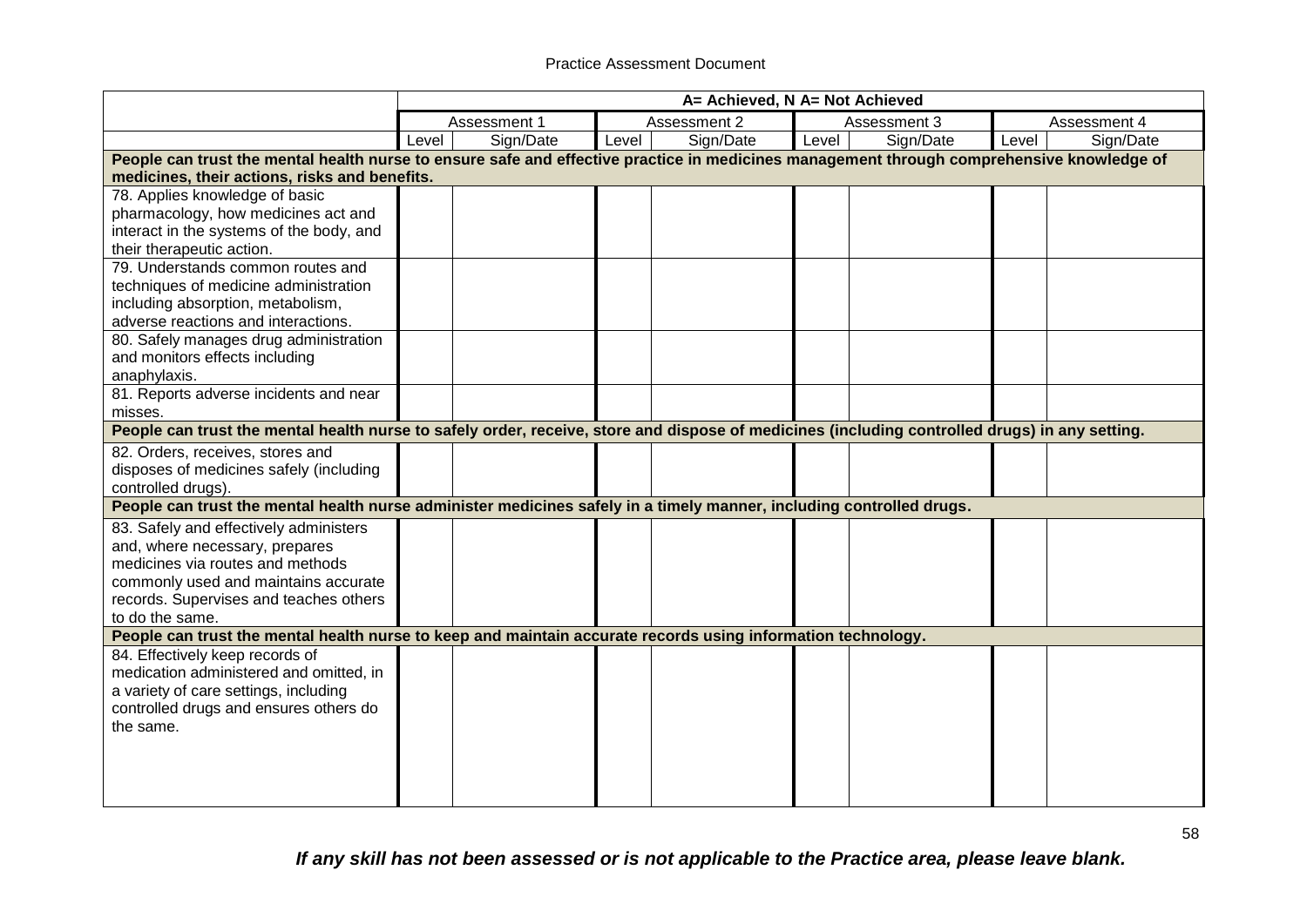|                                                                                                                                                |       | A= Achieved, N A= Not Achieved |       |              |       |              |       |              |  |
|------------------------------------------------------------------------------------------------------------------------------------------------|-------|--------------------------------|-------|--------------|-------|--------------|-------|--------------|--|
|                                                                                                                                                |       | Assessment 1                   |       | Assessment 2 |       | Assessment 3 |       | Assessment 4 |  |
|                                                                                                                                                | Level | Sign/Date                      | Level | Sign/Date    | Level | Sign/Date    | Level | Sign/Date    |  |
| People can trust the mental health nurse to ensure safe and effective practice in medicines management through comprehensive knowledge of      |       |                                |       |              |       |              |       |              |  |
| medicines, their actions, risks and benefits.                                                                                                  |       |                                |       |              |       |              |       |              |  |
| 78. Applies knowledge of basic                                                                                                                 |       |                                |       |              |       |              |       |              |  |
| pharmacology, how medicines act and                                                                                                            |       |                                |       |              |       |              |       |              |  |
| interact in the systems of the body, and                                                                                                       |       |                                |       |              |       |              |       |              |  |
| their therapeutic action.                                                                                                                      |       |                                |       |              |       |              |       |              |  |
| 79. Understands common routes and                                                                                                              |       |                                |       |              |       |              |       |              |  |
| techniques of medicine administration                                                                                                          |       |                                |       |              |       |              |       |              |  |
| including absorption, metabolism,                                                                                                              |       |                                |       |              |       |              |       |              |  |
| adverse reactions and interactions.                                                                                                            |       |                                |       |              |       |              |       |              |  |
| 80. Safely manages drug administration                                                                                                         |       |                                |       |              |       |              |       |              |  |
| and monitors effects including                                                                                                                 |       |                                |       |              |       |              |       |              |  |
| anaphylaxis.                                                                                                                                   |       |                                |       |              |       |              |       |              |  |
| 81. Reports adverse incidents and near                                                                                                         |       |                                |       |              |       |              |       |              |  |
| misses.                                                                                                                                        |       |                                |       |              |       |              |       |              |  |
| People can trust the mental health nurse to safely order, receive, store and dispose of medicines (including controlled drugs) in any setting. |       |                                |       |              |       |              |       |              |  |
| 82. Orders, receives, stores and                                                                                                               |       |                                |       |              |       |              |       |              |  |
| disposes of medicines safely (including                                                                                                        |       |                                |       |              |       |              |       |              |  |
| controlled drugs).                                                                                                                             |       |                                |       |              |       |              |       |              |  |
| People can trust the mental health nurse administer medicines safely in a timely manner, including controlled drugs.                           |       |                                |       |              |       |              |       |              |  |
| 83. Safely and effectively administers                                                                                                         |       |                                |       |              |       |              |       |              |  |
| and, where necessary, prepares                                                                                                                 |       |                                |       |              |       |              |       |              |  |
| medicines via routes and methods                                                                                                               |       |                                |       |              |       |              |       |              |  |
| commonly used and maintains accurate                                                                                                           |       |                                |       |              |       |              |       |              |  |
| records. Supervises and teaches others                                                                                                         |       |                                |       |              |       |              |       |              |  |
| to do the same.                                                                                                                                |       |                                |       |              |       |              |       |              |  |
| People can trust the mental health nurse to keep and maintain accurate records using information technology.                                   |       |                                |       |              |       |              |       |              |  |
| 84. Effectively keep records of                                                                                                                |       |                                |       |              |       |              |       |              |  |
| medication administered and omitted, in                                                                                                        |       |                                |       |              |       |              |       |              |  |
| a variety of care settings, including                                                                                                          |       |                                |       |              |       |              |       |              |  |
| controlled drugs and ensures others do                                                                                                         |       |                                |       |              |       |              |       |              |  |
| the same.                                                                                                                                      |       |                                |       |              |       |              |       |              |  |
|                                                                                                                                                |       |                                |       |              |       |              |       |              |  |
|                                                                                                                                                |       |                                |       |              |       |              |       |              |  |
|                                                                                                                                                |       |                                |       |              |       |              |       |              |  |
|                                                                                                                                                |       |                                |       |              |       |              |       |              |  |

*If any skill has not been assessed or is not applicable to the Practice area, please leave blank.*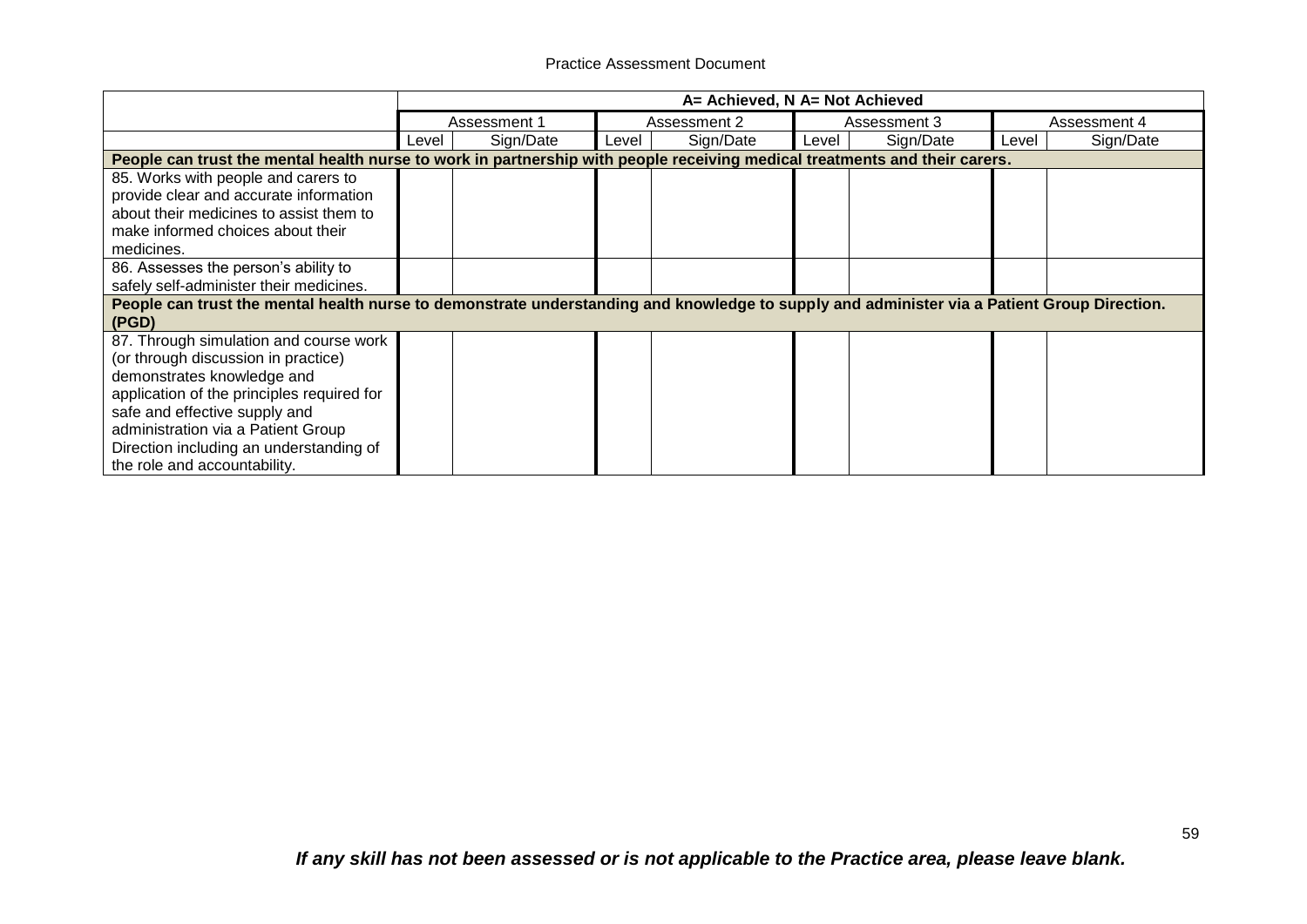|                                                                                                                                             | A= Achieved, N A= Not Achieved |              |       |              |       |              |       |              |  |
|---------------------------------------------------------------------------------------------------------------------------------------------|--------------------------------|--------------|-------|--------------|-------|--------------|-------|--------------|--|
|                                                                                                                                             |                                | Assessment 1 |       | Assessment 2 |       | Assessment 3 |       | Assessment 4 |  |
|                                                                                                                                             | Level                          | Sign/Date    | Level | Sign/Date    | Level | Sign/Date    | Level | Sign/Date    |  |
| People can trust the mental health nurse to work in partnership with people receiving medical treatments and their carers.                  |                                |              |       |              |       |              |       |              |  |
| 85. Works with people and carers to                                                                                                         |                                |              |       |              |       |              |       |              |  |
| provide clear and accurate information                                                                                                      |                                |              |       |              |       |              |       |              |  |
| about their medicines to assist them to                                                                                                     |                                |              |       |              |       |              |       |              |  |
| make informed choices about their                                                                                                           |                                |              |       |              |       |              |       |              |  |
| medicines.                                                                                                                                  |                                |              |       |              |       |              |       |              |  |
| 86. Assesses the person's ability to                                                                                                        |                                |              |       |              |       |              |       |              |  |
| safely self-administer their medicines.                                                                                                     |                                |              |       |              |       |              |       |              |  |
| People can trust the mental health nurse to demonstrate understanding and knowledge to supply and administer via a Patient Group Direction. |                                |              |       |              |       |              |       |              |  |
| (PGD)                                                                                                                                       |                                |              |       |              |       |              |       |              |  |
| 87. Through simulation and course work                                                                                                      |                                |              |       |              |       |              |       |              |  |
| (or through discussion in practice)                                                                                                         |                                |              |       |              |       |              |       |              |  |
| demonstrates knowledge and                                                                                                                  |                                |              |       |              |       |              |       |              |  |
| application of the principles required for                                                                                                  |                                |              |       |              |       |              |       |              |  |
| safe and effective supply and                                                                                                               |                                |              |       |              |       |              |       |              |  |
| administration via a Patient Group                                                                                                          |                                |              |       |              |       |              |       |              |  |
| Direction including an understanding of                                                                                                     |                                |              |       |              |       |              |       |              |  |
| the role and accountability.                                                                                                                |                                |              |       |              |       |              |       |              |  |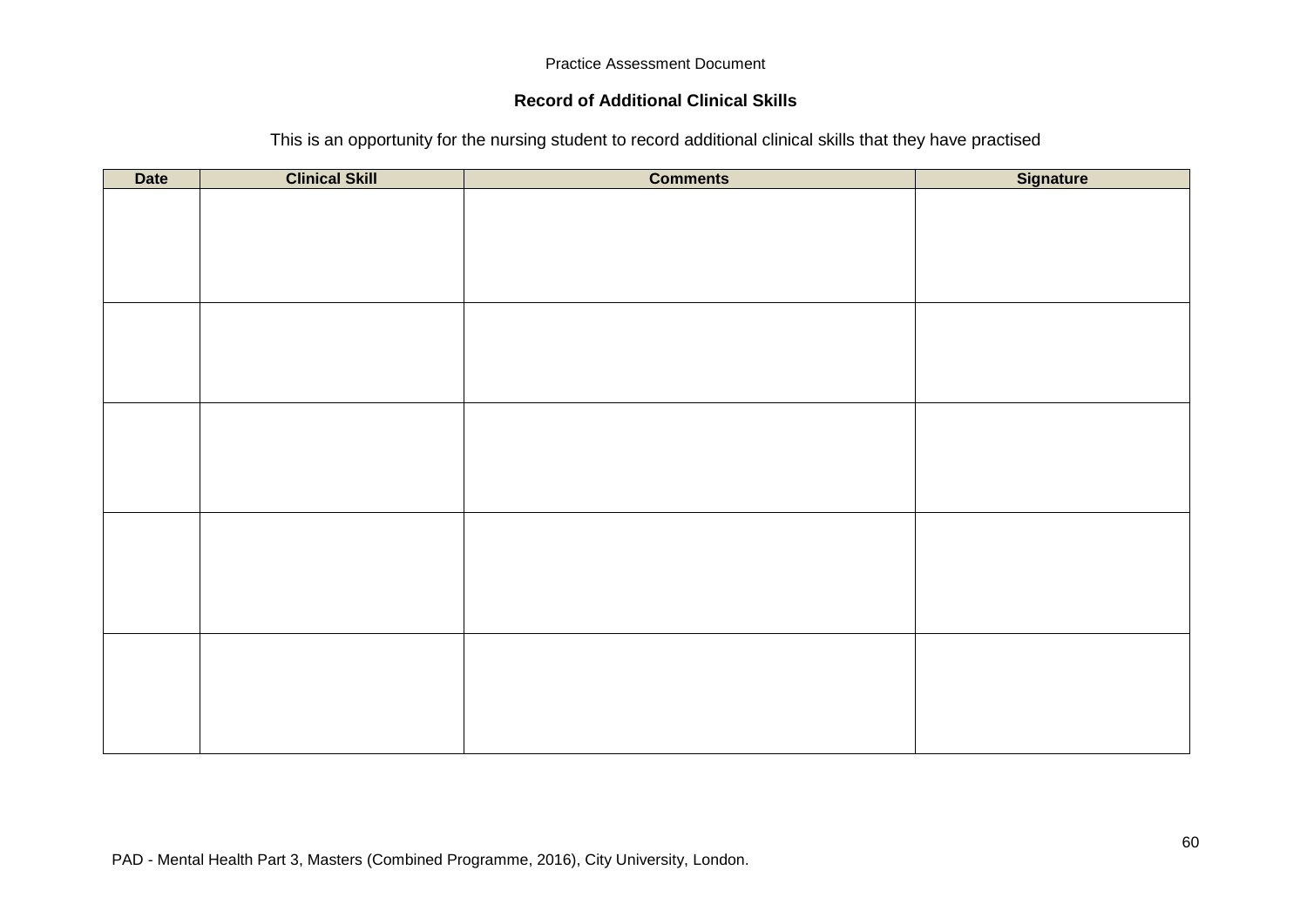## **Record of Additional Clinical Skills**

| This is an opportunity for the nursing student to record additional clinical skills that they have practised |  |  |  |
|--------------------------------------------------------------------------------------------------------------|--|--|--|
|                                                                                                              |  |  |  |

| <b>Date</b> | <b>Clinical Skill</b> | <b>Comments</b> | Signature |
|-------------|-----------------------|-----------------|-----------|
|             |                       |                 |           |
|             |                       |                 |           |
|             |                       |                 |           |
|             |                       |                 |           |
|             |                       |                 |           |
|             |                       |                 |           |
|             |                       |                 |           |
|             |                       |                 |           |
|             |                       |                 |           |
|             |                       |                 |           |
|             |                       |                 |           |
|             |                       |                 |           |
|             |                       |                 |           |
|             |                       |                 |           |
|             |                       |                 |           |
|             |                       |                 |           |
|             |                       |                 |           |
|             |                       |                 |           |
|             |                       |                 |           |
|             |                       |                 |           |
|             |                       |                 |           |
|             |                       |                 |           |
|             |                       |                 |           |
|             |                       |                 |           |
|             |                       |                 |           |
|             |                       |                 |           |
|             |                       |                 |           |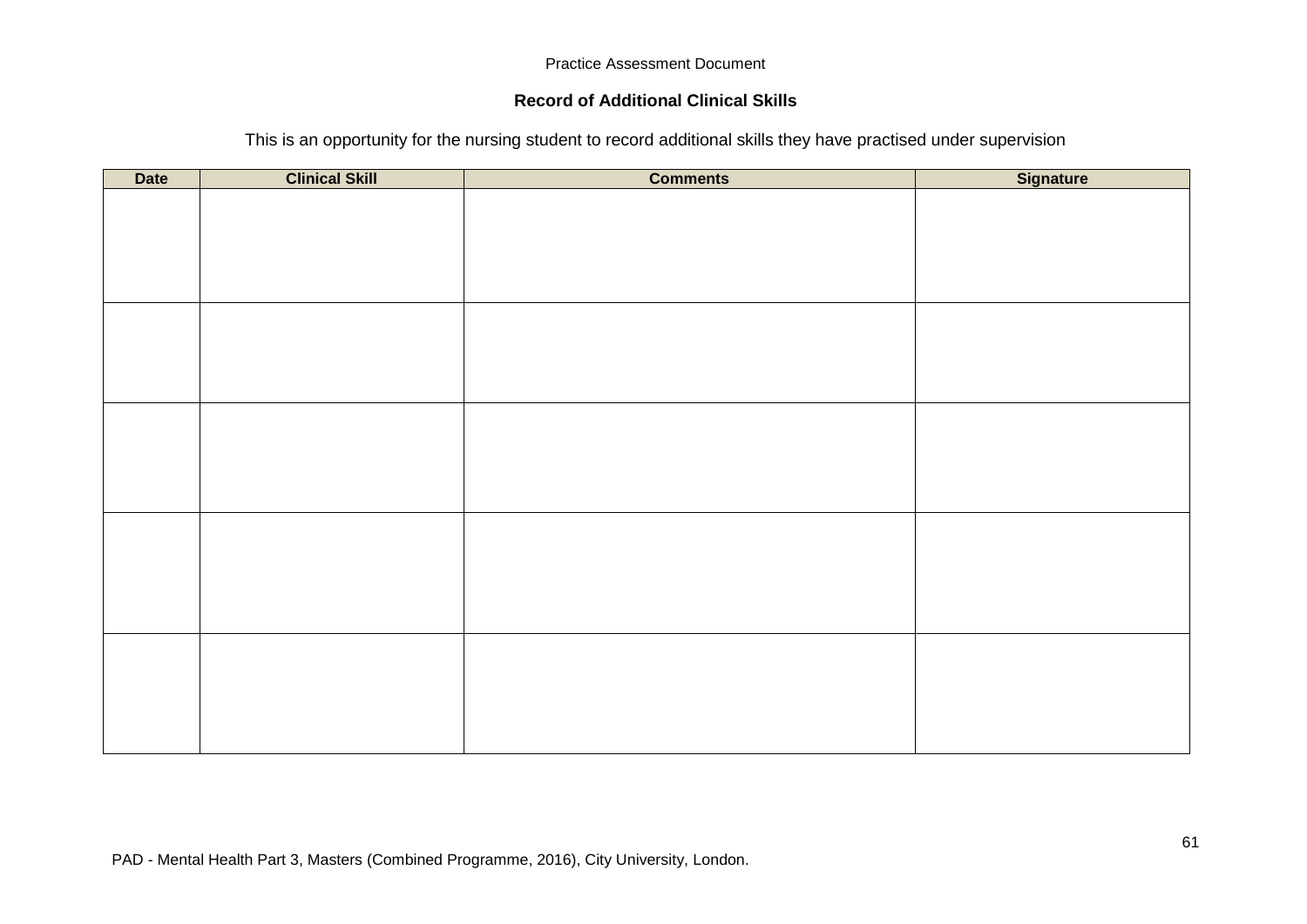## **Record of Additional Clinical Skills**

This is an opportunity for the nursing student to record additional skills they have practised under supervision

| <b>Date</b> | <b>Clinical Skill</b> | <b>Comments</b> | Signature |
|-------------|-----------------------|-----------------|-----------|
|             |                       |                 |           |
|             |                       |                 |           |
|             |                       |                 |           |
|             |                       |                 |           |
|             |                       |                 |           |
|             |                       |                 |           |
|             |                       |                 |           |
|             |                       |                 |           |
|             |                       |                 |           |
|             |                       |                 |           |
|             |                       |                 |           |
|             |                       |                 |           |
|             |                       |                 |           |
|             |                       |                 |           |
|             |                       |                 |           |
|             |                       |                 |           |
|             |                       |                 |           |
|             |                       |                 |           |
|             |                       |                 |           |
|             |                       |                 |           |
|             |                       |                 |           |
|             |                       |                 |           |
|             |                       |                 |           |
|             |                       |                 |           |
|             |                       |                 |           |
|             |                       |                 |           |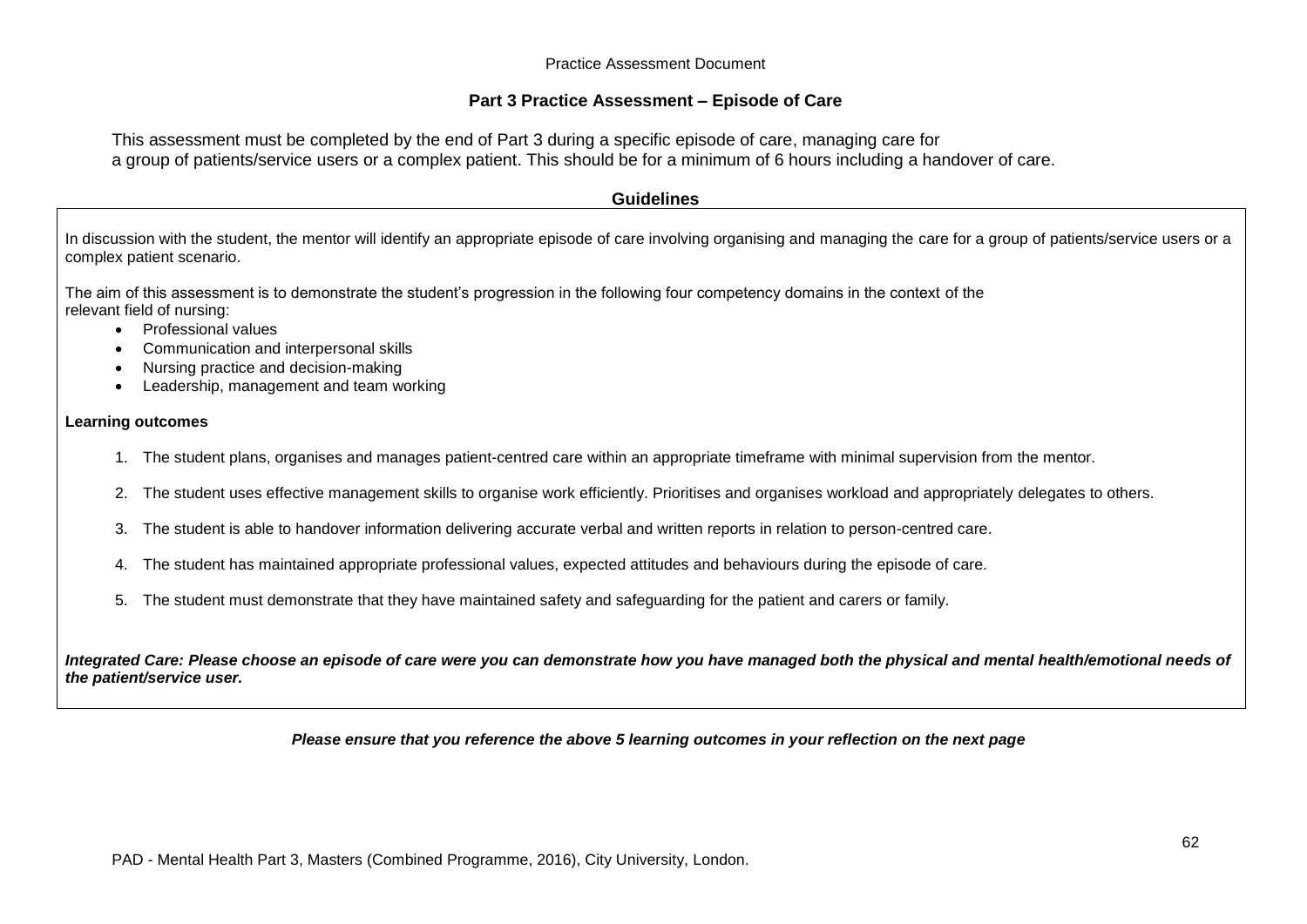## **Part 3 Practice Assessment – Episode of Care**

This assessment must be completed by the end of Part 3 during a specific episode of care, managing care for a group of patients/service users or a complex patient. This should be for a minimum of 6 hours including a handover of care.

#### **Guidelines**

In discussion with the student, the mentor will identify an appropriate episode of care involving organising and managing the care for a group of patients/service users or a complex patient scenario.

The aim of this assessment is to demonstrate the student's progression in the following four competency domains in the context of the relevant field of nursing:

- Professional values
- Communication and interpersonal skills
- Nursing practice and decision-making
- Leadership, management and team working

#### **Learning outcomes**

- 1. The student plans, organises and manages patient-centred care within an appropriate timeframe with minimal supervision from the mentor.
- 2. The student uses effective management skills to organise work efficiently. Prioritises and organises workload and appropriately delegates to others.
- 3. The student is able to handover information delivering accurate verbal and written reports in relation to person-centred care.
- 4. The student has maintained appropriate professional values, expected attitudes and behaviours during the episode of care.
- 5. The student must demonstrate that they have maintained safety and safeguarding for the patient and carers or family.

*Integrated Care: Please choose an episode of care were you can demonstrate how you have managed both the physical and mental health/emotional needs of the patient/service user.*

#### *Please ensure that you reference the above 5 learning outcomes in your reflection on the next page*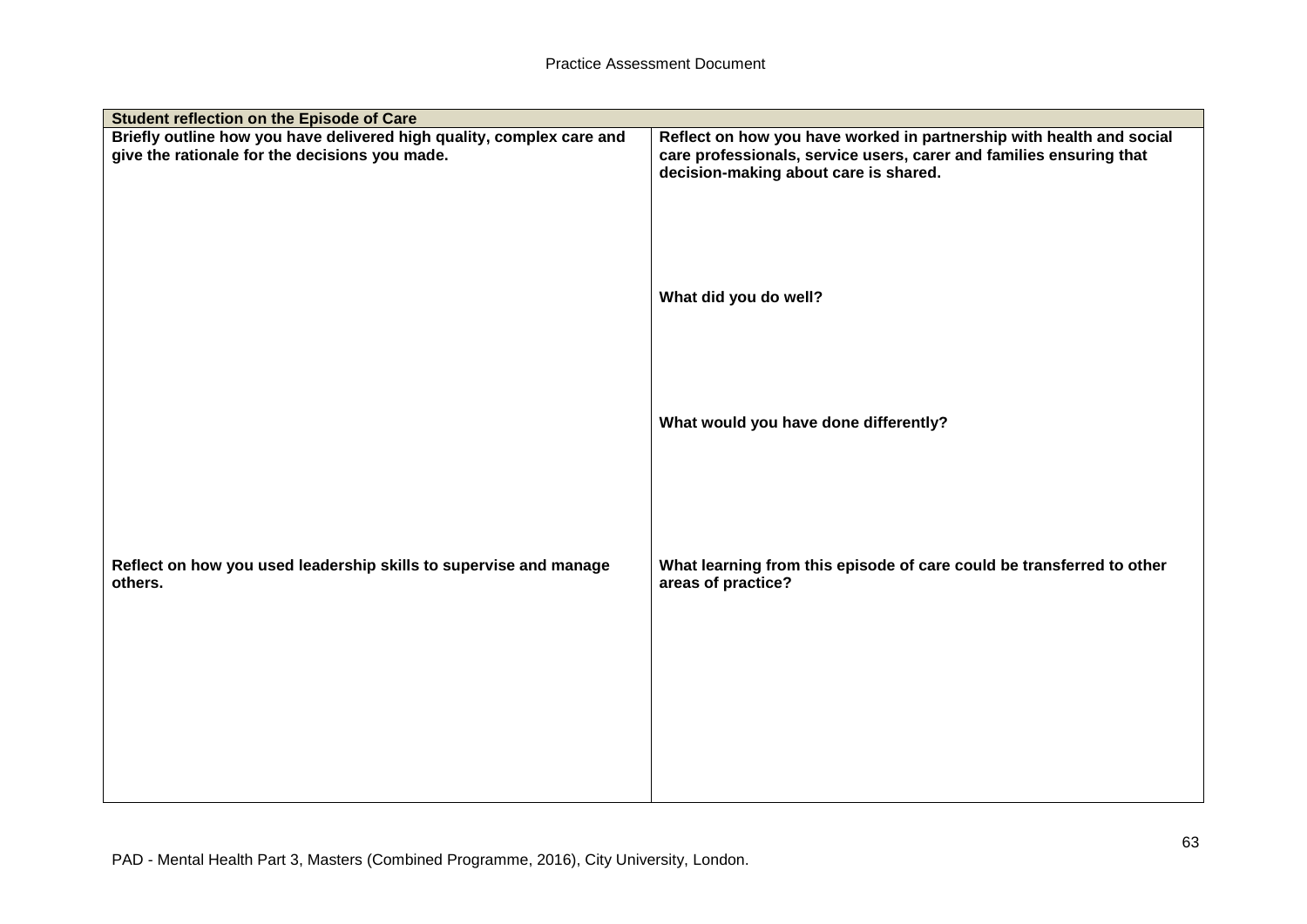| Student reflection on the Episode of Care                                                                               |                                                                                                                                                                                      |
|-------------------------------------------------------------------------------------------------------------------------|--------------------------------------------------------------------------------------------------------------------------------------------------------------------------------------|
| Briefly outline how you have delivered high quality, complex care and<br>give the rationale for the decisions you made. | Reflect on how you have worked in partnership with health and social<br>care professionals, service users, carer and families ensuring that<br>decision-making about care is shared. |
|                                                                                                                         | What did you do well?                                                                                                                                                                |
|                                                                                                                         | What would you have done differently?                                                                                                                                                |
| Reflect on how you used leadership skills to supervise and manage<br>others.                                            | What learning from this episode of care could be transferred to other<br>areas of practice?                                                                                          |
|                                                                                                                         |                                                                                                                                                                                      |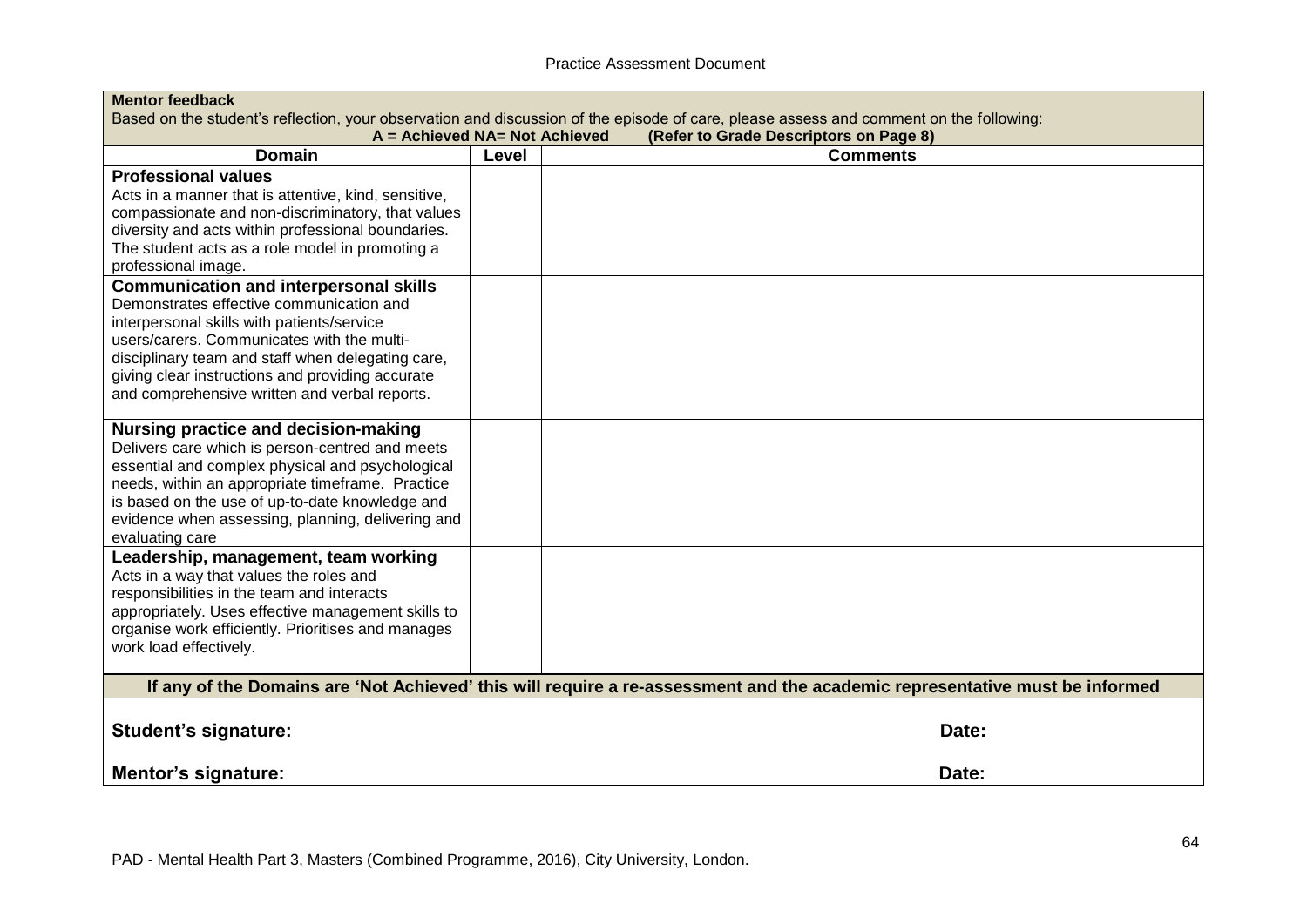| <b>Mentor feedback</b>                               |                               |                                                                                                                                        |
|------------------------------------------------------|-------------------------------|----------------------------------------------------------------------------------------------------------------------------------------|
|                                                      |                               | Based on the student's reflection, your observation and discussion of the episode of care, please assess and comment on the following: |
|                                                      | A = Achieved NA= Not Achieved | (Refer to Grade Descriptors on Page 8)                                                                                                 |
| <b>Domain</b>                                        | <b>Level</b>                  | <b>Comments</b>                                                                                                                        |
| <b>Professional values</b>                           |                               |                                                                                                                                        |
| Acts in a manner that is attentive, kind, sensitive, |                               |                                                                                                                                        |
| compassionate and non-discriminatory, that values    |                               |                                                                                                                                        |
| diversity and acts within professional boundaries.   |                               |                                                                                                                                        |
| The student acts as a role model in promoting a      |                               |                                                                                                                                        |
| professional image.                                  |                               |                                                                                                                                        |
| <b>Communication and interpersonal skills</b>        |                               |                                                                                                                                        |
| Demonstrates effective communication and             |                               |                                                                                                                                        |
| interpersonal skills with patients/service           |                               |                                                                                                                                        |
| users/carers. Communicates with the multi-           |                               |                                                                                                                                        |
| disciplinary team and staff when delegating care,    |                               |                                                                                                                                        |
| giving clear instructions and providing accurate     |                               |                                                                                                                                        |
| and comprehensive written and verbal reports.        |                               |                                                                                                                                        |
| Nursing practice and decision-making                 |                               |                                                                                                                                        |
| Delivers care which is person-centred and meets      |                               |                                                                                                                                        |
| essential and complex physical and psychological     |                               |                                                                                                                                        |
| needs, within an appropriate timeframe. Practice     |                               |                                                                                                                                        |
| is based on the use of up-to-date knowledge and      |                               |                                                                                                                                        |
| evidence when assessing, planning, delivering and    |                               |                                                                                                                                        |
| evaluating care                                      |                               |                                                                                                                                        |
| Leadership, management, team working                 |                               |                                                                                                                                        |
| Acts in a way that values the roles and              |                               |                                                                                                                                        |
| responsibilities in the team and interacts           |                               |                                                                                                                                        |
| appropriately. Uses effective management skills to   |                               |                                                                                                                                        |
| organise work efficiently. Prioritises and manages   |                               |                                                                                                                                        |
| work load effectively.                               |                               |                                                                                                                                        |
|                                                      |                               | If any of the Domains are 'Not Achieved' this will require a re-assessment and the academic representative must be informed            |
|                                                      |                               |                                                                                                                                        |
| <b>Student's signature:</b>                          |                               | Date:                                                                                                                                  |
|                                                      |                               |                                                                                                                                        |
| <b>Mentor's signature:</b>                           |                               | Date:                                                                                                                                  |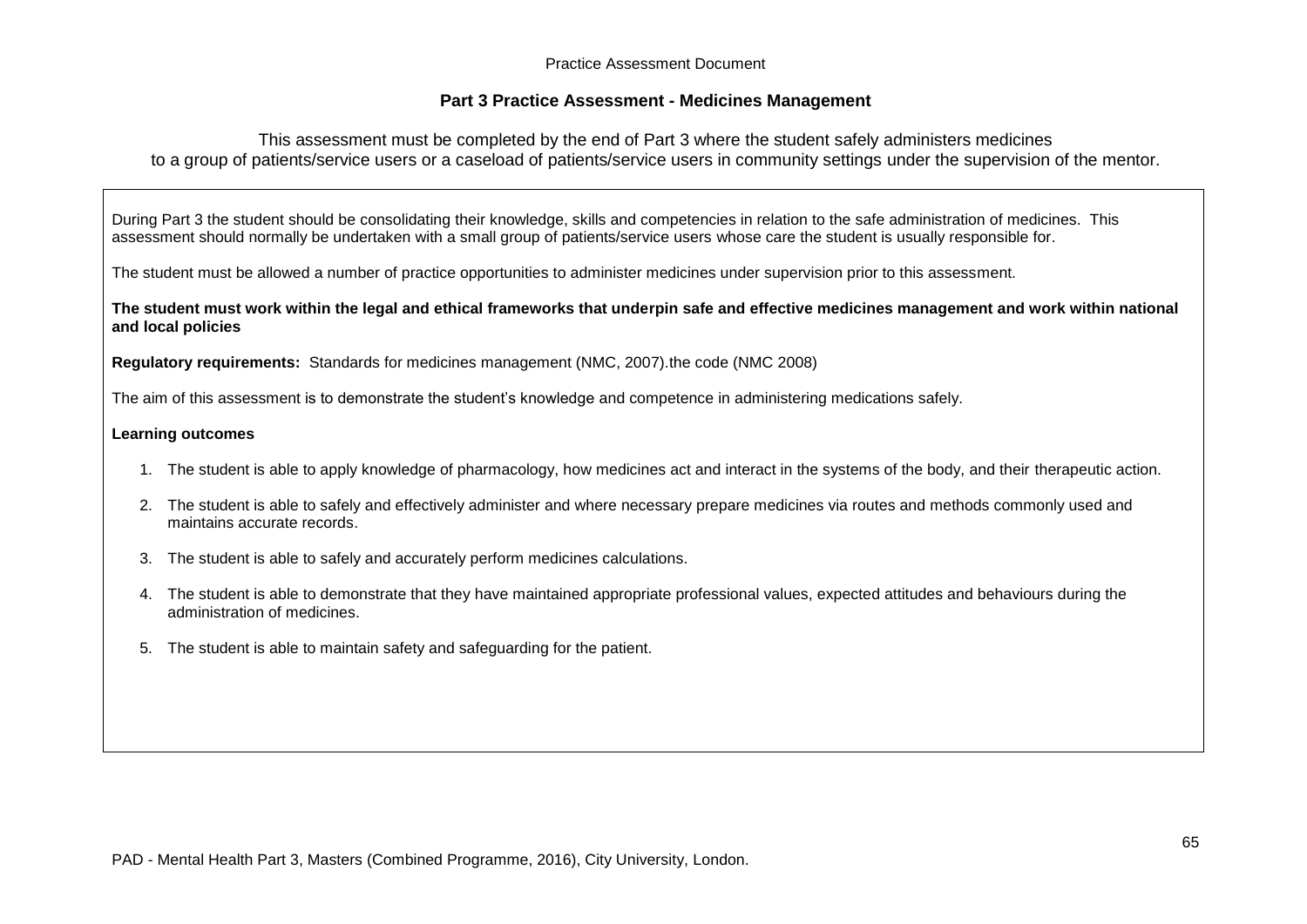## **Part 3 Practice Assessment - Medicines Management**

This assessment must be completed by the end of Part 3 where the student safely administers medicines to a group of patients/service users or a caseload of patients/service users in community settings under the supervision of the mentor.

During Part 3 the student should be consolidating their knowledge, skills and competencies in relation to the safe administration of medicines. This assessment should normally be undertaken with a small group of patients/service users whose care the student is usually responsible for.

The student must be allowed a number of practice opportunities to administer medicines under supervision prior to this assessment.

**The student must work within the legal and ethical frameworks that underpin safe and effective medicines management and work within national and local policies**

**Regulatory requirements:** Standards for medicines management (NMC, 2007).the code (NMC 2008)

The aim of this assessment is to demonstrate the student's knowledge and competence in administering medications safely.

#### **Learning outcomes**

- 1. The student is able to apply knowledge of pharmacology, how medicines act and interact in the systems of the body, and their therapeutic action.
- 2. The student is able to safely and effectively administer and where necessary prepare medicines via routes and methods commonly used and maintains accurate records.
- 3. The student is able to safely and accurately perform medicines calculations.
- 4. The student is able to demonstrate that they have maintained appropriate professional values, expected attitudes and behaviours during the administration of medicines.
- 5. The student is able to maintain safety and safeguarding for the patient.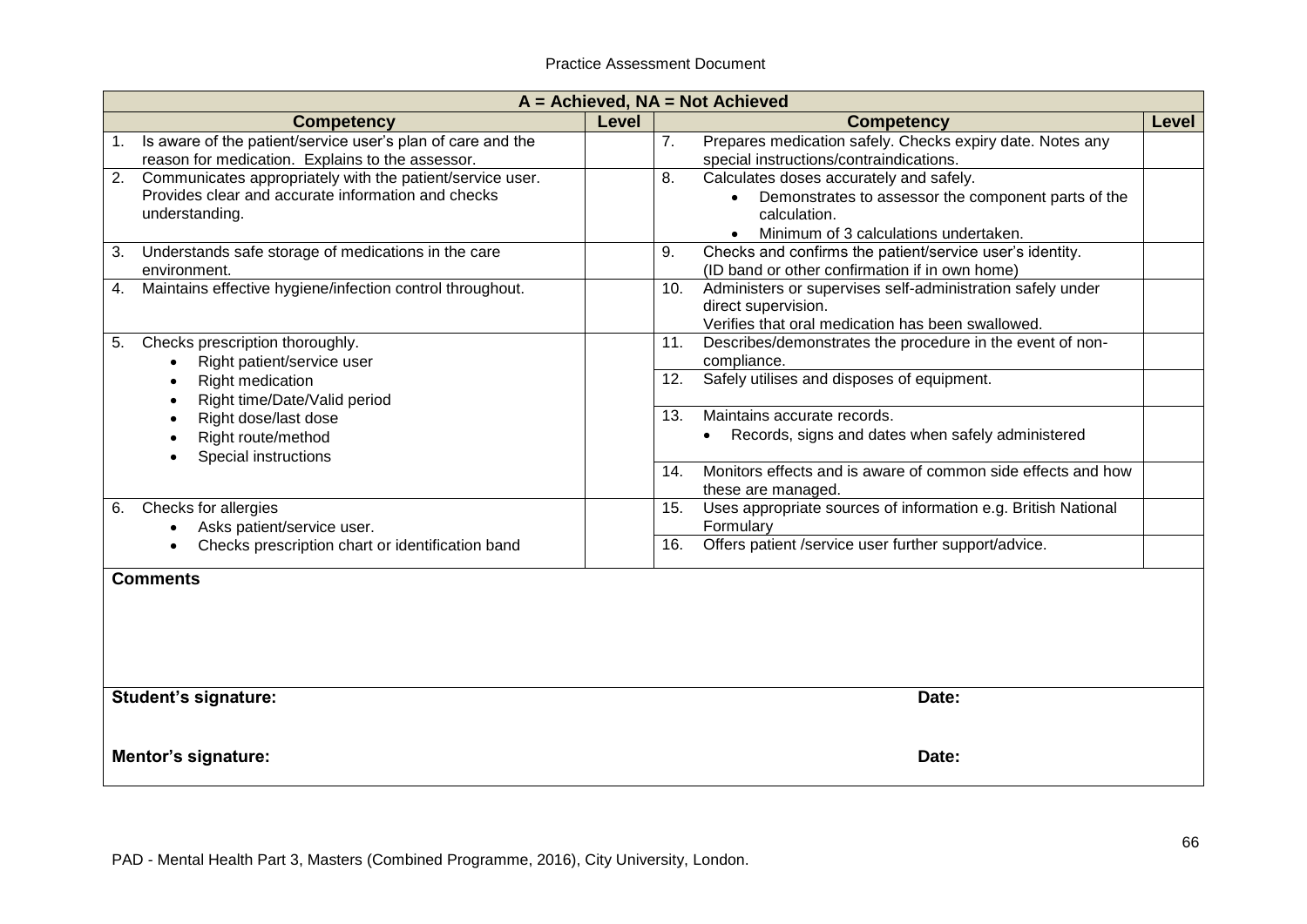|    | $A =$ Achieved, $NA =$ Not Achieved                                                                                               |       |                                                                                                                                                               |  |
|----|-----------------------------------------------------------------------------------------------------------------------------------|-------|---------------------------------------------------------------------------------------------------------------------------------------------------------------|--|
|    | <b>Competency</b>                                                                                                                 | Level | <b>Competency</b><br>Level                                                                                                                                    |  |
|    | Is aware of the patient/service user's plan of care and the<br>reason for medication. Explains to the assessor.                   |       | Prepares medication safely. Checks expiry date. Notes any<br>7.<br>special instructions/contraindications.                                                    |  |
| 2. | Communicates appropriately with the patient/service user.<br>Provides clear and accurate information and checks<br>understanding. |       | Calculates doses accurately and safely.<br>8.<br>Demonstrates to assessor the component parts of the<br>calculation.<br>Minimum of 3 calculations undertaken. |  |
| 3. | Understands safe storage of medications in the care<br>environment.                                                               |       | Checks and confirms the patient/service user's identity.<br>9.<br>(ID band or other confirmation if in own home)                                              |  |
| 4. | Maintains effective hygiene/infection control throughout.                                                                         |       | Administers or supervises self-administration safely under<br>10.<br>direct supervision.<br>Verifies that oral medication has been swallowed.                 |  |
| 5. | Checks prescription thoroughly.<br>Right patient/service user                                                                     |       | Describes/demonstrates the procedure in the event of non-<br>11.<br>compliance.                                                                               |  |
|    | Right medication<br>Right time/Date/Valid period                                                                                  |       | Safely utilises and disposes of equipment.<br>12.                                                                                                             |  |
|    | Right dose/last dose<br>Right route/method<br>Special instructions                                                                |       | 13.<br>Maintains accurate records.<br>Records, signs and dates when safely administered<br>$\bullet$                                                          |  |
|    |                                                                                                                                   |       | Monitors effects and is aware of common side effects and how<br>14.<br>these are managed.                                                                     |  |
| 6. | Checks for allergies<br>Asks patient/service user.                                                                                |       | Uses appropriate sources of information e.g. British National<br>15.<br>Formulary                                                                             |  |
|    | Checks prescription chart or identification band                                                                                  |       | Offers patient /service user further support/advice.<br>16.                                                                                                   |  |
|    | <b>Comments</b>                                                                                                                   |       |                                                                                                                                                               |  |
|    | <b>Student's signature:</b>                                                                                                       |       | Date:                                                                                                                                                         |  |
|    | Mentor's signature:                                                                                                               |       | Date:                                                                                                                                                         |  |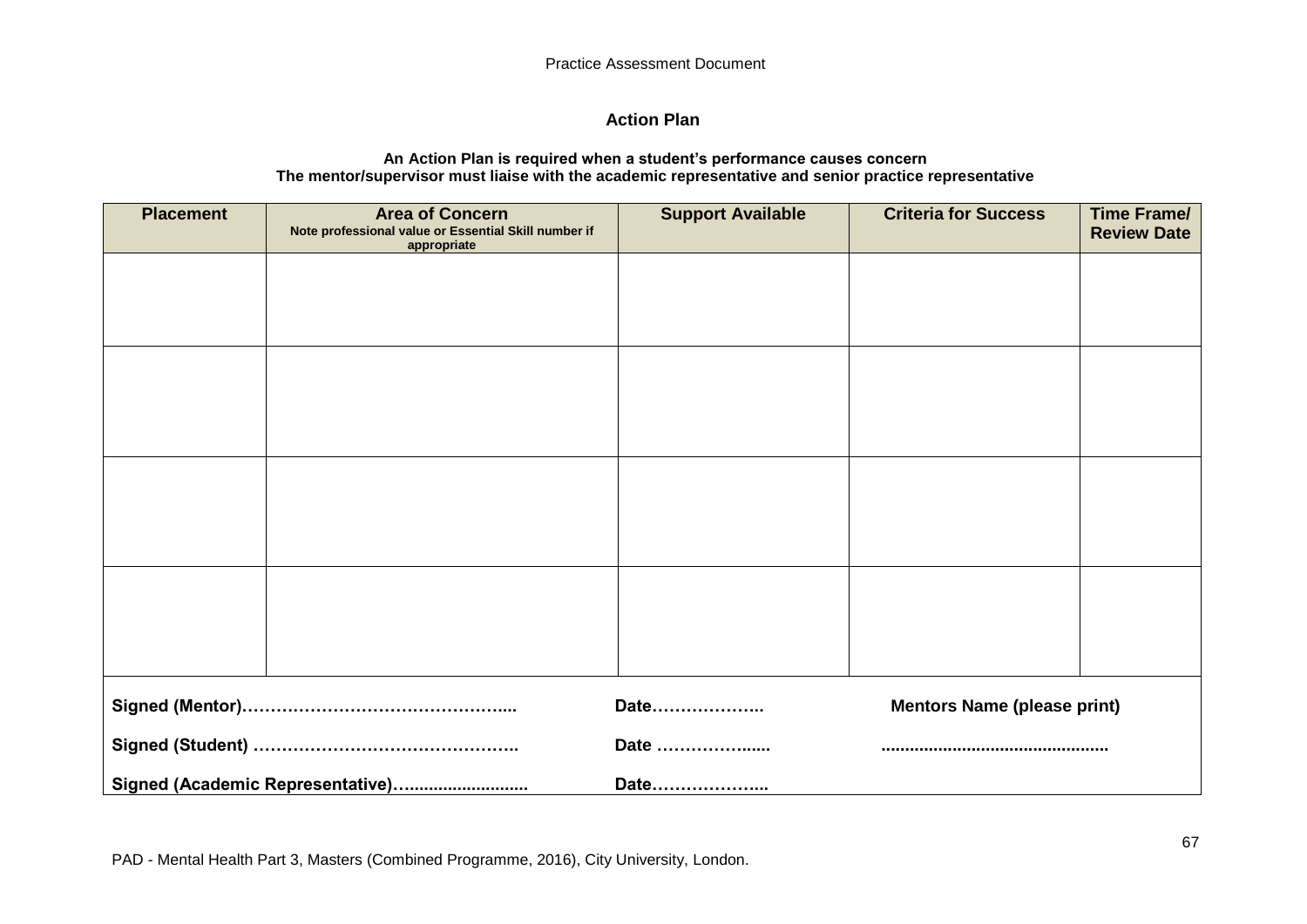## **Action Plan**

#### **An Action Plan is required when a student's performance causes concern The mentor/supervisor must liaise with the academic representative and senior practice representative**

| <b>Placement</b> | <b>Area of Concern</b><br>Note professional value or Essential Skill number if<br>appropriate | <b>Support Available</b> | <b>Criteria for Success</b>        | <b>Time Frame/</b><br><b>Review Date</b> |
|------------------|-----------------------------------------------------------------------------------------------|--------------------------|------------------------------------|------------------------------------------|
|                  |                                                                                               |                          |                                    |                                          |
|                  |                                                                                               |                          |                                    |                                          |
|                  |                                                                                               |                          |                                    |                                          |
|                  |                                                                                               |                          |                                    |                                          |
|                  |                                                                                               |                          |                                    |                                          |
|                  |                                                                                               |                          |                                    |                                          |
|                  |                                                                                               |                          |                                    |                                          |
|                  |                                                                                               |                          |                                    |                                          |
|                  |                                                                                               | Date                     | <b>Mentors Name (please print)</b> |                                          |
|                  |                                                                                               | Date                     |                                    |                                          |
|                  | Signed (Academic Representative)                                                              |                          |                                    |                                          |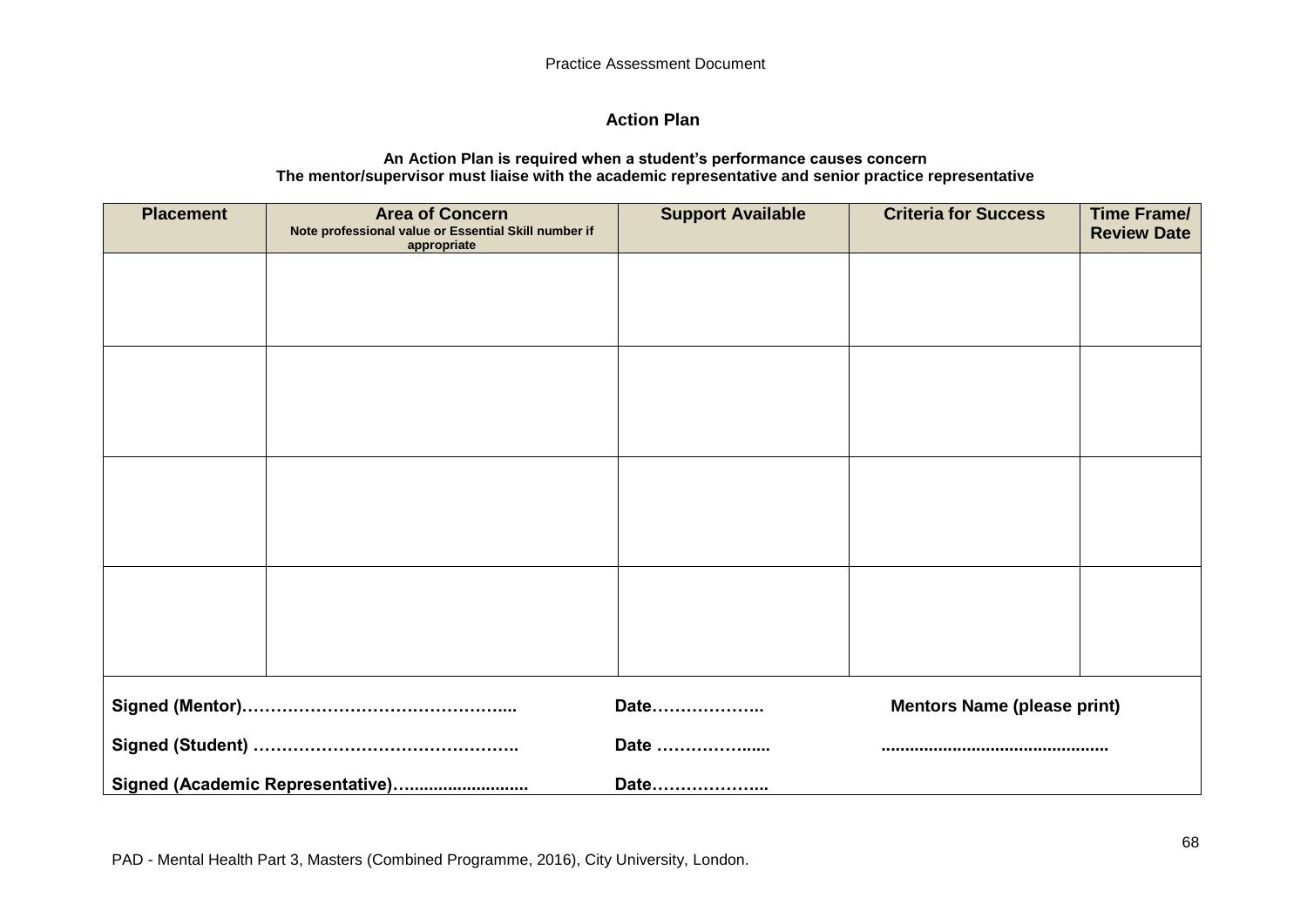## **Action Plan**

#### **An Action Plan is required when a student's performance causes concern The mentor/supervisor must liaise with the academic representative and senior practice representative**

| <b>Placement</b> | <b>Area of Concern</b><br>Note professional value or Essential Skill number if<br>appropriate | <b>Support Available</b> | <b>Criteria for Success</b>        | <b>Time Frame/</b><br><b>Review Date</b> |
|------------------|-----------------------------------------------------------------------------------------------|--------------------------|------------------------------------|------------------------------------------|
|                  |                                                                                               |                          |                                    |                                          |
|                  |                                                                                               |                          |                                    |                                          |
|                  |                                                                                               |                          |                                    |                                          |
|                  |                                                                                               |                          |                                    |                                          |
|                  |                                                                                               |                          |                                    |                                          |
|                  |                                                                                               |                          |                                    |                                          |
|                  |                                                                                               |                          |                                    |                                          |
|                  |                                                                                               |                          |                                    |                                          |
|                  |                                                                                               |                          |                                    |                                          |
|                  |                                                                                               | Date                     | <b>Mentors Name (please print)</b> |                                          |
|                  |                                                                                               | Date                     |                                    |                                          |
|                  | Signed (Academic Representative)                                                              |                          |                                    |                                          |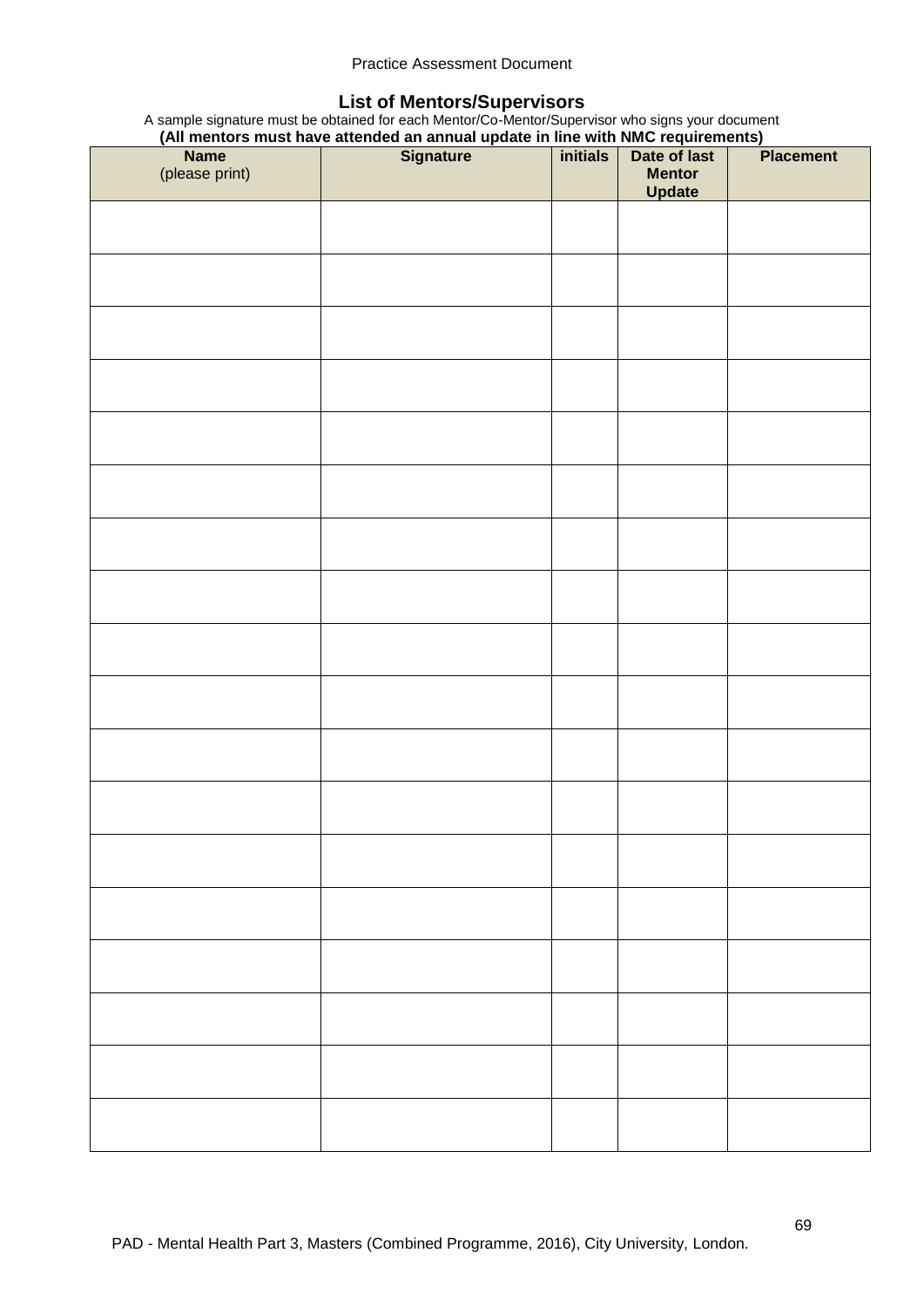## **List of Mentors/Supervisors**

A sample signature must be obtained for each Mentor/Co-Mentor/Supervisor who signs your document **(All mentors must have attended an annual update in line with NMC requirements)**

|                | Name Note of Basic Have attended an annual update in the with NMC requirements)<br>Name Signature initials Date of last |                         | <b>Placement</b> |
|----------------|-------------------------------------------------------------------------------------------------------------------------|-------------------------|------------------|
| (please print) |                                                                                                                         | <b>Mentor</b><br>Update |                  |
|                |                                                                                                                         |                         |                  |
|                |                                                                                                                         |                         |                  |
|                |                                                                                                                         |                         |                  |
|                |                                                                                                                         |                         |                  |
|                |                                                                                                                         |                         |                  |
|                |                                                                                                                         |                         |                  |
|                |                                                                                                                         |                         |                  |
|                |                                                                                                                         |                         |                  |
|                |                                                                                                                         |                         |                  |
|                |                                                                                                                         |                         |                  |
|                |                                                                                                                         |                         |                  |
|                |                                                                                                                         |                         |                  |
|                |                                                                                                                         |                         |                  |
|                |                                                                                                                         |                         |                  |
|                |                                                                                                                         |                         |                  |
|                |                                                                                                                         |                         |                  |
|                |                                                                                                                         |                         |                  |
|                |                                                                                                                         |                         |                  |
|                |                                                                                                                         |                         |                  |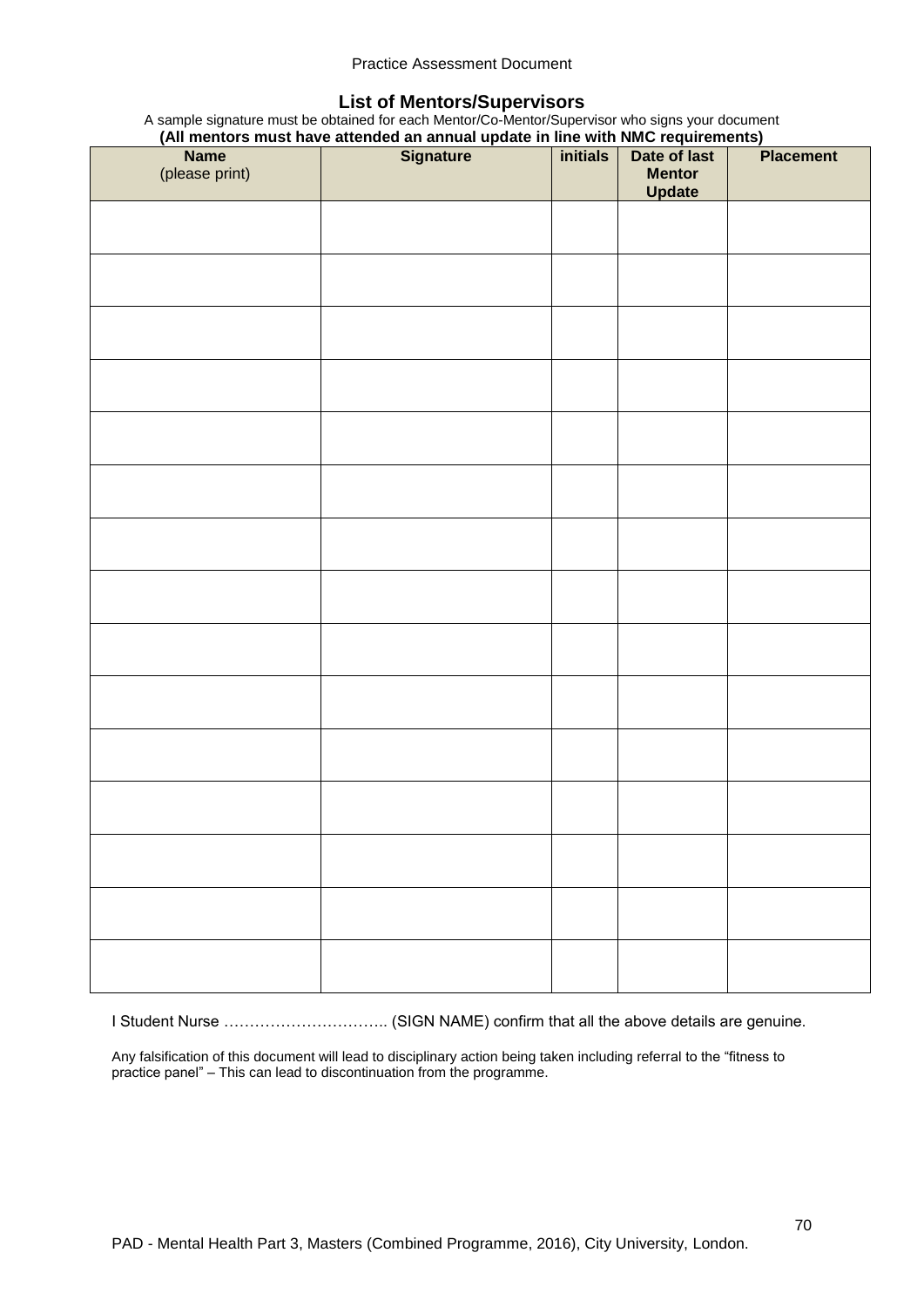## **List of Mentors/Supervisors**

A sample signature must be obtained for each Mentor/Co-Mentor/Supervisor who signs your document **(All mentors must have attended an annual update in line with NMC requirements)**

|                | (All mentors must have attended an annual update in line with NWC requirements) |                 |               |                  |
|----------------|---------------------------------------------------------------------------------|-----------------|---------------|------------------|
| <b>Name</b>    | <b>Signature</b>                                                                | <i>initials</i> | Date of last  | <b>Placement</b> |
| (please print) |                                                                                 |                 | <b>Mentor</b> |                  |
|                |                                                                                 |                 | <b>Update</b> |                  |
|                |                                                                                 |                 |               |                  |
|                |                                                                                 |                 |               |                  |
|                |                                                                                 |                 |               |                  |
|                |                                                                                 |                 |               |                  |
|                |                                                                                 |                 |               |                  |
|                |                                                                                 |                 |               |                  |
|                |                                                                                 |                 |               |                  |
|                |                                                                                 |                 |               |                  |
|                |                                                                                 |                 |               |                  |
|                |                                                                                 |                 |               |                  |
|                |                                                                                 |                 |               |                  |
|                |                                                                                 |                 |               |                  |
|                |                                                                                 |                 |               |                  |
|                |                                                                                 |                 |               |                  |
|                |                                                                                 |                 |               |                  |
|                |                                                                                 |                 |               |                  |
|                |                                                                                 |                 |               |                  |
|                |                                                                                 |                 |               |                  |
|                |                                                                                 |                 |               |                  |
|                |                                                                                 |                 |               |                  |
|                |                                                                                 |                 |               |                  |
|                |                                                                                 |                 |               |                  |
|                |                                                                                 |                 |               |                  |
|                |                                                                                 |                 |               |                  |
|                |                                                                                 |                 |               |                  |
|                |                                                                                 |                 |               |                  |
|                |                                                                                 |                 |               |                  |
|                |                                                                                 |                 |               |                  |
|                |                                                                                 |                 |               |                  |
|                |                                                                                 |                 |               |                  |
|                |                                                                                 |                 |               |                  |
|                |                                                                                 |                 |               |                  |
|                |                                                                                 |                 |               |                  |
|                |                                                                                 |                 |               |                  |
|                |                                                                                 |                 |               |                  |
|                |                                                                                 |                 |               |                  |
|                |                                                                                 |                 |               |                  |
|                |                                                                                 |                 |               |                  |
|                |                                                                                 |                 |               |                  |
|                |                                                                                 |                 |               |                  |
|                |                                                                                 |                 |               |                  |
|                |                                                                                 |                 |               |                  |
|                |                                                                                 |                 |               |                  |
|                |                                                                                 |                 |               |                  |
|                |                                                                                 |                 |               |                  |
|                |                                                                                 |                 |               |                  |
|                |                                                                                 |                 |               |                  |
|                |                                                                                 |                 |               |                  |
|                |                                                                                 |                 |               |                  |

I Student Nurse ………………………….. (SIGN NAME) confirm that all the above details are genuine.

Any falsification of this document will lead to disciplinary action being taken including referral to the "fitness to practice panel" – This can lead to discontinuation from the programme.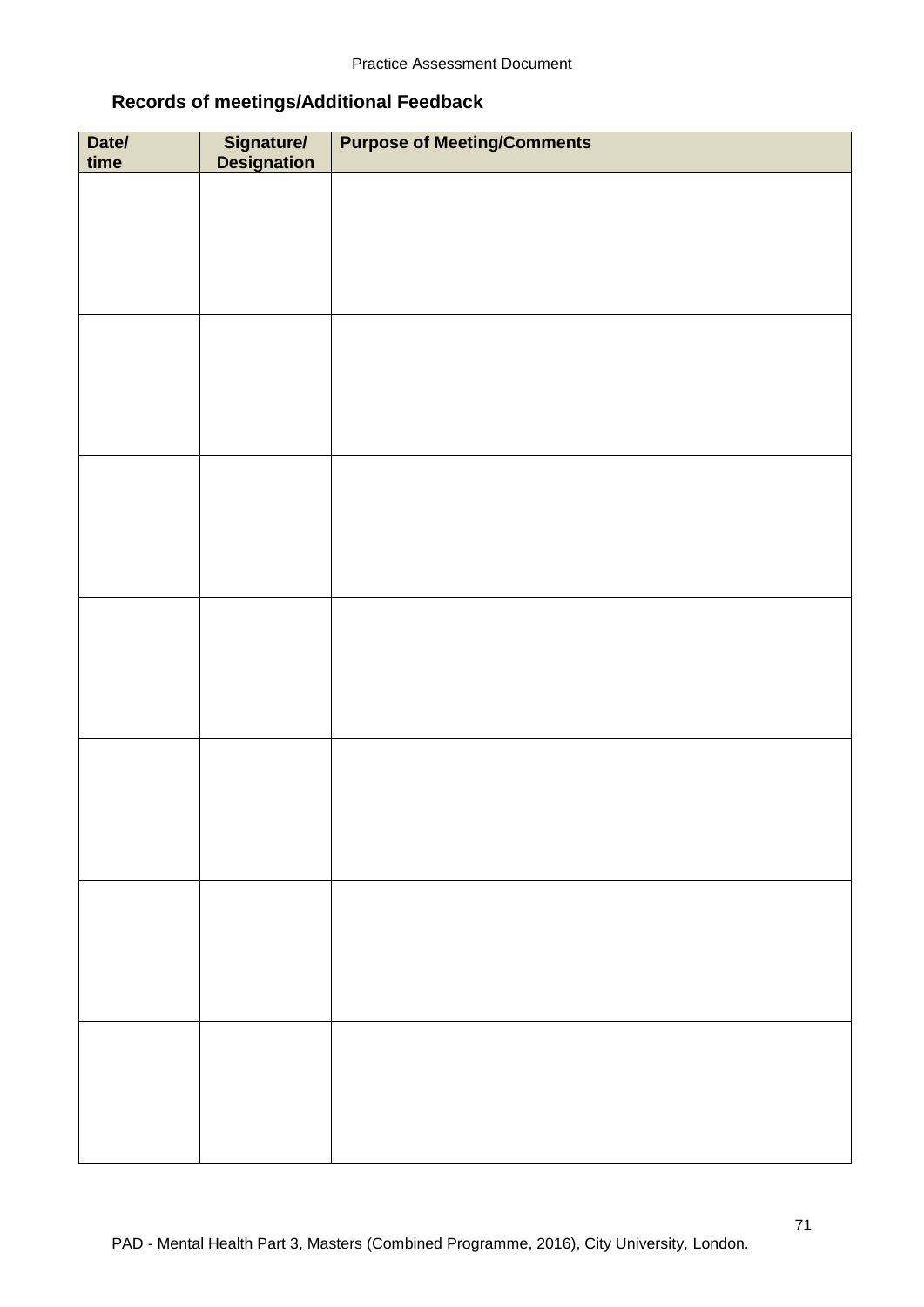# **Records of meetings/Additional Feedback**

| Date/<br>time | Signature/<br>Designation | <b>Purpose of Meeting/Comments</b> |
|---------------|---------------------------|------------------------------------|
|               |                           |                                    |
|               |                           |                                    |
|               |                           |                                    |
|               |                           |                                    |
|               |                           |                                    |
|               |                           |                                    |
|               |                           |                                    |
|               |                           |                                    |
|               |                           |                                    |
|               |                           |                                    |
|               |                           |                                    |
|               |                           |                                    |
|               |                           |                                    |
|               |                           |                                    |
|               |                           |                                    |
|               |                           |                                    |
|               |                           |                                    |
|               |                           |                                    |
|               |                           |                                    |
|               |                           |                                    |
|               |                           |                                    |
|               |                           |                                    |
|               |                           |                                    |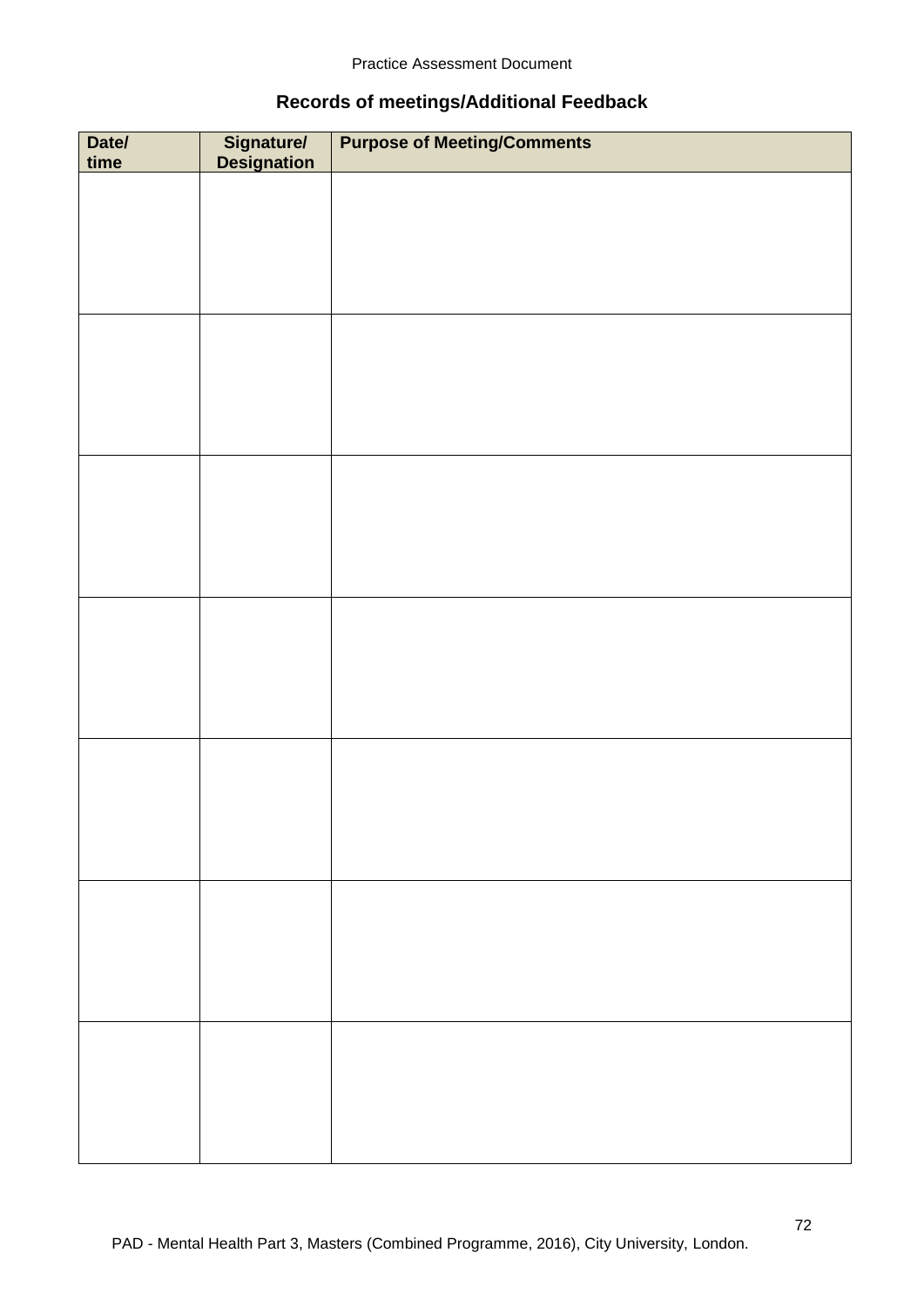## **Records of meetings/Additional Feedback**

| Date/<br>time | Signature/<br>Designation | <b>Purpose of Meeting/Comments</b> |
|---------------|---------------------------|------------------------------------|
|               |                           |                                    |
|               |                           |                                    |
|               |                           |                                    |
|               |                           |                                    |
|               |                           |                                    |
|               |                           |                                    |
|               |                           |                                    |
|               |                           |                                    |
|               |                           |                                    |
|               |                           |                                    |
|               |                           |                                    |
|               |                           |                                    |
|               |                           |                                    |
|               |                           |                                    |
|               |                           |                                    |
|               |                           |                                    |
|               |                           |                                    |
|               |                           |                                    |
|               |                           |                                    |
|               |                           |                                    |
|               |                           |                                    |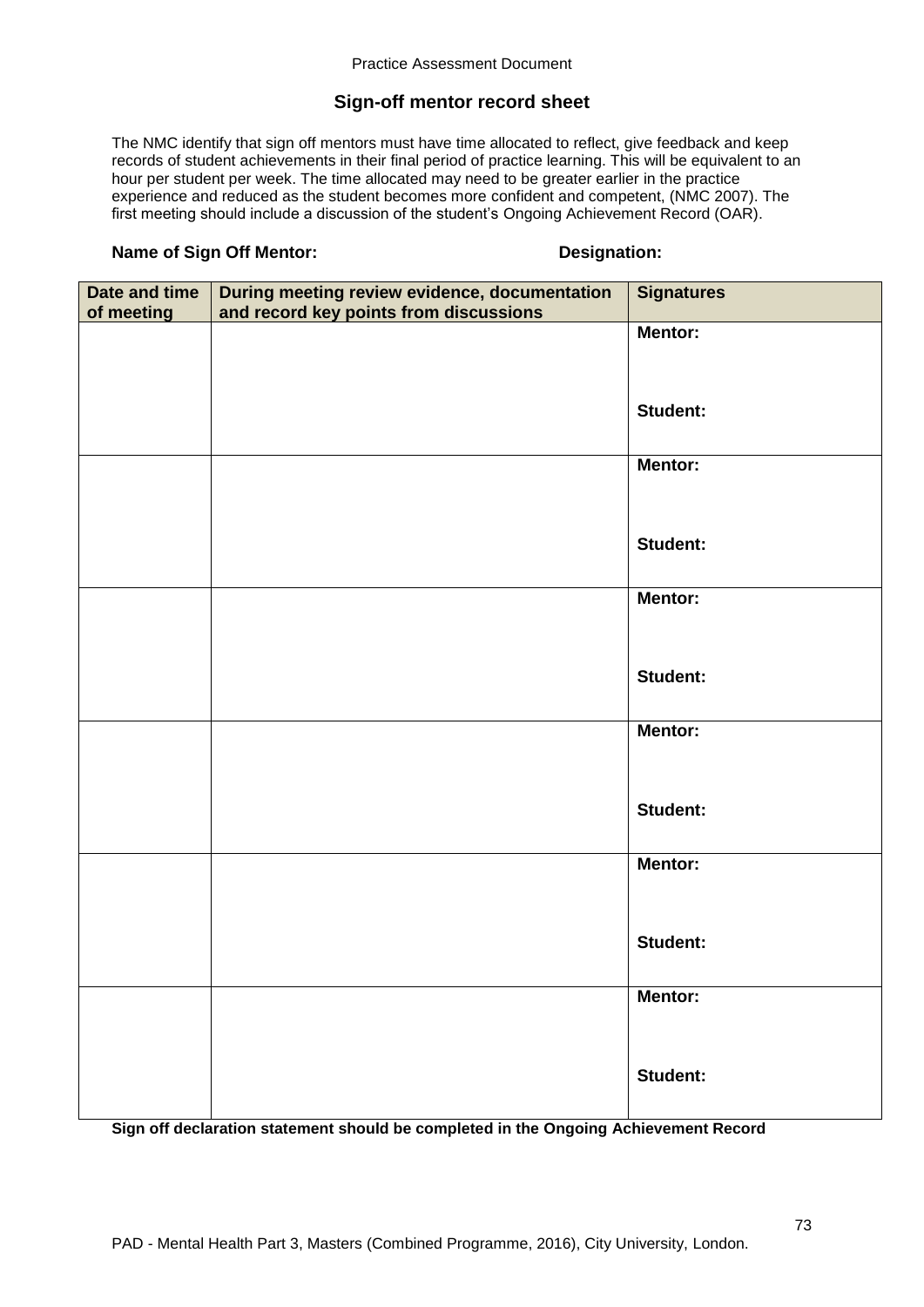### **Sign-off mentor record sheet**

The NMC identify that sign off mentors must have time allocated to reflect, give feedback and keep records of student achievements in their final period of practice learning. This will be equivalent to an hour per student per week. The time allocated may need to be greater earlier in the practice experience and reduced as the student becomes more confident and competent, (NMC 2007). The first meeting should include a discussion of the student's Ongoing Achievement Record (OAR).

### **Name of Sign Off Mentor: Designation:**

| Date and time | During meeting review evidence, documentation | <b>Signatures</b> |
|---------------|-----------------------------------------------|-------------------|
| of meeting    | and record key points from discussions        | <b>Mentor:</b>    |
|               |                                               |                   |
|               |                                               |                   |
|               |                                               | <b>Student:</b>   |
|               |                                               |                   |
|               |                                               | Mentor:           |
|               |                                               |                   |
|               |                                               | <b>Student:</b>   |
|               |                                               |                   |
|               |                                               | <b>Mentor:</b>    |
|               |                                               |                   |
|               |                                               | <b>Student:</b>   |
|               |                                               |                   |
|               |                                               | Mentor:           |
|               |                                               |                   |
|               |                                               |                   |
|               |                                               | <b>Student:</b>   |
|               |                                               |                   |
|               |                                               | Mentor:           |
|               |                                               |                   |
|               |                                               | <b>Student:</b>   |
|               |                                               |                   |
|               |                                               | <b>Mentor:</b>    |
|               |                                               |                   |
|               |                                               | <b>Student:</b>   |
|               |                                               |                   |
|               |                                               |                   |

**Sign off declaration statement should be completed in the Ongoing Achievement Record**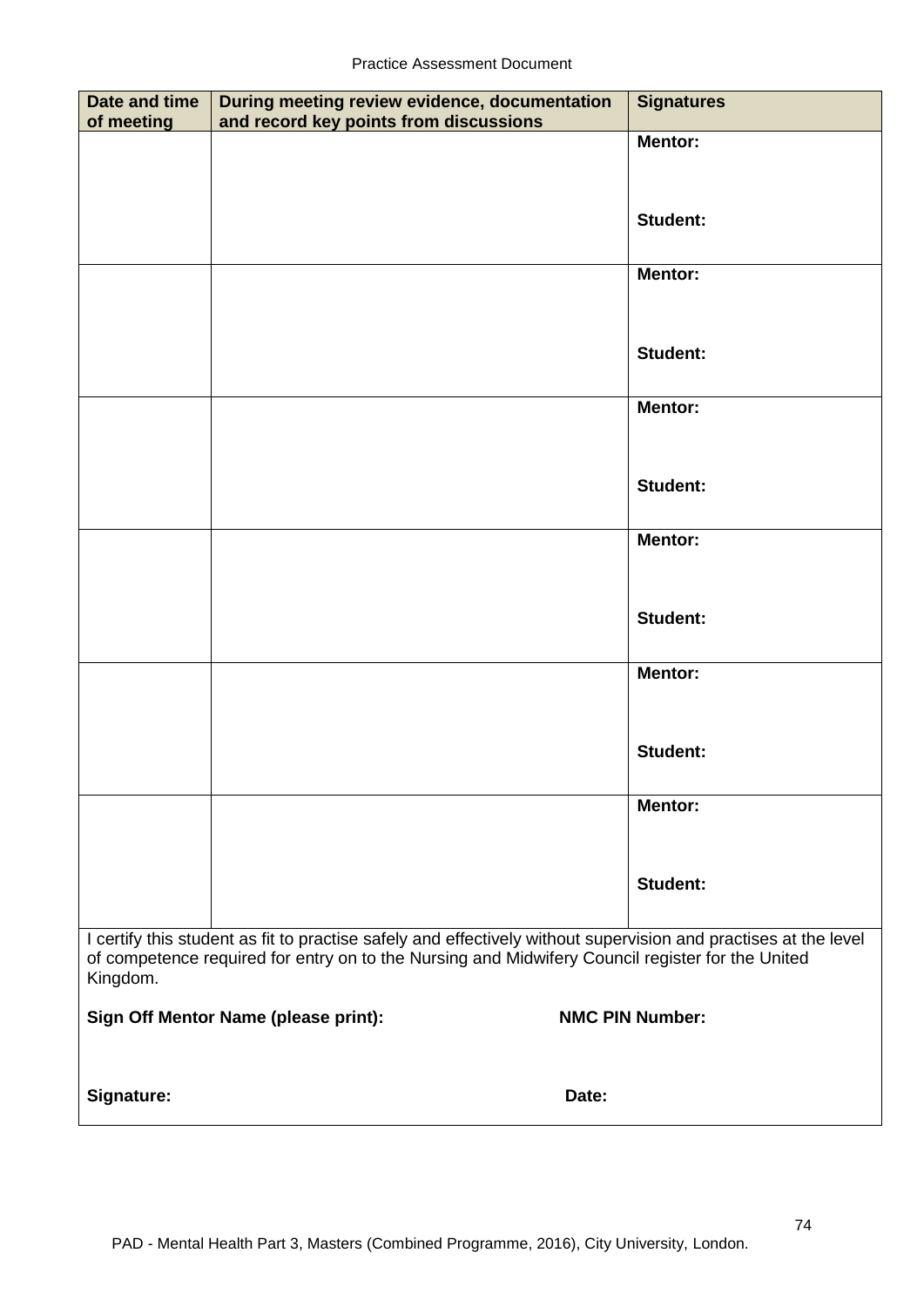| <b>Date and time</b><br>of meeting | During meeting review evidence, documentation<br>and record key points from discussions                                                                                                                             | <b>Signatures</b>      |
|------------------------------------|---------------------------------------------------------------------------------------------------------------------------------------------------------------------------------------------------------------------|------------------------|
|                                    |                                                                                                                                                                                                                     | <b>Mentor:</b>         |
|                                    |                                                                                                                                                                                                                     |                        |
|                                    |                                                                                                                                                                                                                     | <b>Student:</b>        |
|                                    |                                                                                                                                                                                                                     |                        |
|                                    |                                                                                                                                                                                                                     | <b>Mentor:</b>         |
|                                    |                                                                                                                                                                                                                     |                        |
|                                    |                                                                                                                                                                                                                     | <b>Student:</b>        |
|                                    |                                                                                                                                                                                                                     | <b>Mentor:</b>         |
|                                    |                                                                                                                                                                                                                     |                        |
|                                    |                                                                                                                                                                                                                     |                        |
|                                    |                                                                                                                                                                                                                     | <b>Student:</b>        |
|                                    |                                                                                                                                                                                                                     | <b>Mentor:</b>         |
|                                    |                                                                                                                                                                                                                     |                        |
|                                    |                                                                                                                                                                                                                     | <b>Student:</b>        |
|                                    |                                                                                                                                                                                                                     |                        |
|                                    |                                                                                                                                                                                                                     | <b>Mentor:</b>         |
|                                    |                                                                                                                                                                                                                     |                        |
|                                    |                                                                                                                                                                                                                     | <b>Student:</b>        |
|                                    |                                                                                                                                                                                                                     | <b>Mentor:</b>         |
|                                    |                                                                                                                                                                                                                     |                        |
|                                    |                                                                                                                                                                                                                     | <b>Student:</b>        |
|                                    |                                                                                                                                                                                                                     |                        |
| Kingdom.                           | I certify this student as fit to practise safely and effectively without supervision and practises at the level<br>of competence required for entry on to the Nursing and Midwifery Council register for the United |                        |
|                                    | Sign Off Mentor Name (please print):                                                                                                                                                                                | <b>NMC PIN Number:</b> |
|                                    |                                                                                                                                                                                                                     |                        |
| <b>Signature:</b>                  | Date:                                                                                                                                                                                                               |                        |
|                                    |                                                                                                                                                                                                                     |                        |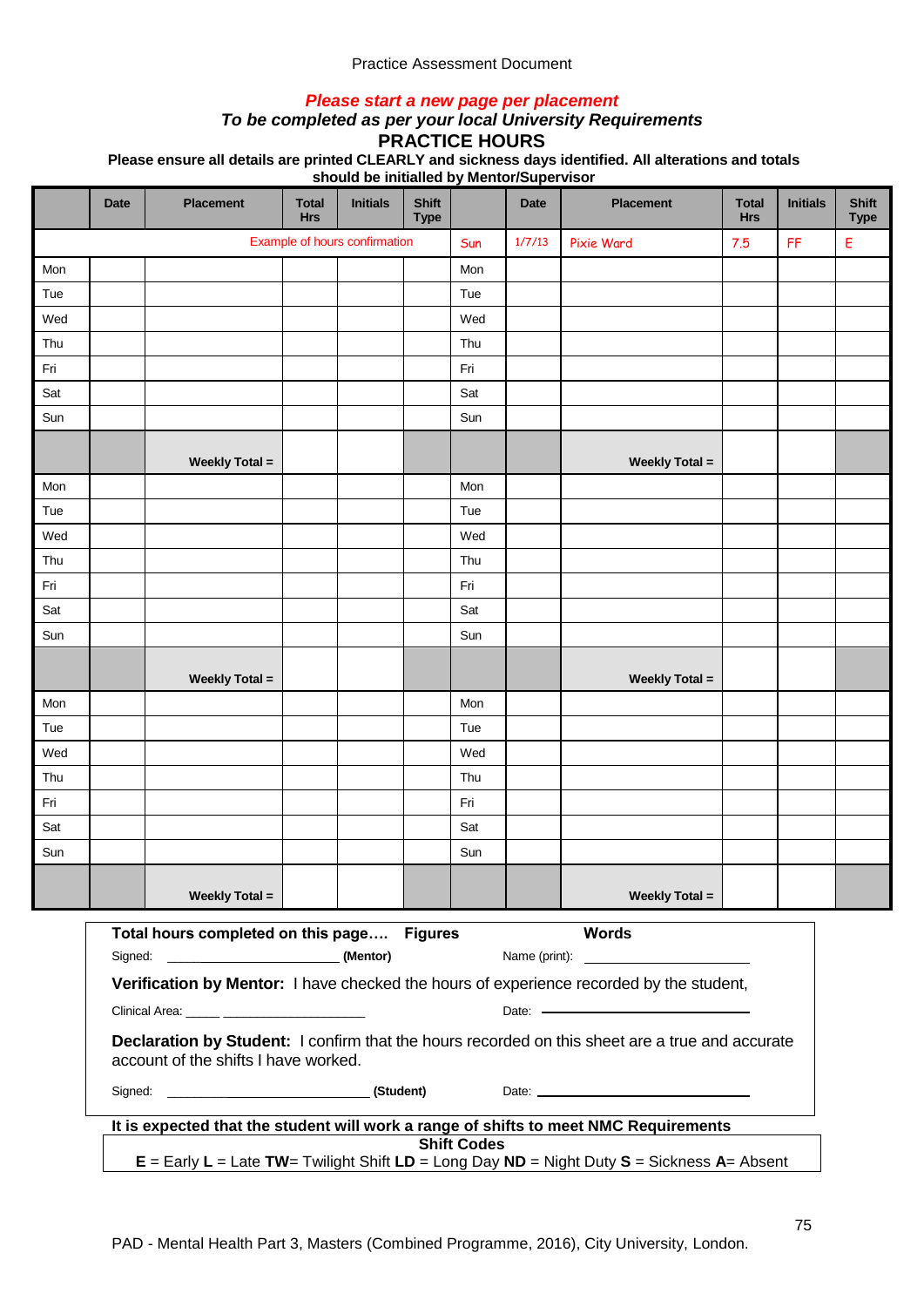### *Please start a new page per placement*

### *To be completed as per your local University Requirements*

**PRACTICE HOURS**

**Please ensure all details are printed CLEARLY and sickness days identified. All alterations and totals** 

|     | <b>Date</b>                                                                                                                                    | <b>Placement</b>                           | <b>Total</b><br><b>Hrs</b> | <b>Initials</b>               | <b>Shift</b><br><b>Type</b> |     | <b>Date</b> | <b>Placement</b>                                                                     | <b>Total</b><br><b>Hrs</b> | <b>Initials</b> | <b>Shift</b><br><b>Type</b> |
|-----|------------------------------------------------------------------------------------------------------------------------------------------------|--------------------------------------------|----------------------------|-------------------------------|-----------------------------|-----|-------------|--------------------------------------------------------------------------------------|----------------------------|-----------------|-----------------------------|
|     |                                                                                                                                                |                                            |                            | Example of hours confirmation |                             | Sun | 1/7/13      | <b>Pixie Ward</b>                                                                    | 7.5                        | FF              | Ε                           |
| Mon |                                                                                                                                                |                                            |                            |                               |                             | Mon |             |                                                                                      |                            |                 |                             |
| Tue |                                                                                                                                                |                                            |                            |                               |                             | Tue |             |                                                                                      |                            |                 |                             |
| Wed |                                                                                                                                                |                                            |                            |                               |                             | Wed |             |                                                                                      |                            |                 |                             |
| Thu |                                                                                                                                                |                                            |                            |                               |                             | Thu |             |                                                                                      |                            |                 |                             |
| Fri |                                                                                                                                                |                                            |                            |                               |                             | Fri |             |                                                                                      |                            |                 |                             |
| Sat |                                                                                                                                                |                                            |                            |                               |                             | Sat |             |                                                                                      |                            |                 |                             |
| Sun |                                                                                                                                                |                                            |                            |                               |                             | Sun |             |                                                                                      |                            |                 |                             |
|     |                                                                                                                                                | <b>Weekly Total =</b>                      |                            |                               |                             |     |             | <b>Weekly Total =</b>                                                                |                            |                 |                             |
| Mon |                                                                                                                                                |                                            |                            |                               |                             | Mon |             |                                                                                      |                            |                 |                             |
| Tue |                                                                                                                                                |                                            |                            |                               |                             | Tue |             |                                                                                      |                            |                 |                             |
| Wed |                                                                                                                                                |                                            |                            |                               |                             | Wed |             |                                                                                      |                            |                 |                             |
| Thu |                                                                                                                                                |                                            |                            |                               |                             | Thu |             |                                                                                      |                            |                 |                             |
| Fri |                                                                                                                                                |                                            |                            |                               |                             | Fri |             |                                                                                      |                            |                 |                             |
| Sat |                                                                                                                                                |                                            |                            |                               |                             | Sat |             |                                                                                      |                            |                 |                             |
| Sun |                                                                                                                                                |                                            |                            |                               |                             | Sun |             |                                                                                      |                            |                 |                             |
|     |                                                                                                                                                | <b>Weekly Total =</b>                      |                            |                               |                             |     |             | <b>Weekly Total =</b>                                                                |                            |                 |                             |
| Mon |                                                                                                                                                |                                            |                            |                               |                             | Mon |             |                                                                                      |                            |                 |                             |
| Tue |                                                                                                                                                |                                            |                            |                               |                             | Tue |             |                                                                                      |                            |                 |                             |
| Wed |                                                                                                                                                |                                            |                            |                               |                             | Wed |             |                                                                                      |                            |                 |                             |
| Thu |                                                                                                                                                |                                            |                            |                               |                             | Thu |             |                                                                                      |                            |                 |                             |
| Fri |                                                                                                                                                |                                            |                            |                               |                             | Fri |             |                                                                                      |                            |                 |                             |
| Sat |                                                                                                                                                |                                            |                            |                               |                             | Sat |             |                                                                                      |                            |                 |                             |
| Sun |                                                                                                                                                |                                            |                            |                               |                             | Sun |             |                                                                                      |                            |                 |                             |
|     |                                                                                                                                                | <b>Weekly Total =</b>                      |                            |                               |                             |     |             | <b>Weekly Total =</b>                                                                |                            |                 |                             |
|     |                                                                                                                                                | Total hours completed on this page Figures |                            |                               |                             |     |             | <b>Words</b>                                                                         |                            |                 |                             |
|     |                                                                                                                                                |                                            |                            |                               |                             |     |             |                                                                                      |                            |                 |                             |
|     | Verification by Mentor: I have checked the hours of experience recorded by the student,<br>Clinical Area: <b>Accelerate and Clinical Area:</b> |                                            |                            |                               |                             |     |             |                                                                                      |                            |                 |                             |
|     | Declaration by Student: I confirm that the hours recorded on this sheet are a true and accurate<br>account of the shifts I have worked.        |                                            |                            |                               |                             |     |             |                                                                                      |                            |                 |                             |
|     |                                                                                                                                                |                                            |                            |                               |                             |     |             |                                                                                      |                            |                 |                             |
|     |                                                                                                                                                |                                            |                            |                               |                             |     |             | It is expected that the student will work a range of shifts to meet NMC Requirements |                            |                 |                             |
|     | <b>Shift Codes</b><br>$E =$ Early L = Late TW= Twilight Shift LD = Long Day ND = Night Duty S = Sickness A= Absent                             |                                            |                            |                               |                             |     |             |                                                                                      |                            |                 |                             |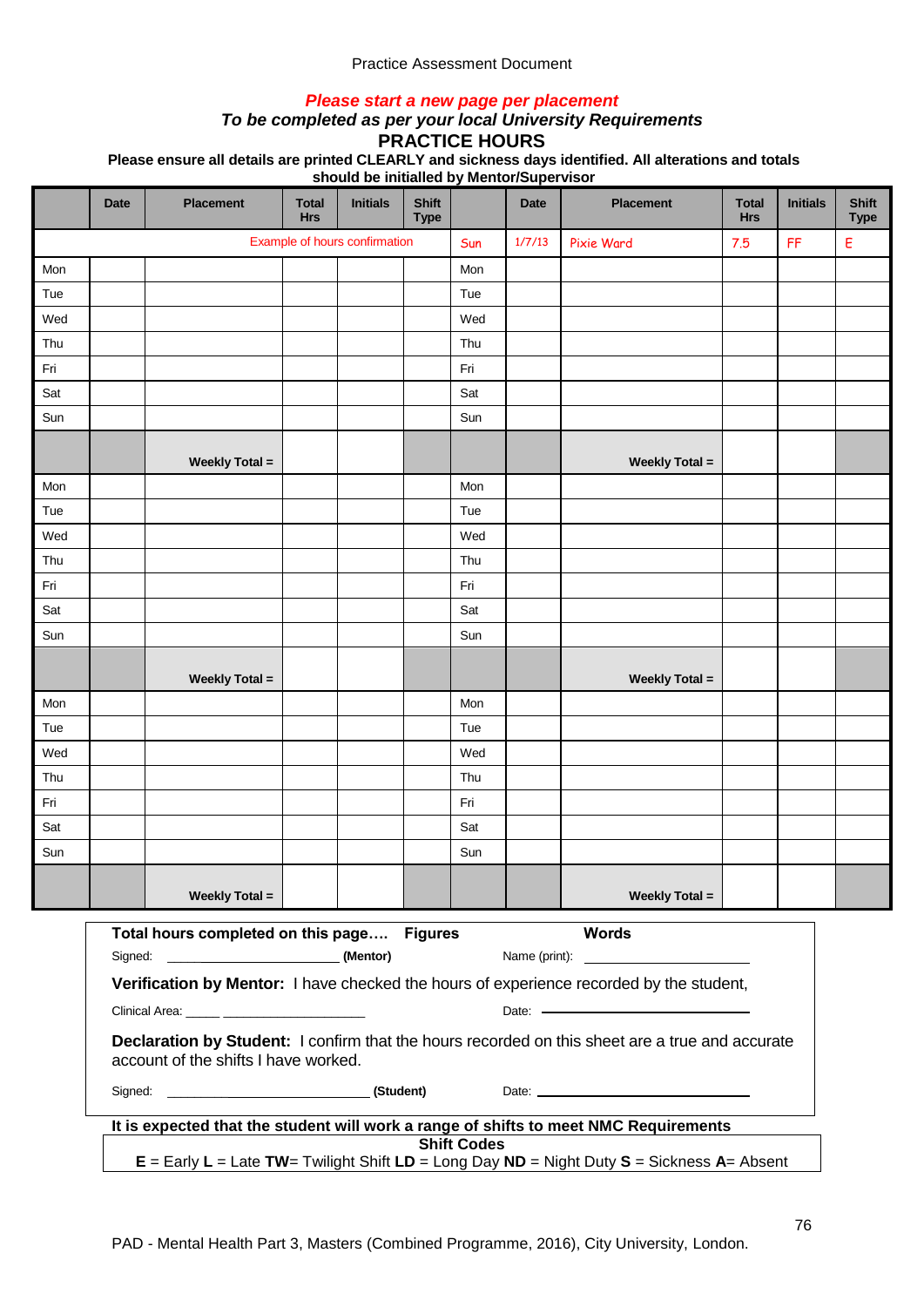### *Please start a new page per placement*

### *To be completed as per your local University Requirements*

**PRACTICE HOURS**

**Please ensure all details are printed CLEARLY and sickness days identified. All alterations and totals** 

|     | <b>Date</b>                                                                                                                               | <b>Placement</b>      | <b>Total</b><br><b>Hrs</b> | <b>Initials</b>               | <b>Shift</b><br><b>Type</b> |     | <b>Date</b> | <b>Placement</b>                                                                     | <b>Total</b><br><b>Hrs</b> | <b>Initials</b> | <b>Shift</b><br><b>Type</b> |
|-----|-------------------------------------------------------------------------------------------------------------------------------------------|-----------------------|----------------------------|-------------------------------|-----------------------------|-----|-------------|--------------------------------------------------------------------------------------|----------------------------|-----------------|-----------------------------|
|     |                                                                                                                                           |                       |                            | Example of hours confirmation |                             | Sun | 1/7/13      | <b>Pixie Ward</b>                                                                    | 7.5                        | FF              | Ε                           |
| Mon |                                                                                                                                           |                       |                            |                               |                             | Mon |             |                                                                                      |                            |                 |                             |
| Tue |                                                                                                                                           |                       |                            |                               |                             | Tue |             |                                                                                      |                            |                 |                             |
| Wed |                                                                                                                                           |                       |                            |                               |                             | Wed |             |                                                                                      |                            |                 |                             |
| Thu |                                                                                                                                           |                       |                            |                               |                             | Thu |             |                                                                                      |                            |                 |                             |
| Fri |                                                                                                                                           |                       |                            |                               |                             | Fri |             |                                                                                      |                            |                 |                             |
| Sat |                                                                                                                                           |                       |                            |                               |                             | Sat |             |                                                                                      |                            |                 |                             |
| Sun |                                                                                                                                           |                       |                            |                               |                             | Sun |             |                                                                                      |                            |                 |                             |
|     |                                                                                                                                           | <b>Weekly Total =</b> |                            |                               |                             |     |             | <b>Weekly Total =</b>                                                                |                            |                 |                             |
| Mon |                                                                                                                                           |                       |                            |                               |                             | Mon |             |                                                                                      |                            |                 |                             |
| Tue |                                                                                                                                           |                       |                            |                               |                             | Tue |             |                                                                                      |                            |                 |                             |
| Wed |                                                                                                                                           |                       |                            |                               |                             | Wed |             |                                                                                      |                            |                 |                             |
| Thu |                                                                                                                                           |                       |                            |                               |                             | Thu |             |                                                                                      |                            |                 |                             |
| Fri |                                                                                                                                           |                       |                            |                               |                             | Fri |             |                                                                                      |                            |                 |                             |
| Sat |                                                                                                                                           |                       |                            |                               |                             | Sat |             |                                                                                      |                            |                 |                             |
| Sun |                                                                                                                                           |                       |                            |                               |                             | Sun |             |                                                                                      |                            |                 |                             |
|     |                                                                                                                                           | <b>Weekly Total =</b> |                            |                               |                             |     |             | <b>Weekly Total =</b>                                                                |                            |                 |                             |
| Mon |                                                                                                                                           |                       |                            |                               |                             | Mon |             |                                                                                      |                            |                 |                             |
| Tue |                                                                                                                                           |                       |                            |                               |                             | Tue |             |                                                                                      |                            |                 |                             |
| Wed |                                                                                                                                           |                       |                            |                               |                             | Wed |             |                                                                                      |                            |                 |                             |
| Thu |                                                                                                                                           |                       |                            |                               |                             | Thu |             |                                                                                      |                            |                 |                             |
| Fri |                                                                                                                                           |                       |                            |                               |                             | Fri |             |                                                                                      |                            |                 |                             |
| Sat |                                                                                                                                           |                       |                            |                               |                             | Sat |             |                                                                                      |                            |                 |                             |
| Sun |                                                                                                                                           |                       |                            |                               |                             | Sun |             |                                                                                      |                            |                 |                             |
|     |                                                                                                                                           | <b>Weekly Total =</b> |                            |                               |                             |     |             | <b>Weekly Total =</b>                                                                |                            |                 |                             |
|     | <b>Words</b><br>Total hours completed on this page Figures                                                                                |                       |                            |                               |                             |     |             |                                                                                      |                            |                 |                             |
|     |                                                                                                                                           |                       |                            |                               |                             |     |             |                                                                                      |                            |                 |                             |
|     | Verification by Mentor: I have checked the hours of experience recorded by the student,<br>Clinical Area: _____ _________________________ |                       |                            |                               |                             |     |             |                                                                                      |                            |                 |                             |
|     | Declaration by Student: I confirm that the hours recorded on this sheet are a true and accurate<br>account of the shifts I have worked.   |                       |                            |                               |                             |     |             |                                                                                      |                            |                 |                             |
|     |                                                                                                                                           |                       |                            |                               |                             |     |             |                                                                                      |                            |                 |                             |
|     |                                                                                                                                           |                       |                            |                               |                             |     |             | It is expected that the student will work a range of shifts to meet NMC Requirements |                            |                 |                             |
|     | <b>Shift Codes</b><br>$E =$ Early $L =$ Late TW= Twilight Shift $LD =$ Long Day ND = Night Duty S = Sickness A= Absent                    |                       |                            |                               |                             |     |             |                                                                                      |                            |                 |                             |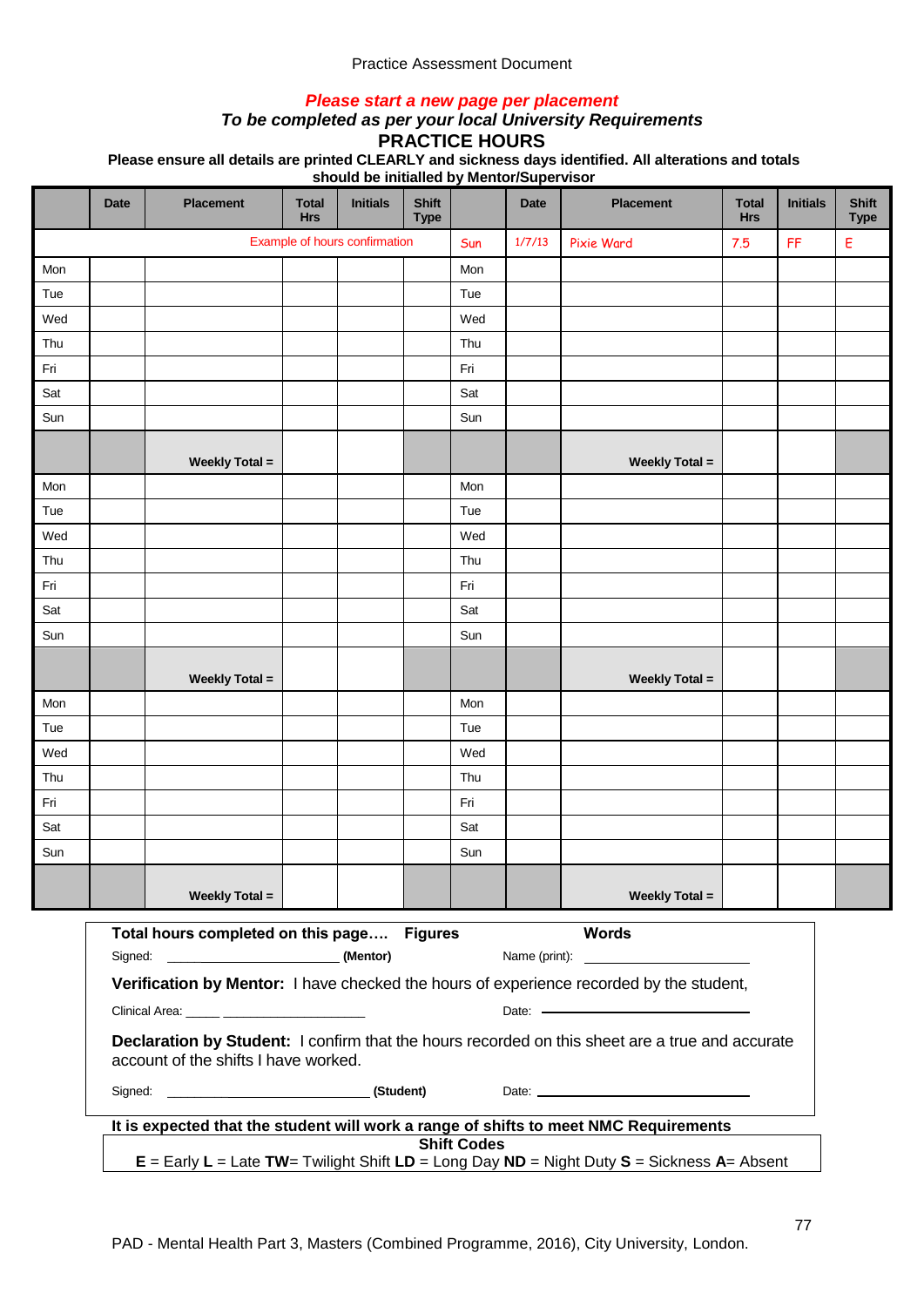### *Please start a new page per placement*

## *To be completed as per your local University Requirements*

**PRACTICE HOURS**

**Please ensure all details are printed CLEARLY and sickness days identified. All alterations and totals** 

|     | <b>Date</b>                                                                                                                                                                                                                                                | <b>Placement</b>      | <b>Total</b><br><b>Hrs</b> | <b>Initials</b>               | <b>Shift</b><br><b>Type</b> |     | <b>Date</b> | <b>Placement</b>                                                                     | <b>Total</b><br><b>Hrs</b> | <b>Initials</b> | <b>Shift</b><br><b>Type</b> |
|-----|------------------------------------------------------------------------------------------------------------------------------------------------------------------------------------------------------------------------------------------------------------|-----------------------|----------------------------|-------------------------------|-----------------------------|-----|-------------|--------------------------------------------------------------------------------------|----------------------------|-----------------|-----------------------------|
|     |                                                                                                                                                                                                                                                            |                       |                            | Example of hours confirmation |                             | Sun | 1/7/13      | <b>Pixie Ward</b>                                                                    | 7.5                        | FF              | Ε                           |
| Mon |                                                                                                                                                                                                                                                            |                       |                            |                               |                             | Mon |             |                                                                                      |                            |                 |                             |
| Tue |                                                                                                                                                                                                                                                            |                       |                            |                               |                             | Tue |             |                                                                                      |                            |                 |                             |
| Wed |                                                                                                                                                                                                                                                            |                       |                            |                               |                             | Wed |             |                                                                                      |                            |                 |                             |
| Thu |                                                                                                                                                                                                                                                            |                       |                            |                               |                             | Thu |             |                                                                                      |                            |                 |                             |
| Fri |                                                                                                                                                                                                                                                            |                       |                            |                               |                             | Fri |             |                                                                                      |                            |                 |                             |
| Sat |                                                                                                                                                                                                                                                            |                       |                            |                               |                             | Sat |             |                                                                                      |                            |                 |                             |
| Sun |                                                                                                                                                                                                                                                            |                       |                            |                               |                             | Sun |             |                                                                                      |                            |                 |                             |
|     |                                                                                                                                                                                                                                                            | <b>Weekly Total =</b> |                            |                               |                             |     |             | <b>Weekly Total =</b>                                                                |                            |                 |                             |
| Mon |                                                                                                                                                                                                                                                            |                       |                            |                               |                             | Mon |             |                                                                                      |                            |                 |                             |
| Tue |                                                                                                                                                                                                                                                            |                       |                            |                               |                             | Tue |             |                                                                                      |                            |                 |                             |
| Wed |                                                                                                                                                                                                                                                            |                       |                            |                               |                             | Wed |             |                                                                                      |                            |                 |                             |
| Thu |                                                                                                                                                                                                                                                            |                       |                            |                               |                             | Thu |             |                                                                                      |                            |                 |                             |
| Fri |                                                                                                                                                                                                                                                            |                       |                            |                               |                             | Fri |             |                                                                                      |                            |                 |                             |
| Sat |                                                                                                                                                                                                                                                            |                       |                            |                               |                             | Sat |             |                                                                                      |                            |                 |                             |
| Sun |                                                                                                                                                                                                                                                            |                       |                            |                               |                             | Sun |             |                                                                                      |                            |                 |                             |
|     |                                                                                                                                                                                                                                                            | <b>Weekly Total =</b> |                            |                               |                             |     |             | <b>Weekly Total =</b>                                                                |                            |                 |                             |
| Mon |                                                                                                                                                                                                                                                            |                       |                            |                               |                             | Mon |             |                                                                                      |                            |                 |                             |
| Tue |                                                                                                                                                                                                                                                            |                       |                            |                               |                             | Tue |             |                                                                                      |                            |                 |                             |
| Wed |                                                                                                                                                                                                                                                            |                       |                            |                               |                             | Wed |             |                                                                                      |                            |                 |                             |
| Thu |                                                                                                                                                                                                                                                            |                       |                            |                               |                             | Thu |             |                                                                                      |                            |                 |                             |
| Fri |                                                                                                                                                                                                                                                            |                       |                            |                               |                             | Fri |             |                                                                                      |                            |                 |                             |
| Sat |                                                                                                                                                                                                                                                            |                       |                            |                               |                             | Sat |             |                                                                                      |                            |                 |                             |
| Sun |                                                                                                                                                                                                                                                            |                       |                            |                               |                             | Sun |             |                                                                                      |                            |                 |                             |
|     |                                                                                                                                                                                                                                                            | <b>Weekly Total =</b> |                            |                               |                             |     |             | <b>Weekly Total =</b>                                                                |                            |                 |                             |
|     | <b>Words</b><br>Total hours completed on this page Figures<br>Name (print):<br><u> Alexandria de la contexta de la contexta de la contexta de la contexta de la contexta de la contexta de la c</u>                                                        |                       |                            |                               |                             |     |             |                                                                                      |                            |                 |                             |
|     |                                                                                                                                                                                                                                                            |                       |                            |                               |                             |     |             |                                                                                      |                            |                 |                             |
|     | Verification by Mentor: I have checked the hours of experience recorded by the student,<br>Clinical Area: _____ ________________________<br>Date: Note: Note: Note: Note: Note: Note: Note: Note: Note: Note: Note: Note: Note: Note: Note: Note: Note: No |                       |                            |                               |                             |     |             |                                                                                      |                            |                 |                             |
|     | Declaration by Student: I confirm that the hours recorded on this sheet are a true and accurate<br>account of the shifts I have worked.                                                                                                                    |                       |                            |                               |                             |     |             |                                                                                      |                            |                 |                             |
|     |                                                                                                                                                                                                                                                            |                       |                            |                               |                             |     |             |                                                                                      |                            |                 |                             |
|     |                                                                                                                                                                                                                                                            |                       |                            |                               |                             |     |             | It is expected that the student will work a range of shifts to meet NMC Requirements |                            |                 |                             |
|     | <b>Shift Codes</b><br>$E =$ Early $L =$ Late TW= Twilight Shift $LD =$ Long Day ND = Night Duty S = Sickness A= Absent                                                                                                                                     |                       |                            |                               |                             |     |             |                                                                                      |                            |                 |                             |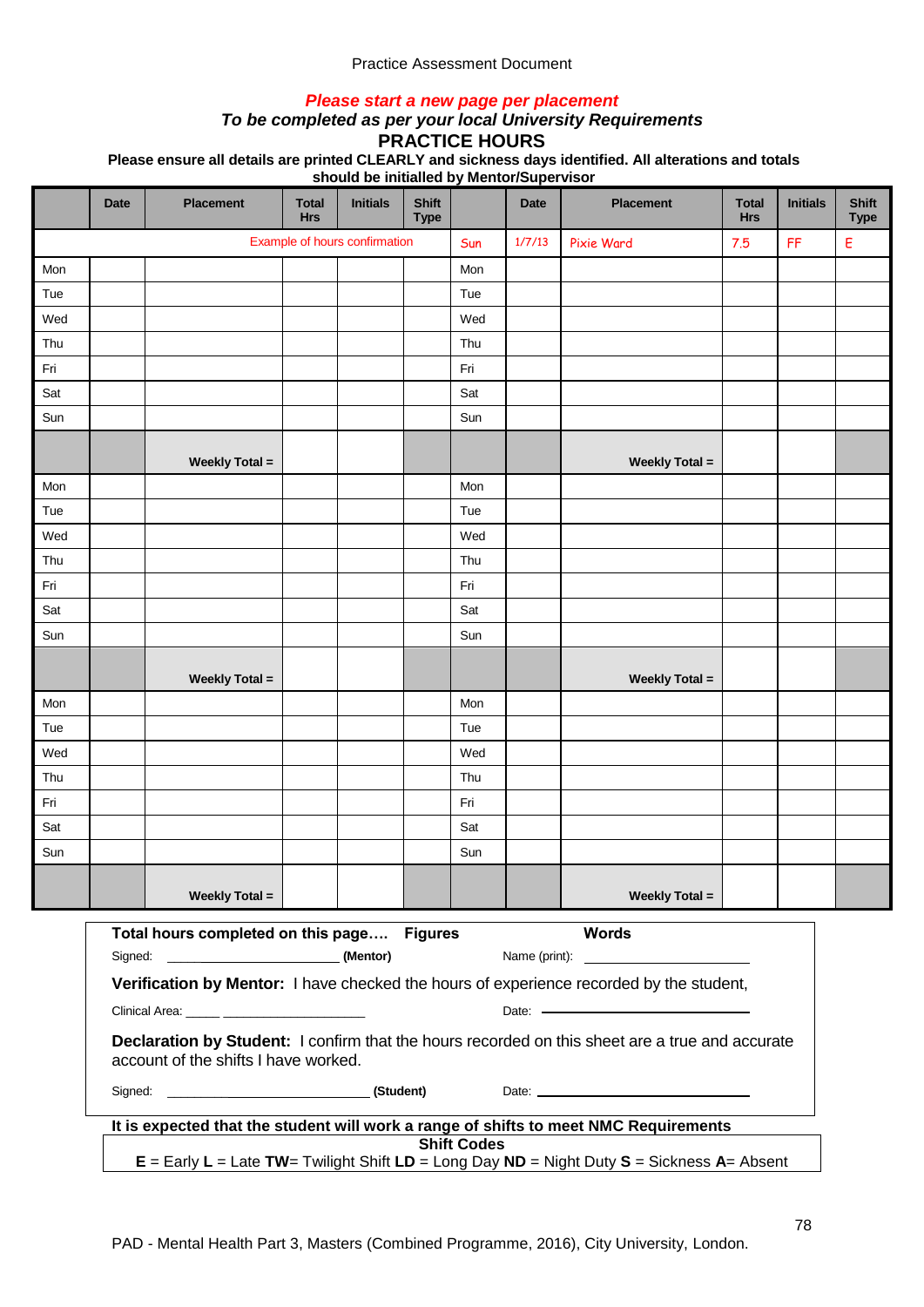### *Please start a new page per placement*

### *To be completed as per your local University Requirements*

**PRACTICE HOURS**

**Please ensure all details are printed CLEARLY and sickness days identified. All alterations and totals** 

|     | <b>Date</b>                                                                                                                                                                                                                                                | <b>Placement</b>      | <b>Total</b><br><b>Hrs</b> | <b>Initials</b>               | <b>Shift</b><br><b>Type</b> |     | <b>Date</b> | <b>Placement</b>                                                                     | <b>Total</b><br><b>Hrs</b> | <b>Initials</b> | <b>Shift</b><br><b>Type</b> |
|-----|------------------------------------------------------------------------------------------------------------------------------------------------------------------------------------------------------------------------------------------------------------|-----------------------|----------------------------|-------------------------------|-----------------------------|-----|-------------|--------------------------------------------------------------------------------------|----------------------------|-----------------|-----------------------------|
|     |                                                                                                                                                                                                                                                            |                       |                            | Example of hours confirmation |                             | Sun | 1/7/13      | <b>Pixie Ward</b>                                                                    | 7.5                        | FF              | Ε                           |
| Mon |                                                                                                                                                                                                                                                            |                       |                            |                               |                             | Mon |             |                                                                                      |                            |                 |                             |
| Tue |                                                                                                                                                                                                                                                            |                       |                            |                               |                             | Tue |             |                                                                                      |                            |                 |                             |
| Wed |                                                                                                                                                                                                                                                            |                       |                            |                               |                             | Wed |             |                                                                                      |                            |                 |                             |
| Thu |                                                                                                                                                                                                                                                            |                       |                            |                               |                             | Thu |             |                                                                                      |                            |                 |                             |
| Fri |                                                                                                                                                                                                                                                            |                       |                            |                               |                             | Fri |             |                                                                                      |                            |                 |                             |
| Sat |                                                                                                                                                                                                                                                            |                       |                            |                               |                             | Sat |             |                                                                                      |                            |                 |                             |
| Sun |                                                                                                                                                                                                                                                            |                       |                            |                               |                             | Sun |             |                                                                                      |                            |                 |                             |
|     |                                                                                                                                                                                                                                                            | <b>Weekly Total =</b> |                            |                               |                             |     |             | <b>Weekly Total =</b>                                                                |                            |                 |                             |
| Mon |                                                                                                                                                                                                                                                            |                       |                            |                               |                             | Mon |             |                                                                                      |                            |                 |                             |
| Tue |                                                                                                                                                                                                                                                            |                       |                            |                               |                             | Tue |             |                                                                                      |                            |                 |                             |
| Wed |                                                                                                                                                                                                                                                            |                       |                            |                               |                             | Wed |             |                                                                                      |                            |                 |                             |
| Thu |                                                                                                                                                                                                                                                            |                       |                            |                               |                             | Thu |             |                                                                                      |                            |                 |                             |
| Fri |                                                                                                                                                                                                                                                            |                       |                            |                               |                             | Fri |             |                                                                                      |                            |                 |                             |
| Sat |                                                                                                                                                                                                                                                            |                       |                            |                               |                             | Sat |             |                                                                                      |                            |                 |                             |
| Sun |                                                                                                                                                                                                                                                            |                       |                            |                               |                             | Sun |             |                                                                                      |                            |                 |                             |
|     |                                                                                                                                                                                                                                                            | <b>Weekly Total =</b> |                            |                               |                             |     |             | <b>Weekly Total =</b>                                                                |                            |                 |                             |
| Mon |                                                                                                                                                                                                                                                            |                       |                            |                               |                             | Mon |             |                                                                                      |                            |                 |                             |
| Tue |                                                                                                                                                                                                                                                            |                       |                            |                               |                             | Tue |             |                                                                                      |                            |                 |                             |
| Wed |                                                                                                                                                                                                                                                            |                       |                            |                               |                             | Wed |             |                                                                                      |                            |                 |                             |
| Thu |                                                                                                                                                                                                                                                            |                       |                            |                               |                             | Thu |             |                                                                                      |                            |                 |                             |
| Fri |                                                                                                                                                                                                                                                            |                       |                            |                               |                             | Fri |             |                                                                                      |                            |                 |                             |
| Sat |                                                                                                                                                                                                                                                            |                       |                            |                               |                             | Sat |             |                                                                                      |                            |                 |                             |
| Sun |                                                                                                                                                                                                                                                            |                       |                            |                               |                             | Sun |             |                                                                                      |                            |                 |                             |
|     |                                                                                                                                                                                                                                                            | <b>Weekly Total =</b> |                            |                               |                             |     |             | <b>Weekly Total =</b>                                                                |                            |                 |                             |
|     | <b>Words</b><br>Total hours completed on this page Figures<br>Name (print):<br><u> Alexandria de la contexta de la contexta de la contexta de la contexta de la contexta de la contexta de la c</u>                                                        |                       |                            |                               |                             |     |             |                                                                                      |                            |                 |                             |
|     |                                                                                                                                                                                                                                                            |                       |                            |                               |                             |     |             |                                                                                      |                            |                 |                             |
|     | Verification by Mentor: I have checked the hours of experience recorded by the student,<br>Clinical Area: _____ ________________________<br>Date: Note: Note: Note: Note: Note: Note: Note: Note: Note: Note: Note: Note: Note: Note: Note: Note: Note: No |                       |                            |                               |                             |     |             |                                                                                      |                            |                 |                             |
|     | Declaration by Student: I confirm that the hours recorded on this sheet are a true and accurate<br>account of the shifts I have worked.                                                                                                                    |                       |                            |                               |                             |     |             |                                                                                      |                            |                 |                             |
|     |                                                                                                                                                                                                                                                            |                       |                            |                               |                             |     |             |                                                                                      |                            |                 |                             |
|     |                                                                                                                                                                                                                                                            |                       |                            |                               |                             |     |             | It is expected that the student will work a range of shifts to meet NMC Requirements |                            |                 |                             |
|     | <b>Shift Codes</b><br>$E =$ Early $L =$ Late TW= Twilight Shift $LD =$ Long Day ND = Night Duty S = Sickness A= Absent                                                                                                                                     |                       |                            |                               |                             |     |             |                                                                                      |                            |                 |                             |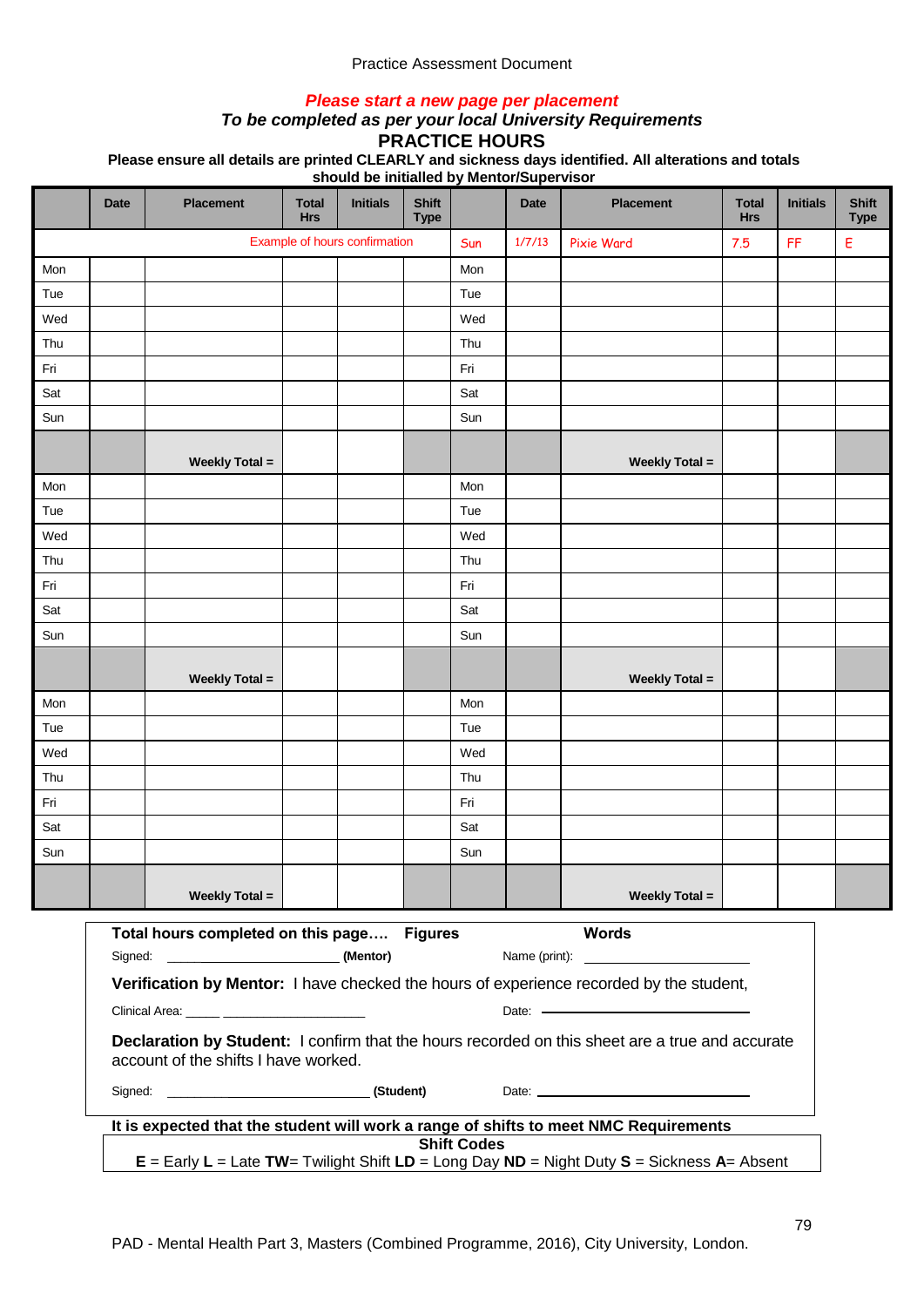### *Please start a new page per placement*

### *To be completed as per your local University Requirements*

**PRACTICE HOURS**

**Please ensure all details are printed CLEARLY and sickness days identified. All alterations and totals** 

|     | <b>Date</b>                                                                                                                                 | <b>Placement</b>                           | <b>Total</b><br><b>Hrs</b> | <b>Initials</b>               | <b>Shift</b><br><b>Type</b> |     | <b>Date</b> | <b>Placement</b>                                                                     | <b>Total</b><br><b>Hrs</b> | <b>Initials</b> | <b>Shift</b><br><b>Type</b> |
|-----|---------------------------------------------------------------------------------------------------------------------------------------------|--------------------------------------------|----------------------------|-------------------------------|-----------------------------|-----|-------------|--------------------------------------------------------------------------------------|----------------------------|-----------------|-----------------------------|
|     |                                                                                                                                             |                                            |                            | Example of hours confirmation |                             | Sun | 1/7/13      | <b>Pixie Ward</b>                                                                    | 7.5                        | FF              | Ε                           |
| Mon |                                                                                                                                             |                                            |                            |                               |                             | Mon |             |                                                                                      |                            |                 |                             |
| Tue |                                                                                                                                             |                                            |                            |                               |                             | Tue |             |                                                                                      |                            |                 |                             |
| Wed |                                                                                                                                             |                                            |                            |                               |                             | Wed |             |                                                                                      |                            |                 |                             |
| Thu |                                                                                                                                             |                                            |                            |                               |                             | Thu |             |                                                                                      |                            |                 |                             |
| Fri |                                                                                                                                             |                                            |                            |                               |                             | Fri |             |                                                                                      |                            |                 |                             |
| Sat |                                                                                                                                             |                                            |                            |                               |                             | Sat |             |                                                                                      |                            |                 |                             |
| Sun |                                                                                                                                             |                                            |                            |                               |                             | Sun |             |                                                                                      |                            |                 |                             |
|     |                                                                                                                                             | <b>Weekly Total =</b>                      |                            |                               |                             |     |             | <b>Weekly Total =</b>                                                                |                            |                 |                             |
| Mon |                                                                                                                                             |                                            |                            |                               |                             | Mon |             |                                                                                      |                            |                 |                             |
| Tue |                                                                                                                                             |                                            |                            |                               |                             | Tue |             |                                                                                      |                            |                 |                             |
| Wed |                                                                                                                                             |                                            |                            |                               |                             | Wed |             |                                                                                      |                            |                 |                             |
| Thu |                                                                                                                                             |                                            |                            |                               |                             | Thu |             |                                                                                      |                            |                 |                             |
| Fri |                                                                                                                                             |                                            |                            |                               |                             | Fri |             |                                                                                      |                            |                 |                             |
| Sat |                                                                                                                                             |                                            |                            |                               |                             | Sat |             |                                                                                      |                            |                 |                             |
| Sun |                                                                                                                                             |                                            |                            |                               |                             | Sun |             |                                                                                      |                            |                 |                             |
|     |                                                                                                                                             | <b>Weekly Total =</b>                      |                            |                               |                             |     |             | <b>Weekly Total =</b>                                                                |                            |                 |                             |
| Mon |                                                                                                                                             |                                            |                            |                               |                             | Mon |             |                                                                                      |                            |                 |                             |
| Tue |                                                                                                                                             |                                            |                            |                               |                             | Tue |             |                                                                                      |                            |                 |                             |
| Wed |                                                                                                                                             |                                            |                            |                               |                             | Wed |             |                                                                                      |                            |                 |                             |
| Thu |                                                                                                                                             |                                            |                            |                               |                             | Thu |             |                                                                                      |                            |                 |                             |
| Fri |                                                                                                                                             |                                            |                            |                               |                             | Fri |             |                                                                                      |                            |                 |                             |
| Sat |                                                                                                                                             |                                            |                            |                               |                             | Sat |             |                                                                                      |                            |                 |                             |
| Sun |                                                                                                                                             |                                            |                            |                               |                             | Sun |             |                                                                                      |                            |                 |                             |
|     |                                                                                                                                             | <b>Weekly Total =</b>                      |                            |                               |                             |     |             | <b>Weekly Total =</b>                                                                |                            |                 |                             |
|     |                                                                                                                                             | Total hours completed on this page Figures |                            |                               |                             |     |             | <b>Words</b>                                                                         |                            |                 |                             |
|     |                                                                                                                                             |                                            |                            |                               |                             |     |             |                                                                                      |                            |                 |                             |
|     | Verification by Mentor: I have checked the hours of experience recorded by the student,<br>Clinical Area: _____ ___________________________ |                                            |                            |                               |                             |     |             |                                                                                      |                            |                 |                             |
|     | Declaration by Student: I confirm that the hours recorded on this sheet are a true and accurate<br>account of the shifts I have worked.     |                                            |                            |                               |                             |     |             |                                                                                      |                            |                 |                             |
|     |                                                                                                                                             |                                            |                            |                               |                             |     |             |                                                                                      |                            |                 |                             |
|     |                                                                                                                                             |                                            |                            |                               |                             |     |             | It is expected that the student will work a range of shifts to meet NMC Requirements |                            |                 |                             |
|     | <b>Shift Codes</b><br>$E =$ Early $L =$ Late TW= Twilight Shift $LD =$ Long Day ND = Night Duty S = Sickness A= Absent                      |                                            |                            |                               |                             |     |             |                                                                                      |                            |                 |                             |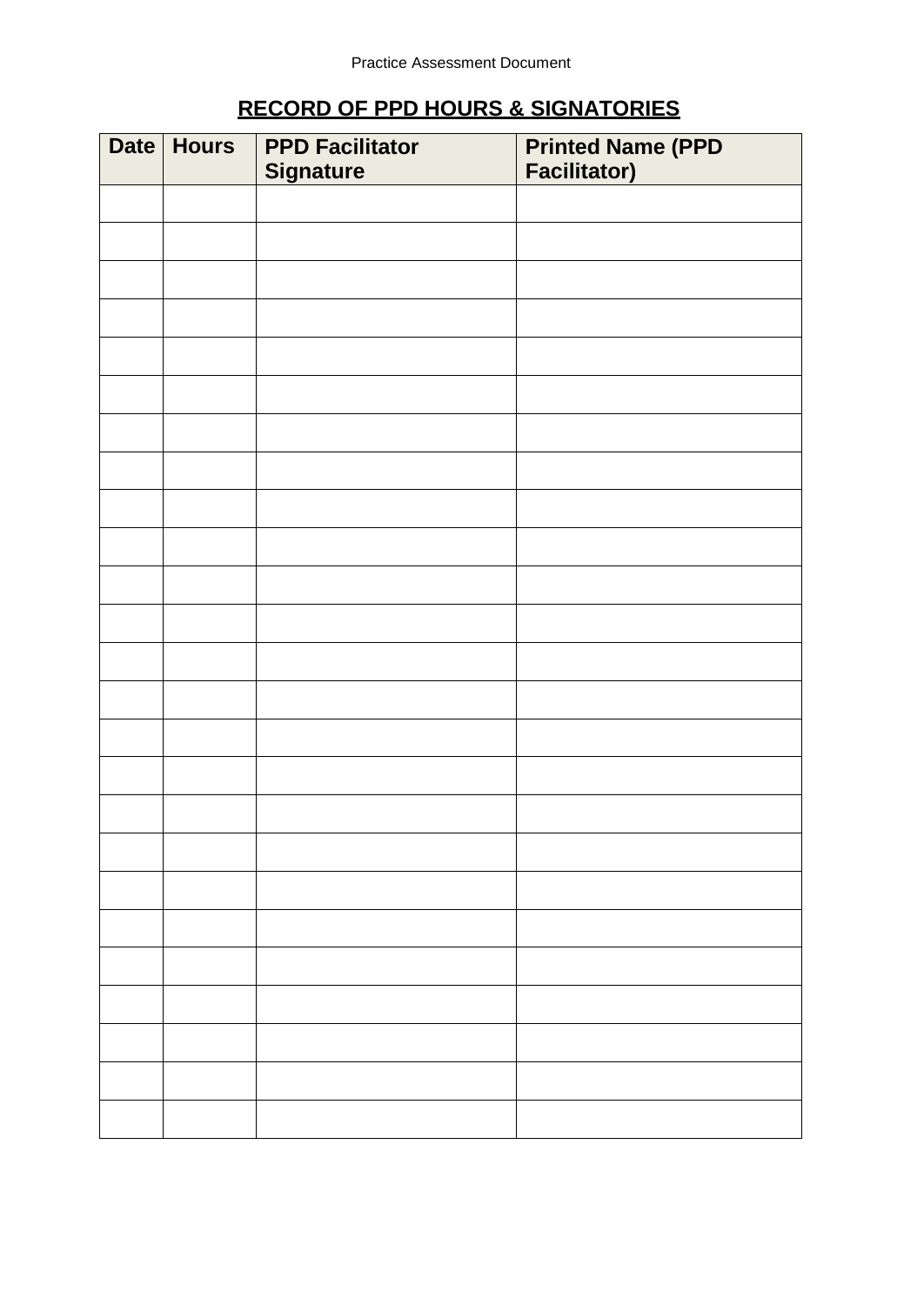# **RECORD OF PPD HOURS & SIGNATORIES**

| Date | <b>Hours</b> | <b>PPD Facilitator</b><br><b>Signature</b> | <b>Printed Name (PPD</b><br><b>Facilitator)</b> |
|------|--------------|--------------------------------------------|-------------------------------------------------|
|      |              |                                            |                                                 |
|      |              |                                            |                                                 |
|      |              |                                            |                                                 |
|      |              |                                            |                                                 |
|      |              |                                            |                                                 |
|      |              |                                            |                                                 |
|      |              |                                            |                                                 |
|      |              |                                            |                                                 |
|      |              |                                            |                                                 |
|      |              |                                            |                                                 |
|      |              |                                            |                                                 |
|      |              |                                            |                                                 |
|      |              |                                            |                                                 |
|      |              |                                            |                                                 |
|      |              |                                            |                                                 |
|      |              |                                            |                                                 |
|      |              |                                            |                                                 |
|      |              |                                            |                                                 |
|      |              |                                            |                                                 |
|      |              |                                            |                                                 |
|      |              |                                            |                                                 |
|      |              |                                            |                                                 |
|      |              |                                            |                                                 |
|      |              |                                            |                                                 |
|      |              |                                            |                                                 |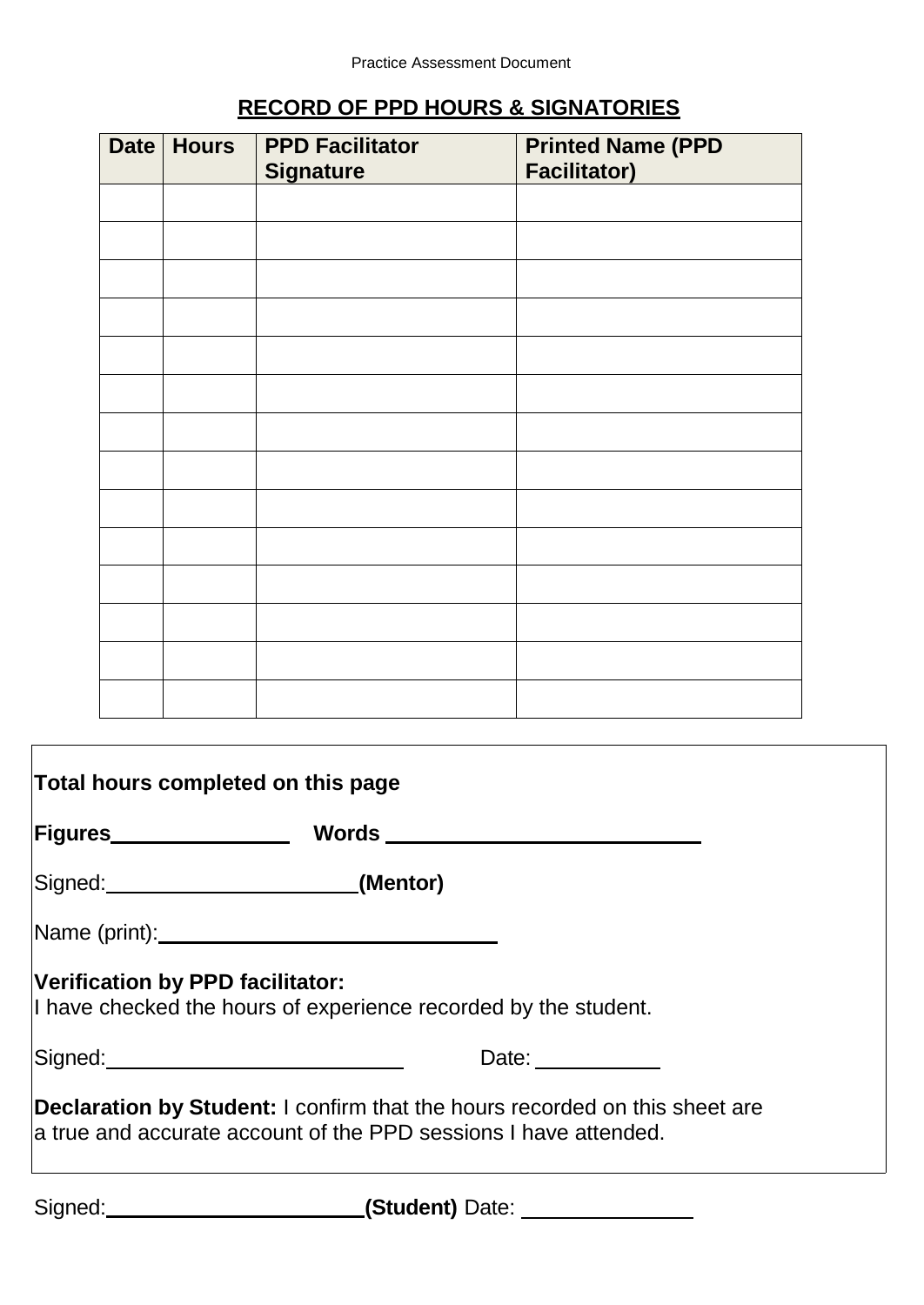| <b>Date</b> | <b>Hours</b> | <b>PPD Facilitator</b><br><b>Signature</b> | <b>Printed Name (PPD</b><br><b>Facilitator)</b> |
|-------------|--------------|--------------------------------------------|-------------------------------------------------|
|             |              |                                            |                                                 |
|             |              |                                            |                                                 |
|             |              |                                            |                                                 |
|             |              |                                            |                                                 |
|             |              |                                            |                                                 |
|             |              |                                            |                                                 |
|             |              |                                            |                                                 |
|             |              |                                            |                                                 |
|             |              |                                            |                                                 |
|             |              |                                            |                                                 |
|             |              |                                            |                                                 |
|             |              |                                            |                                                 |
|             |              |                                            |                                                 |
|             |              |                                            |                                                 |

# **RECORD OF PPD HOURS & SIGNATORIES**

| Total hours completed on this page       |                                                                                                                                                                                                                                |  |  |  |  |  |  |
|------------------------------------------|--------------------------------------------------------------------------------------------------------------------------------------------------------------------------------------------------------------------------------|--|--|--|--|--|--|
| Figures________________                  | Words __________________________                                                                                                                                                                                               |  |  |  |  |  |  |
| Signed: (Mentor)                         |                                                                                                                                                                                                                                |  |  |  |  |  |  |
|                                          |                                                                                                                                                                                                                                |  |  |  |  |  |  |
| Verification by PPD facilitator:         | I have checked the hours of experience recorded by the student.                                                                                                                                                                |  |  |  |  |  |  |
| Signed: ________________________________ | Date: the contract of the contract of the contract of the contract of the contract of the contract of the contract of the contract of the contract of the contract of the contract of the contract of the contract of the cont |  |  |  |  |  |  |
|                                          | <b>Declaration by Student:</b> I confirm that the hours recorded on this sheet are<br>a true and accurate account of the PPD sessions I have attended.                                                                         |  |  |  |  |  |  |

Signed: **(Student)** Date: